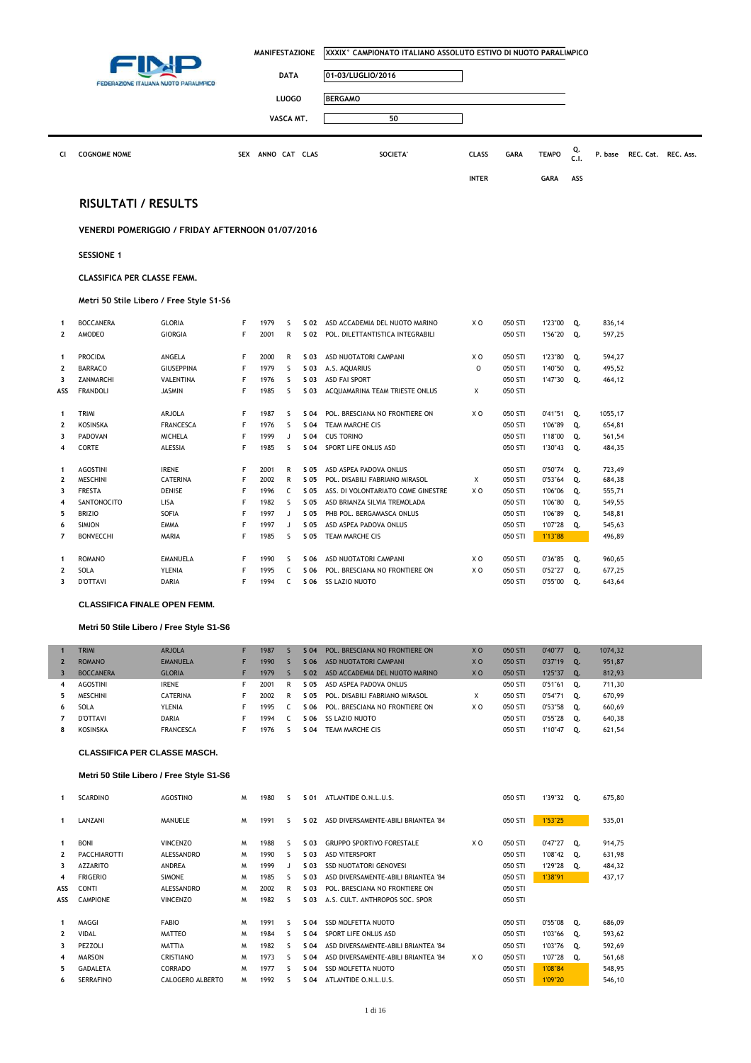| <b>DATA</b><br>01-03/LUGLIO/2016<br>FEDERAZIONE ITALIANA NUOTO PARALIMPICO<br><b>LUOGO</b><br><b>BERGAMO</b><br>VASCA MT.<br>50<br>Q.<br>SEX ANNO CAT CLAS<br><b>SOCIETA'</b><br><b>TEMPO</b><br>Cl<br><b>COGNOME NOME</b><br><b>CLASS</b><br><b>GARA</b><br>C.1.<br><b>INTER</b><br>ASS<br><b>GARA</b><br><b>RISULTATI / RESULTS</b><br>VENERDI POMERIGGIO / FRIDAY AFTERNOON 01/07/2016<br><b>SESSIONE 1</b><br><b>CLASSIFICA PER CLASSE FEMM.</b><br>Metri 50 Stile Libero / Free Style S1-S6<br><b>BOCCANERA</b><br><b>GLORIA</b><br>F<br>1979<br>X <sub>0</sub><br>050 STI<br>-S<br>S 02 ASD ACCADEMIA DEL NUOTO MARINO<br>1'23"00<br>Q.<br>$\mathbf{1}$<br>$\overline{2}$<br>AMODEO<br><b>GIORGIA</b><br>F<br>2001<br>R<br>050 STI<br>S 02 POL. DILETTANTISTICA INTEGRABILI<br>1'56"20<br>Q.<br>F<br>PROCIDA<br>ANGELA<br>2000<br>R<br>S 03<br>ASD NUOTATORI CAMPANI<br>X <sub>0</sub><br>050 STI<br>1'23"80<br>Q.<br>1<br><b>BARRACO</b><br><b>GIUSEPPINA</b><br>F<br>S<br>$\circ$<br>$\mathbf 2$<br>1979<br>S 03<br>A.S. AQUARIUS<br>050 STI<br>1'40"50<br>Q.<br>F<br>$\mathsf{S}$<br>050 STI<br>ZANMARCHI<br>VALENTINA<br>1976<br>S 03<br>ASD FAI SPORT<br>1'47"30<br>Q.<br>3<br><b>FRANDOLI</b><br><b>JASMIN</b><br>F<br>1985<br><sub>S</sub><br>X<br>050 STI<br>ASS<br>S 03<br>ACQUAMARINA TEAM TRIESTE ONLUS<br>TRIMI<br>ARJOLA<br>F<br>1987<br>s<br>X <sub>0</sub><br>050 STI<br>0'41''51<br>S 04<br>POL. BRESCIANA NO FRONTIERE ON<br>Q.<br>$\mathbf{1}$<br>F<br>$\overline{\mathbf{2}}$<br><b>FRANCESCA</b><br>S<br>050 STI<br><b>KOSINSKA</b><br>1976<br>S 04<br>TEAM MARCHE CIS<br>1'06"89<br>Q.<br>F<br>3<br><b>MICHELA</b><br>PADOVAN<br>1999<br>J<br>S 04<br><b>CUS TORINO</b><br>050 STI<br>1'18"00<br>Q.<br>CORTE<br>ALESSIA<br>F<br>1985<br><sub>S</sub><br>SPORT LIFE ONLUS ASD<br>050 STI<br>1'30"43<br>Q.<br>4<br>S 04<br><b>AGOSTINI</b><br><b>IRENE</b><br>F<br>050 STI<br>0'50"74<br>2001<br>R<br>S 05<br>ASD ASPEA PADOVA ONLUS<br>Q.<br>1<br>$\mathbf 2$<br>F<br>2002<br>$\mathsf{R}$<br>Χ<br><b>MESCHINI</b><br>CATERINA<br>S 05<br>050 STI<br>0'53"64<br>Q.<br>POL. DISABILI FABRIANO MIRASOL<br>3<br>F<br>C<br><b>FRESTA</b><br>DENISE<br>1996<br>S 05<br>ASS. DI VOLONTARIATO COME GINESTRE<br>X <sub>0</sub><br>050 STI<br>1'06"06<br>Q.<br>LISA<br>F<br>050 STI<br>$\overline{\mathbf{4}}$<br>SANTONOCITO<br>1982<br><sub>S</sub><br>S 05<br>ASD BRIANZA SILVIA TREMOLADA<br>1'06"80<br>Q.<br>SOFIA<br>F<br>1997<br>5<br><b>BRIZIO</b><br>S 05<br>PHB POL. BERGAMASCA ONLUS<br>050 STI<br>1'06"89<br>Q.<br>J<br>F<br><b>SIMION</b><br><b>EMMA</b><br>1997<br>S 05<br>ASD ASPEA PADOVA ONLUS<br>050 STI<br>1'07"28<br>Q.<br>6<br>J<br>$\overline{7}$<br>F<br><b>BONVECCHI</b><br>MARIA<br>1985<br><sub>S</sub><br>S 05<br>TEAM MARCHE CIS<br>050 STI<br>1'13"88<br>F<br>1990<br>X <sub>0</sub><br>050 STI<br><b>ROMANO</b><br>EMANUELA<br>-S<br>S 06<br>ASD NUOTATORI CAMPANI<br>0'36"85<br>Q.<br>$\mathbf{1}$<br>$\overline{2}$<br><b>YLENIA</b><br>F<br>C<br>SOLA<br>1995<br>S 06<br>POL. BRESCIANA NO FRONTIERE ON<br>X O<br>050 STI<br>0'52"27<br>Q.<br>3<br><b>D'OTTAVI</b><br><b>DARIA</b><br>F<br>1994<br>C<br>S 06 SS LAZIO NUOTO<br>050 STI<br>0'55"00<br>Q. | MANIFESTAZIONE<br>XXXIX° CAMPIONATO ITALIANO ASSOLUTO ESTIVO DI NUOTO PARALIMPICO |  |  |  |  |  |
|-----------------------------------------------------------------------------------------------------------------------------------------------------------------------------------------------------------------------------------------------------------------------------------------------------------------------------------------------------------------------------------------------------------------------------------------------------------------------------------------------------------------------------------------------------------------------------------------------------------------------------------------------------------------------------------------------------------------------------------------------------------------------------------------------------------------------------------------------------------------------------------------------------------------------------------------------------------------------------------------------------------------------------------------------------------------------------------------------------------------------------------------------------------------------------------------------------------------------------------------------------------------------------------------------------------------------------------------------------------------------------------------------------------------------------------------------------------------------------------------------------------------------------------------------------------------------------------------------------------------------------------------------------------------------------------------------------------------------------------------------------------------------------------------------------------------------------------------------------------------------------------------------------------------------------------------------------------------------------------------------------------------------------------------------------------------------------------------------------------------------------------------------------------------------------------------------------------------------------------------------------------------------------------------------------------------------------------------------------------------------------------------------------------------------------------------------------------------------------------------------------------------------------------------------------------------------------------------------------------------------------------------------------------------------------------------------------------------------------------------------------------------------------------------------------------------------------------------------------------------------------------------------------------------------------------------------------------------------------------------------------------------------------------------------------------------------------------------------------------------------------------------------------------------------------------------------------------|-----------------------------------------------------------------------------------|--|--|--|--|--|
|                                                                                                                                                                                                                                                                                                                                                                                                                                                                                                                                                                                                                                                                                                                                                                                                                                                                                                                                                                                                                                                                                                                                                                                                                                                                                                                                                                                                                                                                                                                                                                                                                                                                                                                                                                                                                                                                                                                                                                                                                                                                                                                                                                                                                                                                                                                                                                                                                                                                                                                                                                                                                                                                                                                                                                                                                                                                                                                                                                                                                                                                                                                                                                                                           |                                                                                   |  |  |  |  |  |
|                                                                                                                                                                                                                                                                                                                                                                                                                                                                                                                                                                                                                                                                                                                                                                                                                                                                                                                                                                                                                                                                                                                                                                                                                                                                                                                                                                                                                                                                                                                                                                                                                                                                                                                                                                                                                                                                                                                                                                                                                                                                                                                                                                                                                                                                                                                                                                                                                                                                                                                                                                                                                                                                                                                                                                                                                                                                                                                                                                                                                                                                                                                                                                                                           |                                                                                   |  |  |  |  |  |
|                                                                                                                                                                                                                                                                                                                                                                                                                                                                                                                                                                                                                                                                                                                                                                                                                                                                                                                                                                                                                                                                                                                                                                                                                                                                                                                                                                                                                                                                                                                                                                                                                                                                                                                                                                                                                                                                                                                                                                                                                                                                                                                                                                                                                                                                                                                                                                                                                                                                                                                                                                                                                                                                                                                                                                                                                                                                                                                                                                                                                                                                                                                                                                                                           |                                                                                   |  |  |  |  |  |
|                                                                                                                                                                                                                                                                                                                                                                                                                                                                                                                                                                                                                                                                                                                                                                                                                                                                                                                                                                                                                                                                                                                                                                                                                                                                                                                                                                                                                                                                                                                                                                                                                                                                                                                                                                                                                                                                                                                                                                                                                                                                                                                                                                                                                                                                                                                                                                                                                                                                                                                                                                                                                                                                                                                                                                                                                                                                                                                                                                                                                                                                                                                                                                                                           |                                                                                   |  |  |  |  |  |
|                                                                                                                                                                                                                                                                                                                                                                                                                                                                                                                                                                                                                                                                                                                                                                                                                                                                                                                                                                                                                                                                                                                                                                                                                                                                                                                                                                                                                                                                                                                                                                                                                                                                                                                                                                                                                                                                                                                                                                                                                                                                                                                                                                                                                                                                                                                                                                                                                                                                                                                                                                                                                                                                                                                                                                                                                                                                                                                                                                                                                                                                                                                                                                                                           |                                                                                   |  |  |  |  |  |
|                                                                                                                                                                                                                                                                                                                                                                                                                                                                                                                                                                                                                                                                                                                                                                                                                                                                                                                                                                                                                                                                                                                                                                                                                                                                                                                                                                                                                                                                                                                                                                                                                                                                                                                                                                                                                                                                                                                                                                                                                                                                                                                                                                                                                                                                                                                                                                                                                                                                                                                                                                                                                                                                                                                                                                                                                                                                                                                                                                                                                                                                                                                                                                                                           | REC. Ass.<br>P. base<br>REC. Cat.                                                 |  |  |  |  |  |
|                                                                                                                                                                                                                                                                                                                                                                                                                                                                                                                                                                                                                                                                                                                                                                                                                                                                                                                                                                                                                                                                                                                                                                                                                                                                                                                                                                                                                                                                                                                                                                                                                                                                                                                                                                                                                                                                                                                                                                                                                                                                                                                                                                                                                                                                                                                                                                                                                                                                                                                                                                                                                                                                                                                                                                                                                                                                                                                                                                                                                                                                                                                                                                                                           |                                                                                   |  |  |  |  |  |
|                                                                                                                                                                                                                                                                                                                                                                                                                                                                                                                                                                                                                                                                                                                                                                                                                                                                                                                                                                                                                                                                                                                                                                                                                                                                                                                                                                                                                                                                                                                                                                                                                                                                                                                                                                                                                                                                                                                                                                                                                                                                                                                                                                                                                                                                                                                                                                                                                                                                                                                                                                                                                                                                                                                                                                                                                                                                                                                                                                                                                                                                                                                                                                                                           |                                                                                   |  |  |  |  |  |
|                                                                                                                                                                                                                                                                                                                                                                                                                                                                                                                                                                                                                                                                                                                                                                                                                                                                                                                                                                                                                                                                                                                                                                                                                                                                                                                                                                                                                                                                                                                                                                                                                                                                                                                                                                                                                                                                                                                                                                                                                                                                                                                                                                                                                                                                                                                                                                                                                                                                                                                                                                                                                                                                                                                                                                                                                                                                                                                                                                                                                                                                                                                                                                                                           |                                                                                   |  |  |  |  |  |
|                                                                                                                                                                                                                                                                                                                                                                                                                                                                                                                                                                                                                                                                                                                                                                                                                                                                                                                                                                                                                                                                                                                                                                                                                                                                                                                                                                                                                                                                                                                                                                                                                                                                                                                                                                                                                                                                                                                                                                                                                                                                                                                                                                                                                                                                                                                                                                                                                                                                                                                                                                                                                                                                                                                                                                                                                                                                                                                                                                                                                                                                                                                                                                                                           |                                                                                   |  |  |  |  |  |
|                                                                                                                                                                                                                                                                                                                                                                                                                                                                                                                                                                                                                                                                                                                                                                                                                                                                                                                                                                                                                                                                                                                                                                                                                                                                                                                                                                                                                                                                                                                                                                                                                                                                                                                                                                                                                                                                                                                                                                                                                                                                                                                                                                                                                                                                                                                                                                                                                                                                                                                                                                                                                                                                                                                                                                                                                                                                                                                                                                                                                                                                                                                                                                                                           |                                                                                   |  |  |  |  |  |
|                                                                                                                                                                                                                                                                                                                                                                                                                                                                                                                                                                                                                                                                                                                                                                                                                                                                                                                                                                                                                                                                                                                                                                                                                                                                                                                                                                                                                                                                                                                                                                                                                                                                                                                                                                                                                                                                                                                                                                                                                                                                                                                                                                                                                                                                                                                                                                                                                                                                                                                                                                                                                                                                                                                                                                                                                                                                                                                                                                                                                                                                                                                                                                                                           |                                                                                   |  |  |  |  |  |
|                                                                                                                                                                                                                                                                                                                                                                                                                                                                                                                                                                                                                                                                                                                                                                                                                                                                                                                                                                                                                                                                                                                                                                                                                                                                                                                                                                                                                                                                                                                                                                                                                                                                                                                                                                                                                                                                                                                                                                                                                                                                                                                                                                                                                                                                                                                                                                                                                                                                                                                                                                                                                                                                                                                                                                                                                                                                                                                                                                                                                                                                                                                                                                                                           |                                                                                   |  |  |  |  |  |
|                                                                                                                                                                                                                                                                                                                                                                                                                                                                                                                                                                                                                                                                                                                                                                                                                                                                                                                                                                                                                                                                                                                                                                                                                                                                                                                                                                                                                                                                                                                                                                                                                                                                                                                                                                                                                                                                                                                                                                                                                                                                                                                                                                                                                                                                                                                                                                                                                                                                                                                                                                                                                                                                                                                                                                                                                                                                                                                                                                                                                                                                                                                                                                                                           |                                                                                   |  |  |  |  |  |
|                                                                                                                                                                                                                                                                                                                                                                                                                                                                                                                                                                                                                                                                                                                                                                                                                                                                                                                                                                                                                                                                                                                                                                                                                                                                                                                                                                                                                                                                                                                                                                                                                                                                                                                                                                                                                                                                                                                                                                                                                                                                                                                                                                                                                                                                                                                                                                                                                                                                                                                                                                                                                                                                                                                                                                                                                                                                                                                                                                                                                                                                                                                                                                                                           | 836,14                                                                            |  |  |  |  |  |
|                                                                                                                                                                                                                                                                                                                                                                                                                                                                                                                                                                                                                                                                                                                                                                                                                                                                                                                                                                                                                                                                                                                                                                                                                                                                                                                                                                                                                                                                                                                                                                                                                                                                                                                                                                                                                                                                                                                                                                                                                                                                                                                                                                                                                                                                                                                                                                                                                                                                                                                                                                                                                                                                                                                                                                                                                                                                                                                                                                                                                                                                                                                                                                                                           | 597,25                                                                            |  |  |  |  |  |
|                                                                                                                                                                                                                                                                                                                                                                                                                                                                                                                                                                                                                                                                                                                                                                                                                                                                                                                                                                                                                                                                                                                                                                                                                                                                                                                                                                                                                                                                                                                                                                                                                                                                                                                                                                                                                                                                                                                                                                                                                                                                                                                                                                                                                                                                                                                                                                                                                                                                                                                                                                                                                                                                                                                                                                                                                                                                                                                                                                                                                                                                                                                                                                                                           | 594,27                                                                            |  |  |  |  |  |
|                                                                                                                                                                                                                                                                                                                                                                                                                                                                                                                                                                                                                                                                                                                                                                                                                                                                                                                                                                                                                                                                                                                                                                                                                                                                                                                                                                                                                                                                                                                                                                                                                                                                                                                                                                                                                                                                                                                                                                                                                                                                                                                                                                                                                                                                                                                                                                                                                                                                                                                                                                                                                                                                                                                                                                                                                                                                                                                                                                                                                                                                                                                                                                                                           | 495,52                                                                            |  |  |  |  |  |
|                                                                                                                                                                                                                                                                                                                                                                                                                                                                                                                                                                                                                                                                                                                                                                                                                                                                                                                                                                                                                                                                                                                                                                                                                                                                                                                                                                                                                                                                                                                                                                                                                                                                                                                                                                                                                                                                                                                                                                                                                                                                                                                                                                                                                                                                                                                                                                                                                                                                                                                                                                                                                                                                                                                                                                                                                                                                                                                                                                                                                                                                                                                                                                                                           | 464,12                                                                            |  |  |  |  |  |
|                                                                                                                                                                                                                                                                                                                                                                                                                                                                                                                                                                                                                                                                                                                                                                                                                                                                                                                                                                                                                                                                                                                                                                                                                                                                                                                                                                                                                                                                                                                                                                                                                                                                                                                                                                                                                                                                                                                                                                                                                                                                                                                                                                                                                                                                                                                                                                                                                                                                                                                                                                                                                                                                                                                                                                                                                                                                                                                                                                                                                                                                                                                                                                                                           |                                                                                   |  |  |  |  |  |
|                                                                                                                                                                                                                                                                                                                                                                                                                                                                                                                                                                                                                                                                                                                                                                                                                                                                                                                                                                                                                                                                                                                                                                                                                                                                                                                                                                                                                                                                                                                                                                                                                                                                                                                                                                                                                                                                                                                                                                                                                                                                                                                                                                                                                                                                                                                                                                                                                                                                                                                                                                                                                                                                                                                                                                                                                                                                                                                                                                                                                                                                                                                                                                                                           | 1055,17                                                                           |  |  |  |  |  |
|                                                                                                                                                                                                                                                                                                                                                                                                                                                                                                                                                                                                                                                                                                                                                                                                                                                                                                                                                                                                                                                                                                                                                                                                                                                                                                                                                                                                                                                                                                                                                                                                                                                                                                                                                                                                                                                                                                                                                                                                                                                                                                                                                                                                                                                                                                                                                                                                                                                                                                                                                                                                                                                                                                                                                                                                                                                                                                                                                                                                                                                                                                                                                                                                           | 654,81                                                                            |  |  |  |  |  |
|                                                                                                                                                                                                                                                                                                                                                                                                                                                                                                                                                                                                                                                                                                                                                                                                                                                                                                                                                                                                                                                                                                                                                                                                                                                                                                                                                                                                                                                                                                                                                                                                                                                                                                                                                                                                                                                                                                                                                                                                                                                                                                                                                                                                                                                                                                                                                                                                                                                                                                                                                                                                                                                                                                                                                                                                                                                                                                                                                                                                                                                                                                                                                                                                           | 561,54                                                                            |  |  |  |  |  |
|                                                                                                                                                                                                                                                                                                                                                                                                                                                                                                                                                                                                                                                                                                                                                                                                                                                                                                                                                                                                                                                                                                                                                                                                                                                                                                                                                                                                                                                                                                                                                                                                                                                                                                                                                                                                                                                                                                                                                                                                                                                                                                                                                                                                                                                                                                                                                                                                                                                                                                                                                                                                                                                                                                                                                                                                                                                                                                                                                                                                                                                                                                                                                                                                           | 484,35                                                                            |  |  |  |  |  |
|                                                                                                                                                                                                                                                                                                                                                                                                                                                                                                                                                                                                                                                                                                                                                                                                                                                                                                                                                                                                                                                                                                                                                                                                                                                                                                                                                                                                                                                                                                                                                                                                                                                                                                                                                                                                                                                                                                                                                                                                                                                                                                                                                                                                                                                                                                                                                                                                                                                                                                                                                                                                                                                                                                                                                                                                                                                                                                                                                                                                                                                                                                                                                                                                           | 723,49                                                                            |  |  |  |  |  |
|                                                                                                                                                                                                                                                                                                                                                                                                                                                                                                                                                                                                                                                                                                                                                                                                                                                                                                                                                                                                                                                                                                                                                                                                                                                                                                                                                                                                                                                                                                                                                                                                                                                                                                                                                                                                                                                                                                                                                                                                                                                                                                                                                                                                                                                                                                                                                                                                                                                                                                                                                                                                                                                                                                                                                                                                                                                                                                                                                                                                                                                                                                                                                                                                           | 684,38                                                                            |  |  |  |  |  |
|                                                                                                                                                                                                                                                                                                                                                                                                                                                                                                                                                                                                                                                                                                                                                                                                                                                                                                                                                                                                                                                                                                                                                                                                                                                                                                                                                                                                                                                                                                                                                                                                                                                                                                                                                                                                                                                                                                                                                                                                                                                                                                                                                                                                                                                                                                                                                                                                                                                                                                                                                                                                                                                                                                                                                                                                                                                                                                                                                                                                                                                                                                                                                                                                           | 555,71                                                                            |  |  |  |  |  |
|                                                                                                                                                                                                                                                                                                                                                                                                                                                                                                                                                                                                                                                                                                                                                                                                                                                                                                                                                                                                                                                                                                                                                                                                                                                                                                                                                                                                                                                                                                                                                                                                                                                                                                                                                                                                                                                                                                                                                                                                                                                                                                                                                                                                                                                                                                                                                                                                                                                                                                                                                                                                                                                                                                                                                                                                                                                                                                                                                                                                                                                                                                                                                                                                           | 549,55                                                                            |  |  |  |  |  |
|                                                                                                                                                                                                                                                                                                                                                                                                                                                                                                                                                                                                                                                                                                                                                                                                                                                                                                                                                                                                                                                                                                                                                                                                                                                                                                                                                                                                                                                                                                                                                                                                                                                                                                                                                                                                                                                                                                                                                                                                                                                                                                                                                                                                                                                                                                                                                                                                                                                                                                                                                                                                                                                                                                                                                                                                                                                                                                                                                                                                                                                                                                                                                                                                           | 548,81                                                                            |  |  |  |  |  |
|                                                                                                                                                                                                                                                                                                                                                                                                                                                                                                                                                                                                                                                                                                                                                                                                                                                                                                                                                                                                                                                                                                                                                                                                                                                                                                                                                                                                                                                                                                                                                                                                                                                                                                                                                                                                                                                                                                                                                                                                                                                                                                                                                                                                                                                                                                                                                                                                                                                                                                                                                                                                                                                                                                                                                                                                                                                                                                                                                                                                                                                                                                                                                                                                           | 545,63                                                                            |  |  |  |  |  |
|                                                                                                                                                                                                                                                                                                                                                                                                                                                                                                                                                                                                                                                                                                                                                                                                                                                                                                                                                                                                                                                                                                                                                                                                                                                                                                                                                                                                                                                                                                                                                                                                                                                                                                                                                                                                                                                                                                                                                                                                                                                                                                                                                                                                                                                                                                                                                                                                                                                                                                                                                                                                                                                                                                                                                                                                                                                                                                                                                                                                                                                                                                                                                                                                           | 496,89                                                                            |  |  |  |  |  |
|                                                                                                                                                                                                                                                                                                                                                                                                                                                                                                                                                                                                                                                                                                                                                                                                                                                                                                                                                                                                                                                                                                                                                                                                                                                                                                                                                                                                                                                                                                                                                                                                                                                                                                                                                                                                                                                                                                                                                                                                                                                                                                                                                                                                                                                                                                                                                                                                                                                                                                                                                                                                                                                                                                                                                                                                                                                                                                                                                                                                                                                                                                                                                                                                           | 960,65                                                                            |  |  |  |  |  |
|                                                                                                                                                                                                                                                                                                                                                                                                                                                                                                                                                                                                                                                                                                                                                                                                                                                                                                                                                                                                                                                                                                                                                                                                                                                                                                                                                                                                                                                                                                                                                                                                                                                                                                                                                                                                                                                                                                                                                                                                                                                                                                                                                                                                                                                                                                                                                                                                                                                                                                                                                                                                                                                                                                                                                                                                                                                                                                                                                                                                                                                                                                                                                                                                           | 677,25                                                                            |  |  |  |  |  |
|                                                                                                                                                                                                                                                                                                                                                                                                                                                                                                                                                                                                                                                                                                                                                                                                                                                                                                                                                                                                                                                                                                                                                                                                                                                                                                                                                                                                                                                                                                                                                                                                                                                                                                                                                                                                                                                                                                                                                                                                                                                                                                                                                                                                                                                                                                                                                                                                                                                                                                                                                                                                                                                                                                                                                                                                                                                                                                                                                                                                                                                                                                                                                                                                           | 643,64                                                                            |  |  |  |  |  |

# **CLASSIFICA FINALE OPEN FEMM.**

I

### **Metri 50 Stile Libero / Free Style S1-S6**

|    | <b>TRIMI</b>     | <b>ARJOLA</b>    | 1987 |   | S 04 | POL. BRESCIANA NO FRONTIERE ON | X <sub>0</sub> | 050 STI | 0'40"77 | $^{\circ}$ 0.  | 1074.32 |
|----|------------------|------------------|------|---|------|--------------------------------|----------------|---------|---------|----------------|---------|
|    | <b>ROMANO</b>    | <b>EMANUELA</b>  | 1990 |   | S 06 | ASD NUOTATORI CAMPANI          | X <sub>0</sub> | 050 STI | 0'37"19 | ಾಂ.            | 951,87  |
|    | <b>BOCCANERA</b> | <b>GLORIA</b>    | 1979 |   | S 02 | ASD ACCADEMIA DEL NUOTO MARINO | X <sub>0</sub> | 050 STI | 1'25"37 | $\mathbf{O}$ . | 812.93  |
| 4  | <b>AGOSTINI</b>  | <b>IRENE</b>     | 2001 | R | S 05 | ASD ASPEA PADOVA ONLUS         |                | 050 STI | 0'51"61 | 0.             | 711,30  |
| 5. | MESCHINI         | <b>CATERINA</b>  | 2002 | R | S 05 | POL. DISABILI FABRIANO MIRASOL |                | 050 STI | 0'54"71 | 0.             | 670.99  |
| 6  | <b>SOLA</b>      | <b>YLENIA</b>    | 1995 |   | S 06 | POL. BRESCIANA NO FRONTIERE ON | X O            | 050 STI | 0'53"58 | 0.             | 660,69  |
|    | D'OTTAVI         | <b>DARIA</b>     | 1994 |   | S 06 | SS LAZIO NUOTO                 |                | 050 STI | 0'55"28 | 0.             | 640,38  |
| 8  | <b>KOSINSKA</b>  | <b>FRANCESCA</b> | 1976 |   | S 04 | TEAM MARCHE CIS                |                | 050 STI | ''10"47 | о.             | 621,54  |

### **CLASSIFICA PER CLASSE MASCH.**

### **Metri 50 Stile Libero / Free Style S1-S6**

| 1            | <b>SCARDINO</b>     | <b>AGOSTINO</b>  | M | 1980 | s  | S 01 | ATLANTIDE O.N.L.U.S.                |     | 050 STI | 1'39"32 | Q. | 675,80 |
|--------------|---------------------|------------------|---|------|----|------|-------------------------------------|-----|---------|---------|----|--------|
| 1            | LANZANI             | MANUELE          | м | 1991 | ς. | S 02 | ASD DIVERSAMENTE-ABILI BRIANTEA '84 |     | 050 STI | 1'53"25 |    | 535,01 |
| 1            | <b>BONI</b>         | <b>VINCENZO</b>  | м | 1988 | ς. | S 03 | <b>GRUPPO SPORTIVO FORESTALE</b>    | X O | 050 STI | 0'47"27 | Q. | 914,75 |
| $\mathbf{2}$ | <b>PACCHIAROTTI</b> | ALESSANDRO       | M | 1990 | ς. | S 03 | <b>ASD VITERSPORT</b>               |     | 050 STI | 1'08"42 | Q. | 631,98 |
| 3            | <b>AZZARITO</b>     | ANDREA           | м | 1999 |    | S 03 | <b>SSD NUOTATORI GENOVESI</b>       |     | 050 STI | 1'29"28 | Q. | 484,32 |
| 4            | <b>FRIGERIO</b>     | <b>SIMONE</b>    | M | 1985 | ς  | S 03 | ASD DIVERSAMENTE-ABILI BRIANTEA '84 |     | 050 STI | 1'38"91 |    | 437,17 |
| ASS          | <b>CONTI</b>        | ALESSANDRO       | м | 2002 | R  | S 03 | POL. BRESCIANA NO FRONTIERE ON      |     | 050 STI |         |    |        |
| ASS          | <b>CAMPIONE</b>     | <b>VINCENZO</b>  | M | 1982 | ς  | S 03 | A.S. CULT. ANTHROPOS SOC. SPOR      |     | 050 STI |         |    |        |
| 1            | MAGGI               | <b>FABIO</b>     | м | 1991 | s  | S 04 | <b>SSD MOLFETTA NUOTO</b>           |     | 050 STI | 0'55"08 | Q. | 686,09 |
| $\mathbf{2}$ | <b>VIDAL</b>        | <b>MATTEO</b>    | м | 1984 | ς. | S 04 | SPORT LIFE ONLUS ASD                |     | 050 STI | 1'03"66 | 0. | 593,62 |
| 3            | PEZZOLI             | <b>MATTIA</b>    | M | 1982 | ς. | S 04 | ASD DIVERSAMENTE-ABILI BRIANTEA '84 |     | 050 STI | 1'03"76 | Q. | 592,69 |
| 4            | <b>MARSON</b>       | <b>CRISTIANO</b> | м | 1973 | ς. | S 04 | ASD DIVERSAMENTE-ABILI BRIANTEA '84 | X O | 050 STI | 1'07"28 | О. | 561,68 |
| 5            | <b>GADALETA</b>     | <b>CORRADO</b>   | M | 1977 | ς. | S 04 | <b>SSD MOLFETTA NUOTO</b>           |     | 050 STI | 1'08"84 |    | 548,95 |
| 6            | <b>SERRAFINO</b>    | CALOGERO ALBERTO | M | 1992 | s  | S 04 | ATLANTIDE O.N.L.U.S.                |     | 050 STI | 1'09"20 |    | 546,10 |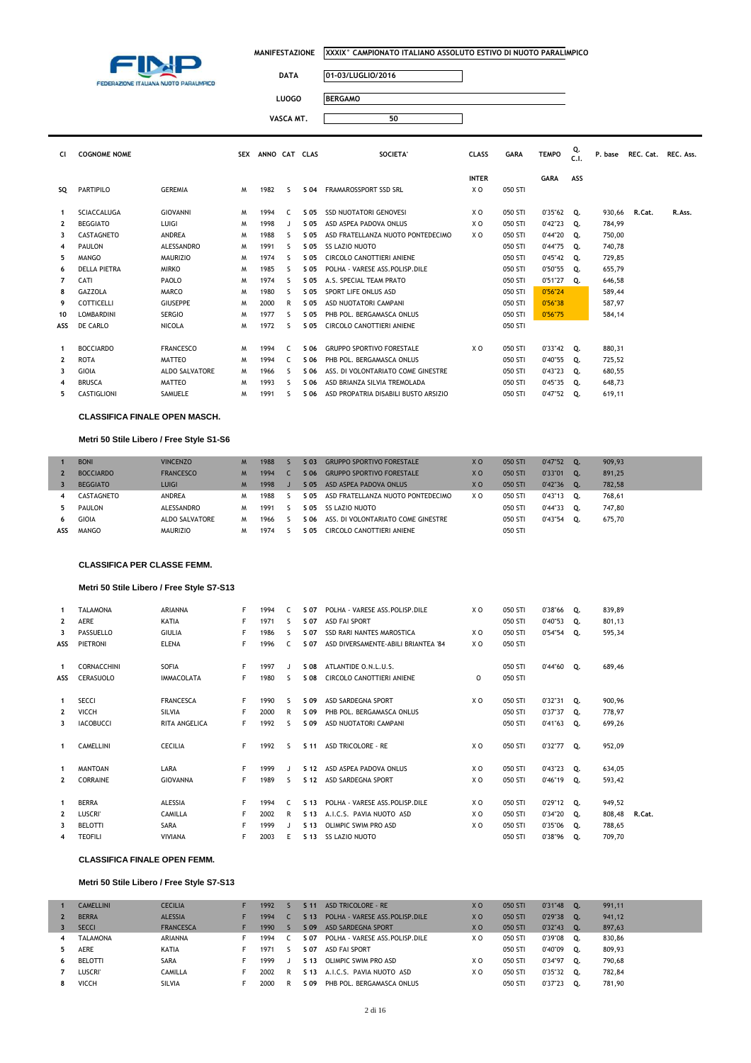

### **DATA 01-03/LUGLIO/2016**

| <b>DATA</b> | 01-03/LUGLIO/2016 |
|-------------|-------------------|
| LUOGO       | <b>BERGAMO</b>    |
| VASCA MT.   |                   |

| CI.            | <b>COGNOME NOME</b> |                       |   | SEX ANNO CAT CLAS |              |      | <b>SOCIETA'</b>                      | <b>CLASS</b> | <b>GARA</b> | <b>TEMPO</b>  | Q.<br>C.1 | P. base | REC. Cat. REC. Ass. |        |
|----------------|---------------------|-----------------------|---|-------------------|--------------|------|--------------------------------------|--------------|-------------|---------------|-----------|---------|---------------------|--------|
|                |                     |                       |   |                   |              |      |                                      | <b>INTER</b> |             | <b>GARA</b>   | ASS       |         |                     |        |
| so             | PARTIPILO           | <b>GEREMIA</b>        | M | 1982              | ς.           | S 04 | FRAMAROSSPORT SSD SRL                | X O          | 050 STI     |               |           |         |                     |        |
| -1             | <b>SCIACCALUGA</b>  | <b>GIOVANNI</b>       | M | 1994              | C.           | S 05 | <b>SSD NUOTATORI GENOVESI</b>        | X O          | 050 STI     | $0'35''62$ 0. |           | 930,66  | R.Cat.              | R.Ass. |
| $\mathbf{2}$   | <b>BEGGIATO</b>     | LUIGI                 | M | 1998              | $\mathbf{I}$ | S 05 | ASD ASPEA PADOVA ONLUS               | X O          | 050 STI     | 0'42"23       | о.        | 784.99  |                     |        |
| 3              | <b>CASTAGNETO</b>   | ANDREA                | M | 1988              | ς.           | S 05 | ASD FRATELLANZA NUOTO PONTEDECIMO    | X O          | 050 STI     | 0'44"20       | 0.        | 750,00  |                     |        |
| 4              | <b>PAULON</b>       | ALESSANDRO            | M | 1991              | S.           | S 05 | <b>SS LAZIO NUOTO</b>                |              | 050 STI     | 0'44"75       | 0.        | 740,78  |                     |        |
| 5              | <b>MANGO</b>        | <b>MAURIZIO</b>       | M | 1974              | S            | S 05 | CIRCOLO CANOTTIERI ANIENE            |              | 050 STI     | 0'45"42       | Q.        | 729,85  |                     |        |
| 6              | <b>DELLA PIETRA</b> | <b>MIRKO</b>          | M | 1985              | s            | S 05 | POLHA - VARESE ASS.POLISP.DILE       |              | 050 STI     | 0'50"55       | о.        | 655,79  |                     |        |
| $\overline{7}$ | CATI                | PAOLO                 | M | 1974              | S.           | S 05 | A.S. SPECIAL TEAM PRATO              |              | 050 STI     | 0'51"27       | Q.        | 646,58  |                     |        |
| 8              | <b>GAZZOLA</b>      | <b>MARCO</b>          | M | 1980              | S.           | S 05 | SPORT LIFE ONLUS ASD                 |              | 050 STI     | 0'56"24       |           | 589.44  |                     |        |
| 9              | COTTICELLI          | <b>GIUSEPPE</b>       | M | 2000              | R            | S 05 | ASD NUOTATORI CAMPANI                |              | 050 STI     | 0'56"38       |           | 587,97  |                     |        |
| 10             | <b>LOMBARDINI</b>   | <b>SERGIO</b>         | M | 1977              | S.           | S 05 | PHB POL. BERGAMASCA ONLUS            |              | 050 STI     | 0'56"75       |           | 584.14  |                     |        |
| ASS            | DE CARLO            | <b>NICOLA</b>         | W | 1972              | S.           | S 05 | CIRCOLO CANOTTIERI ANIENE            |              | 050 STI     |               |           |         |                     |        |
| 1              | <b>BOCCIARDO</b>    | <b>FRANCESCO</b>      | M | 1994              | C.           | S 06 | <b>GRUPPO SPORTIVO FORESTALE</b>     | X O          | 050 STI     | $0'33''42$ 0. |           | 880,31  |                     |        |
| $\overline{2}$ | <b>ROTA</b>         | <b>MATTEO</b>         | M | 1994              | C.           | S 06 | PHB POL. BERGAMASCA ONLUS            |              | 050 STI     | 0'40"55       | 0.        | 725,52  |                     |        |
| 3              | GIOIA               | <b>ALDO SALVATORE</b> | M | 1966              | S.           | S 06 | ASS. DI VOLONTARIATO COME GINESTRE   |              | 050 STI     | 0'43"23       | о.        | 680,55  |                     |        |
| 4              | <b>BRUSCA</b>       | MATTEO                | M | 1993              | S.           | S 06 | ASD BRIANZA SILVIA TREMOLADA         |              | 050 STI     | 0'45''35      | о.        | 648,73  |                     |        |
| 5.             | CASTIGLIONI         | SAMUELE               | W | 1991              | S            | S 06 | ASD PROPATRIA DISABILI BUSTO ARSIZIO |              | 050 STI     | 0'47"52       | Q.        | 619,11  |                     |        |

#### **CLASSIFICA FINALE OPEN MASCH.**

#### **Metri 50 Stile Libero / Free Style S1-S6**

|     | <b>BONI</b>      | <b>VINCENZO</b>  | M | 1988 | S 03 | <b>GRUPPO SPORTIVO FORESTALE</b>   | X <sub>O</sub> | 050 STI | 0'47"52  | О. | 909.93 |
|-----|------------------|------------------|---|------|------|------------------------------------|----------------|---------|----------|----|--------|
|     | <b>BOCCIARDO</b> | <b>FRANCESCO</b> |   | 1994 | S 06 | <b>GRUPPO SPORTIVO FORESTALE</b>   | X <sub>O</sub> | 050 STI | 0'33"01  | о. | 891.25 |
|     | <b>BEGGIATO</b>  | <b>LUIGI</b>     |   | 1998 | S 05 | ASD ASPEA PADOVA ONLUS             | X <sub>O</sub> | 050 STI | 0'42"36  | 0. | 782.58 |
| 4   | CASTAGNETO       | <b>ANDREA</b>    | м | 1988 | S 05 | ASD FRATELLANZA NUOTO PONTEDECIMO  | X O            | 050 STI | 0'43"13  | 0. | 768.61 |
| 5.  | PAULON           | ALESSANDRO       | м | 1991 | S 05 | SS LAZIO NUOTO                     |                | 050 STI | 0'44''33 | 0. | 747.80 |
| 6   | <b>GIOIA</b>     | ALDO SALVATORE   | M | 1966 | S 06 | ASS. DI VOLONTARIATO COME GINESTRE |                | 050 STI | 0'43"54  | о. | 675,70 |
| ASS | <b>MANGO</b>     | <b>MAURIZIO</b>  | M | 1974 | S 05 | CIRCOLO CANOTTIERI ANIENE          |                | 050 STI |          |    |        |

#### **CLASSIFICA PER CLASSE FEMM.**

### **Metri 50 Stile Libero / Free Style S7-S13**

| $\mathbf{1}$   | <b>TALAMONA</b>  | <b>ARIANNA</b>       | F | 1994 | $\epsilon$ | S 07            | POLHA - VARESE ASS.POLISP.DILE      | X O            | 050 STI | 0'38"66 Q.    |    | 839,89 |        |
|----------------|------------------|----------------------|---|------|------------|-----------------|-------------------------------------|----------------|---------|---------------|----|--------|--------|
| $\mathbf{2}$   | AERE             | KATIA                | F | 1971 | ς.         | S 07            | <b>ASD FAI SPORT</b>                |                | 050 STI | 0'40"53       | Q. | 801,13 |        |
| 3              | PASSUELLO        | <b>GIULIA</b>        | F | 1986 | ς          | S 07            | SSD RARI NANTES MAROSTICA           | X O            | 050 STI | $0'54''54$ Q. |    | 595,34 |        |
| ASS            | <b>PIETRONI</b>  | <b>ELENA</b>         | F | 1996 | C.         | S 07            | ASD DIVERSAMENTE-ABILI BRIANTEA '84 | X O            | 050 STI |               |    |        |        |
|                |                  |                      |   |      |            |                 |                                     |                |         |               |    |        |        |
| $\mathbf{1}$   | CORNACCHINI      | SOFIA                | F | 1997 |            | S 08            | ATLANTIDE O.N.L.U.S.                |                | 050 STI | $0'44''60$ Q. |    | 689,46 |        |
| ASS            | CERASUOLO        | <b>IMMACOLATA</b>    | F | 1980 | s          | S 08            | CIRCOLO CANOTTIERI ANIENE           | $\circ$        | 050 STI |               |    |        |        |
|                |                  |                      |   |      |            |                 |                                     |                |         |               |    |        |        |
| 1              | <b>SECCI</b>     | <b>FRANCESCA</b>     | F | 1990 | S          | S 09            | ASD SARDEGNA SPORT                  | X O            | 050 STI | $0'32''31$ Q. |    | 900,96 |        |
| $\mathbf{2}$   | VICCH            | <b>SILVIA</b>        | F | 2000 | R          | S 09            | PHB POL. BERGAMASCA ONLUS           |                | 050 STI | 0'37"37       | Q. | 778,97 |        |
| 3              | <b>IACOBUCCI</b> | <b>RITA ANGELICA</b> | F | 1992 | ς.         | S 09            | ASD NUOTATORI CAMPANI               |                | 050 STI | $0'41''63$ Q. |    | 699,26 |        |
|                |                  |                      |   |      |            |                 |                                     |                |         |               |    |        |        |
| $\mathbf{1}$   | <b>CAMELLINI</b> | <b>CECILIA</b>       | F | 1992 | ς          | S <sub>11</sub> | <b>ASD TRICOLORE - RE</b>           | X O            | 050 STI | $0'32''77$ Q. |    | 952,09 |        |
|                |                  |                      |   |      |            |                 |                                     |                |         |               |    |        |        |
| $\mathbf{1}$   | <b>MANTOAN</b>   | LARA                 | F | 1999 |            | S 12            | ASD ASPEA PADOVA ONLUS              | X O            | 050 STI | $0'43''23$ Q. |    | 634,05 |        |
| $\mathbf{2}$   | CORRAINE         | <b>GIOVANNA</b>      | F | 1989 | ς.         | S 12            | ASD SARDEGNA SPORT                  | X <sub>0</sub> | 050 STI | $0'46''19$ Q. |    | 593,42 |        |
|                |                  |                      |   |      |            |                 |                                     |                |         |               |    |        |        |
| $\mathbf{1}$   | <b>BERRA</b>     | <b>ALESSIA</b>       | F | 1994 | $\epsilon$ | S <sub>13</sub> | POLHA - VARESE ASS. POLISP. DILE    | X O            | 050 STI | $0'29''12$ Q. |    | 949,52 |        |
| $\overline{2}$ | <b>LUSCRI</b>    | <b>CAMILLA</b>       | F | 2002 | R          | S 13            | A.I.C.S. PAVIA NUOTO ASD            | X O            | 050 STI | $0'34''20$ Q. |    | 808,48 | R.Cat. |
| 3              | <b>BELOTTI</b>   | SARA                 | F | 1999 |            | S 13            | OLIMPIC SWIM PRO ASD                | X O            | 050 STI | 0'35"06       | Q. | 788,65 |        |
| 4              | <b>TEOFILI</b>   | <b>VIVIANA</b>       | F | 2003 | Ε          | S 13            | <b>SS LAZIO NUOTO</b>               |                | 050 STI | 0'38"96 Q.    |    | 709,70 |        |

#### **CLASSIFICA FINALE OPEN FEMM.**

#### **Metri 50 Stile Libero / Free Style S7-S13**

|                | <b>CAMELLINI</b> | <b>CECILIA</b>   | 1992 |   | S <sub>11</sub> | ASD TRICOLORE - RE               | X <sub>0</sub> | 050 STI | 0'31"48 | О.   | 991,11 |
|----------------|------------------|------------------|------|---|-----------------|----------------------------------|----------------|---------|---------|------|--------|
|                | <b>BERRA</b>     | <b>ALESSIA</b>   | 1994 |   | S <sub>13</sub> | POLHA - VARESE ASS. POLISP. DILE | X O            | 050 STI | 0'29"38 | гο.  | 941,12 |
|                | <b>SECCI</b>     | <b>FRANCESCA</b> | 1990 |   | $S$ 09          | ASD SARDEGNA SPORT               | X O            | 050 STI | 0'32"43 | О.   | 897.63 |
| $\overline{4}$ | <b>TALAMONA</b>  | ARIANNA          | 1994 |   | S 07            | POLHA - VARESE ASS.POLISP.DILE   | x o            | 050 STI | 0'39"08 | O.   | 830.86 |
| 5              | <b>AERE</b>      | KATIA            | 1971 |   | S 07            | ASD FAI SPORT                    |                | 050 STI | 0'40"09 | O.   | 809,93 |
| -6             | BELOTTI          | <b>SARA</b>      | 1999 |   |                 | S 13 OLIMPIC SWIM PRO ASD        | x o            | 050 STI | 0'34"97 | . O. | 790.68 |
|                | LUSCRI'          | <b>CAMILLA</b>   | 2002 | R | S 13            | A.I.C.S. PAVIA NUOTO ASD         | x o            | 050 STI | 0'35"32 | . O. | 782.84 |
| 8              | VICCH            | <b>SILVIA</b>    | 2000 |   | S 09            | PHB POL. BERGAMASCA ONLUS        |                | 050 STI | 0'37"23 | о.   | 781.90 |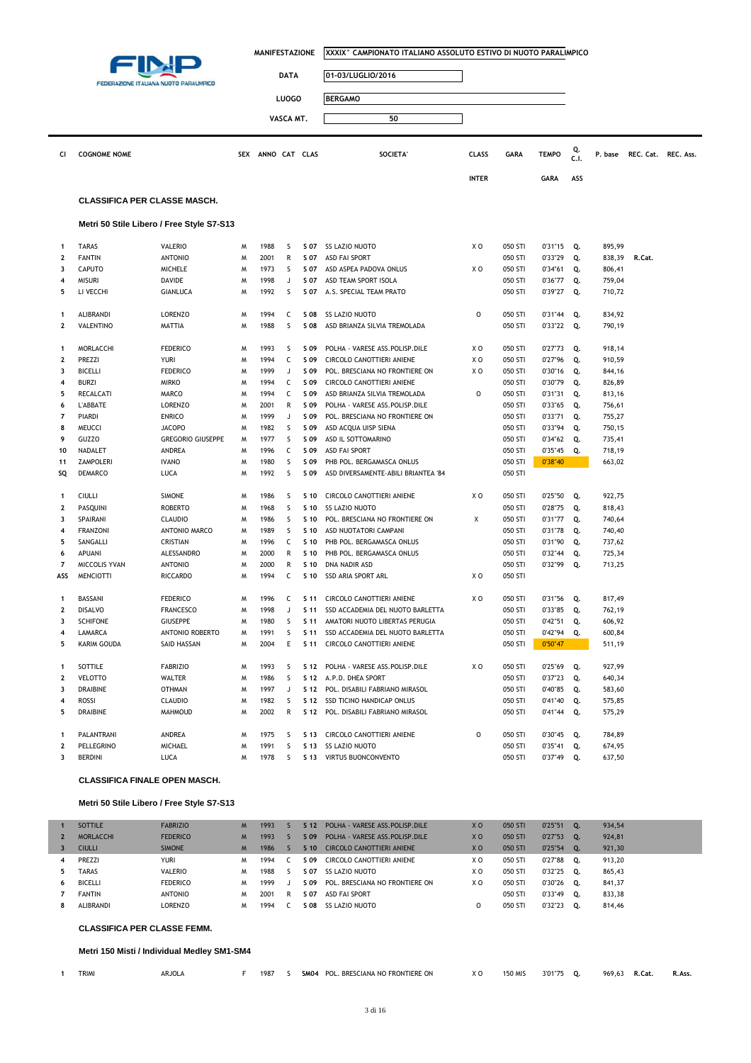|                         |                                     |                                           | <b>MANIFESTAZIONE</b> |                   |              |              | XXXIX° CAMPIONATO ITALIANO ASSOLUTO ESTIVO DI NUOTO PARALIMPICO |              |                    |                    |            |                  |                     |  |
|-------------------------|-------------------------------------|-------------------------------------------|-----------------------|-------------------|--------------|--------------|-----------------------------------------------------------------|--------------|--------------------|--------------------|------------|------------------|---------------------|--|
|                         |                                     |                                           |                       |                   | <b>DATA</b>  |              | 01-03/LUGLIO/2016                                               |              |                    |                    |            |                  |                     |  |
|                         |                                     | FEDERAZIONE ITALIANA NUOTO PARALIMPICO    |                       |                   |              |              |                                                                 |              |                    |                    |            |                  |                     |  |
|                         |                                     |                                           |                       |                   | <b>LUOGO</b> |              | <b>BERGAMO</b>                                                  |              |                    |                    |            |                  |                     |  |
|                         |                                     |                                           |                       |                   | VASCA MT.    |              | 50                                                              |              |                    |                    |            |                  |                     |  |
| CI                      | <b>COGNOME NOME</b>                 |                                           |                       | SEX ANNO CAT CLAS |              |              | <b>SOCIETA'</b>                                                 | <b>CLASS</b> | <b>GARA</b>        | <b>TEMPO</b>       | Q.<br>C.1. | P. base          | REC. Cat. REC. Ass. |  |
|                         |                                     |                                           |                       |                   |              |              |                                                                 | <b>INTER</b> |                    | <b>GARA</b>        | ASS        |                  |                     |  |
|                         |                                     |                                           |                       |                   |              |              |                                                                 |              |                    |                    |            |                  |                     |  |
|                         | <b>CLASSIFICA PER CLASSE MASCH.</b> |                                           |                       |                   |              |              |                                                                 |              |                    |                    |            |                  |                     |  |
|                         |                                     | Metri 50 Stile Libero / Free Style S7-S13 |                       |                   |              |              |                                                                 |              |                    |                    |            |                  |                     |  |
| 1                       | <b>TARAS</b>                        | VALERIO                                   | M                     | 1988              | S            | S 07         | SS LAZIO NUOTO                                                  | x o          | 050 STI            | 0'31"15            | Q.         | 895,99           |                     |  |
| 2                       | <b>FANTIN</b>                       | <b>ANTONIO</b>                            | M                     | 2001              | R            | S 07         | ASD FAI SPORT                                                   |              | 050 STI            | 0'33"29            | Q.         | 838,39           | R.Cat.              |  |
| 3                       | <b>CAPUTO</b>                       | <b>MICHELE</b>                            | M                     | 1973              | S            | S 07         | ASD ASPEA PADOVA ONLUS                                          | x o          | 050 STI            | 0'34"61            | Q.         | 806,41           |                     |  |
| 4                       | <b>MISURI</b>                       | DAVIDE                                    | M                     | 1998              | J            | S 07         | ASD TEAM SPORT ISOLA                                            |              | 050 STI            | 0'36"77            | Q.         | 759,04           |                     |  |
| 5                       | LI VECCHI                           | <b>GIANLUCA</b>                           | M                     | 1992              | S            | S 07         | A.S. SPECIAL TEAM PRATO                                         |              | 050 STI            | 0'39"27            | Q.         | 710,72           |                     |  |
| 1                       | ALIBRANDI                           | <b>LORENZO</b>                            | M                     | 1994              | c            | S 08         | <b>SS LAZIO NUOTO</b>                                           | 0            | 050 STI            | 0'31"44            | Q.         | 834,92           |                     |  |
| $\overline{2}$          | VALENTINO                           | MATTIA                                    | M                     | 1988              | S            | S 08         | ASD BRIANZA SILVIA TREMOLADA                                    |              | 050 STI            | $0'33''22$ Q.      |            | 790,19           |                     |  |
|                         |                                     |                                           |                       |                   |              |              |                                                                 |              |                    |                    |            |                  |                     |  |
| 1<br>2                  | MORLACCHI<br>PREZZI                 | <b>FEDERICO</b><br>YURI                   | M<br>M                | 1993<br>1994      | S<br>C       | S 09<br>S 09 | POLHA - VARESE ASS.POLISP.DILE<br>CIRCOLO CANOTTIERI ANIENE     | x o<br>x o   | 050 STI<br>050 STI | 0'27"73<br>0'27"96 | Q.<br>Q.   | 918,14<br>910,59 |                     |  |
| 3                       | <b>BICELLI</b>                      | <b>FEDERICO</b>                           | M                     | 1999              | J            | S 09         | POL. BRESCIANA NO FRONTIERE ON                                  | x o          | 050 STI            | 0'30"16            | Q.         | 844,16           |                     |  |
| 4                       | <b>BURZI</b>                        | <b>MIRKO</b>                              | M                     | 1994              | C            | S 09         | CIRCOLO CANOTTIERI ANIENE                                       |              | 050 STI            | 0'30"79            | Q.         | 826,89           |                     |  |
| 5                       | RECALCATI                           | MARCO                                     | M                     | 1994              | c            | S 09         | ASD BRIANZA SILVIA TREMOLADA                                    | 0            | 050 STI            | 0'31"31            | Q.         | 813,16           |                     |  |
| 6                       | L'ABBATE                            | <b>LORENZO</b>                            | M                     | 2001              | R            | S 09         | POLHA - VARESE ASS. POLISP. DILE                                |              | 050 STI            | 0'33"65            | Q.         | 756,61           |                     |  |
| 7                       | PIARDI                              | <b>ENRICO</b>                             | M                     | 1999              | J            | S 09         | POL. BRESCIANA NO FRONTIERE ON                                  |              | 050 STI            | 0'33"71            | Q.         | 755,27           |                     |  |
| 8                       | MEUCCI                              | <b>JACOPO</b>                             | M                     | 1982              | S            | S 09         | ASD ACQUA UISP SIENA                                            |              | 050 STI            | 0'33"94            | Q.         | 750,15           |                     |  |
| 9                       | GUZZO                               | <b>GREGORIO GIUSEPPE</b>                  | м                     | 1977              | s            | S 09         | ASD IL SOTTOMARINO                                              |              | 050 STI            | 0'34"62            | Q.         | 735,41           |                     |  |
| 10                      | NADALET                             | ANDREA                                    | M                     | 1996              | C            | S 09         | <b>ASD FAI SPORT</b>                                            |              | 050 STI            | 0'35"45            | Q.         | 718,19           |                     |  |
| 11                      | <b>ZAMPOLERI</b>                    | <b>IVANO</b>                              | M                     | 1980              | S            | S 09         | PHB POL. BERGAMASCA ONLUS                                       |              | 050 STI            | 0'38"40            |            | 663,02           |                     |  |
| SQ                      | DEMARCO                             | LUCA                                      | M                     | 1992              | S            | S 09         | ASD DIVERSAMENTE-ABILI BRIANTEA '84                             |              | 050 STI            |                    |            |                  |                     |  |
| 1                       | <b>CIULLI</b>                       | <b>SIMONE</b>                             | M                     | 1986              | S            | S 10         | CIRCOLO CANOTTIERI ANIENE                                       | x o          | 050 STI            | 0'25"50            | Q.         | 922,75           |                     |  |
| 2                       | PASQUINI                            | <b>ROBERTO</b>                            | M                     | 1968              | S            | S 10         | SS LAZIO NUOTO                                                  |              | 050 STI            | 0'28"75            | Q.         | 818,43           |                     |  |
| 3                       | SPAIRANI                            | CLAUDIO                                   | M                     | 1986              | S            | S 10         | POL. BRESCIANA NO FRONTIERE ON                                  | Χ            | 050 STI            | 0'31"77            | Q.         | 740,64           |                     |  |
| 4                       | <b>FRANZONI</b>                     | ANTONIO MARCO                             | м                     | 1989              | S            | S 10         | ASD NUOTATORI CAMPANI                                           |              | 050 STI            | 0'31"78            | Q.         | 740,40           |                     |  |
| 5                       | SANGALLI                            | <b>CRISTIAN</b>                           | M                     | 1996              | C            | S 10         | PHB POL. BERGAMASCA ONLUS                                       |              | 050 STI            | 0'31"90            | Q.         | 737,62           |                     |  |
| 6                       | APUANI                              | <b>ALESSANDRO</b>                         | M                     | 2000              | R            | S 10         | PHB POL. BERGAMASCA ONLUS                                       |              | 050 STI            | 0'32"44            | Q.         | 725,34           |                     |  |
| 7                       | MICCOLIS YVAN                       | <b>ANTONIO</b>                            | M                     | 2000              | R            | S 10         | DNA NADIR ASD                                                   |              | 050 STI            | 0'32"99            | Q.         | 713,25           |                     |  |
| ASS                     | <b>MENCIOTTI</b>                    | <b>RICCARDO</b>                           | M                     | 1994              | c            | S 10         | SSD ARIA SPORT ARL                                              | x o          | 050 STI            |                    |            |                  |                     |  |
| 1                       | BASSANI                             | <b>FEDERICO</b>                           | M                     | 1996              | C            |              | S 11 CIRCOLO CANOTTIERI ANIENE                                  | x o          | 050 STI            | $0'31''56$ Q.      |            | 817,49           |                     |  |
|                         | DISALVO                             | <b>FRANCESCO</b>                          | м                     | 1998              |              | S 11         | SSD ACCADEMIA DEL NUOTO BARLETTA                                |              | 050 STI            | 0'33"85            |            | 762,19           |                     |  |
| 3                       | <b>SCHIFONE</b>                     | <b>GIUSEPPE</b>                           | M                     | 1980              | s            |              | S 11 AMATORI NUOTO LIBERTAS PERUGIA                             |              | 050 STI            | $0'42"51$ Q.       |            | 606,92           |                     |  |
| 4                       | LAMARCA                             | ANTONIO ROBERTO                           | м                     | 1991              | S            | S 11         | SSD ACCADEMIA DEL NUOTO BARLETTA                                |              | 050 STI            | 0'42"94            | Q.         | 600,84           |                     |  |
| 5                       | KARIM GOUDA                         | SAID HASSAN                               | м                     | 2004              | Ε            | S 11         | CIRCOLO CANOTTIERI ANIENE                                       |              | 050 STI            | 0'50"47            |            | 511,19           |                     |  |
| 1                       | SOTTILE                             | <b>FABRIZIO</b>                           | м                     | 1993              | S            |              | S 12 POLHA - VARESE ASS. POLISP. DILE                           | X O          | 050 STI            | 0'25"69            | Q.         | 927,99           |                     |  |
| $\overline{\mathbf{2}}$ | <b>VELOTTO</b>                      | WALTER                                    | м                     | 1986              | S            |              | S 12 A.P.D. DHEA SPORT                                          |              | 050 STI            | 0'37"23            | Q.         | 640,34           |                     |  |
| 3                       | DRAIBINE                            | <b>OTHMAN</b>                             | M                     | 1997              | J            |              | S 12 POL. DISABILI FABRIANO MIRASOL                             |              | 050 STI            | 0'40"85            | Q.         | 583,60           |                     |  |
| 4                       | ROSSI                               | CLAUDIO                                   | м                     | 1982              | S            | S 12         | SSD TICINO HANDICAP ONLUS                                       |              | 050 STI            | 0'41"40            | Q.         | 575,85           |                     |  |
| 5                       | <b>DRAIBINE</b>                     | MAHMOUD                                   | м                     | 2002              | R            |              | S 12 POL. DISABILI FABRIANO MIRASOL                             |              | 050 STI            | $0'41''44$ Q.      |            | 575,29           |                     |  |
| 1                       | PALANTRANI                          | ANDREA                                    | м                     | 1975              | S            |              | S 13 CIRCOLO CANOTTIERI ANIENE                                  | 0            | 050 STI            | 0'30"45            | Q.         | 784,89           |                     |  |
| $\mathbf 2$             | PELLEGRINO                          | MICHAEL                                   | м                     | 1991              | S            |              | S 13 SS LAZIO NUOTO                                             |              | 050 STI            | 0'35"41            | Q.         | 674,95           |                     |  |
| 3                       | <b>BERDINI</b>                      | LUCA                                      | м                     | 1978              | s.           |              | S 13 VIRTUS BUONCONVENTO                                        |              | 050 STI            | $0'37''49$ Q.      |            | 637,50           |                     |  |
|                         |                                     |                                           |                       |                   |              |              |                                                                 |              |                    |                    |            |                  |                     |  |

### **CLASSIFICA FINALE OPEN MASCH.**

### **Metri 50 Stile Libero / Free Style S7-S13**

|   | SOTTILE          | <b>FABRIZIO</b> | M | 1993 |   | ና 12 | POLHA - VARESE ASS. POLISP. DILE | X <sub>O</sub> | 050 STI | 0'25"51 | 0.        | 934,54 |
|---|------------------|-----------------|---|------|---|------|----------------------------------|----------------|---------|---------|-----------|--------|
|   | <b>MORLACCHI</b> | <b>FEDERICO</b> | M | 1993 |   | S 09 | POLHA - VARESE ASS. POLISP. DILE | X <sub>O</sub> | 050 STI | 0'27"53 | 0.        | 924,81 |
|   | <b>CIULLI</b>    | <b>SIMONE</b>   | M | 1986 |   | S 10 | CIRCOLO CANOTTIERI ANIENE        | X <sub>O</sub> | 050 STI | 0'25"54 | 0.        | 921,30 |
|   | <b>PREZZI</b>    | <b>YURI</b>     | м | 1994 |   | S 09 | CIRCOLO CANOTTIERI ANIENE        | X O            | 050 STI | 0'27"88 | о.        | 913,20 |
|   | <b>TARAS</b>     | <b>VALERIO</b>  | м | 1988 |   | S 07 | SS LAZIO NUOTO                   | ΧO             | 050 STI | 0'32"25 | <b>O.</b> | 865,43 |
| 6 | <b>BICELLI</b>   | <b>FEDERICO</b> | M | 1999 |   | S 09 | POL. BRESCIANA NO FRONTIERE ON   | x o            | 050 STI | 0'30"26 | о.        | 841,37 |
|   | <b>FANTIN</b>    | <b>ANTONIO</b>  | м | 2001 | R | S 07 | <b>ASD FAI SPORT</b>             |                | 050 STI | 0'33"49 | о.        | 833,38 |
| 8 | ALIBRANDI        | LORENZO         | M | 1994 |   | ፡ 08 | SS LAZIO NUOTO                   |                | 050 STI | 0'32"23 | о.        | 814,46 |
|   |                  |                 |   |      |   |      |                                  |                |         |         |           |        |

**CLASSIFICA PER CLASSE FEMM.**

### **Metri 150 Misti / Individual Medley SM1-SM4**

| <b>TRIMI</b><br><b>ARJOLA</b><br>1987<br>3'01"75<br>969,6.<br><b>SM04</b><br>ESCIANA NO FRONTIERE ON<br>. BRESC'<br><b>50 MIS</b><br>xα<br>וחם<br>K.Cat.<br>u.<br>. |  |  |  |  |  |  |  |  |  |  |  |  |  | R. Ass. |
|---------------------------------------------------------------------------------------------------------------------------------------------------------------------|--|--|--|--|--|--|--|--|--|--|--|--|--|---------|
|---------------------------------------------------------------------------------------------------------------------------------------------------------------------|--|--|--|--|--|--|--|--|--|--|--|--|--|---------|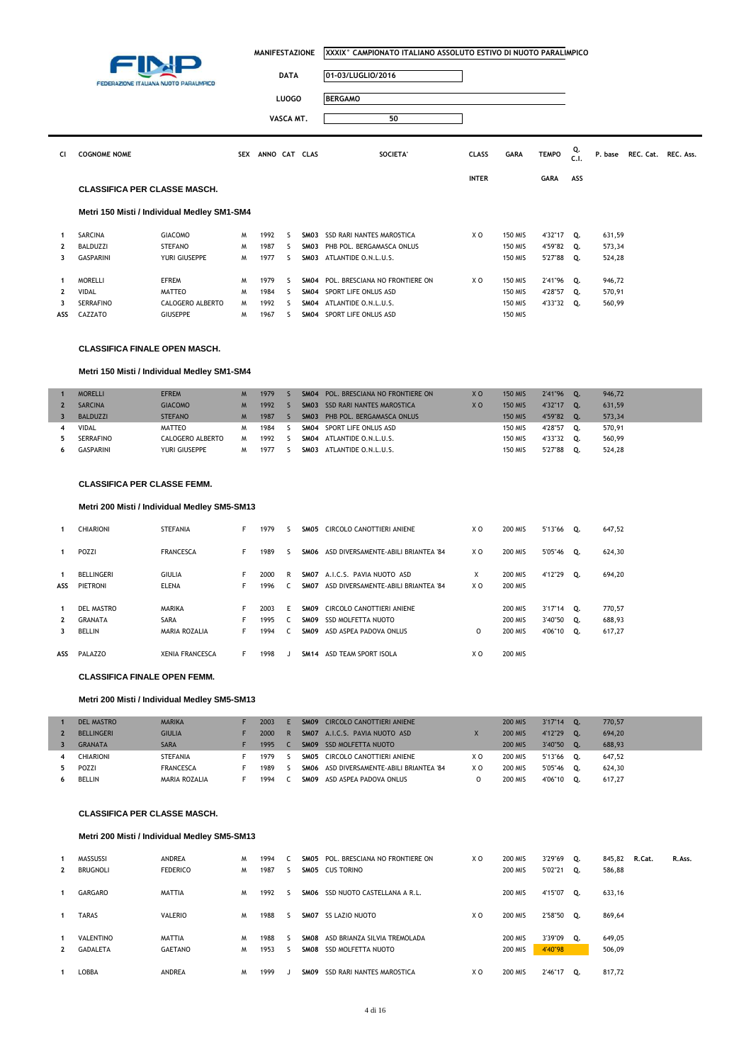|              | FEDERAZIONE ITALIANA NUOTO PARALIMPICO      |                  | <b>MANIFESTAZIONE</b> | <b>DATA</b>   |              | IXXXIX° CAMPIONATO ITALIANO ASSOLUTO ESTIVO DI NUOTO PARALIMPICO<br>01-03/LUGLIO/2016 |                                |              |                |              |            |         |                     |  |
|--------------|---------------------------------------------|------------------|-----------------------|---------------|--------------|---------------------------------------------------------------------------------------|--------------------------------|--------------|----------------|--------------|------------|---------|---------------------|--|
|              |                                             |                  |                       |               | <b>LUOGO</b> |                                                                                       | <b>BERGAMO</b>                 |              |                |              |            |         |                     |  |
|              |                                             |                  |                       |               | VASCA MT.    |                                                                                       | 50                             |              |                |              |            |         |                     |  |
| CI           | <b>COGNOME NOME</b>                         |                  | <b>SEX</b>            | ANNO CAT CLAS |              |                                                                                       | <b>SOCIETA'</b>                | <b>CLASS</b> | <b>GARA</b>    | <b>TEMPO</b> | Q.<br>C.1. | P. base | REC. Cat. REC. Ass. |  |
|              | <b>CLASSIFICA PER CLASSE MASCH.</b>         |                  |                       |               |              |                                                                                       |                                | <b>INTER</b> |                | <b>GARA</b>  | ASS        |         |                     |  |
|              | Metri 150 Misti / Individual Medley SM1-SM4 |                  |                       |               |              |                                                                                       |                                |              |                |              |            |         |                     |  |
| 1            | <b>SARCINA</b>                              | <b>GIACOMO</b>   | M                     | 1992          | <sub>S</sub> | <b>SM03</b>                                                                           | SSD RARI NANTES MAROSTICA      | X O          | <b>150 MIS</b> | 4'32"17 Q.   |            | 631,59  |                     |  |
| $\mathbf{2}$ | <b>BALDUZZI</b>                             | <b>STEFANO</b>   | M                     | 1987          | S            | SM03                                                                                  | PHB POL. BERGAMASCA ONLUS      |              | <b>150 MIS</b> | 4'59"82 Q.   |            | 573,34  |                     |  |
| 3            | <b>GASPARINI</b>                            | YURI GIUSEPPE    | M                     | 1977          | S            | SM03                                                                                  | ATLANTIDE O.N.L.U.S.           |              | <b>150 MIS</b> | 5'27"88 Q.   |            | 524,28  |                     |  |
| $\mathbf{1}$ | <b>MORELLI</b>                              | <b>EFREM</b>     | M                     | 1979          | S.           | <b>SM04</b>                                                                           | POL. BRESCIANA NO FRONTIERE ON | X O          | <b>150 MIS</b> | 2'41"96      | Q.         | 946,72  |                     |  |
| $\mathbf{2}$ | <b>VIDAL</b>                                | <b>MATTEO</b>    | M                     | 1984          | <sub>S</sub> | SM04                                                                                  | SPORT LIFE ONLUS ASD           |              | <b>150 MIS</b> | 4'28"57      | Q.         | 570,91  |                     |  |
| 3            | <b>SERRAFINO</b>                            | CALOGERO ALBERTO | M                     | 1992          | <sub>S</sub> | SM04                                                                                  | ATLANTIDE O.N.L.U.S.           |              | <b>150 MIS</b> | 4'33"32      | Q.         | 560,99  |                     |  |
| ASS          | CAZZATO                                     | <b>GIUSEPPE</b>  | W                     | 1967          | S            |                                                                                       | SM04 SPORT LIFE ONLUS ASD      |              | 150 MIS        |              |            |         |                     |  |

### **CLASSIFICA FINALE OPEN MASCH.**

### **Metri 150 Misti / Individual Medley SM1-SM4**

| <b>MORELLI</b>   | <b>EFREM</b>     |                         | 1979 |                      |             | X <sub>O</sub>                                                                                                                                                                                      | <b>150 MIS</b> | 2'41"96                   |    | 946,72                      |
|------------------|------------------|-------------------------|------|----------------------|-------------|-----------------------------------------------------------------------------------------------------------------------------------------------------------------------------------------------------|----------------|---------------------------|----|-----------------------------|
| <b>SARCINA</b>   | <b>GIACOMO</b>   | M                       |      |                      |             | X <sub>O</sub>                                                                                                                                                                                      |                | 4'32"17                   |    | 631,59                      |
| <b>BALDUZZI</b>  | <b>STEFANO</b>   |                         | 1987 |                      | <b>SM03</b> |                                                                                                                                                                                                     | <b>150 MIS</b> | 4'59"82                   |    | 573,34                      |
| VIDAL            |                  | м                       |      |                      |             |                                                                                                                                                                                                     | <b>150 MIS</b> | 4'28"57                   | 0. | 570,91                      |
| SERRAFINO        | CALOGERO ALBERTO | M                       | 1992 |                      |             |                                                                                                                                                                                                     |                | 4'33"32                   |    | 560.99                      |
| <b>GASPARINI</b> |                  | м                       |      |                      |             |                                                                                                                                                                                                     | <b>150 MIS</b> | 5'27"88                   | 0. | 524.28                      |
|                  |                  | MATTEO<br>YURI GIUSEPPE |      | 1992<br>1984<br>1977 |             | SM04 POL. BRESCIANA NO FRONTIERE ON<br><b>SMO3</b> SSD RARI NANTES MAROSTICA<br>PHB POL. BERGAMASCA ONLUS<br>SPORT LIFE ONLUS ASD<br>SM04<br>SM04 ATLANTIDE O.N.L.U.S.<br>SMO3 ATLANTIDE O.N.L.U.S. |                | <b>150 MIS</b><br>150 MIS |    | 0.<br>о.<br>0.<br><b>O.</b> |

### **CLASSIFICA PER CLASSE FEMM.**

#### **Metri 200 Misti / Individual Medley SM5-SM13**

| 1            | <b>CHIARIONI</b>  | <b>STEFANIA</b>        | F. | 1979 |    | SMO5             | CIRCOLO CANOTTIERI ANIENE           | X O | <b>200 MIS</b> | 5'13"66 Q.    |    | 647,52 |
|--------------|-------------------|------------------------|----|------|----|------------------|-------------------------------------|-----|----------------|---------------|----|--------|
| 1            | POZZI             | <b>FRANCESCA</b>       | F. | 1989 | ς  | <b>SM06</b>      | ASD DIVERSAMENTE-ABILI BRIANTEA '84 | X O | 200 MIS        | 5'05"46 Q.    |    | 624,30 |
|              | <b>BELLINGERI</b> | <b>GIULIA</b>          |    | 2000 | R  | SM <sub>07</sub> | A.I.C.S. PAVIA NUOTO ASD            | X   | <b>200 MIS</b> | 4'12"29       | Q. | 694,20 |
| ASS          | PIETRONI          | <b>ELENA</b>           |    | 1996 |    | SM <sub>07</sub> | ASD DIVERSAMENTE-ABILI BRIANTEA '84 | X O | 200 MIS        |               |    |        |
| 1            | DEL MASTRO        | <b>MARIKA</b>          |    | 2003 | E  | SMO9             | CIRCOLO CANOTTIERI ANIENE           |     | 200 MIS        | $3'17''14$ 0. |    | 770,57 |
| $\mathbf{2}$ | <b>GRANATA</b>    | SARA                   |    | 1995 | C. | SMO9             | SSD MOLFETTA NUOTO                  |     | 200 MIS        | 3'40"50       | Q. | 688,93 |
| 3            | <b>BELLIN</b>     | MARIA ROZALIA          |    | 1994 |    | <b>SM09</b>      | ASD ASPEA PADOVA ONLUS              | 0   | <b>200 MIS</b> | 4'06"10       | Q. | 617,27 |
| ASS          | PALAZZO           | <b>XENIA FRANCESCA</b> | F  | 1998 |    | <b>SM14</b>      | ASD TEAM SPORT ISOLA                | X O | 200 MIS        |               |    |        |

#### **CLASSIFICA FINALE OPEN FEMM.**

### **Metri 200 Misti / Individual Medley SM5-SM13**

| DEL MASTRO        | <b>MARIKA</b>    | 2003 | SM <sub>09</sub> | <b>CIRCOLO CANOTTIERI ANIENE</b>    |     | <b>200 MIS</b> | 3'17''14 | $^{\circ}$ O. | 770,57 |
|-------------------|------------------|------|------------------|-------------------------------------|-----|----------------|----------|---------------|--------|
| <b>BELLINGERI</b> | <b>GIULIA</b>    | 2000 | <b>SM07</b>      | A.I.C.S. PAVIA NUOTO ASD            |     | <b>200 MIS</b> | 4'12"29  | О.            | 694,20 |
| <b>GRANATA</b>    | <b>SARA</b>      | 1995 | <b>SM09</b>      | SSD MOLFETTA NUOTO                  |     | <b>200 MIS</b> | 3'40"50  | . വ           | 688.93 |
| <b>CHIARIONI</b>  | <b>STEFANIA</b>  | 1979 | SMO <sub>5</sub> | CIRCOLO CANOTTIERI ANIENE           | ΧO  | <b>200 MIS</b> | 5'13"66  | 0.            | 647.52 |
| POZZI             | <b>FRANCESCA</b> | 1989 | SMO <sub>6</sub> | ASD DIVERSAMENTE-ABILI BRIANTEA '84 | x o | <b>200 MIS</b> | 5'05"46  | Ο.            | 624.30 |
| <b>BELLIN</b>     | MARIA ROZALIA    | 1994 | <b>SM09</b>      | ASD ASPEA PADOVA ONLUS              |     | <b>200 MIS</b> | 4'06"10  | 0.            | 617,27 |

### **CLASSIFICA PER CLASSE MASCH.**

### **Metri 200 Misti / Individual Medley SM5-SM13**

|              | MASSUSSI   | ANDREA          | м | 1994 |    |      | SM05 POL. BRESCIANA NO FRONTIERE ON | X O | 200 MIS | 3'29"69    | Q. | 845,82<br>R.Cat. | R.Ass. |
|--------------|------------|-----------------|---|------|----|------|-------------------------------------|-----|---------|------------|----|------------------|--------|
| $\mathbf{2}$ | BRUGNOLI   | <b>FEDERICO</b> | M | 1987 | 5. |      | SM05 CUS TORINO                     |     | 200 MIS | 5'02"21 Q. |    | 586,88           |        |
|              |            |                 |   |      |    |      |                                     |     |         |            |    |                  |        |
|              | GARGARO    | <b>MATTIA</b>   | M | 1992 | 5. |      | SMO6 SSD NUOTO CASTELLANA A R.L.    |     | 200 MIS | 4'15"07    | 0. | 633,16           |        |
| $\mathbf{1}$ | TARAS      | VALERIO         | M | 1988 | 5  |      | SMO7 SS LAZIO NUOTO                 | X O | 200 MIS | 2'58"50    | 0. | 869,64           |        |
|              |            |                 |   |      |    |      |                                     |     |         |            |    |                  |        |
|              | VALENTINO  | MATTIA          | M | 1988 |    |      | SMO8 ASD BRIANZA SILVIA TREMOLADA   |     | 200 MIS | 3'39"09    | O. | 649,05           |        |
|              | 2 GADALETA | GAETANO         | M | 1953 |    |      | SMO8 SSD MOLFETTA NUOTO             |     | 200 MIS | 4'40"98    |    | 506,09           |        |
|              |            |                 |   |      |    |      |                                     |     |         |            |    |                  |        |
|              | LOBBA      | ANDREA          | M | 1999 |    | SMO9 | SSD RARI NANTES MAROSTICA           | X O | 200 MIS | 2'46"17    | о. | 817,72           |        |
|              |            |                 |   |      |    |      |                                     |     |         |            |    |                  |        |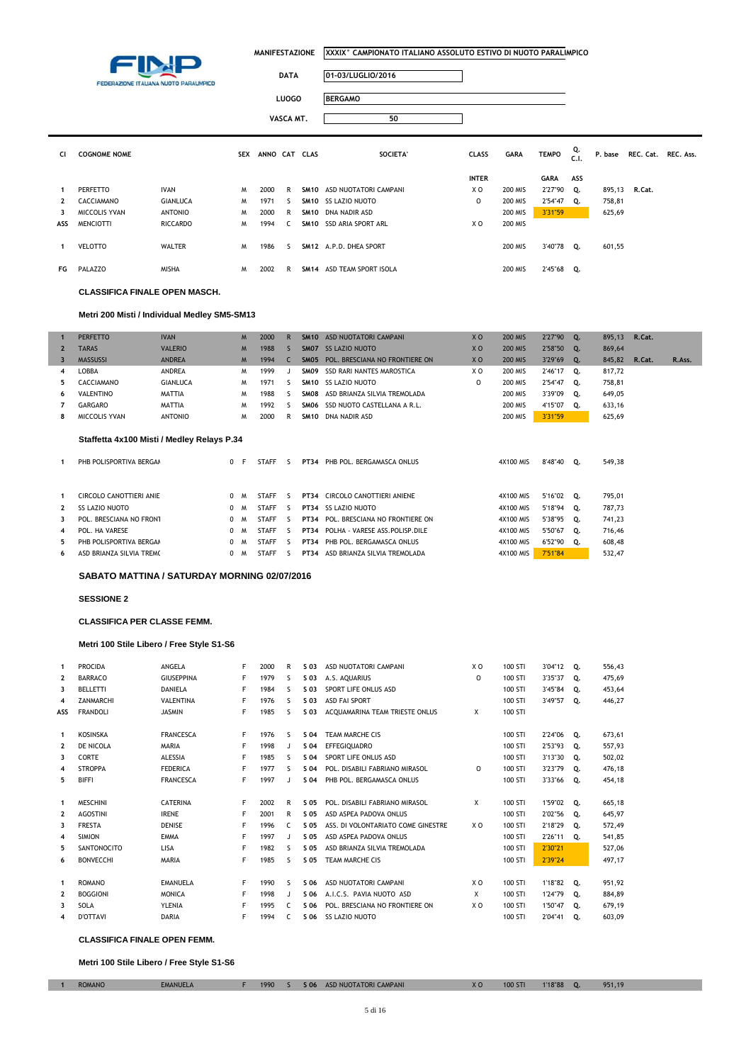

 $\overline{\phantom{a}}$ 

 $\overline{\mathbb{I}}$ 

| <b>DATA</b> | 01-03/LUGLIO/2016 |
|-------------|-------------------|

LUOGO **B** 

**VASCA MT. 50**

| <b>BERGAMO</b> |  |
|----------------|--|
|                |  |

| CI.          | <b>COGNOME NOME</b> |                 | <b>SEX</b> | ANNO CAT CLAS |              | SOCIETA'                   | <b>CLASS</b> | <b>GARA</b>    | <b>TEMPO</b> | Q.<br>C.1. |        | P. base REC. Cat. REC. Ass. |  |
|--------------|---------------------|-----------------|------------|---------------|--------------|----------------------------|--------------|----------------|--------------|------------|--------|-----------------------------|--|
|              |                     |                 |            |               |              |                            | <b>INTER</b> |                | GARA ASS     |            |        |                             |  |
|              | PERFETTO            | <b>IVAN</b>     | M          | 2000          | R.           | SM10 ASD NUOTATORI CAMPANI | X O          | 200 MIS        | 2'27"90 Q.   |            |        | 895,13 R.Cat.               |  |
| $\mathbf{2}$ | CACCIAMANO          | <b>GIANLUCA</b> | M          | 1971          | S.           | SM10 SS LAZIO NUOTO        | 0            | <b>200 MIS</b> | 2'54"47 Q.   |            | 758,81 |                             |  |
| 3            | MICCOLIS YVAN       | <b>ANTONIO</b>  | M          | 2000          | R            | SM10 DNA NADIR ASD         |              | <b>200 MIS</b> | 3'31"59      |            | 625,69 |                             |  |
| ASS          | <b>MENCIOTTI</b>    | RICCARDO        | M          | 1994          | $\mathsf{C}$ | SM10 SSD ARIA SPORT ARL    | X O          | <b>200 MIS</b> |              |            |        |                             |  |
|              | VELOTTO             | <b>WALTER</b>   | M          | 1986          | $\sim$       | SM12 A.P.D. DHEA SPORT     |              | 200 MIS        | 3'40"78      | Q.         | 601,55 |                             |  |
|              | FG PALAZZO          | <b>MISHA</b>    | M          | 2002          | R            | SM14 ASD TEAM SPORT ISOLA  |              | 200 MIS        | 2'45"68 Q.   |            |        |                             |  |

#### **CLASSIFICA FINALE OPEN MASCH.**

#### **Metri 200 Misti / Individual Medley SM5-SM13**

|              | <b>PERFETTO</b>   | <b>IVAN</b>     | M | 2000 | R |             | SM10 ASD NUOTATORI CAMPANI          | X <sub>O</sub> | <b>200 MIS</b> | 2'27"90 | 0. | 895.13 | R.Cat. |        |
|--------------|-------------------|-----------------|---|------|---|-------------|-------------------------------------|----------------|----------------|---------|----|--------|--------|--------|
| $\mathbf{2}$ | <b>TARAS</b>      | <b>VALERIO</b>  | M | 1988 |   |             | <b>SMO7 SS LAZIO NUOTO</b>          | X <sub>O</sub> | <b>200 MIS</b> | 2'58"50 | 0. | 869,64 |        |        |
|              | <b>MASSUSSI</b>   | <b>ANDREA</b>   | M | 1994 |   |             | SM05 POL. BRESCIANA NO FRONTIERE ON | X <sub>O</sub> | <b>200 MIS</b> | 3'29"69 | 0. | 845,82 | R.Cat. | R.Ass. |
| 4            | LOBBA             | ANDREA          | м | 1999 |   | SMO9        | SSD RARI NANTES MAROSTICA           | X O            | <b>200 MIS</b> | 2'46"17 | O. | 817,72 |        |        |
| 5.           | <b>CACCIAMANO</b> | <b>GIANLUCA</b> | м | 1971 |   |             | SM10 SS LAZIO NUOTO                 |                | <b>200 MIS</b> | 2'54"47 | о. | 758.81 |        |        |
| 6            | VALENTINO         | <b>MATTIA</b>   | м | 1988 |   |             | SMO8 ASD BRIANZA SILVIA TREMOLADA   |                | <b>200 MIS</b> | 3'39"09 | О. | 649,05 |        |        |
|              | GARGARO           | <b>MATTIA</b>   | м | 1992 |   |             | SMO6 SSD NUOTO CASTELLANA A R.L.    |                | <b>200 MIS</b> | 4'15"07 | O. | 633.16 |        |        |
| 8            | MICCOLIS YVAN     | ANTONIO         | м | 2000 | R | <b>SM10</b> | DNA NADIR ASD                       |                | <b>200 MIS</b> | 3'31"59 |    | 625,69 |        |        |
|              |                   |                 |   |      |   |             |                                     |                |                |         |    |        |        |        |

#### **Staffetta 4x100 Misti / Medley Relays P.34**

|              | PHB POLISPORTIVA BERGAM  | 0 |          | <b>STAFF</b> |   | PT34        | PHB POL. BERGAMASCA ONLUS        | 4X100 MIS | 8'48"40    | 0. | 549,38 |
|--------------|--------------------------|---|----------|--------------|---|-------------|----------------------------------|-----------|------------|----|--------|
|              |                          |   |          |              |   |             |                                  |           |            |    |        |
| 1            | CIRCOLO CANOTTIERI ANIE  |   | M        | <b>STAFF</b> | ╰ | <b>PT34</b> | CIRCOLO CANOTTIERI ANIENE        | 4X100 MIS | 5'16"02    | 0. | 795,01 |
| $\mathbf{2}$ | SS LAZIO NUOTO           | 0 | M        | <b>STAFF</b> | ╰ | PT34        | <b>SS LAZIO NUOTO</b>            | 4X100 MIS | 5'18"94 0. |    | 787,73 |
| 3            | POL. BRESCIANA NO FRONT  | 0 | <b>M</b> | <b>STAFF</b> | 5 | PT34        | POL. BRESCIANA NO FRONTIERE ON   | 4X100 MIS | 5'38"95    | о. | 741,23 |
| 4            | POL. HA VARESE           | 0 | M        | <b>STAFF</b> | ╰ | <b>PT34</b> | POLHA - VARESE ASS. POLISP. DILE | 4X100 MIS | 5'50"67    | 0. | 716,46 |
| 5.           | PHB POLISPORTIVA BERGAA  | 0 | M        | <b>STAFF</b> |   | <b>PT34</b> | PHB POL. BERGAMASCA ONLUS        | 4X100 MIS | 6'52"90    | о. | 608,48 |
| 6            | ASD BRIANZA SILVIA TREMO |   | M        | <b>STAFF</b> |   | <b>PT34</b> | ASD BRIANZA SILVIA TREMOLADA     | 4X100 MIS | 7'51"84    |    | 532.47 |

### **SABATO MATTINA / SATURDAY MORNING 02/07/2016**

#### **SESSIONE 2**

#### **CLASSIFICA PER CLASSE FEMM.**

#### **Metri 100 Stile Libero / Free Style S1-S6**

| 1              | <b>PROCIDA</b>     | ANGELA            | F | 2000 | R            | S 03 | ASD NUOTATORI CAMPANI              | X O            | 100 STI | 3'04"12 | Q. | 556.43 |
|----------------|--------------------|-------------------|---|------|--------------|------|------------------------------------|----------------|---------|---------|----|--------|
| $\mathbf{2}$   | <b>BARRACO</b>     | <b>GIUSEPPINA</b> | F | 1979 | s            | S 03 | A.S. AOUARIUS                      | $\Omega$       | 100 STI | 3'35"37 | Q. | 475,69 |
| 3              | <b>BELLETTI</b>    | <b>DANIELA</b>    | F | 1984 | S            | S 03 | SPORT LIFE ONLUS ASD               |                | 100 STI | 3'45"84 | Q. | 453,64 |
| 4              | <b>ZANMARCHI</b>   | <b>VALENTINA</b>  | F | 1976 | s            | S 03 | <b>ASD FAI SPORT</b>               |                | 100 STI | 3'49"57 | Q. | 446,27 |
| ASS            | <b>FRANDOLI</b>    | <b>JASMIN</b>     | F | 1985 | s            | S 03 | ACOUAMARINA TEAM TRIESTE ONLUS     | X              | 100 STI |         |    |        |
| 1              | <b>KOSINSKA</b>    | <b>FRANCESCA</b>  | F | 1976 | S            | S 04 | <b>TEAM MARCHE CIS</b>             |                | 100 STI | 2'24"06 | Q. | 673,61 |
| $\overline{2}$ | DE NICOLA          | <b>MARIA</b>      | F | 1998 |              | S 04 | <b>EFFEGIOUADRO</b>                |                | 100 STI | 2'53"93 | 0. | 557.93 |
| 3              | <b>CORTE</b>       | <b>ALESSIA</b>    | F | 1985 | S            | S 04 | SPORT LIFE ONLUS ASD               |                | 100 STI | 3'13"30 | Q. | 502,02 |
| 4              | <b>STROPPA</b>     | <b>FEDERICA</b>   | F | 1977 | ς            | S 04 | POL. DISABILI FABRIANO MIRASOL     | $\Omega$       | 100 STI | 3'23"79 | Q. | 476,18 |
| 5              | <b>BIFFI</b>       | <b>FRANCESCA</b>  | F | 1997 |              | S 04 | PHB POL. BERGAMASCA ONLUS          |                | 100 STI | 3'33"66 | О. | 454,18 |
|                |                    |                   |   |      |              |      |                                    |                |         |         |    |        |
| 1              | <b>MESCHINI</b>    | <b>CATERINA</b>   | F | 2002 | R            | S 05 | POL. DISABILI FABRIANO MIRASOL     | X              | 100 STI | 1'59"02 | Q. | 665,18 |
| $\overline{2}$ | <b>AGOSTINI</b>    | <b>IRENE</b>      | F | 2001 | R            | S 05 | ASD ASPEA PADOVA ONLUS             |                | 100 STI | 2'02"56 | Q. | 645,97 |
| 3              | <b>FRESTA</b>      | <b>DENISE</b>     | F | 1996 | C.           | S 05 | ASS. DI VOLONTARIATO COME GINESTRE | X O            | 100 STI | 2'18"29 | о. | 572,49 |
| 4              | <b>SIMION</b>      | <b>EMMA</b>       | F | 1997 |              | S 05 | ASD ASPEA PADOVA ONLUS             |                | 100 STI | 2'26"11 | 0. | 541.85 |
| 5              | <b>SANTONOCITO</b> | LISA              | F | 1982 | S            | S 05 | ASD BRIANZA SILVIA TREMOLADA       |                | 100 STI | 2'30"21 |    | 527.06 |
| 6              | <b>BONVECCHI</b>   | <b>MARIA</b>      | F | 1985 | S            | S 05 | <b>TEAM MARCHE CIS</b>             |                | 100 STI | 2'39"24 |    | 497,17 |
|                |                    |                   |   |      |              |      |                                    |                |         |         |    |        |
| 1              | <b>ROMANO</b>      | <b>EMANUELA</b>   | F | 1990 | S            | S 06 | ASD NUOTATORI CAMPANI              | X <sub>0</sub> | 100 STI | 1'18"82 | Q. | 951,92 |
| 2              | <b>BOGGIONI</b>    | <b>MONICA</b>     | F | 1998 | $\mathbf{I}$ | S 06 | A.I.C.S. PAVIA NUOTO ASD           | X              | 100 STI | 1'24"79 | Q. | 884,89 |
| 3              | SOLA               | YLENIA            | F | 1995 | C.           | S 06 | POL. BRESCIANA NO FRONTIERE ON     | X O            | 100 STI | 1'50"47 | 0. | 679,19 |
| 4              | <b>D'OTTAVI</b>    | <b>DARIA</b>      | F | 1994 | C.           | S 06 | SS LAZIO NUOTO                     |                | 100 STI | 2'04"41 | о. | 603.09 |

#### **CLASSIFICA FINALE OPEN FEMM.**

**Metri 100 Stile Libero / Free Style S1-S6**

| <b>ROMANO</b> | <b>EMANUELA</b> | 1990 |  | S 06 ASD NUOTATORI CAMPANI | XO | <b>100 STI</b> | 1'18''88 | ю. | 951,19 |
|---------------|-----------------|------|--|----------------------------|----|----------------|----------|----|--------|
|               |                 |      |  |                            |    |                |          |    |        |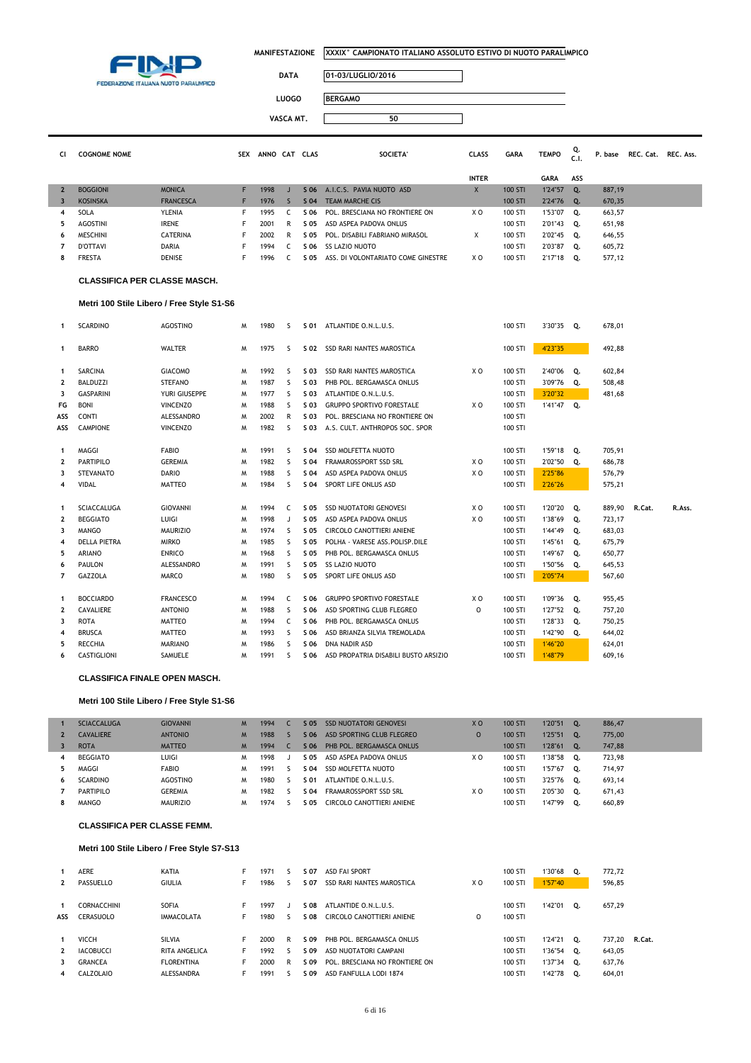

 $\overline{\mathbb{I}}$ 

TEMPO Q. P. base REC. Cat. REC. Ass.

# **DATA 01-03/LUGLIO/2016**

**LUOGO BERGAMO**

**VASCA MT. 50**

| CI | <b>COGNOME NOME</b> | <b>SEX</b> | <b>ANNO</b> | CAT | <b>CLAS</b> | <b>SOCIETA</b> | <b>CLASS</b> | GARA |
|----|---------------------|------------|-------------|-----|-------------|----------------|--------------|------|

|                |                 |                  |      |   |      |                                    | <b>INTER</b> |         | GARA       | ASS       |        |
|----------------|-----------------|------------------|------|---|------|------------------------------------|--------------|---------|------------|-----------|--------|
| $\mathbf{2}$   | <b>BOGGIONI</b> | <b>MONICA</b>    | 1998 |   | S 06 | A.I.C.S. PAVIA NUOTO ASD           |              | 100 STI | 1'24"57    | <b>O.</b> | 887,19 |
| 3              | <b>KOSINSKA</b> | <b>FRANCESCA</b> | 1976 |   | S 04 | TEAM MARCHE CIS                    |              | 100 STI | 2'24"76 Q. |           | 670,35 |
| $\overline{4}$ | SOLA            | <b>YLENIA</b>    | 1995 |   | S 06 | POL. BRESCIANA NO FRONTIERE ON     | X O          | 100 STI | 1'53"07    | о.        | 663,57 |
| 5.             | <b>AGOSTINI</b> | <b>IRENE</b>     | 2001 |   | S 05 | ASD ASPEA PADOVA ONLUS             |              | 100 STI | 2'01"43    | о.        | 651,98 |
| 6              | MESCHINI        | <b>CATERINA</b>  | 2002 | R | S 05 | POL. DISABILI FABRIANO MIRASOL     |              | 100 STI | 2'02"45    | о.        | 646,55 |
|                | <b>D'OTTAVI</b> | <b>DARIA</b>     | 1994 |   | S 06 | <b>SS LAZIO NUOTO</b>              |              | 100 STI | 2'03"87    | о.        | 605,72 |
| 8              | <b>FRESTA</b>   | <b>DENISE</b>    | 1996 |   | S 05 | ASS. DI VOLONTARIATO COME GINESTRE | X O          | 100 STI | 2'17"18    | о.        | 577,12 |

#### **CLASSIFICA PER CLASSE MASCH.**

#### **Metri 100 Stile Libero / Free Style S1-S6**

| 1                       | <b>SCARDINO</b>     | <b>AGOSTINO</b>  | M | 1980 | S            | S 01 | ATLANTIDE O.N.L.U.S.                 |                | 100 STI | 3'30"35    | Q. | 678,01 |        |        |
|-------------------------|---------------------|------------------|---|------|--------------|------|--------------------------------------|----------------|---------|------------|----|--------|--------|--------|
| 1                       | <b>BARRO</b>        | <b>WALTER</b>    | M | 1975 | s            |      | S 02 SSD RARI NANTES MAROSTICA       |                | 100 STI | 4'23"35    |    | 492.88 |        |        |
| 1                       | <b>SARCINA</b>      | <b>GIACOMO</b>   | M | 1992 | s            | S 03 | <b>SSD RARI NANTES MAROSTICA</b>     | X <sub>0</sub> | 100 STI | 2'40"06    | Q. | 602,84 |        |        |
| $\overline{\mathbf{2}}$ | <b>BALDUZZI</b>     | <b>STEFANO</b>   | M | 1987 | <sub>S</sub> | S 03 | PHB POL. BERGAMASCA ONLUS            |                | 100 STI | 3'09"76    | Q. | 508,48 |        |        |
| 3                       | <b>GASPARINI</b>    | YURI GIUSEPPE    | м | 1977 | <sub>S</sub> | S 03 | ATLANTIDE O.N.L.U.S.                 |                | 100 STI | 3'20"32    |    | 481,68 |        |        |
| FG                      | <b>BONI</b>         | <b>VINCENZO</b>  | M | 1988 | <sub>S</sub> | S 03 | <b>GRUPPO SPORTIVO FORESTALE</b>     | X <sub>0</sub> | 100 STI | 1'41"47 Q. |    |        |        |        |
| ASS                     | <b>CONTI</b>        | ALESSANDRO       | M | 2002 | R            | S 03 | POL. BRESCIANA NO FRONTIERE ON       |                | 100 STI |            |    |        |        |        |
| ASS                     | <b>CAMPIONE</b>     | <b>VINCENZO</b>  | M | 1982 | S            | S 03 | A.S. CULT, ANTHROPOS SOC, SPOR       |                | 100 STI |            |    |        |        |        |
| 1                       | MAGGI               | <b>FABIO</b>     | M | 1991 | s            | S 04 | <b>SSD MOLFETTA NUOTO</b>            |                | 100 STI | 1'59"18    | Q. | 705,91 |        |        |
| 2                       | PARTIPILO           | <b>GEREMIA</b>   | м | 1982 | <sub>S</sub> | S 04 | FRAMAROSSPORT SSD SRL                | X O            | 100 STI | 2'02"50    | Q. | 686,78 |        |        |
| 3                       | <b>STEVANATO</b>    | <b>DARIO</b>     | M | 1988 | s            | S 04 | ASD ASPEA PADOVA ONLUS               | X <sub>0</sub> | 100 STI | 2'25"86    |    | 576,79 |        |        |
| 4                       | <b>VIDAL</b>        | <b>MATTEO</b>    | M | 1984 | s            | S 04 | SPORT LIFE ONLUS ASD                 |                | 100 STI | 2'26"26    |    | 575,21 |        |        |
| $\mathbf{1}$            | <b>SCIACCALUGA</b>  | <b>GIOVANNI</b>  | M | 1994 | C            | S 05 | <b>SSD NUOTATORI GENOVESI</b>        | X <sub>0</sub> | 100 STI | 1'20"20    | Q. | 889,90 | R.Cat. | R.Ass. |
| $\overline{\mathbf{2}}$ | <b>BEGGIATO</b>     | LUIGI            | M | 1998 | J            | S 05 | ASD ASPEA PADOVA ONLUS               | X <sub>0</sub> | 100 STI | 1'38"69    | Q. | 723,17 |        |        |
| 3                       | <b>MANGO</b>        | <b>MAURIZIO</b>  | M | 1974 | s            | S 05 | CIRCOLO CANOTTIERI ANIENE            |                | 100 STI | 1'44"49    | Q. | 683,03 |        |        |
| 4                       | <b>DELLA PIETRA</b> | <b>MIRKO</b>     | M | 1985 | S.           | S 05 | POLHA - VARESE ASS. POLISP. DILE     |                | 100 STI | 1'45"61    | Q. | 675,79 |        |        |
| 5                       | <b>ARIANO</b>       | <b>ENRICO</b>    | M | 1968 | S            | S 05 | PHB POL. BERGAMASCA ONLUS            |                | 100 STI | 1'49"67    | Q. | 650,77 |        |        |
| 6                       | <b>PAULON</b>       | ALESSANDRO       | M | 1991 | S            | S 05 | <b>SS LAZIO NUOTO</b>                |                | 100 STI | 1'50"56    | 0. | 645,53 |        |        |
| 7                       | GAZZOLA             | <b>MARCO</b>     | M | 1980 | s            | S 05 | SPORT LIFE ONLUS ASD                 |                | 100 STI | 2'05"74    |    | 567,60 |        |        |
| -1                      | <b>BOCCIARDO</b>    | <b>FRANCESCO</b> | M | 1994 | C            | S 06 | <b>GRUPPO SPORTIVO FORESTALE</b>     | X <sub>0</sub> | 100 STI | 1'09"36    | Q. | 955,45 |        |        |
| $\overline{\mathbf{2}}$ | CAVALIERE           | <b>ANTONIO</b>   | M | 1988 | s            | S 06 | ASD SPORTING CLUB FLEGREO            | $\Omega$       | 100 STI | 1'27"52    | Q. | 757,20 |        |        |
| 3                       | <b>ROTA</b>         | <b>MATTEO</b>    | M | 1994 | C            | S 06 | PHB POL. BERGAMASCA ONLUS            |                | 100 STI | 1'28"33    | Q. | 750,25 |        |        |
| 4                       | <b>BRUSCA</b>       | <b>MATTEO</b>    | M | 1993 | S            | S 06 | ASD BRIANZA SILVIA TREMOLADA         |                | 100 STI | 1'42"90    | о. | 644,02 |        |        |
| 5                       | <b>RECCHIA</b>      | <b>MARIANO</b>   | M | 1986 | s            | S 06 | <b>DNA NADIR ASD</b>                 |                | 100 STI | 1'46"20    |    | 624,01 |        |        |
| 6                       | CASTIGLIONI         | SAMUELE          | M | 1991 | S            | S 06 | ASD PROPATRIA DISABILI BUSTO ARSIZIO |                | 100 STI | 1'48"79    |    | 609,16 |        |        |
|                         |                     |                  |   |      |              |      |                                      |                |         |            |    |        |        |        |

#### **CLASSIFICA FINALE OPEN MASCH.**

#### **Metri 100 Stile Libero / Free Style S1-S6**

|    | <b>SCIACCALUGA</b> | <b>GIOVANNI</b> | M | 1994 | S 05 | <b>SSD NUOTATORI GENOVESI</b> | X <sub>O</sub> | 100 STI | 1'20"51 | 0.             | 886,47 |
|----|--------------------|-----------------|---|------|------|-------------------------------|----------------|---------|---------|----------------|--------|
|    | <b>CAVALIERE</b>   | <b>ANTONIO</b>  | M | 1988 | S 06 | ASD SPORTING CLUB FLEGREO     |                | 100 STI | 1'25"51 | $\mathbf{O}$ . | 775,00 |
| 3  | <b>ROTA</b>        | <b>MATTEO</b>   | M | 1994 | S 06 | PHB POL. BERGAMASCA ONLUS     |                | 100 STI | 1'28"61 | $\mathbf{O}$ . | 747,88 |
| 4  | <b>BEGGIATO</b>    | LUIGI           | M | 1998 | S 05 | ASD ASPEA PADOVA ONLUS        | ΧO             | 100 STI | 1'38"58 | о.             | 723.98 |
| 5. | MAGGI              | <b>FABIO</b>    | м | 1991 | S 04 | SSD MOLFETTA NUOTO            |                | 100 STI | 1'57"67 | о.             | 714.97 |
| 6  | <b>SCARDINO</b>    | AGOSTINO        | м | 1980 | S 01 | ATLANTIDE O.N.L.U.S.          |                | 100 STI | 3'25"76 | 0.             | 693,14 |
|    | PARTIPILO          | <b>GEREMIA</b>  | м | 1982 | S 04 | FRAMAROSSPORT SSD SRL         | ΧO             | 100 STI | 2'05"30 | о.             | 671,43 |
|    | <b>MANGO</b>       | <b>MAURIZIO</b> | м | 1974 | S 05 | CIRCOLO CANOTTIERI ANIENE     |                | 100 STI | 1'47"99 | 0.             | 660.89 |

#### **CLASSIFICA PER CLASSE FEMM.**

### **Metri 100 Stile Libero / Free Style S7-S13**

| $\mathbf{2}$           | <b>AERE</b><br>PASSUELLO                                        | KATIA<br><b>GIULIA</b>                                     | 1971<br>1986                 |        | S 07<br>S 07                 | <b>ASD FAI SPORT</b><br>SSD RARI NANTES MAROSTICA                                                              | X O | 100 STI<br>100 STI                       | 1'30"68 Q.<br>1'57"40                                      |    | 772.72<br>596,85                     |        |
|------------------------|-----------------------------------------------------------------|------------------------------------------------------------|------------------------------|--------|------------------------------|----------------------------------------------------------------------------------------------------------------|-----|------------------------------------------|------------------------------------------------------------|----|--------------------------------------|--------|
| ASS                    | <b>CORNACCHINI</b><br>CERASUOLO                                 | SOFIA<br><b>IMMACOLATA</b>                                 | 1997<br>1980                 |        | S 08<br>S 08                 | ATLANTIDE O.N.L.U.S.<br>CIRCOLO CANOTTIERI ANIENE                                                              | 0   | 100 STI<br>100 STI                       | 1'42"01                                                    | о. | 657,29                               |        |
| $\mathbf{2}$<br>3<br>4 | <b>VICCH</b><br><b>IACOBUCCI</b><br><b>GRANCEA</b><br>CALZOLAIO | SILVIA<br>RITA ANGELICA<br><b>FLORENTINA</b><br>ALESSANDRA | 2000<br>1992<br>2000<br>1991 | R<br>R | S 09<br>S 09<br>S 09<br>S 09 | PHB POL. BERGAMASCA ONLUS<br>ASD NUOTATORI CAMPANI<br>POL. BRESCIANA NO FRONTIERE ON<br>ASD FANFULLA LODI 1874 |     | 100 STI<br>100 STI<br>100 STI<br>100 STI | $1'24''21$ 0.<br>1'36"54 Q.<br>$1'37''34$ Q.<br>1'42"78 Q. |    | 737.20<br>643,05<br>637,76<br>604,01 | R.Cat. |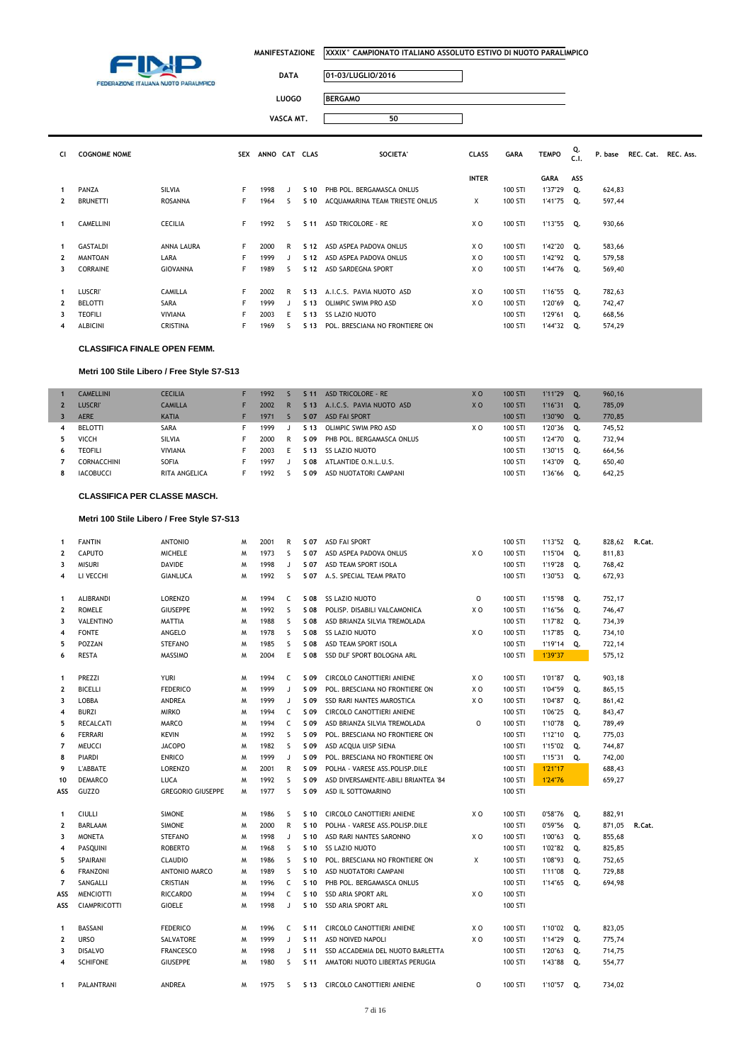

 $\overline{\phantom{a}}$ 

### **DATA 01-03/LUGLIO/2016**

LUOGO

**VASCA MT. 50**

|--|

|              |                     |                 |            |               | VASCA MT. |                 | 50                             |                |             |              |            |         |                     |  |
|--------------|---------------------|-----------------|------------|---------------|-----------|-----------------|--------------------------------|----------------|-------------|--------------|------------|---------|---------------------|--|
| CI           | <b>COGNOME NOME</b> |                 | <b>SEX</b> | ANNO CAT CLAS |           |                 | SOCIETA'                       | <b>CLASS</b>   | <b>GARA</b> | <b>TEMPO</b> | Q.<br>C.1. | P. base | REC. Cat. REC. Ass. |  |
|              |                     |                 |            |               |           |                 |                                | <b>INTER</b>   |             | <b>GARA</b>  | ASS        |         |                     |  |
| 1            | PANZA               | <b>SILVIA</b>   | F.         | 1998          |           | S 10            | PHB POL. BERGAMASCA ONLUS      |                | 100 STI     | 1'37"29 Q.   |            | 624,83  |                     |  |
| $\mathbf{2}$ | <b>BRUNETTI</b>     | ROSANNA         | F          | 1964          | ς         | S 10            | ACQUAMARINA TEAM TRIESTE ONLUS | X              | 100 STI     | 1'41"75 Q.   |            | 597,44  |                     |  |
| 1            | CAMELLINI           | CECILIA         | F.         | 1992          | ς.        | S 11            | <b>ASD TRICOLORE - RE</b>      | X <sub>0</sub> | 100 STI     | 1'13"55 Q.   |            | 930,66  |                     |  |
| 1            | <b>GASTALDI</b>     | ANNA LAURA      | F.         | 2000          | R         | S 12            | ASD ASPEA PADOVA ONLUS         | X O            | 100 STI     | 1'42"20 Q.   |            | 583,66  |                     |  |
| $\mathbf{2}$ | <b>MANTOAN</b>      | LARA            | F.         | 1999          |           | S <sub>12</sub> | ASD ASPEA PADOVA ONLUS         | X O            | 100 STI     | 1'42"92 Q.   |            | 579,58  |                     |  |
| 3            | CORRAINE            | <b>GIOVANNA</b> | F          | 1989          | ς         | S 12            | ASD SARDEGNA SPORT             | X O            | 100 STI     | 1'44"76 Q.   |            | 569,40  |                     |  |
|              |                     |                 |            |               |           |                 |                                |                |             |              |            |         |                     |  |
| $\mathbf{1}$ | <b>LUSCRI'</b>      | <b>CAMILLA</b>  | F.         | 2002          | R         | S 13            | A.I.C.S. PAVIA NUOTO ASD       | X O            | 100 STI     | 1'16"55 Q.   |            | 782,63  |                     |  |
| $\mathbf{2}$ | <b>BELOTTI</b>      | SARA            | F          | 1999          |           | S 13            | OLIMPIC SWIM PRO ASD           | X O            | 100 STI     | 1'20"69 Q.   |            | 742,47  |                     |  |
| 3            | <b>TEOFILI</b>      | VIVIANA         | F          | 2003          | F         | S 13            | SS LAZIO NUOTO                 |                | 100 STI     | 1'29"61 Q.   |            | 668,56  |                     |  |
| 4            | ALBICINI            | <b>CRISTINA</b> | F          | 1969          | s         | S 13            | POL. BRESCIANA NO FRONTIERE ON |                | 100 STI     | 1'44"32 Q.   |            | 574,29  |                     |  |

### **CLASSIFICA FINALE OPEN FEMM.**

### **Metri 100 Stile Libero / Free Style S7-S13**

|                | <b>CAMELLINI</b> | <b>CECILIA</b> | 1992 |    | S <sub>11</sub> | ASD TRICOLORE - RE        | X <sub>O</sub> | 100 STI | 1'11"29 | 0. | 960.16 |
|----------------|------------------|----------------|------|----|-----------------|---------------------------|----------------|---------|---------|----|--------|
| $\mathbf{2}$   | <b>LUSCRI'</b>   | <b>CAMILLA</b> | 2002 | R. | S <sub>13</sub> | A.I.C.S. PAVIA NUOTO ASD  | X <sub>O</sub> | 100 STI | 1'16"31 | 0. | 785,09 |
| 3              | <b>AERE</b>      | <b>KATIA</b>   | 1971 |    | S 07            | <b>ASD FAI SPORT</b>      |                | 100 STI | 1'30"90 | 0. | 770,85 |
| $\overline{4}$ | <b>BELOTTI</b>   | <b>SARA</b>    | 1999 |    | S <sub>13</sub> | OLIMPIC SWIM PRO ASD      | ΧO             | 100 STI | 1'20"36 | 0. | 745,52 |
| 5              | VICCH            | <b>SILVIA</b>  | 2000 | R  | S 09            | PHB POL. BERGAMASCA ONLUS |                | 100 STI | 1'24"70 | 0. | 732,94 |
| 6              | TEOFILI          | <b>VIVIANA</b> | 2003 |    |                 | S 13 SS LAZIO NUOTO       |                | 100 STI | 1'30"15 | о. | 664,56 |
|                | CORNACCHINI      | <b>SOFIA</b>   | 1997 |    | S 08            | ATLANTIDE O.N.L.U.S.      |                | 100 STI | 1'43"09 | 0. | 650,40 |
| 8              | <b>IACOBUCCI</b> | RITA ANGELICA  | 1992 |    | S 09            | ASD NUOTATORI CAMPANI     |                | 100 STI | '36"66  | 0. | 642.25 |

#### **CLASSIFICA PER CLASSE MASCH.**

### **Metri 100 Stile Libero / Free Style S7-S13**

| $\mathbf{1}$            | <b>FANTIN</b>       | <b>ANTONIO</b>           | м | 2001 | R            | S 07 | <b>ASD FAI SPORT</b>                |                | 100 STI | 1'13"52       | Q. | 828,62 | R.Cat. |
|-------------------------|---------------------|--------------------------|---|------|--------------|------|-------------------------------------|----------------|---------|---------------|----|--------|--------|
| 2                       | <b>CAPUTO</b>       | <b>MICHELE</b>           | W | 1973 | S            | S 07 | ASD ASPEA PADOVA ONLUS              | XO             | 100 STI | 1'15"04       | Q. | 811,83 |        |
| 3                       | <b>MISURI</b>       | <b>DAVIDE</b>            | M | 1998 | J            | S 07 | ASD TEAM SPORT ISOLA                |                | 100 STI | 1'19"28       | Q. | 768,42 |        |
| 4                       | LI VECCHI           | <b>GIANLUCA</b>          | W | 1992 | S            |      | S 07 A.S. SPECIAL TEAM PRATO        |                | 100 STI | 1'30"53 Q.    |    | 672,93 |        |
|                         |                     |                          |   |      |              |      |                                     |                |         |               |    |        |        |
| $\mathbf{1}$            | ALIBRANDI           | LORENZO                  | м | 1994 | c            | S 08 | <b>SS LAZIO NUOTO</b>               | 0              | 100 STI | 1'15"98       | Q. | 752,17 |        |
| $\overline{\mathbf{2}}$ | <b>ROMELE</b>       | <b>GIUSEPPE</b>          | M | 1992 | S            | S 08 | POLISP. DISABILI VALCAMONICA        | XO             | 100 STI | 1'16"56       | Q. | 746,47 |        |
| 3                       | VALENTINO           | <b>MATTIA</b>            | M | 1988 | S            | S 08 | ASD BRIANZA SILVIA TREMOLADA        |                | 100 STI | 1'17"82 Q.    |    | 734,39 |        |
| 4                       | <b>FONTE</b>        | ANGELO                   | M | 1978 | S            | S 08 | <b>SS LAZIO NUOTO</b>               | XO             | 100 STI | 1'17"85       | Q. | 734,10 |        |
| 5                       | POZZAN              | <b>STEFANO</b>           | M | 1985 | S            | S 08 | ASD TEAM SPORT ISOLA                |                | 100 STI | 1'19"14       | Q. | 722,14 |        |
| 6                       | RESTA               | MASSIMO                  | W | 2004 | Ε            | S 08 | SSD DLF SPORT BOLOGNA ARL           |                | 100 STI | 1'39"37       |    | 575,12 |        |
|                         |                     |                          |   |      |              |      |                                     |                |         |               |    |        |        |
| $\mathbf{1}$            | PREZZI              | <b>YURI</b>              | м | 1994 | c            | S 09 | CIRCOLO CANOTTIERI ANIENE           | ΧO             | 100 STI | 1'01"87       | Q. | 903,18 |        |
| $\overline{\mathbf{2}}$ | <b>BICELLI</b>      | <b>FEDERICO</b>          | M | 1999 | J            | S 09 | POL. BRESCIANA NO FRONTIERE ON      | XO             | 100 STI | 1'04"59       | Q. | 865,15 |        |
| 3                       | LOBBA               | ANDREA                   | M | 1999 | J            | S 09 | <b>SSD RARI NANTES MAROSTICA</b>    | X <sub>0</sub> | 100 STI | 1'04"87       | Q. | 861,42 |        |
| 4                       | <b>BURZI</b>        | <b>MIRKO</b>             | M | 1994 | C            | S 09 | CIRCOLO CANOTTIERI ANIENE           |                | 100 STI | 1'06"25       | Q. | 843,47 |        |
| 5                       | RECALCATI           | MARCO                    | M | 1994 | c            | S 09 | ASD BRIANZA SILVIA TREMOLADA        | O              | 100 STI | 1'10"78       | Q. | 789,49 |        |
| 6                       | <b>FERRARI</b>      | KEVIN                    | M | 1992 | S            | S 09 | POL. BRESCIANA NO FRONTIERE ON      |                | 100 STI | 1'12"10       | Q. | 775,03 |        |
| 7                       | MEUCCI              | <b>JACOPO</b>            | м | 1982 | S            | S 09 | ASD ACQUA UISP SIENA                |                | 100 STI | 1'15"02       | Q. | 744,87 |        |
| 8                       | PIARDI              | <b>ENRICO</b>            | M | 1999 | $\mathbf{J}$ | S 09 | POL. BRESCIANA NO FRONTIERE ON      |                | 100 STI | 1'15"31       | Q. | 742,00 |        |
| 9                       | <b>L'ABBATE</b>     | <b>LORENZO</b>           | W | 2001 | R            | S 09 | POLHA - VARESE ASS.POLISP.DILE      |                | 100 STI | 1'21"17       |    | 688,43 |        |
| 10                      | <b>DEMARCO</b>      | LUCA                     | M | 1992 | S            | S 09 | ASD DIVERSAMENTE-ABILI BRIANTEA '84 |                | 100 STI | 1'24"76       |    | 659,27 |        |
| ASS                     | GUZZO               | <b>GREGORIO GIUSEPPE</b> | W | 1977 | S            | S 09 | ASD IL SOTTOMARINO                  |                | 100 STI |               |    |        |        |
|                         |                     |                          |   |      |              |      |                                     |                |         |               |    |        |        |
| 1                       | CIULLI              | <b>SIMONE</b>            | W | 1986 | S            | S 10 | CIRCOLO CANOTTIERI ANIENE           | XO             | 100 STI | 0'58"76       | Q. | 882,91 |        |
| 2                       | BARLAAM             | <b>SIMONE</b>            | M | 2000 | R            | S 10 | POLHA - VARESE ASS. POLISP. DILE    |                | 100 STI | 0'59"56       | Q. | 871,05 | R.Cat. |
| 3                       | <b>MONETA</b>       | <b>STEFANO</b>           | м | 1998 | J            | S 10 | ASD RARI NANTES SARONNO             | X <sub>0</sub> | 100 STI | 1'00"63       | Q. | 855,68 |        |
| 4                       | PASQUINI            | <b>ROBERTO</b>           | M | 1968 | S            | S 10 | SS LAZIO NUOTO                      |                | 100 STI | 1'02"82       | Q. | 825,85 |        |
| 5                       | SPAIRANI            | <b>CLAUDIO</b>           | M | 1986 | S            | S 10 | POL. BRESCIANA NO FRONTIERE ON      | Χ              | 100 STI | 1'08"93       | Q. | 752,65 |        |
| 6                       | <b>FRANZONI</b>     | ANTONIO MARCO            | м | 1989 | S            | S 10 | ASD NUOTATORI CAMPANI               |                | 100 STI | 1'11"08       | Q. | 729,88 |        |
| 7                       | SANGALLI            | CRISTIAN                 | M | 1996 | c            | S 10 | PHB POL. BERGAMASCA ONLUS           |                | 100 STI | $1'14''65$ Q. |    | 694,98 |        |
| ASS                     | <b>MENCIOTTI</b>    | <b>RICCARDO</b>          | M | 1994 | C            | S 10 | SSD ARIA SPORT ARL                  | XO             | 100 STI |               |    |        |        |
| ASS                     | <b>CIAMPRICOTTI</b> | GIOELE                   | W | 1998 | J            | S 10 | SSD ARIA SPORT ARL                  |                | 100 STI |               |    |        |        |
|                         | BASSANI             | <b>FEDERICO</b>          |   | 1996 | C            | S 11 | CIRCOLO CANOTTIERI ANIENE           | XO             | 100 STI | 1'10"02       |    | 823,05 |        |
| 1                       |                     |                          | W |      |              |      |                                     |                |         |               | Q. |        |        |
| $\mathbf{2}$            | <b>URSO</b>         | SALVATORE                | M | 1999 | J            | S 11 | ASD NOIVED NAPOLI                   | XO             | 100 STI | 1'14"29       | Q. | 775,74 |        |
| 3                       | <b>DISALVO</b>      | <b>FRANCESCO</b>         | M | 1998 | J            | S 11 | SSD ACCADEMIA DEL NUOTO BARLETTA    |                | 100 STI | 1'20"63       | Q. | 714,75 |        |
| 4                       | <b>SCHIFONE</b>     | <b>GIUSEPPE</b>          | W | 1980 | S            | S 11 | AMATORI NUOTO LIBERTAS PERUGIA      |                | 100 STI | 1'43"88       | Q. | 554,77 |        |
| 1                       | PALANTRANI          | <b>ANDREA</b>            | м | 1975 | s            |      | S 13 CIRCOLO CANOTTIERI ANIENE      | $\circ$        | 100 STI | 1'10"57 Q.    |    | 734,02 |        |
|                         |                     |                          |   |      |              |      |                                     |                |         |               |    |        |        |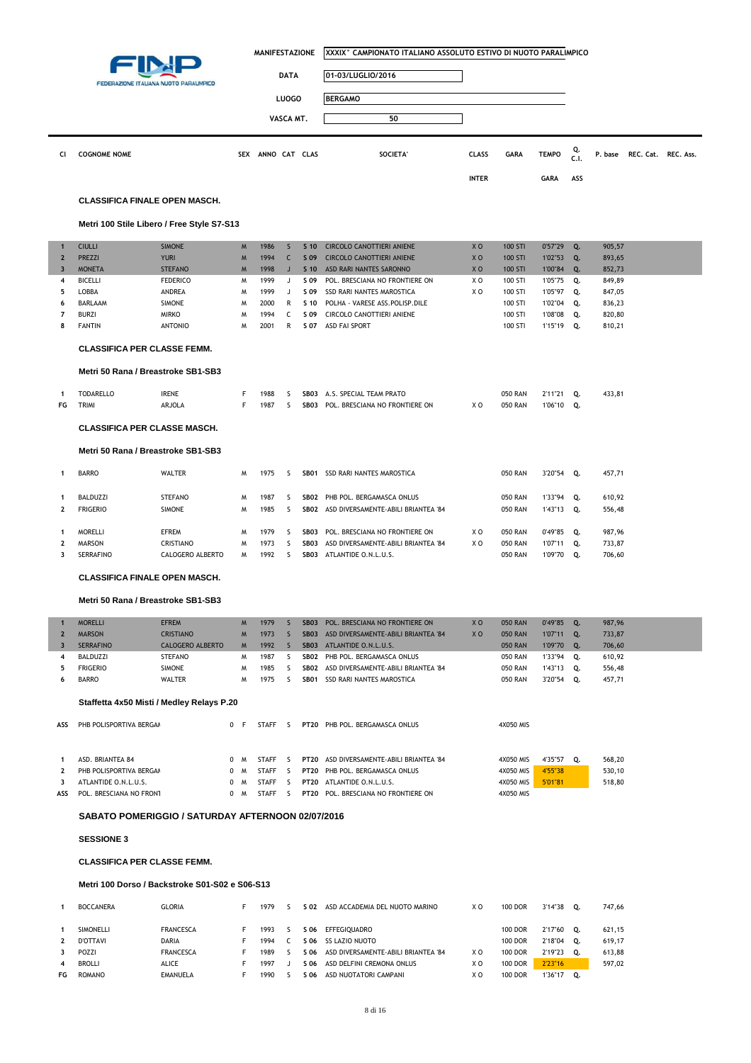|                |                                     |                                            |            | <b>MANIFESTAZIONE</b> |              |                  | XXXIX° CAMPIONATO ITALIANO ASSOLUTO ESTIVO DI NUOTO PARALIMPICO |                |                |              |            |         |                     |
|----------------|-------------------------------------|--------------------------------------------|------------|-----------------------|--------------|------------------|-----------------------------------------------------------------|----------------|----------------|--------------|------------|---------|---------------------|
|                |                                     | FEDERAZIONE ITALIANA NUOTO PARALIMPICO     |            |                       | <b>DATA</b>  |                  | 01-03/LUGLIO/2016                                               |                |                |              |            |         |                     |
|                |                                     |                                            |            |                       | <b>LUOGO</b> |                  | <b>BERGAMO</b>                                                  |                |                |              |            |         |                     |
|                |                                     |                                            |            |                       |              |                  |                                                                 |                |                |              |            |         |                     |
|                |                                     |                                            |            |                       | VASCA MT.    |                  | 50                                                              |                |                |              |            |         |                     |
| Cl             | <b>COGNOME NOME</b>                 |                                            | <b>SEX</b> | ANNO CAT CLAS         |              |                  | SOCIETA'                                                        | <b>CLASS</b>   | GARA           | <b>TEMPO</b> | Q.<br>C.1. | P. base | REC. Cat. REC. Ass. |
|                |                                     |                                            |            |                       |              |                  |                                                                 | <b>INTER</b>   |                | <b>GARA</b>  | ASS        |         |                     |
|                |                                     | <b>CLASSIFICA FINALE OPEN MASCH.</b>       |            |                       |              |                  |                                                                 |                |                |              |            |         |                     |
|                |                                     | Metri 100 Stile Libero / Free Style S7-S13 |            |                       |              |                  |                                                                 |                |                |              |            |         |                     |
| $\mathbf{1}$   | <b>CIULLI</b>                       | <b>SIMONE</b>                              | M          | 1986                  | S            | S <sub>10</sub>  | <b>CIRCOLO CANOTTIERI ANIENE</b>                                | X <sub>O</sub> | 100 STI        | 0'57"29      | Q.         | 905,57  |                     |
| $\mathbf{2}$   | <b>PREZZI</b>                       | <b>YURI</b>                                | M          | 1994                  | C            | S 09             | <b>CIRCOLO CANOTTIERI ANIENE</b>                                | X <sub>O</sub> | <b>100 STI</b> | 1'02"53      | Q.         | 893,65  |                     |
| $\overline{3}$ | <b>MONETA</b>                       | <b>STEFANO</b>                             | M          | 1998                  | $\sf J$      | S <sub>10</sub>  | ASD RARI NANTES SARONNO                                         | XO             | 100 STI        | 1'00"84      | Q.         | 852,73  |                     |
| 4              | <b>BICELLI</b>                      | <b>FEDERICO</b>                            | м          | 1999                  | J            | S 09             | POL. BRESCIANA NO FRONTIERE ON                                  | XO             | 100 STI        | 1'05"75      | Q.         | 849,89  |                     |
| 5              | LOBBA                               | ANDREA                                     | M          | 1999                  | J            | S 09             | SSD RARI NANTES MAROSTICA                                       | XO             | 100 STI        | 1'05"97      | Q.         | 847,05  |                     |
| 6              | BARLAAM                             | <b>SIMONE</b>                              | M          | 2000                  | R            | S 10             | POLHA - VARESE ASS. POLISP. DILE                                |                | 100 STI        | 1'02"04      | Q.         | 836,23  |                     |
| $\overline{7}$ | <b>BURZI</b>                        | <b>MIRKO</b>                               | M          | 1994                  | C            | S 09             | CIRCOLO CANOTTIERI ANIENE                                       |                | 100 STI        | 1'08"08      | Q.         | 820,80  |                     |
| 8              | <b>FANTIN</b>                       | <b>ANTONIO</b>                             | M          | 2001                  | R            | S 07             | <b>ASD FAI SPORT</b>                                            |                | 100 STI        | 1'15"19      | Q.         | 810,21  |                     |
|                | <b>CLASSIFICA PER CLASSE FEMM.</b>  |                                            |            |                       |              |                  |                                                                 |                |                |              |            |         |                     |
|                |                                     | Metri 50 Rana / Breastroke SB1-SB3         |            |                       |              |                  |                                                                 |                |                |              |            |         |                     |
| 1              | <b>TODARELLO</b>                    | <b>IRENE</b>                               | F          | 1988                  | s            | SB <sub>03</sub> | A.S. SPECIAL TEAM PRATO                                         |                | <b>050 RAN</b> | 2'11"21      | Q.         | 433,81  |                     |
| FG             | TRIMI                               | ARJOLA                                     | F          | 1987                  | <sub>S</sub> | SB03             | POL. BRESCIANA NO FRONTIERE ON                                  | X O            | <b>050 RAN</b> | 1'06"10      | Q.         |         |                     |
|                | <b>CLASSIFICA PER CLASSE MASCH.</b> |                                            |            |                       |              |                  |                                                                 |                |                |              |            |         |                     |
|                |                                     | Metri 50 Rana / Breastroke SB1-SB3         |            |                       |              |                  |                                                                 |                |                |              |            |         |                     |
| 1              | <b>BARRO</b>                        | WALTER                                     | M          | 1975                  | S            |                  | SB01 SSD RARI NANTES MAROSTICA                                  |                | <b>050 RAN</b> | 3'20"54 Q.   |            | 457,71  |                     |
| 1              | <b>BALDUZZI</b>                     | <b>STEFANO</b>                             | W          | 1987                  | S            | SB02             | PHB POL. BERGAMASCA ONLUS                                       |                | <b>050 RAN</b> | 1'33"94      | Q.         | 610,92  |                     |
| $\mathbf{2}$   | <b>FRIGERIO</b>                     | <b>SIMONE</b>                              | W          | 1985                  | S            | SB02             | ASD DIVERSAMENTE-ABILI BRIANTEA '84                             |                | <b>050 RAN</b> | 1'43"13      | Q.         | 556,48  |                     |
| 1              | <b>MORELLI</b>                      | <b>EFREM</b>                               | W          | 1979                  | S            | SB <sub>03</sub> | POL. BRESCIANA NO FRONTIERE ON                                  | X O            | <b>050 RAN</b> | 0'49"85      | Q.         | 987,96  |                     |
| $\mathbf{2}$   | <b>MARSON</b>                       | CRISTIANO                                  | W          | 1973                  | S            | SB03             | ASD DIVERSAMENTE-ABILI BRIANTEA '84                             | XO             | <b>050 RAN</b> | 1'07"11      | Q.         | 733,87  |                     |
| 3              | <b>SERRAFINO</b>                    | CALOGERO ALBERTO                           | M          | 1992                  | <sub>S</sub> |                  | SB03 ATLANTIDE O.N.L.U.S.                                       |                | <b>050 RAN</b> | 1'09"70 Q.   |            | 706,60  |                     |
|                |                                     | <b>CLASSIFICA FINALE OPEN MASCH.</b>       |            |                       |              |                  |                                                                 |                |                |              |            |         |                     |

#### **Metri 50 Rana / Breastroke SB1-SB3**

|     | <b>MORELLI</b>                            | <b>EFREM</b>            | <b>M</b> | 1979         |         | <b>SB03</b> | POL. BRESCIANA NO FRONTIERE ON      | X <sub>0</sub> | <b>050 RAN</b> | 0'49"85       | Q. | 987,96 |  |  |  |
|-----|-------------------------------------------|-------------------------|----------|--------------|---------|-------------|-------------------------------------|----------------|----------------|---------------|----|--------|--|--|--|
| 2   | <b>MARSON</b>                             | <b>CRISTIANO</b>        | M        | 1973         |         | <b>SB03</b> | ASD DIVERSAMENTE-ABILI BRIANTEA '84 | X <sub>0</sub> | <b>050 RAN</b> | 1'07"11       | Q. | 733,87 |  |  |  |
| 3   | <b>SERRAFINO</b>                          | <b>CALOGERO ALBERTO</b> | M        | 1992         | 5       | <b>SB03</b> | ATLANTIDE O.N.L.U.S.                |                | <b>050 RAN</b> | 1'09"70       | Q. | 706,60 |  |  |  |
| 4   | <b>BALDUZZI</b>                           | <b>STEFANO</b>          | M        | 1987         | ╰       | <b>SB02</b> | PHB POL. BERGAMASCA ONLUS           |                | <b>050 RAN</b> | $1'33''94$ Q. |    | 610,92 |  |  |  |
| 5.  | <b>FRIGERIO</b>                           | <b>SIMONE</b>           | M        | 1985         | 5       | <b>SB02</b> | ASD DIVERSAMENTE-ABILI BRIANTEA '84 |                | <b>050 RAN</b> | 1'43"13       | Q. | 556,48 |  |  |  |
| 6   | <b>BARRO</b>                              | <b>WALTER</b>           | M        | 1975         | ╰       | SB01        | SSD RARI NANTES MAROSTICA           |                | <b>050 RAN</b> | 3'20"54       | Q. | 457,71 |  |  |  |
|     | Staffetta 4x50 Misti / Medley Relays P.20 |                         |          |              |         |             |                                     |                |                |               |    |        |  |  |  |
|     |                                           |                         | 0 F      | STAFF        | - 5     | <b>PT20</b> | PHB POL. BERGAMASCA ONLUS           |                | 4X050 MIS      |               |    |        |  |  |  |
| ASS | PHB POLISPORTIVA BERGAM                   |                         |          |              |         |             |                                     |                |                |               |    |        |  |  |  |
|     | ASD. BRIANTEA 84                          |                         | 0 M      | <b>STAFF</b> | - 5     | <b>PT20</b> | ASD DIVERSAMENTE-ABILI BRIANTEA '84 |                | 4X050 MIS      | 4'35"57       | О. | 568,20 |  |  |  |
|     | PHB POLISPORTIVA BERGAM                   |                         | 0 M      | <b>STAFF</b> | ς.      | <b>PT20</b> | PHB POL. BERGAMASCA ONLUS           |                | 4X050 MIS      | 4'55"38       |    | 530,10 |  |  |  |
| 3   | ATLANTIDE O.N.L.U.S.                      |                         | 0 M      | STAFF        | $\zeta$ |             | <b>PT20 ATLANTIDE O.N.L.U.S.</b>    |                | 4X050 MIS      | 5'01"81       |    | 518,80 |  |  |  |
| ASS | POL. BRESCIANA NO FRONT                   |                         | $\Omega$ | <b>STAFF</b> | 5       | <b>PT20</b> | POL. BRESCIANA NO FRONTIERE ON      |                | 4X050 MIS      |               |    |        |  |  |  |

### **SABATO POMERIGGIO / SATURDAY AFTERNOON 02/07/2016**

**SESSIONE 3**

### **CLASSIFICA PER CLASSE FEMM.**

### **Metri 100 Dorso / Backstroke S01-S02 e S06-S13**

|    | <b>BOCCANERA</b> | <b>GLORIA</b>    | 1979 | S 02 | ASD ACCADEMIA DEL NUOTO MARINO      | X O | <b>100 DOR</b> | 3'14"38 | 0. | 747.66 |
|----|------------------|------------------|------|------|-------------------------------------|-----|----------------|---------|----|--------|
|    | <b>SIMONELLI</b> | <b>FRANCESCA</b> | 1993 | S 06 | EFFEGIOUADRO                        |     | <b>100 DOR</b> | 2'17"60 | 0. | 621.15 |
|    | D'OTTAVI         | <b>DARIA</b>     | 1994 | S 06 | SS LAZIO NUOTO                      |     | <b>100 DOR</b> | 2'18"04 | о. | 619.17 |
| 3  | POZZI            | <b>FRANCESCA</b> | 1989 | S 06 | ASD DIVERSAMENTE-ABILI BRIANTEA '84 | ΧO  | <b>100 DOR</b> | 2'19"23 | 0. | 613.88 |
| 4  | <b>BROLLI</b>    | ALICE            | 1997 | S 06 | ASD DELFINI CREMONA ONLUS           | xο  | 100 DOR        | 2'23"16 |    | 597,02 |
| FG | <b>ROMANO</b>    | <b>EMANUELA</b>  | 1990 | S 06 | ASD NUOTATORI CAMPANI               | ΧO  | <b>100 DOR</b> | 1'36"17 | 0. |        |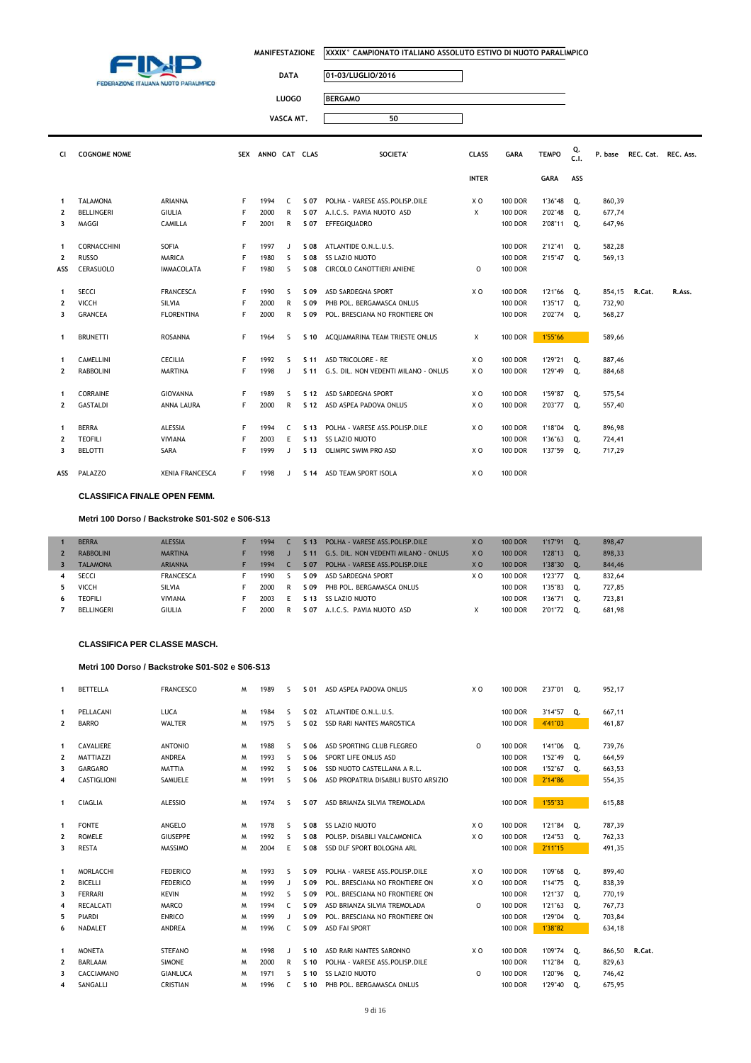

L

**MANIFESTAZIONE XXXIX° CAMPIONATO ITALIANO ASSOLUTO ESTIVO DI NUOTO PARALIMPICO**

 $\overline{\phantom{a}}$ 

 $\overline{\mathsf{I}}$ 

## **DATA 01-03/LUGLIO/2016**

**LUOGO BERGAMO**

**VASCA MT. 50**

| CI.            | <b>COGNOME NOME</b> |                        |    | SEX ANNO CAT CLAS |              |                 | SOCIETA'                                  | <b>CLASS</b> | <b>GARA</b>    | <b>TEMPO</b> | Q.<br>C.1. |        | P. base REC. Cat. REC. Ass. |        |
|----------------|---------------------|------------------------|----|-------------------|--------------|-----------------|-------------------------------------------|--------------|----------------|--------------|------------|--------|-----------------------------|--------|
|                |                     |                        |    |                   |              |                 |                                           | <b>INTER</b> |                | <b>GARA</b>  | ASS        |        |                             |        |
| $\mathbf{1}$   | <b>TALAMONA</b>     | <b>ARIANNA</b>         | F. | 1994              | C.           | S 07            | POLHA - VARESE ASS.POLISP.DILE            | X O          | <b>100 DOR</b> | 1'36"48      | Q.         | 860,39 |                             |        |
| $\overline{2}$ | <b>BELLINGERI</b>   | <b>GIULIA</b>          | F  | 2000              | R            | S 07            | A.I.C.S. PAVIA NUOTO ASD                  | X            | <b>100 DOR</b> | 2'02"48      | Q.         | 677,74 |                             |        |
| 3              | MAGGI               | CAMILLA                | F  | 2001              | R            | S 07            | EFFEGIQUADRO                              |              | <b>100 DOR</b> | 2'08"11      | Q.         | 647,96 |                             |        |
| -1             | CORNACCHINI         | SOFIA                  | F  | 1997              | $\mathbf{J}$ | S 08            | ATLANTIDE O.N.L.U.S.                      |              | <b>100 DOR</b> | 2'12"41      | Q.         | 582,28 |                             |        |
| $\mathbf{2}$   | <b>RUSSO</b>        | <b>MARICA</b>          | F  | 1980              | <sub>S</sub> | S 08            | <b>SS LAZIO NUOTO</b>                     |              | <b>100 DOR</b> | 2'15"47      | Q.         | 569,13 |                             |        |
| ASS            | CERASUOLO           | <b>IMMACOLATA</b>      | F  | 1980              | s            | S 08            | CIRCOLO CANOTTIERI ANIENE                 | $\Omega$     | <b>100 DOR</b> |              |            |        |                             |        |
| $\mathbf{1}$   | <b>SECCI</b>        | <b>FRANCESCA</b>       | F. | 1990              | S            | S 09            | ASD SARDEGNA SPORT                        | X O          | <b>100 DOR</b> | 1'21"66      | Q.         | 854,15 | R.Cat.                      | R.Ass. |
| $\mathbf{2}$   | VICCH               | <b>SILVIA</b>          | F  | 2000              | R            | S 09            | PHB POL. BERGAMASCA ONLUS                 |              | <b>100 DOR</b> | 1'35"17      | О.         | 732,90 |                             |        |
| 3              | <b>GRANCEA</b>      | <b>FLORENTINA</b>      | F  | 2000              | R            | S 09            | POL. BRESCIANA NO FRONTIERE ON            |              | <b>100 DOR</b> | 2'02"74      | Q.         | 568,27 |                             |        |
| $\mathbf{1}$   | <b>BRUNETTI</b>     | <b>ROSANNA</b>         | F. | 1964              | -S           | S 10            | ACOUAMARINA TEAM TRIESTE ONLUS            | X            | <b>100 DOR</b> | 1'55"66      |            | 589.66 |                             |        |
| -1             | <b>CAMELLINI</b>    | <b>CECILIA</b>         | F  | 1992              | <sub>S</sub> | S <sub>11</sub> | <b>ASD TRICOLORE - RE</b>                 | X O          | <b>100 DOR</b> | 1'29"21      | 0.         | 887,46 |                             |        |
| $\mathbf{2}$   | <b>RABBOLINI</b>    | <b>MARTINA</b>         | F  | 1998              | $\mathbf{J}$ |                 | S 11 G.S. DIL. NON VEDENTI MILANO - ONLUS | X O          | <b>100 DOR</b> | 1'29"49      | Q.         | 884,68 |                             |        |
| -1             | <b>CORRAINE</b>     | <b>GIOVANNA</b>        | F  | 1989              | <sub>S</sub> | S 12            | ASD SARDEGNA SPORT                        | X O          | <b>100 DOR</b> | 1'59"87      | 0.         | 575,54 |                             |        |
| $\overline{2}$ | <b>GASTALDI</b>     | ANNA LAURA             | F. | 2000              | R            |                 | S 12 ASD ASPEA PADOVA ONLUS               | X O          | <b>100 DOR</b> | 2'03"77      | Q.         | 557,40 |                             |        |
| $\mathbf{1}$   | <b>BERRA</b>        | <b>ALESSIA</b>         | F  | 1994              | C            | S <sub>13</sub> | POLHA - VARESE ASS.POLISP.DILE            | X O          | <b>100 DOR</b> | 1'18"04      | Q.         | 896,98 |                             |        |
| $\mathbf{2}$   | <b>TEOFILI</b>      | <b>VIVIANA</b>         | F  | 2003              | Е            | S 13            | SS LAZIO NUOTO                            |              | <b>100 DOR</b> | 1'36"63      | Q.         | 724,41 |                             |        |
| 3              | <b>BELOTTI</b>      | SARA                   | F  | 1999              | $\mathbf{J}$ | S <sub>13</sub> | OLIMPIC SWIM PRO ASD                      | X O          | <b>100 DOR</b> | 1'37"59      | Q.         | 717,29 |                             |        |
| ASS            | PALAZZO             | <b>XENIA FRANCESCA</b> | F. | 1998              | $\mathbf{J}$ |                 | S 14 ASD TEAM SPORT ISOLA                 | X O          | <b>100 DOR</b> |              |            |        |                             |        |

**CLASSIFICA FINALE OPEN FEMM.**

### **Metri 100 Dorso / Backstroke S01-S02 e S06-S13**

|    | <b>BERRA</b>      | <b>ALESSIA</b>   | 1994 | S <sub>13</sub> | POLHA - VARESE ASS. POLISP. DILE     | X <sub>O</sub> | <b>100 DOR</b> | 1'17"91 | о. | 898,47 |
|----|-------------------|------------------|------|-----------------|--------------------------------------|----------------|----------------|---------|----|--------|
|    | <b>RABBOLINI</b>  | <b>MARTINA</b>   | 1998 | S <sub>11</sub> | G.S. DIL. NON VEDENTI MILANO - ONLUS | X <sub>O</sub> | <b>100 DOR</b> | 1'28"13 | 0. | 898,33 |
|    | <b>TALAMONA</b>   | <b>ARIANNA</b>   | 1994 | S 07            | POLHA - VARESE ASS. POLISP. DILE     | X <sub>O</sub> | <b>100 DOR</b> | 1'38"30 | 0. | 844,46 |
|    | SECCI             | <b>FRANCESCA</b> | 1990 | S 09            | ASD SARDEGNA SPORT                   | χc             | <b>100 DOR</b> | 1'23"77 | 0. | 832,64 |
|    | <b>VICCH</b>      | SILVIA           | 2000 | S 09            | PHB POL. BERGAMASCA ONLUS            |                | <b>100 DOR</b> | 1'35"83 | 0. | 727.85 |
| 6. | <b>TEOFILI</b>    | <b>VIVIANA</b>   | 2003 | S 13            | <b>SS LAZIO NUOTO</b>                |                | <b>100 DOR</b> | '36"71  | 0. | 723,81 |
|    | <b>BELLINGERI</b> | GIULIA           | 2000 | S 07            | A.I.C.S. PAVIA NUOTO ASD             |                | <b>100 DOR</b> | 2'01"72 |    | 681.98 |

#### **CLASSIFICA PER CLASSE MASCH.**

#### **Metri 100 Dorso / Backstroke S01-S02 e S06-S13**

| 1            | <b>BETTELLA</b>  | <b>FRANCESCO</b> | W | 1989 | ς            | S 01            | ASD ASPEA PADOVA ONLUS               | X O | <b>100 DOR</b> | 2'37"01 | 0. | 952.17 |        |
|--------------|------------------|------------------|---|------|--------------|-----------------|--------------------------------------|-----|----------------|---------|----|--------|--------|
|              |                  |                  |   |      |              |                 |                                      |     |                |         |    |        |        |
| 1            | PELLACANI        | LUCA             | M | 1984 | S            | S 02            | ATLANTIDE O.N.L.U.S.                 |     | <b>100 DOR</b> | 3'14"57 | Q. | 667,11 |        |
| 2            | <b>BARRO</b>     | <b>WALTER</b>    | M | 1975 | s            | S 02            | <b>SSD RARI NANTES MAROSTICA</b>     |     | <b>100 DOR</b> | 4'41"03 |    | 461,87 |        |
| 1            | CAVALIERE        | <b>ANTONIO</b>   | M | 1988 | S            | S 06            | ASD SPORTING CLUB FLEGREO            | 0   | <b>100 DOR</b> | 1'41"06 | Q. | 739,76 |        |
| 2            | MATTIAZZI        | ANDREA           | M | 1993 | s            | S 06            | SPORT LIFE ONLUS ASD                 |     | <b>100 DOR</b> | 1'52"49 | Q. | 664,59 |        |
| 3            | <b>GARGARO</b>   | <b>MATTIA</b>    | M | 1992 | S            | S 06            | SSD NUOTO CASTELLANA A R.L.          |     | <b>100 DOR</b> | 1'52"67 | Q. | 663,53 |        |
| 4            | CASTIGLIONI      | SAMUELE          | M | 1991 | s            | S 06            | ASD PROPATRIA DISABILI BUSTO ARSIZIO |     | <b>100 DOR</b> | 2'14"86 |    | 554,35 |        |
| 1            | <b>CIAGLIA</b>   | <b>ALESSIO</b>   | M | 1974 | S.           | S 07            | ASD BRIANZA SILVIA TREMOLADA         |     | <b>100 DOR</b> | 1'55"33 |    | 615,88 |        |
| 1            | <b>FONTE</b>     | ANGELO           | M | 1978 | s            | S 08            | <b>SS LAZIO NUOTO</b>                | X O | <b>100 DOR</b> | 1'21"84 | Q. | 787,39 |        |
| 2            | <b>ROMELE</b>    | <b>GIUSEPPE</b>  | M | 1992 | S            | S 08            | POLISP. DISABILI VALCAMONICA         | X O | <b>100 DOR</b> | 1'24"53 | Q. | 762,33 |        |
| 3            | <b>RESTA</b>     | <b>MASSIMO</b>   | M | 2004 | E            | S 08            | SSD DLF SPORT BOLOGNA ARL            |     | <b>100 DOR</b> | 2'11"15 |    | 491,35 |        |
| $\mathbf{1}$ | MORLACCHI        | <b>FEDERICO</b>  | M | 1993 | s            | S 09            | POLHA - VARESE ASS.POLISP.DILE       | X O | <b>100 DOR</b> | 1'09"68 | Q. | 899,40 |        |
| 2            | <b>BICELLI</b>   | <b>FEDERICO</b>  | M | 1999 | $\mathbf{J}$ | S 09            | POL. BRESCIANA NO FRONTIERE ON       | X O | <b>100 DOR</b> | 1'14"75 | Q. | 838,39 |        |
| 3            | <b>FERRARI</b>   | <b>KEVIN</b>     | M | 1992 | S            | S 09            | POL. BRESCIANA NO FRONTIERE ON       |     | <b>100 DOR</b> | 1'21"37 | Q. | 770,19 |        |
| 4            | <b>RECALCATI</b> | <b>MARCO</b>     | M | 1994 | C            | S 09            | ASD BRIANZA SILVIA TREMOLADA         | 0   | <b>100 DOR</b> | 1'21"63 | Q. | 767,73 |        |
| 5            | <b>PIARDI</b>    | <b>ENRICO</b>    | M | 1999 | $\mathbf{J}$ | S 09            | POL. BRESCIANA NO FRONTIERE ON       |     | <b>100 DOR</b> | 1'29"04 | Q. | 703,84 |        |
| 6            | NADALET          | <b>ANDREA</b>    | M | 1996 | C.           | S 09            | <b>ASD FAI SPORT</b>                 |     | <b>100 DOR</b> | 1'38"82 |    | 634,18 |        |
| 1            | <b>MONETA</b>    | <b>STEFANO</b>   | M | 1998 | J            | S <sub>10</sub> | ASD RARI NANTES SARONNO              | X O | <b>100 DOR</b> | 1'09"74 | Q. | 866,50 | R.Cat. |
| 2            | <b>BARLAAM</b>   | <b>SIMONE</b>    | M | 2000 | R            | S <sub>10</sub> | POLHA - VARESE ASS. POLISP. DILE     |     | <b>100 DOR</b> | 1'12"84 | Q. | 829,63 |        |
| 3            | CACCIAMANO       | <b>GIANLUCA</b>  | M | 1971 | s            | S 10            | <b>SS LAZIO NUOTO</b>                | O   | <b>100 DOR</b> | 1'20"96 | О. | 746,42 |        |
|              | SANGALLI         | <b>CRISTIAN</b>  | м | 1996 | C.           | S 10            | PHB POL. BERGAMASCA ONLUS            |     | <b>100 DOR</b> | 1'29"40 | Q. | 675,95 |        |
| 4            |                  |                  |   |      |              |                 |                                      |     |                |         |    |        |        |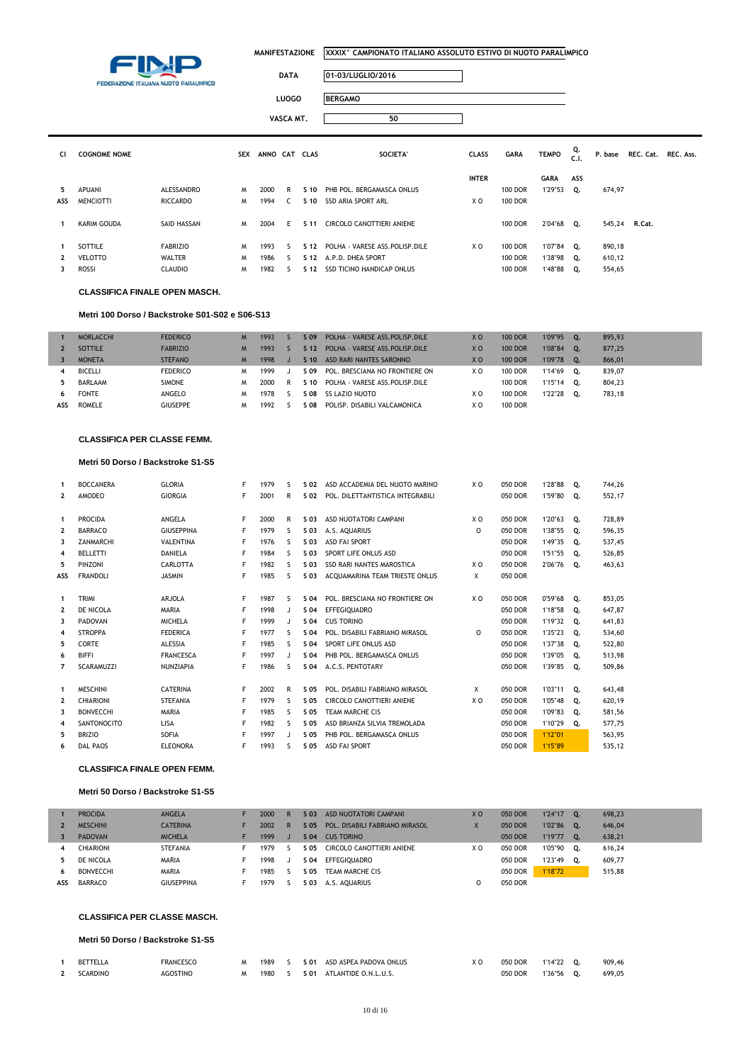

### **DATA 01-03/LUGLIO/2016**

| <b>LUOGO</b> | <b>BERGAMO</b> |
|--------------|----------------|
| VASCA MT.    | 50             |

| CI. | <b>COGNOME NOME</b> |                 | <b>SEX</b> | ANNO CAT CLAS |    |                 | SOCIETA'                         | <b>CLASS</b> | <b>GARA</b>    | <b>TEMPO</b> | Q.<br>C.1. | P. base |        | REC. Cat. REC. Ass. |
|-----|---------------------|-----------------|------------|---------------|----|-----------------|----------------------------------|--------------|----------------|--------------|------------|---------|--------|---------------------|
|     |                     |                 |            |               |    |                 |                                  | <b>INTER</b> |                | <b>GARA</b>  | ASS        |         |        |                     |
| 5.  | APUANI              | ALESSANDRO      | M          | 2000          | R  | $S$ 10          | PHB POL. BERGAMASCA ONLUS        |              | <b>100 DOR</b> | 1'29"53      | 0.         | 674,97  |        |                     |
| ASS | <b>MENCIOTTI</b>    | <b>RICCARDO</b> | M          | 1994          | C. | S 10            | SSD ARIA SPORT ARL               | X O          | <b>100 DOR</b> |              |            |         |        |                     |
|     | KARIM GOUDA         | SAID HASSAN     | M          | 2004          | F. | S 11            | CIRCOLO CANOTTIERI ANIENE        |              | <b>100 DOR</b> | 2'04"68      | Q.         | 545,24  | R.Cat. |                     |
|     | SOTTILE             | <b>FABRIZIO</b> | M          | 1993          |    | S <sub>12</sub> | POLHA - VARESE ASS.POLISP.DILE   | X O          | <b>100 DOR</b> | 1'07"84      | Q.         | 890,18  |        |                     |
|     | <b>VELOTTO</b>      | WALTER          | м          | 1986          | ς. | S <sub>12</sub> | A.P.D. DHEA SPORT                |              | <b>100 DOR</b> | 1'38"98 Q.   |            | 610,12  |        |                     |
|     | <b>ROSSI</b>        | <b>CLAUDIO</b>  | M          | 1982          |    | S 12            | <b>SSD TICINO HANDICAP ONLUS</b> |              | <b>100 DOR</b> | 1'48"88      | Q.         | 554,65  |        |                     |

#### **CLASSIFICA FINALE OPEN MASCH.**

#### **Metri 100 Dorso / Backstroke S01-S02 e S06-S13**

|     | <b>MORLACCHI</b> | <b>FEDERICO</b> | M | 1993 |   | S 09  | POLHA - VARESE ASS. POLISP. DILE | X <sub>O</sub> | <b>100 DOR</b> | 1'09"95 | 0.             | 895.93 |
|-----|------------------|-----------------|---|------|---|-------|----------------------------------|----------------|----------------|---------|----------------|--------|
|     | <b>SOTTILE</b>   | <b>FABRIZIO</b> |   | 1993 |   | S 12  | POLHA - VARESE ASS. POLISP. DILE | X <sub>0</sub> | <b>100 DOR</b> | 1'08"84 | $\mathbf{0}$   | 877.25 |
|     | <b>MONETA</b>    | <b>STEFANO</b>  | M | 1998 |   | S 10  | ASD RARI NANTES SARONNO          | X <sub>O</sub> | <b>100 DOR</b> | 1'09"78 | $\mathbf{O}$ . | 866,01 |
| 4   | BICELLI          | <b>FEDERICO</b> | M | 1999 |   | S 09  | POL. BRESCIANA NO FRONTIERE ON   | X O            | <b>100 DOR</b> | 1'14"69 | о.             | 839.07 |
| 5   | BARLAAM          | <b>SIMONE</b>   | M | 2000 | R | S 10  | POLHA - VARESE ASS.POLISP.DILE   |                | <b>100 DOR</b> | 1'15"14 | о.             | 804,23 |
| 6   | <b>FONTE</b>     | ANGELO          | M | 1978 |   | S 08  | SS LAZIO NUOTO                   | X O            | <b>100 DOR</b> | 1'22"28 | 0.             | 783,18 |
| ASS | <b>ROMELE</b>    | <b>GIUSEPPE</b> |   | 1992 |   | S 08. | POLISP. DISABILI VALCAMONICA     | X O            | <b>100 DOR</b> |         |                |        |

#### **CLASSIFICA PER CLASSE FEMM.**

#### **Metri 50 Dorso / Backstroke S1-S5**

| 1            | <b>BOCCANERA</b> | <b>GLORIA</b>     | F | 1979 | ς  | S 02 | ASD ACCADEMIA DEL NUOTO MARINO   | X O            | 050 DOR | 1'28"88 | Q. | 744,26 |
|--------------|------------------|-------------------|---|------|----|------|----------------------------------|----------------|---------|---------|----|--------|
| 2            | AMODEO           | <b>GIORGIA</b>    | F | 2001 | R  | S 02 | POL. DILETTANTISTICA INTEGRABILI |                | 050 DOR | 1'59"80 | Q. | 552,17 |
| 1            | <b>PROCIDA</b>   | ANGELA            | F | 2000 | R  | S 03 | ASD NUOTATORI CAMPANI            | X <sub>0</sub> | 050 DOR | 1'20"63 | Q. | 728.89 |
| $\mathbf{2}$ | <b>BARRACO</b>   | <b>GIUSEPPINA</b> | F | 1979 | S. | S 03 | A.S. AOUARIUS                    | $\Omega$       | 050 DOR | 1'38"55 | 0. | 596,35 |
| 3            | <b>ZANMARCHI</b> | <b>VALENTINA</b>  | F | 1976 | s  | S 03 | <b>ASD FAI SPORT</b>             |                | 050 DOR | 1'49"35 | Q. | 537,45 |
| 4            | <b>BELLETTI</b>  | <b>DANIELA</b>    | F | 1984 | S  | S 03 | SPORT LIFE ONLUS ASD             |                | 050 DOR | 1'51"55 | Q. | 526,85 |
| 5            | PINZONI          | CARLOTTA          | F | 1982 | S  | S 03 | SSD RARI NANTES MAROSTICA        | X O            | 050 DOR | 2'06"76 | Q. | 463,63 |
| ASS          | <b>FRANDOLI</b>  | <b>JASMIN</b>     | F | 1985 | s  | S 03 | ACOUAMARINA TEAM TRIESTE ONLUS   | X              | 050 DOR |         |    |        |
| 1            | TRIMI            | <b>ARJOLA</b>     | F | 1987 | S. | S 04 | POL. BRESCIANA NO FRONTIERE ON   | X <sub>0</sub> | 050 DOR | 0'59"68 | Q. | 853.05 |
| $\mathbf{2}$ | DE NICOLA        | <b>MARIA</b>      | F | 1998 |    | S 04 | <b>EFFEGIOUADRO</b>              |                | 050 DOR | 1'18"58 | 0. | 647,87 |
| 3            | PADOVAN          | <b>MICHELA</b>    | F | 1999 | J. | S 04 | <b>CUS TORINO</b>                |                | 050 DOR | 1'19"32 | Q. | 641,83 |
| 4            | <b>STROPPA</b>   | <b>FEDERICA</b>   | F | 1977 | s  | S 04 | POL. DISABILI FABRIANO MIRASOL   | 0              | 050 DOR | 1'35"23 | 0. | 534.60 |
| 5            | <b>CORTE</b>     | <b>ALESSIA</b>    | F | 1985 | s  | S 04 | SPORT LIFE ONLUS ASD             |                | 050 DOR | 1'37"38 | 0. | 522,80 |
| 6            | <b>BIFFI</b>     | <b>FRANCESCA</b>  | F | 1997 |    | S 04 | PHB POL. BERGAMASCA ONLUS        |                | 050 DOR | 1'39"05 | Q. | 513,98 |
| 7            | SCARAMUZZI       | NUNZIAPIA         | F | 1986 | ς. | S 04 | A.C.S. PENTOTARY                 |                | 050 DOR | 1'39"85 | Q. | 509.86 |
| 1            | <b>MESCHINI</b>  | <b>CATERINA</b>   | F | 2002 | R  | S 05 | POL. DISABILI FABRIANO MIRASOL   | x              | 050 DOR | 1'03"11 | 0. | 643,48 |
| $\mathbf{2}$ | <b>CHIARIONI</b> | <b>STEFANIA</b>   | F | 1979 | S  | S 05 | CIRCOLO CANOTTIERI ANIENE        | X O            | 050 DOR | 1'05"48 | Q. | 620,19 |
| 3            | <b>BONVECCHI</b> | <b>MARIA</b>      | F | 1985 | S  | S 05 | <b>TEAM MARCHE CIS</b>           |                | 050 DOR | 1'09"83 | о. | 581.56 |
| 4            | SANTONOCITO      | <b>LISA</b>       | F | 1982 | s  | S 05 | ASD BRIANZA SILVIA TREMOLADA     |                | 050 DOR | 1'10"29 | О. | 577.75 |
| 5            | <b>BRIZIO</b>    | SOFIA             | F | 1997 | J  | S 05 | PHB POL. BERGAMASCA ONLUS        |                | 050 DOR | 1'12"01 |    | 563,95 |
| 6            | <b>DAL PAOS</b>  | <b>ELEONORA</b>   | F | 1993 | s  | S 05 | <b>ASD FAI SPORT</b>             |                | 050 DOR | 1'15"89 |    | 535.12 |

#### **CLASSIFICA FINALE OPEN FEMM.**

#### **Metri 50 Dorso / Backstroke S1-S5**

|     | <b>PROCIDA</b>   | <b>ANGELA</b>     | 2000 |   | S 03 | ASD NUOTATORI CAMPANI          | X <sub>O</sub> | 050 DOR        | 1'24"17 | . о.      | 698,23 |
|-----|------------------|-------------------|------|---|------|--------------------------------|----------------|----------------|---------|-----------|--------|
|     | <b>MESCHINI</b>  | <b>CATERINA</b>   | 2002 | R | S 05 | POL. DISABILI FABRIANO MIRASOL |                | <b>050 DOR</b> | 1'02"86 | <b>O.</b> | 646,04 |
|     | <b>PADOVAN</b>   | <b>MICHELA</b>    | 1999 |   | S 04 | <b>CUS TORINO</b>              |                | 050 DOR        | 1'19"77 | 0.        | 638,21 |
| 4   | CHIARIONI        | <b>STEFANIA</b>   | 1979 |   | S 05 | CIRCOLO CANOTTIERI ANIENE      | X O            | 050 DOR        | 1'05"90 | 0.        | 616.24 |
| 5.  | DE NICOLA        | MARIA             | 1998 |   | S 04 | EFFEGIOUADRO                   |                | 050 DOR        | 1'23"49 | O.        | 609.77 |
| 6.  | <b>BONVECCHI</b> | MARIA             | 1985 |   | 5 05 | TEAM MARCHE CIS                |                | 050 DOR        | 1'18"72 |           | 515,88 |
| ASS | <b>BARRACO</b>   | <b>GIUSEPPINA</b> | 1979 |   | ና 03 | A.S. AOUARIUS                  |                | 050 DOR        |         |           |        |

### **CLASSIFICA PER CLASSE MASCH.**

#### **Metri 50 Dorso / Backstroke S1-S5**

| BETTELLA   | <b>FRANCESCO</b> |  |  | M 1989 S S 01 ASD ASPEA PADOVA ONLUS | X O | 050 DOR 1'14"22 O. |  | 909.46 |
|------------|------------------|--|--|--------------------------------------|-----|--------------------|--|--------|
| 2 SCARDINO | AGOSTINO         |  |  | M 1980 S SO1 ATLANTIDE O.N.L.U.S.    |     | 050 DOR 1'36"56 O. |  | 699.05 |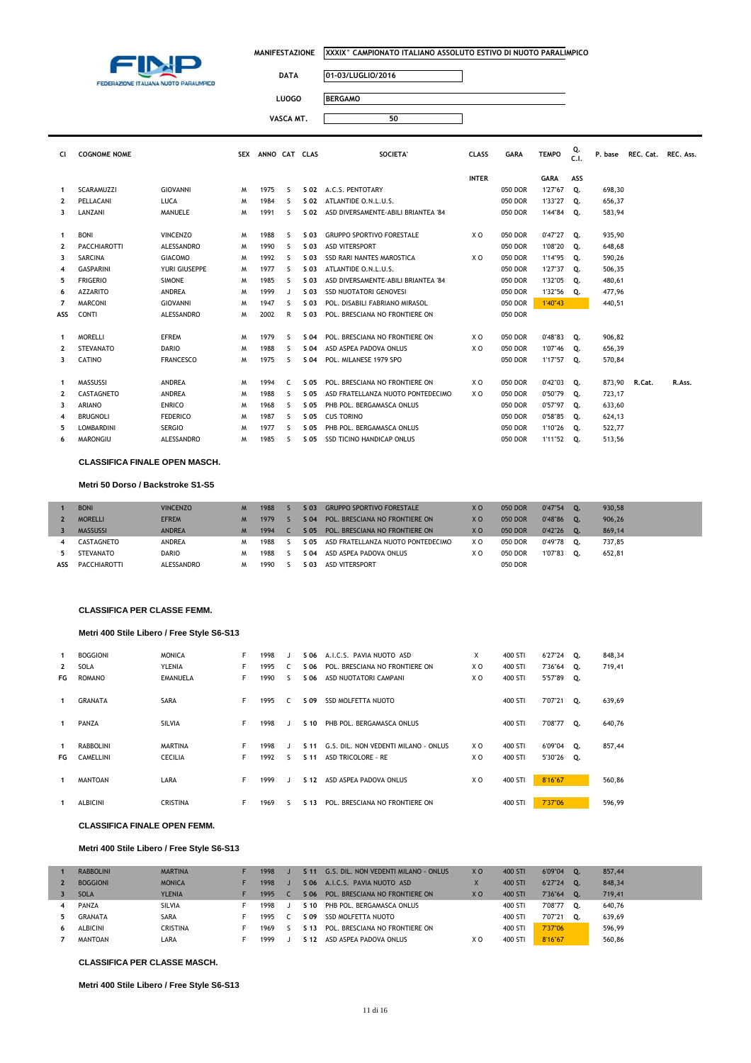

 $\overline{\phantom{a}}$ 

 $\overline{\mathbb{I}}$ 

# **DATA 01-03/LUGLIO/2016**

**VASCA MT. 50**

**LUOGO BERGAMO**

| <b>CI</b>    | <b>COGNOME NOME</b> |                  | <b>SEX</b> | ANNO CAT CLAS |              |      | <b>SOCIETA'</b>                     | <b>CLASS</b> | <b>GARA</b> | <b>TEMPO</b>  | Q.<br>C.1. | P. base | REC. Cat. REC. Ass. |        |
|--------------|---------------------|------------------|------------|---------------|--------------|------|-------------------------------------|--------------|-------------|---------------|------------|---------|---------------------|--------|
|              |                     |                  |            |               |              |      |                                     | <b>INTER</b> |             | <b>GARA</b>   | ASS        |         |                     |        |
| 1            | <b>SCARAMUZZI</b>   | <b>GIOVANNI</b>  | M          | 1975          | -S           | S 02 | A.C.S. PENTOTARY                    |              | 050 DOR     | 1'27"67       | Q.         | 698.30  |                     |        |
| $\mathbf{2}$ | PELLACANI           | LUCA             | M          | 1984          | S.           | S 02 | ATLANTIDE O.N.L.U.S.                |              | 050 DOR     | 1'33"27       | о.         | 656,37  |                     |        |
| 3            | LANZANI             | <b>MANUELE</b>   | M          | 1991          | S.           | S 02 | ASD DIVERSAMENTE-ABILI BRIANTEA '84 |              | 050 DOR     | 1'44"84 Q.    |            | 583,94  |                     |        |
| $\mathbf{1}$ | <b>BONI</b>         | <b>VINCENZO</b>  | M          | 1988          | S.           | S 03 | <b>GRUPPO SPORTIVO FORESTALE</b>    | X O          | 050 DOR     | $0'47''27$ Q. |            | 935,90  |                     |        |
| $\mathbf{2}$ | PACCHIAROTTI        | ALESSANDRO       | M          | 1990          | S.           | S 03 | <b>ASD VITERSPORT</b>               |              | 050 DOR     | 1'08"20       | Q.         | 648,68  |                     |        |
| 3            | <b>SARCINA</b>      | <b>GIACOMO</b>   | M          | 1992          | s            | S 03 | <b>SSD RARI NANTES MAROSTICA</b>    | X O          | 050 DOR     | 1'14"95       | Q.         | 590,26  |                     |        |
| 4            | <b>GASPARINI</b>    | YURI GIUSEPPE    | M          | 1977          | S.           | S 03 | ATLANTIDE O.N.L.U.S.                |              | 050 DOR     | 1'27"37       | О.         | 506,35  |                     |        |
| 5            | <b>FRIGERIO</b>     | <b>SIMONE</b>    | м          | 1985          | S.           | S 03 | ASD DIVERSAMENTE-ABILI BRIANTEA '84 |              | 050 DOR     | 1'32"05       | Q.         | 480,61  |                     |        |
| 6            | <b>AZZARITO</b>     | <b>ANDREA</b>    | M          | 1999          | $\mathbf{J}$ | S 03 | <b>SSD NUOTATORI GENOVESI</b>       |              | 050 DOR     | 1'32"56       | Q.         | 477,96  |                     |        |
| 7            | <b>MARCONI</b>      | <b>GIOVANNI</b>  | M          | 1947          | S.           | S 03 | POL. DISABILI FABRIANO MIRASOL      |              | 050 DOR     | 1'40"43       |            | 440,51  |                     |        |
| ASS          | <b>CONTI</b>        | ALESSANDRO       | м          | 2002          | R            | S 03 | POL. BRESCIANA NO FRONTIERE ON      |              | 050 DOR     |               |            |         |                     |        |
|              | <b>MORELLI</b>      | <b>EFREM</b>     | M          | 1979          | S.           | S 04 | POL. BRESCIANA NO FRONTIERE ON      | X O          | 050 DOR     | 0'48"83       | О.         | 906,82  |                     |        |
| $\mathbf{2}$ | <b>STEVANATO</b>    | <b>DARIO</b>     | M          | 1988          | S.           | S 04 | ASD ASPEA PADOVA ONLUS              | X O          | 050 DOR     | 1'07"46       | 0.         | 656,39  |                     |        |
| 3            | CATINO              | <b>FRANCESCO</b> | M          | 1975          | S.           | S 04 | POL. MILANESE 1979 SPO              |              | 050 DOR     | 1'17"57 Q.    |            | 570,84  |                     |        |
| 1            | MASSUSSI            | <b>ANDREA</b>    | M          | 1994          | C            | S 05 | POL. BRESCIANA NO FRONTIERE ON      | X O          | 050 DOR     | 0'42"03       | Q.         | 873,90  | R.Cat.              | R.Ass. |
| $\mathbf{2}$ | CASTAGNETO          | <b>ANDREA</b>    | м          | 1988          | S.           | S 05 | ASD FRATELLANZA NUOTO PONTEDECIMO   | X O          | 050 DOR     | 0'50"79       | Q.         | 723,17  |                     |        |
| 3            | <b>ARIANO</b>       | <b>ENRICO</b>    | м          | 1968          | S.           | S 05 | PHB POL. BERGAMASCA ONLUS           |              | 050 DOR     | 0'57"97       | Q.         | 633,60  |                     |        |
| 4            | <b>BRUGNOLI</b>     | <b>FEDERICO</b>  | M          | 1987          | S            | S 05 | <b>CUS TORINO</b>                   |              | 050 DOR     | 0'58"85       | Q.         | 624,13  |                     |        |
|              | <b>LOMBARDINI</b>   | <b>SERGIO</b>    | м          | 1977          | S.           | S 05 | PHB POL. BERGAMASCA ONLUS           |              | 050 DOR     | 1'10"26       | о.         | 522,77  |                     |        |
| 6            | <b>MARONGIU</b>     | ALESSANDRO       | M          | 1985          | S.           | S 05 | <b>SSD TICINO HANDICAP ONLUS</b>    |              | 050 DOR     | 1'11"52       | Q.         | 513,56  |                     |        |

### **CLASSIFICA FINALE OPEN MASCH.**

#### **Metri 50 Dorso / Backstroke S1-S5**

|     | <b>BONI</b>         | <b>VINCENZO</b> | M | 1988 | S 03 | <b>GRUPPO SPORTIVO FORESTALE</b>  | X <sub>O</sub> | 050 DOR        | 0'47"54 | ۰О. | 930,58 |
|-----|---------------------|-----------------|---|------|------|-----------------------------------|----------------|----------------|---------|-----|--------|
|     | <b>MORELLI</b>      | <b>EFREM</b>    | M | 1979 | S 04 | POL. BRESCIANA NO FRONTIERE ON    | X <sub>O</sub> | 050 DOR        | 0'48"86 | о.  | 906,26 |
|     | <b>MASSUSSI</b>     | <b>ANDREA</b>   | M | 1994 | S 05 | POL. BRESCIANA NO FRONTIERE ON    | X <sub>O</sub> | <b>050 DOR</b> | 0'42"26 | 0.  | 869.14 |
|     | CASTAGNETO          | <b>ANDREA</b>   | м | 1988 | S 05 | ASD FRATELLANZA NUOTO PONTEDECIMO | X O            | 050 DOR        | 0'49"78 | 0.  | 737,85 |
|     | STEVANATO           | DARIO           | м | 1988 | S 04 | ASD ASPEA PADOVA ONLUS            | ΧO             | 050 DOR        | 1'07"83 | 0.  | 652.81 |
| ASS | <b>PACCHIAROTTI</b> | ALESSANDRO      |   | 1990 | S 03 | <b>ASD VITERSPORT</b>             |                | 050 DOR        |         |     |        |

#### **CLASSIFICA PER CLASSE FEMM.**

### **Metri 400 Stile Libero / Free Style S6-S13**

| 1            | <b>BOGGIONI</b>  | <b>MONICA</b>   | F  | 1998 |    | S 06            | A.I.C.S. PAVIA NUOTO ASD             | X              | 400 STI | 6'27"24 Q. |    | 848,34 |
|--------------|------------------|-----------------|----|------|----|-----------------|--------------------------------------|----------------|---------|------------|----|--------|
| $\mathbf{2}$ | <b>SOLA</b>      | <b>YLENIA</b>   | F  | 1995 |    | S 06            | POL. BRESCIANA NO FRONTIERE ON       | X O            | 400 STI | 7'36"64 Q. |    | 719,41 |
| FG           | <b>ROMANO</b>    | <b>EMANUELA</b> | F  | 1990 | ς. | S 06            | ASD NUOTATORI CAMPANI                | X <sub>0</sub> | 400 STI | 5'57"89 Q. |    |        |
| 1            | <b>GRANATA</b>   | SARA            | F. | 1995 | C. | S 09            | SSD MOLFETTA NUOTO                   |                | 400 STI | 7'07"21    | о. | 639,69 |
| 1            | PANZA            | SILVIA          | F  | 1998 |    | S <sub>10</sub> | PHB POL. BERGAMASCA ONLUS            |                | 400 STI | 7'08"77    | Q. | 640,76 |
| 1            | <b>RABBOLINI</b> | <b>MARTINA</b>  | F  | 1998 |    | S <sub>11</sub> | G.S. DIL. NON VEDENTI MILANO - ONLUS | X O            | 400 STI | 6'09"04    | Q. | 857,44 |
| FG           | CAMELLINI        | <b>CECILIA</b>  | F  | 1992 | ς. | S <sub>11</sub> | ASD TRICOLORE - RE                   | X O            | 400 STI | 5'30"26 Q. |    |        |
| 1            | <b>MANTOAN</b>   | LARA            | F. | 1999 |    | S <sub>12</sub> | ASD ASPEA PADOVA ONLUS               | X O            | 400 STI | 8'16"67    |    | 560,86 |
|              | <b>ALBICINI</b>  | <b>CRISTINA</b> | F  | 1969 | ╰  | S 13            | POL. BRESCIANA NO FRONTIERE ON       |                | 400 STI | 7'37"06    |    | 596,99 |

#### **CLASSIFICA FINALE OPEN FEMM.**

### **Metri 400 Stile Libero / Free Style S6-S13**

| <b>RABBOLINI</b> | <b>MARTINA</b> | 1998 | S <sub>11</sub> | G.S. DIL. NON VEDENTI MILANO - ONLUS | X <sub>O</sub> | 400 STI | 6'09"04 | 0. | 857,44 |
|------------------|----------------|------|-----------------|--------------------------------------|----------------|---------|---------|----|--------|
| <b>BOGGIONI</b>  | <b>MONICA</b>  | 1998 | S 06            | A.I.C.S. PAVIA NUOTO ASD             |                | 400 STI | 6'27"24 | ್. | 848,34 |
| <b>SOLA</b>      | <b>YLENIA</b>  | 1995 | S 06            | POL. BRESCIANA NO FRONTIERE ON       | X O            | 400 STI | 7'36"64 | ್ಲ | 719.41 |
| PANZA            | SILVIA         | 1998 | S 10            | PHB POL. BERGAMASCA ONLUS            |                | 400 STI | 7'08"77 | о. | 640.76 |
| <b>GRANATA</b>   | <b>SARA</b>    | 1995 | S 09            | SSD MOLFETTA NUOTO                   |                | 400 STI | 7'07"21 | о. | 639,69 |
| <b>ALBICINI</b>  | CRISTINA       | 1969 | S 13            | POL. BRESCIANA NO FRONTIERE ON       |                | 400 STI | 7'37"06 |    | 596.99 |
| MANTOAN          | LARA           | 1999 | S 12            | ASD ASPEA PADOVA ONLUS               | x c            | 400 STI | 8'16"67 |    | 560.86 |
|                  |                |      |                 |                                      |                |         |         |    |        |

# **CLASSIFICA PER CLASSE MASCH.**

**Metri 400 Stile Libero / Free Style S6-S13**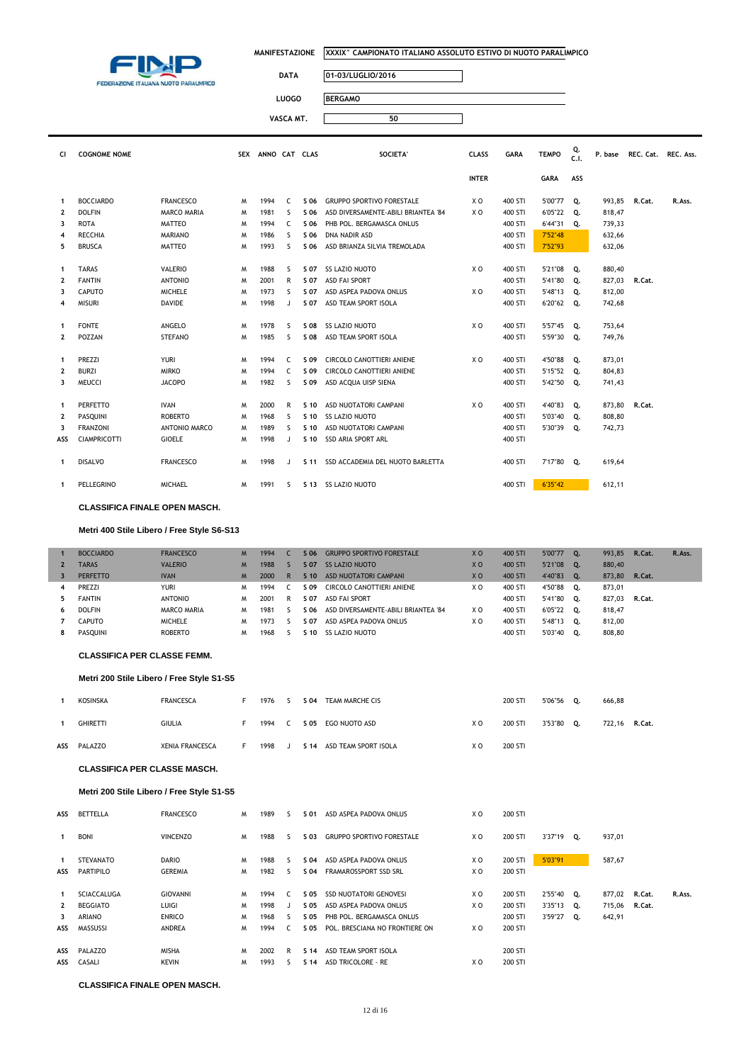

 $\overline{\phantom{a}}$ 

 $\overline{\mathsf{I}}$ 

# **DATA 01-03/LUGLIO/2016**

LUOGO

| <b>BERGAMO</b> |
|----------------|
|                |

| VASCA MT. |  |
|-----------|--|

| CI             | <b>COGNOME NOME</b> |                      |   | SEX ANNO CAT CLAS |              |                 | SOCIETA'                            | <b>CLASS</b>   | <b>GARA</b> | <b>TEMPO</b> | Q.<br>C.1. | P. base | REC. Cat. | REC. Ass. |
|----------------|---------------------|----------------------|---|-------------------|--------------|-----------------|-------------------------------------|----------------|-------------|--------------|------------|---------|-----------|-----------|
|                |                     |                      |   |                   |              |                 |                                     | <b>INTER</b>   |             | <b>GARA</b>  | ASS        |         |           |           |
| 1              | <b>BOCCIARDO</b>    | <b>FRANCESCO</b>     | M | 1994              | C.           | S 06            | <b>GRUPPO SPORTIVO FORESTALE</b>    | X O            | 400 STI     | 5'00"77      | Q.         | 993,85  | R.Cat.    | R.Ass.    |
| $\overline{2}$ | <b>DOLFIN</b>       | <b>MARCO MARIA</b>   | M | 1981              | <sub>S</sub> | S 06            | ASD DIVERSAMENTE-ABILI BRIANTEA '84 | X O            | 400 STI     | 6'05"22      | Q.         | 818,47  |           |           |
| 3              | <b>ROTA</b>         | <b>MATTEO</b>        | M | 1994              | C            | S 06            | PHB POL. BERGAMASCA ONLUS           |                | 400 STI     | 6'44"31      | Q.         | 739,33  |           |           |
| 4              | <b>RECCHIA</b>      | <b>MARIANO</b>       | M | 1986              | -S           | S 06            | <b>DNA NADIR ASD</b>                |                | 400 STI     | 7'52"48      |            | 632,66  |           |           |
| 5              | <b>BRUSCA</b>       | MATTEO               | M | 1993              | s            | S 06            | ASD BRIANZA SILVIA TREMOLADA        |                | 400 STI     | 7'52"93      |            | 632,06  |           |           |
|                |                     |                      |   |                   |              |                 |                                     |                |             |              |            |         |           |           |
| $\mathbf{1}$   | <b>TARAS</b>        | <b>VALERIO</b>       | M | 1988              | <sub>S</sub> | S 07            | <b>SS LAZIO NUOTO</b>               | X O            | 400 STI     | 5'21"08      | Q.         | 880,40  |           |           |
| $\mathbf{2}$   | <b>FANTIN</b>       | <b>ANTONIO</b>       | M | 2001              | R            | S 07            | <b>ASD FAI SPORT</b>                |                | 400 STI     | 5'41"80      | Q.         | 827,03  | R.Cat.    |           |
| 3              | CAPUTO              | <b>MICHELE</b>       | M | 1973              | s            | S 07            | ASD ASPEA PADOVA ONLUS              | X O            | 400 STI     | 5'48"13      | Q.         | 812,00  |           |           |
| 4              | <b>MISURI</b>       | DAVIDE               | M | 1998              | J            | S 07            | ASD TEAM SPORT ISOLA                |                | 400 STI     | 6'20"62 Q.   |            | 742,68  |           |           |
|                |                     |                      |   |                   |              |                 |                                     |                |             |              |            |         |           |           |
| 1              | <b>FONTE</b>        | ANGELO               | M | 1978              | <sub>S</sub> | S 08            | <b>SS LAZIO NUOTO</b>               | X <sub>0</sub> | 400 STI     | 5'57"45      | Q.         | 753,64  |           |           |
| 2              | POZZAN              | <b>STEFANO</b>       | M | 1985              | <sub>S</sub> | S 08            | ASD TEAM SPORT ISOLA                |                | 400 STI     | 5'59"30      | Q.         | 749,76  |           |           |
|                |                     |                      |   |                   |              |                 |                                     |                |             |              |            |         |           |           |
| $\mathbf{1}$   | PREZZI              | <b>YURI</b>          | M | 1994              | C            | S 09            | <b>CIRCOLO CANOTTIERI ANIENE</b>    | X O            | 400 STI     | 4'50"88      | Q.         | 873,01  |           |           |
| $\mathbf{2}$   | <b>BURZI</b>        | <b>MIRKO</b>         | M | 1994              | C            | S 09            | <b>CIRCOLO CANOTTIERI ANIENE</b>    |                | 400 STI     | 5'15"52      | Q.         | 804,83  |           |           |
| 3              | <b>MEUCCI</b>       | <b>JACOPO</b>        | M | 1982              | <sub>S</sub> | S 09            | ASD ACQUA UISP SIENA                |                | 400 STI     | 5'42"50      | Q.         | 741,43  |           |           |
|                |                     |                      |   |                   |              |                 |                                     |                |             |              |            |         |           |           |
| 1              | PERFETTO            | <b>IVAN</b>          | M | 2000              | R            | S <sub>10</sub> | ASD NUOTATORI CAMPANI               | XO             | 400 STI     | 4'40"83      | Q.         | 873,80  | R.Cat.    |           |
| 2              | PASQUINI            | <b>ROBERTO</b>       | M | 1968              | <sub>S</sub> | S 10            | <b>SS LAZIO NUOTO</b>               |                | 400 STI     | 5'03"40      | Q.         | 808,80  |           |           |
| 3              | <b>FRANZONI</b>     | <b>ANTONIO MARCO</b> | M | 1989              | <sub>S</sub> | S 10            | ASD NUOTATORI CAMPANI               |                | 400 STI     | 5'30"39      | Q.         | 742,73  |           |           |
| ASS            | <b>CIAMPRICOTTI</b> | <b>GIOELE</b>        | M | 1998              | J            | S 10            | <b>SSD ARIA SPORT ARL</b>           |                | 400 STI     |              |            |         |           |           |
|                |                     |                      |   |                   |              |                 |                                     |                |             |              |            |         |           |           |
| 1              | <b>DISALVO</b>      | <b>FRANCESCO</b>     | M | 1998              | $\mathbf{J}$ | S 11            | SSD ACCADEMIA DEL NUOTO BARLETTA    |                | 400 STI     | 7'17"80 Q.   |            | 619,64  |           |           |
| 1              | PELLEGRINO          | <b>MICHAEL</b>       | м | 1991              | S            |                 | S 13 SS LAZIO NUOTO                 |                | 400 STI     | 6'35"42      |            | 612,11  |           |           |

**CLASSIFICA FINALE OPEN MASCH.**

### **Metri 400 Stile Libero / Free Style S6-S13**

|              | <b>BOCCIARDO</b> | <b>FRANCESCO</b> | M | 1994 |   | $S$ 06          | <b>GRUPPO SPORTIVO FORESTALE</b>    | X <sub>0</sub> | 400 STI | 5'00"77 | 0. | 993.85 | R.Cat. | R.Ass. |
|--------------|------------------|------------------|---|------|---|-----------------|-------------------------------------|----------------|---------|---------|----|--------|--------|--------|
| $\mathbf{2}$ | <b>TARAS</b>     | <b>VALERIO</b>   | M | 1988 |   | S 07            | <b>SS LAZIO NUOTO</b>               | X <sub>0</sub> | 400 STI | 5'21"08 | 0. | 880,40 |        |        |
|              | <b>PERFETTO</b>  | <b>IVAN</b>      | M | 2000 |   | S <sub>10</sub> | ASD NUOTATORI CAMPANI               | X <sub>0</sub> | 400 STI | 4'40"83 | 0. | 873,80 | R.Cat. |        |
| 4            | <b>PREZZI</b>    | <b>YURI</b>      | M | 1994 |   | S 09            | CIRCOLO CANOTTIERI ANIENE           | X O            | 400 STI | 4'50"88 | O. | 873,01 |        |        |
| 5.           | <b>FANTIN</b>    | <b>ANTONIO</b>   | M | 2001 | P | S 07            | <b>ASD FAI SPORT</b>                |                | 400 STI | 5'41"80 | о. | 827.03 | R.Cat. |        |
| 6            | <b>DOLFIN</b>    | MARCO MARIA      | M | 1981 |   | S 06            | ASD DIVERSAMENTE-ABILI BRIANTEA '84 | X O            | 400 STI | 6'05"22 | о. | 818,47 |        |        |
|              | <b>CAPUTO</b>    | <b>MICHELE</b>   | м | 1973 |   | S 07            | ASD ASPEA PADOVA ONLUS              | X O            | 400 STI | 5'48"13 | о. | 812,00 |        |        |
| 8            | PASOUINI         | <b>ROBERTO</b>   | м | 1968 |   | S 10.           | SS LAZIO NUOTO                      |                | 400 STI | 5'03"40 | о. | 808,80 |        |        |

### **CLASSIFICA PER CLASSE FEMM.**

### **Metri 200 Stile Libero / Free Style S1-S5**

| <b>KOSINSKA</b> | <b>FRANCESCA</b>       |     | 1976 | S 04 | TEAM MARCHE CIS           |     | 200 STI | 5'06"56 0. | 666,88 |        |
|-----------------|------------------------|-----|------|------|---------------------------|-----|---------|------------|--------|--------|
| <b>GHIRETTI</b> | <b>GIULIA</b>          | . . | 1994 | S 05 | EGO NUOTO ASD             | X O | 200 STI | 3'53"80 O. | 722.16 | R.Cat. |
| ASS PALAZZO     | <b>XENIA FRANCESCA</b> |     | 1998 |      | S 14 ASD TEAM SPORT ISOLA | X O | 200 STI |            |        |        |

#### **CLASSIFICA PER CLASSE MASCH.**

### **Metri 200 Stile Libero / Free Style S1-S5**

| ASS          | <b>BETTELLA</b>  | <b>FRANCESCO</b> | M | 1989 | 5                        | S 01            | ASD ASPEA PADOVA ONLUS           | X O | 200 STI |            |               |        |        |
|--------------|------------------|------------------|---|------|--------------------------|-----------------|----------------------------------|-----|---------|------------|---------------|--------|--------|
| $\mathbf{1}$ | <b>BONI</b>      | <b>VINCENZO</b>  | M | 1988 | $\overline{\phantom{a}}$ | S 03            | <b>GRUPPO SPORTIVO FORESTALE</b> | X O | 200 STI | 3'37"19 Q. | 937,01        |        |        |
| 1            | <b>STEVANATO</b> | <b>DARIO</b>     | M | 1988 | 5                        | S 04            | ASD ASPEA PADOVA ONLUS           | X O | 200 STI | 5'03"91    | 587,67        |        |        |
| ASS          | PARTIPILO        | <b>GEREMIA</b>   | M | 1982 | $\overline{\phantom{a}}$ | S 04            | FRAMAROSSPORT SSD SRL            | X O | 200 STI |            |               |        |        |
| 1            | SCIACCALUGA      | <b>GIOVANNI</b>  | M | 1994 | C.                       | S 05            | <b>SSD NUOTATORI GENOVESI</b>    | X O | 200 STI | 2'55"40 Q. | 877,02        | R.Cat. | R.Ass. |
| $\mathbf{2}$ | <b>BEGGIATO</b>  | LUIGI            | м | 1998 | - 1                      | S 05            | ASD ASPEA PADOVA ONLUS           | X O | 200 STI | 3'35"13 Q. | 715,06 R.Cat. |        |        |
| 3            | <b>ARIANO</b>    | <b>ENRICO</b>    | M | 1968 | ς.                       | S 05            | PHB POL. BERGAMASCA ONLUS        |     | 200 STI | 3'59"27 Q. | 642,91        |        |        |
|              | ASS MASSUSSI     | <b>ANDREA</b>    | M | 1994 |                          | S 05            | POL. BRESCIANA NO FRONTIERE ON   | X O | 200 STI |            |               |        |        |
|              | ASS PALAZZO      | <b>MISHA</b>     | M | 2002 | R                        | S <sub>14</sub> | ASD TEAM SPORT ISOLA             |     | 200 STI |            |               |        |        |
|              | ASS CASALI       | <b>KEVIN</b>     | м | 1993 | $\overline{\phantom{a}}$ | S <sub>14</sub> | ASD TRICOLORE - RE               | X O | 200 STI |            |               |        |        |

#### **CLASSIFICA FINALE OPEN MASCH.**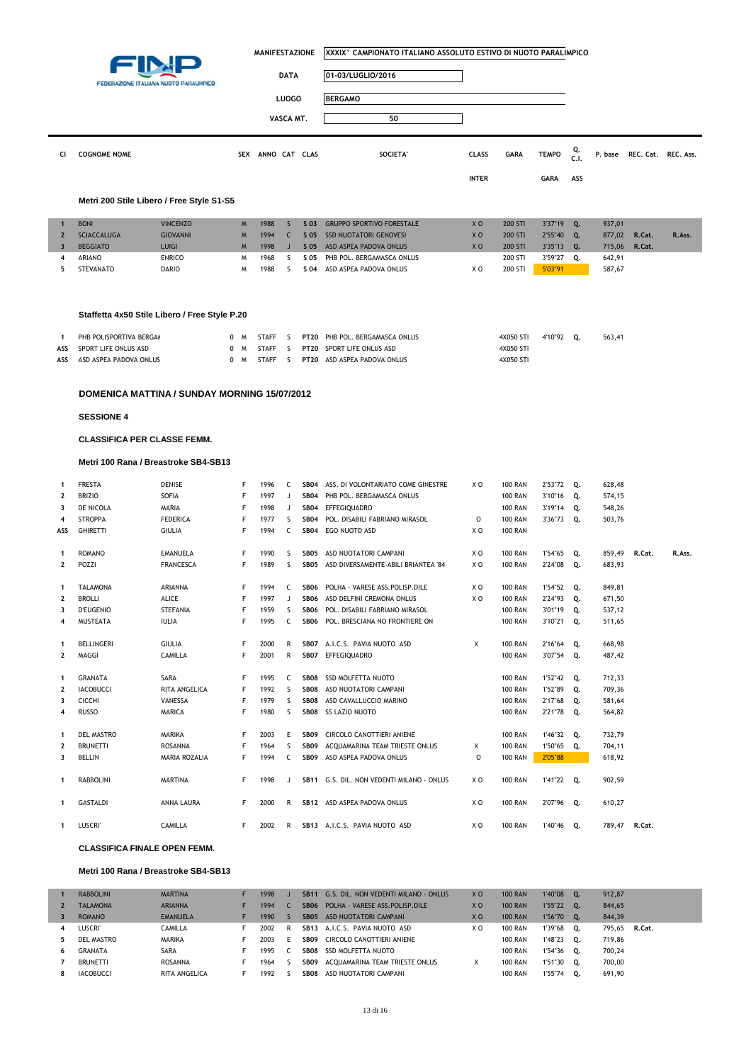|                   |                                       |                                               | <b>MANIFESTAZIONE</b> |                   |                  | XXXIX° CAMPIONATO ITALIANO ASSOLUTO ESTIVO DI NUOTO PARALIMPICO |                                                         |                |                                  |                    |            |                  |                     |        |
|-------------------|---------------------------------------|-----------------------------------------------|-----------------------|-------------------|------------------|-----------------------------------------------------------------|---------------------------------------------------------|----------------|----------------------------------|--------------------|------------|------------------|---------------------|--------|
|                   |                                       |                                               |                       |                   | <b>DATA</b>      |                                                                 | 01-03/LUGLIO/2016                                       |                |                                  |                    |            |                  |                     |        |
|                   |                                       | FEDERAZIONE ITALIANA NUOTO PARALIMPICO        |                       |                   | <b>LUOGO</b>     |                                                                 | <b>BERGAMO</b>                                          |                |                                  |                    |            |                  |                     |        |
|                   |                                       |                                               |                       |                   |                  |                                                                 |                                                         |                |                                  |                    |            |                  |                     |        |
|                   |                                       |                                               |                       |                   | VASCA MT.        |                                                                 | 50                                                      |                |                                  |                    |            |                  |                     |        |
| CI                | <b>COGNOME NOME</b>                   |                                               |                       | SEX ANNO CAT CLAS |                  |                                                                 | SOCIETA'                                                | <b>CLASS</b>   | <b>GARA</b>                      | <b>TEMPO</b>       | Q.<br>C.1. | P. base          | REC. Cat. REC. Ass. |        |
|                   |                                       |                                               |                       |                   |                  |                                                                 |                                                         | <b>INTER</b>   |                                  | <b>GARA</b>        | ASS        |                  |                     |        |
|                   |                                       |                                               |                       |                   |                  |                                                                 |                                                         |                |                                  |                    |            |                  |                     |        |
|                   |                                       | Metri 200 Stile Libero / Free Style S1-S5     |                       |                   |                  |                                                                 |                                                         |                |                                  |                    |            |                  |                     |        |
| $\mathbf 1$       | <b>BONI</b>                           | <b>VINCENZO</b>                               | M                     | 1988              | S                | S 03                                                            | <b>GRUPPO SPORTIVO FORESTALE</b>                        | X <sub>0</sub> | <b>200 STI</b>                   | 3'37"19            | Q.         | 937,01           |                     |        |
| $\mathbf{2}$<br>3 | <b>SCIACCALUGA</b><br><b>BEGGIATO</b> | <b>GIOVANNI</b><br><b>LUIGI</b>               | M<br>M                | 1994<br>1998      | C<br>$\mathsf J$ | S 05<br>S 05                                                    | <b>SSD NUOTATORI GENOVESI</b><br>ASD ASPEA PADOVA ONLUS | XO<br>XO       | 200 STI<br>200 STI               | 2'55"40<br>3'35"13 | Q.<br>Q.   | 877,02<br>715,06 | R.Cat.<br>R.Cat.    | R.Ass. |
| 4                 | ARIANO                                | <b>ENRICO</b>                                 | M                     | 1968              | s                | S 05                                                            | PHB POL. BERGAMASCA ONLUS                               |                | 200 STI                          | 3'59"27            | Q.         | 642,91           |                     |        |
| 5                 | <b>STEVANATO</b>                      | <b>DARIO</b>                                  | W                     | 1988              | <sub>S</sub>     |                                                                 | S 04 ASD ASPEA PADOVA ONLUS                             | X O            | 200 STI                          | 5'03"91            |            | 587,67           |                     |        |
|                   |                                       |                                               |                       |                   |                  |                                                                 |                                                         |                |                                  |                    |            |                  |                     |        |
|                   |                                       | Staffetta 4x50 Stile Libero / Free Style P.20 |                       |                   |                  |                                                                 |                                                         |                |                                  |                    |            |                  |                     |        |
| $\mathbf{1}$      | PHB POLISPORTIVA BERGAA               |                                               | 0 M                   | STAFF             | - S              | <b>PT20</b>                                                     | PHB POL. BERGAMASCA ONLUS                               |                | 4X050 STI                        | 4'10"92 Q.         |            | 563,41           |                     |        |
| ASS               | SPORT LIFE ONLUS ASD                  |                                               | 0<br>м                | <b>STAFF</b>      | s.               | <b>PT20</b>                                                     | SPORT LIFE ONLUS ASD                                    |                | 4X050 STI                        |                    |            |                  |                     |        |
| ASS               | ASD ASPEA PADOVA ONLUS                |                                               | 0 M                   | STAFF             | S.               |                                                                 | PT20 ASD ASPEA PADOVA ONLUS                             |                | 4X050 STI                        |                    |            |                  |                     |        |
|                   |                                       | DOMENICA MATTINA / SUNDAY MORNING 15/07/2012  |                       |                   |                  |                                                                 |                                                         |                |                                  |                    |            |                  |                     |        |
|                   | <b>SESSIONE 4</b>                     |                                               |                       |                   |                  |                                                                 |                                                         |                |                                  |                    |            |                  |                     |        |
|                   | <b>CLASSIFICA PER CLASSE FEMM.</b>    |                                               |                       |                   |                  |                                                                 |                                                         |                |                                  |                    |            |                  |                     |        |
|                   |                                       | Metri 100 Rana / Breastroke SB4-SB13          |                       |                   |                  |                                                                 |                                                         |                |                                  |                    |            |                  |                     |        |
|                   |                                       |                                               |                       |                   |                  |                                                                 |                                                         |                |                                  |                    |            |                  |                     |        |
| 1                 | <b>FRESTA</b>                         | DENISE                                        | F                     | 1996              | C                | SB04                                                            | ASS. DI VOLONTARIATO COME GINESTRE                      | X O            | <b>100 RAN</b>                   | 2'53"72 Q.         |            | 628,48           |                     |        |
| 2                 | <b>BRIZIO</b>                         | SOFIA                                         | F                     | 1997              | J                | SB04                                                            | PHB POL. BERGAMASCA ONLUS                               |                | <b>100 RAN</b>                   | 3'10"16 Q.         |            | 574,15           |                     |        |
| 3                 | DE NICOLA                             | MARIA                                         | F.                    | 1998              | J                | SB04                                                            | EFFEGIQUADRO                                            |                | <b>100 RAN</b>                   | 3'19"14 Q.         |            | 548,26           |                     |        |
| 4<br>ASS          | <b>STROPPA</b><br><b>GHIRETTI</b>     | <b>FEDERICA</b><br><b>GIULIA</b>              | F.<br>F.              | 1977<br>1994      | S<br>C           | <b>SB04</b><br>SB04                                             | POL. DISABILI FABRIANO MIRASOL<br>EGO NUOTO ASD         | $\circ$<br>X O | <b>100 RAN</b><br><b>100 RAN</b> | 3'36"73 Q.         |            | 503,76           |                     |        |
|                   |                                       |                                               |                       |                   |                  |                                                                 |                                                         |                |                                  |                    |            |                  |                     |        |
| 1                 | <b>ROMANO</b>                         | <b>EMANUELA</b>                               | F                     | 1990              | S                | SB05                                                            | ASD NUOTATORI CAMPANI                                   | X O            | <b>100 RAN</b>                   | 1'54"65            | Q.         | 859,49           | R.Cat.              | R.Ass. |
| $\mathbf{2}$      | POZZI                                 | <b>FRANCESCA</b>                              | F                     | 1989              | S                | <b>SB05</b>                                                     | ASD DIVERSAMENTE-ABILI BRIANTEA '84                     | X O            | <b>100 RAN</b>                   | 2'24"08            | Q.         | 683,93           |                     |        |
| 1                 | <b>TALAMONA</b>                       | ARIANNA                                       | F                     | 1994              | C.               | <b>SB06</b>                                                     | POLHA - VARESE ASS.POLISP.DILE                          | X O            | <b>100 RAN</b>                   | 1'54"52            | Q.         | 849,81           |                     |        |
| 2                 | <b>BROLLI</b>                         | ALICE                                         | F                     | 1997              | J                | SB06                                                            | ASD DELFINI CREMONA ONLUS                               | X O            | <b>100 RAN</b>                   | 2'24"93 Q.         |            | 671,50           |                     |        |
|                   | <b>D'EUGENIO</b>                      | STEFANIA                                      |                       | 1959              |                  | <b>SB06</b>                                                     | POL. DISABILI FABRIANO MIRASOL                          |                | <b>100 RAN</b>                   | 3'01"19            | Q.         | 537,12           |                     |        |
| 4                 | MUSTEATA                              | <b>IULIA</b>                                  | F                     | 1995              | C                |                                                                 | SB06 POL. BRESCIANA NO FRONTIERE ON                     |                | <b>100 RAN</b>                   | 3'10"21 Q.         |            | 511,65           |                     |        |
| 1                 | BELLINGERI                            | <b>GIULIA</b>                                 | F                     | 2000              | R                |                                                                 | SB07 A.I.C.S. PAVIA NUOTO ASD                           | Χ              | <b>100 RAN</b>                   | 2'16"64 Q.         |            | 668,98           |                     |        |
| $\overline{2}$    | MAGGI                                 | CAMILLA                                       | F                     | 2001              | ${\sf R}$        |                                                                 | SB07 EFFEGIQUADRO                                       |                | <b>100 RAN</b>                   | 3'07"54 Q.         |            | 487,42           |                     |        |
| 1                 | <b>GRANATA</b>                        | SARA                                          | F                     | 1995              | C                | <b>SB08</b>                                                     | SSD MOLFETTA NUOTO                                      |                | <b>100 RAN</b>                   | 1'52"42 Q.         |            | 712,33           |                     |        |
| 2                 | <b>IACOBUCCI</b>                      | RITA ANGELICA                                 | F                     | 1992              | <sub>S</sub>     | <b>SB08</b>                                                     | ASD NUOTATORI CAMPANI                                   |                | <b>100 RAN</b>                   | 1'52"89 Q.         |            | 709,36           |                     |        |
| 3                 | <b>CICCHI</b>                         | VANESSA                                       | F                     | 1979              | <sub>S</sub>     | SB08                                                            | ASD CAVALLUCCIO MARINO                                  |                | <b>100 RAN</b>                   | 2'17"68 Q.         |            | 581,64           |                     |        |
| 4                 | <b>RUSSO</b>                          | MARICA                                        | F                     | 1980              | S                |                                                                 | SB08 SS LAZIO NUOTO                                     |                | <b>100 RAN</b>                   | 2'21"78 Q.         |            | 564,82           |                     |        |
| $\mathbf{1}$      | DEL MASTRO                            | MARIKA                                        | F                     | 2003              | E                | SB09                                                            | CIRCOLO CANOTTIERI ANIENE                               |                | <b>100 RAN</b>                   | 1'46"32 Q.         |            | 732,79           |                     |        |
| 2                 | <b>BRUNETTI</b>                       | ROSANNA                                       | F                     | 1964              | S                | SB09                                                            | ACQUAMARINA TEAM TRIESTE ONLUS                          | Χ              | <b>100 RAN</b>                   | 1'50"65            | Q.         | 704,11           |                     |        |
| 3                 | <b>BELLIN</b>                         | MARIA ROZALIA                                 | F                     | 1994              | C                |                                                                 | SB09 ASD ASPEA PADOVA ONLUS                             | $\mathsf{o}$   | <b>100 RAN</b>                   | 2'05"88            |            | 618,92           |                     |        |
| 1                 | RABBOLINI                             | MARTINA                                       | F                     | 1998              | J                |                                                                 | SB11 G.S. DIL. NON VEDENTI MILANO - ONLUS               | X O            | <b>100 RAN</b>                   | 1'41"22 Q.         |            | 902,59           |                     |        |
| 1                 | <b>GASTALDI</b>                       | ANNA LAURA                                    | F                     | 2000              | R                |                                                                 | SB12 ASD ASPEA PADOVA ONLUS                             | X O            | <b>100 RAN</b>                   | 2'07"96 Q.         |            | 610,27           |                     |        |
| 1                 | LUSCRI'                               | CAMILLA                                       | F                     | 2002              | $\mathsf{R}$     |                                                                 | SB13 A.I.C.S. PAVIA NUOTO ASD                           | X O            | <b>100 RAN</b>                   | 1'40"46 Q.         |            |                  | 789,47 R.Cat.       |        |
|                   | <b>CLASSIFICA FINALE OPEN FEMM.</b>   |                                               |                       |                   |                  |                                                                 |                                                         |                |                                  |                    |            |                  |                     |        |

### **Metri 100 Rana / Breastroke SB4-SB13**

|    | <b>RABBOLINI</b> | <b>MARTINA</b>  | 1998 | <b>SB11</b>      | G.S. DIL. NON VEDENTI MILANO - ONLUS | X <sub>O</sub> | <b>100 RAN</b> | 1'40"08 | 0.           | 912.87 |        |
|----|------------------|-----------------|------|------------------|--------------------------------------|----------------|----------------|---------|--------------|--------|--------|
|    | <b>TALAMONA</b>  | <b>ARIANNA</b>  | 1994 | SB <sub>06</sub> | POLHA - VARESE ASS. POLISP. DILE     | X <sub>O</sub> | <b>100 RAN</b> | 1'55"22 | $\mathbf{O}$ | 844,65 |        |
|    | <b>ROMANO</b>    | <b>EMANUELA</b> | 1990 | <b>SB05</b>      | ASD NUOTATORI CAMPANI                | X <sub>0</sub> | <b>100 RAN</b> | 1'56"70 | $\mathbf{O}$ | 844,39 |        |
|    | LUSCRI'          | CAMILLA         | 2002 | <b>SB13</b>      | A.I.C.S. PAVIA NUOTO ASD             | X O            | <b>100 RAN</b> | 1'39"68 | 0.           | 795.65 | R.Cat. |
|    | DEL MASTRO       | <b>MARIKA</b>   | 2003 | <b>SB09</b>      | CIRCOLO CANOTTIERI ANIENE            |                | <b>100 RAN</b> | 1'48"23 | 0.           | 719.86 |        |
| 6. | <b>GRANATA</b>   | <b>SARA</b>     | 1995 |                  | SBO8 SSD MOLFETTA NUOTO              |                | <b>100 RAN</b> | 1'54"36 | О.           | 700.24 |        |
|    | <b>BRUNETTI</b>  | ROSANNA         | 1964 | <b>SB09</b>      | ACOUAMARINA TEAM TRIESTE ONLUS       |                | <b>100 RAN</b> | 1'51"30 | 0.           | 700,00 |        |
|    | <b>IACOBUCCI</b> | RITA ANGELICA   | 1992 | <b>SB08</b>      | ASD NUOTATORI CAMPANI                |                | <b>100 RAN</b> | 55"74   | 0.           | 691.90 |        |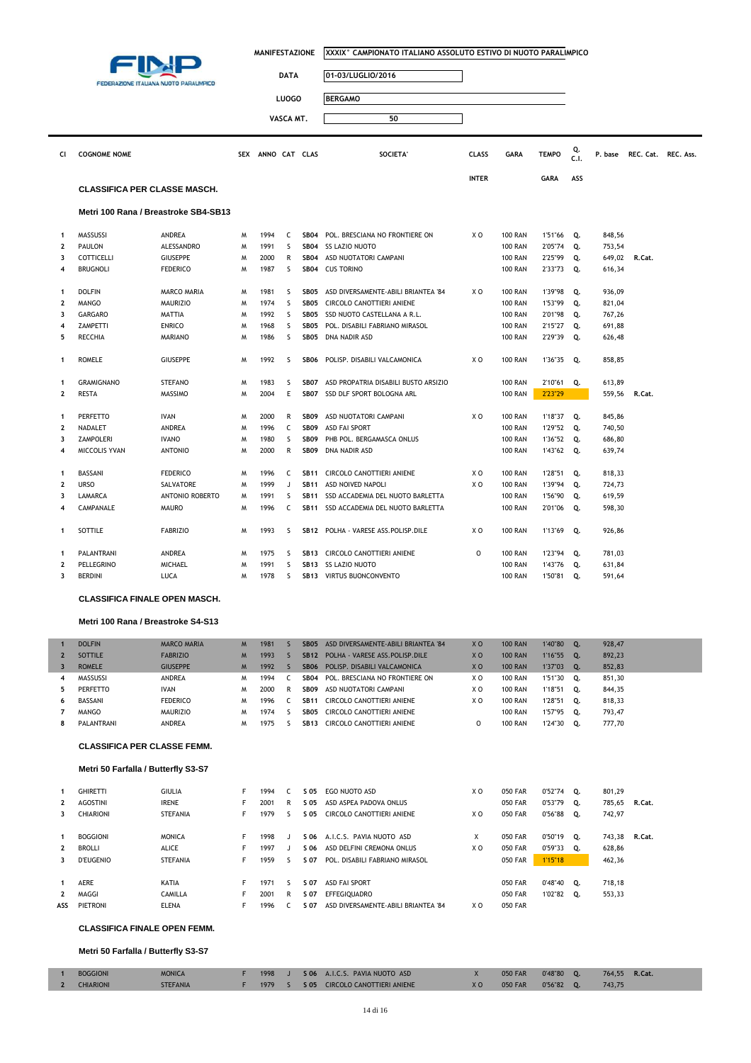

| <b>DATA</b> | 01-03/LUGLIO/2016 |
|-------------|-------------------|
| LUOGO       | <b>BERGAMO</b>    |
| VASCA MT.   | 50                |

| CI                      | <b>COGNOME NOME</b>                  |                        |   | SEX ANNO CAT CLAS |   |                  | SOCIETA'                             | <b>CLASS</b>   | <b>GARA</b>    | <b>TEMPO</b> | Q.<br>C.1. | P. base | REC. Cat. REC. Ass. |  |
|-------------------------|--------------------------------------|------------------------|---|-------------------|---|------------------|--------------------------------------|----------------|----------------|--------------|------------|---------|---------------------|--|
|                         |                                      |                        |   |                   |   |                  |                                      | <b>INTER</b>   |                | <b>GARA</b>  | ASS        |         |                     |  |
|                         | <b>CLASSIFICA PER CLASSE MASCH.</b>  |                        |   |                   |   |                  |                                      |                |                |              |            |         |                     |  |
|                         | Metri 100 Rana / Breastroke SB4-SB13 |                        |   |                   |   |                  |                                      |                |                |              |            |         |                     |  |
| $\mathbf{1}$            | MASSUSSI                             | <b>ANDREA</b>          | M | 1994              | C | <b>SB04</b>      | POL. BRESCIANA NO FRONTIERE ON       | X <sub>0</sub> | <b>100 RAN</b> | 1'51"66      | Q.         | 848,56  |                     |  |
| $\overline{\mathbf{2}}$ | PAULON                               | ALESSANDRO             | M | 1991              | S | <b>SB04</b>      | <b>SS LAZIO NUOTO</b>                |                | <b>100 RAN</b> | 2'05"74      | Q.         | 753,54  |                     |  |
| 3                       | <b>COTTICELLI</b>                    | <b>GIUSEPPE</b>        | M | 2000              | R | <b>SB04</b>      | ASD NUOTATORI CAMPANI                |                | <b>100 RAN</b> | 2'25"99      | Q.         | 649,02  | R.Cat.              |  |
| $\overline{4}$          | <b>BRUGNOLI</b>                      | <b>FEDERICO</b>        | M | 1987              | S | <b>SB04</b>      | <b>CUS TORINO</b>                    |                | <b>100 RAN</b> | 2'33"73      | Q.         | 616,34  |                     |  |
| $\mathbf{1}$            | <b>DOLFIN</b>                        | <b>MARCO MARIA</b>     | M | 1981              | S | SB <sub>05</sub> | ASD DIVERSAMENTE-ABILI BRIANTEA '84  | X O            | <b>100 RAN</b> | 1'39"98      | Q.         | 936,09  |                     |  |
| $\overline{\mathbf{2}}$ | <b>MANGO</b>                         | <b>MAURIZIO</b>        | M | 1974              | S | SB <sub>05</sub> | CIRCOLO CANOTTIERI ANIENE            |                | <b>100 RAN</b> | 1'53"99      | Q.         | 821,04  |                     |  |
| 3                       | <b>GARGARO</b>                       | MATTIA                 | M | 1992              | s | SB <sub>05</sub> | SSD NUOTO CASTELLANA A R.L.          |                | <b>100 RAN</b> | 2'01"98      | Q.         | 767,26  |                     |  |
| 4                       | ZAMPETTI                             | <b>ENRICO</b>          | M | 1968              | S | SB <sub>05</sub> | POL. DISABILI FABRIANO MIRASOL       |                | <b>100 RAN</b> | 2'15"27      | Q.         | 691,88  |                     |  |
| 5                       | <b>RECCHIA</b>                       | <b>MARIANO</b>         | M | 1986              | S | <b>SB05</b>      | DNA NADIR ASD                        |                | <b>100 RAN</b> | 2'29"39      | Q.         | 626,48  |                     |  |
| 1                       | <b>ROMELE</b>                        | <b>GIUSEPPE</b>        | M | 1992              | s | <b>SB06</b>      | POLISP. DISABILI VALCAMONICA         | X <sub>0</sub> | <b>100 RAN</b> | 1'36"35      | Q.         | 858,85  |                     |  |
| $\mathbf{1}$            | <b>GRAMIGNANO</b>                    | <b>STEFANO</b>         | M | 1983              | s | <b>SB07</b>      | ASD PROPATRIA DISABILI BUSTO ARSIZIO |                | <b>100 RAN</b> | 2'10"61      | Q.         | 613,89  |                     |  |
| 2                       | RESTA                                | MASSIMO                | M | 2004              | E | SB07             | SSD DLF SPORT BOLOGNA ARL            |                | <b>100 RAN</b> | 2'23"29      |            | 559,56  | R.Cat.              |  |
| $\mathbf{1}$            | <b>PERFETTO</b>                      | <b>IVAN</b>            | M | 2000              | R | <b>SB09</b>      | ASD NUOTATORI CAMPANI                | X O            | <b>100 RAN</b> | 1'18"37      | Q.         | 845,86  |                     |  |
| $\overline{\mathbf{2}}$ | NADALET                              | ANDREA                 | M | 1996              | C | <b>SB09</b>      | <b>ASD FAI SPORT</b>                 |                | <b>100 RAN</b> | 1'29"52      | Q.         | 740,50  |                     |  |
| 3                       | <b>ZAMPOLERI</b>                     | <b>IVANO</b>           | M | 1980              | S | <b>SB09</b>      | PHB POL. BERGAMASCA ONLUS            |                | <b>100 RAN</b> | 1'36"52      | Q.         | 686,80  |                     |  |
| 4                       | MICCOLIS YVAN                        | <b>ANTONIO</b>         | м | 2000              | R | <b>SB09</b>      | DNA NADIR ASD                        |                | <b>100 RAN</b> | 1'43"62      | Q.         | 639,74  |                     |  |
| $\mathbf{1}$            | <b>BASSANI</b>                       | <b>FEDERICO</b>        | M | 1996              | C | <b>SB11</b>      | CIRCOLO CANOTTIERI ANIENE            | X <sub>0</sub> | <b>100 RAN</b> | 1'28"51      | Q.         | 818,33  |                     |  |
| $\overline{2}$          | <b>URSO</b>                          | SALVATORE              | M | 1999              | J | <b>SB11</b>      | <b>ASD NOIVED NAPOLI</b>             | X <sub>0</sub> | <b>100 RAN</b> | 1'39"94      | Q.         | 724,73  |                     |  |
| 3                       | LAMARCA                              | <b>ANTONIO ROBERTO</b> | M | 1991              | S | <b>SB11</b>      | SSD ACCADEMIA DEL NUOTO BARLETTA     |                | <b>100 RAN</b> | 1'56"90      | Q.         | 619,59  |                     |  |
| 4                       | CAMPANALE                            | <b>MAURO</b>           | M | 1996              | C | <b>SB11</b>      | SSD ACCADEMIA DEL NUOTO BARLETTA     |                | <b>100 RAN</b> | 2'01"06      | Q.         | 598,30  |                     |  |
| 1                       | SOTTILE                              | <b>FABRIZIO</b>        | M | 1993              | s | <b>SB12</b>      | POLHA - VARESE ASS.POLISP.DILE       | X <sub>O</sub> | <b>100 RAN</b> | 1'13"69      | Q.         | 926,86  |                     |  |
| $\mathbf{1}$            | PALANTRANI                           | ANDREA                 | M | 1975              | S | <b>SB13</b>      | CIRCOLO CANOTTIERI ANIENE            | $\Omega$       | <b>100 RAN</b> | 1'23"94      | Q.         | 781,03  |                     |  |
| $\overline{2}$          | PELLEGRINO                           | <b>MICHAEL</b>         | M | 1991              | S | <b>SB13</b>      | SS LAZIO NUOTO                       |                | <b>100 RAN</b> | 1'43"76      | Q.         | 631,84  |                     |  |
| 3                       | BERDINI                              | LUCA                   | M | 1978              | S | <b>SB13</b>      | VIRTUS BUONCONVENTO                  |                | <b>100 RAN</b> | 1'50"81      | 0.         | 591,64  |                     |  |

**CLASSIFICA FINALE OPEN MASCH.**

### **Metri 100 Rana / Breastroke S4-S13**

ı

I

|                         | <b>DOLFIN</b>                                                             | <b>MARCO MARIA</b> | M <sub>1</sub> | 1981 | $\varsigma$  | <b>SB05</b>      | ASD DIVERSAMENTE-ABILI BRIANTEA '84 | X <sub>O</sub> | <b>100 RAN</b> | 1'40"80 | Q. | 928,47 |        |
|-------------------------|---------------------------------------------------------------------------|--------------------|----------------|------|--------------|------------------|-------------------------------------|----------------|----------------|---------|----|--------|--------|
| $\overline{2}$          | <b>SOTTILE</b>                                                            | <b>FABRIZIO</b>    | M <sub>1</sub> | 1993 | S            | <b>SB12</b>      | POLHA - VARESE ASS. POLISP. DILE    | X <sub>O</sub> | <b>100 RAN</b> | 1'16"55 | Q. | 892,23 |        |
| $\overline{\mathbf{3}}$ | <b>ROMELE</b>                                                             | <b>GIUSEPPE</b>    | M              | 1992 | <sub>S</sub> | <b>SB06</b>      | POLISP, DISABILI VALCAMONICA        | X <sub>0</sub> | <b>100 RAN</b> | 1'37"03 | Q. | 852,83 |        |
| 4                       | MASSUSSI                                                                  | <b>ANDREA</b>      | M              | 1994 | C            | <b>SB04</b>      | POL. BRESCIANA NO FRONTIERE ON      | X O            | <b>100 RAN</b> | 1'51"30 | Q. | 851,30 |        |
| 5                       | PERFETTO                                                                  | <b>IVAN</b>        | M              | 2000 | R            | <b>SB09</b>      | ASD NUOTATORI CAMPANI               | X O            | <b>100 RAN</b> | 1'18"51 | Q. | 844,35 |        |
| 6                       | BASSANI                                                                   | <b>FEDERICO</b>    | M              | 1996 | C            | <b>SB11</b>      | CIRCOLO CANOTTIERI ANIENE           | X O            | <b>100 RAN</b> | 1'28"51 | Q. | 818,33 |        |
| 7                       | <b>MANGO</b>                                                              | <b>MAURIZIO</b>    | M              | 1974 | S.           | SB <sub>05</sub> | CIRCOLO CANOTTIERI ANIENE           |                | <b>100 RAN</b> | 1'57"95 | Q. | 793,47 |        |
| 8                       | PALANTRANI                                                                | <b>ANDREA</b>      | M              | 1975 | S.           | <b>SB13</b>      | CIRCOLO CANOTTIERI ANIENE           | 0              | <b>100 RAN</b> | 1'24"30 | Q. | 777,70 |        |
|                         | <b>CLASSIFICA PER CLASSE FEMM.</b><br>Metri 50 Farfalla / Butterfly S3-S7 |                    |                |      |              |                  |                                     |                |                |         |    |        |        |
|                         |                                                                           |                    |                |      |              |                  |                                     |                |                |         |    |        |        |
| 1                       | <b>GHIRETTI</b>                                                           | <b>GIULIA</b>      | F.             | 1994 | C.           | S 05             | EGO NUOTO ASD                       | X O            | <b>050 FAR</b> | 0'52"74 | Q. | 801,29 |        |
| $\mathbf{2}$            | <b>AGOSTINI</b>                                                           | <b>IRENE</b>       | F              | 2001 | R            | S 05             | ASD ASPEA PADOVA ONLUS              |                | <b>050 FAR</b> | 0'53"79 | Q. | 785,65 | R.Cat. |
| 3                       | <b>CHIARIONI</b>                                                          | <b>STEFANIA</b>    | F              | 1979 | s            | S 05             | CIRCOLO CANOTTIERI ANIENE           | X O            | <b>050 FAR</b> | 0'56"88 | Q. | 742,97 |        |
|                         |                                                                           |                    |                |      |              |                  |                                     |                |                |         |    |        |        |
| 1                       | <b>BOGGIONI</b>                                                           | <b>MONICA</b>      | F              | 1998 | $\mathbf{J}$ | S 06             | A.I.C.S. PAVIA NUOTO ASD            | X              | <b>050 FAR</b> | 0'50"19 | Q. | 743,38 | R.Cat. |
| 2                       | <b>BROLLI</b>                                                             | <b>ALICE</b>       | F              | 1997 | J            | S 06             | ASD DELFINI CREMONA ONLUS           | X O            | <b>050 FAR</b> | 0'59"33 | Q. | 628,86 |        |
| 3                       | <b>D'EUGENIO</b>                                                          | <b>STEFANIA</b>    | F              | 1959 | S.           | S 07             | POL. DISABILI FABRIANO MIRASOL      |                | <b>050 FAR</b> | 1'15"18 |    | 462,36 |        |
|                         |                                                                           |                    |                |      |              |                  |                                     |                |                |         |    |        |        |
| 1                       | <b>AERE</b>                                                               | KATIA              | F.             | 1971 | S.           | S 07             | <b>ASD FAI SPORT</b>                |                | <b>050 FAR</b> | 0'48"40 | Q. | 718,18 |        |
| $\mathbf{2}$            | MAGGI                                                                     | CAMILLA            | F              | 2001 | R            | S 07             | <b>EFFEGIOUADRO</b>                 |                | <b>050 FAR</b> | 1'02"82 | Q. | 553,33 |        |
| ASS                     | PIETRONI                                                                  | <b>ELENA</b>       | F              | 1996 | C.           | S 07             | ASD DIVERSAMENTE-ABILI BRIANTEA '84 | X O            | <b>050 FAR</b> |         |    |        |        |

### **CLASSIFICA FINALE OPEN FEMM.**

**Metri 50 Farfalla / Butterfly S3-S7**

| <b>BOGGIONI</b>  | <b>MONICA</b>   |        |  | 1998 J S 06 A.I.C.S. PAVIA NUOTO ASD | 050 FAR | $0'48''80$ 0. | 764.55 R.Cat. |  |
|------------------|-----------------|--------|--|--------------------------------------|---------|---------------|---------------|--|
| <b>CHIARIONI</b> | <b>STEFANIA</b> | 1979 S |  | S 05 CIRCOLO CANOTTIERI ANIENE       | 050 FAR | $0'56''82$ 0. | 743.75        |  |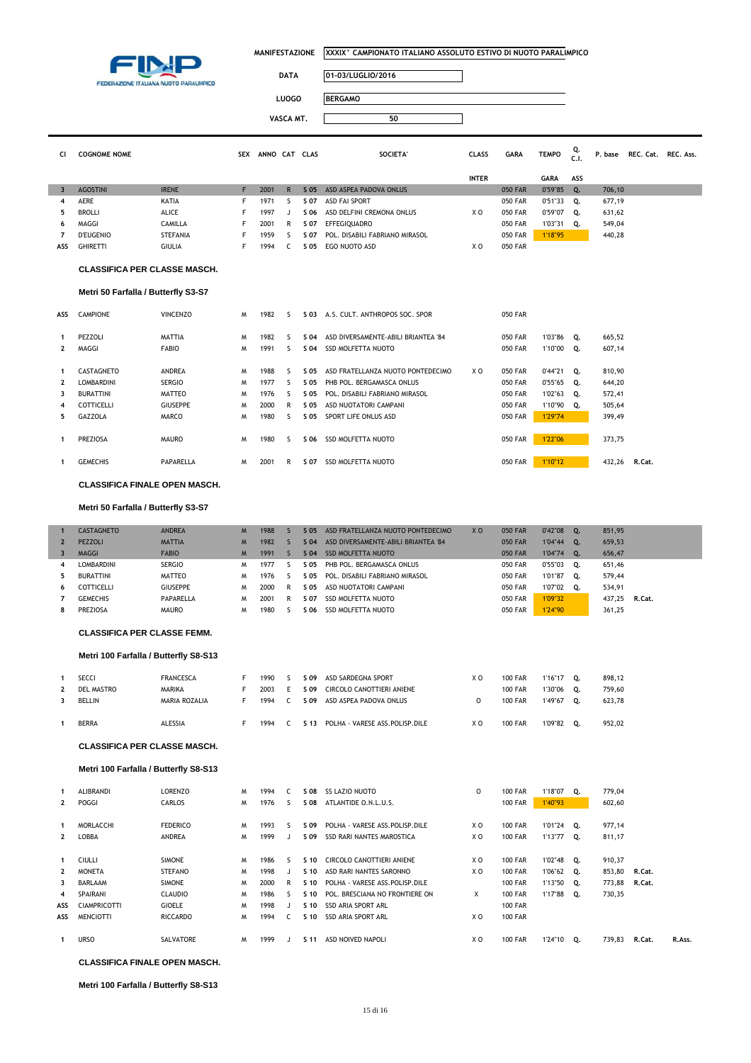

 $\overline{\mathbb{I}}$ 

| <b>DATA</b> | 01-03/LUGLIO/2016 |
|-------------|-------------------|
|             |                   |

**LUOGO BERGAMO**

**VASCA MT. 50**

| CI. | <b>COGNOME NOME</b> |                | <b>SEX</b> | ANNO CAT |   | <b>CLAS</b> | SOCIETA'                       | <b>CLASS</b> | <b>GARA</b>    | <b>TEMPO</b> | Q.<br>C.1. | P. base | REC. Cat. REC. Ass. |  |
|-----|---------------------|----------------|------------|----------|---|-------------|--------------------------------|--------------|----------------|--------------|------------|---------|---------------------|--|
|     |                     |                |            |          |   |             |                                | <b>INTER</b> |                | <b>GARA</b>  | ASS        |         |                     |  |
|     | <b>AGOSTINI</b>     | <b>IRENE</b>   |            | 2001     | R | $S$ 05      | ASD ASPEA PADOVA ONLUS         |              | <b>050 FAR</b> | 0'59"85      | 0.         | 706,10  |                     |  |
| 4   | <b>AERE</b>         | KATIA          |            | 1971     |   | S 07        | ASD FAI SPORT                  |              | 050 FAR        | 0'51"33      | 0.         | 677,19  |                     |  |
|     | <b>BROLLI</b>       | ALICE          |            | 1997     |   | S 06        | ASD DELFINI CREMONA ONLUS      | X O          | 050 FAR        | 0'59"07      | Q.         | 631,62  |                     |  |
| 6.  | MAGGI               | <b>CAMILLA</b> |            | 2001     | R | S 07        | <b>EFFEGIOUADRO</b>            |              | 050 FAR        | 1'03"31      | О.         | 549,04  |                     |  |
|     | <b>D'EUGENIO</b>    | STEFANIA       |            | 1959     |   | S 07        | POL. DISABILI FABRIANO MIRASOL |              | 050 FAR        | 1'18"95      |            | 440,28  |                     |  |
| ASS | <b>GHIRETTI</b>     | <b>GIULIA</b>  |            | 1994     |   | S 05        | EGO NUOTO ASD                  | X O          | 050 FAR        |              |            |         |                     |  |

#### **CLASSIFICA PER CLASSE MASCH.**

### **Metri 50 Farfalla / Butterfly S3-S7**

| ASS               | <b>CAMPIONE</b>                       | <b>VINCENZO</b>                 | M      | 1982                 | $\overline{\phantom{a}}$                             | S 03         | A.S. CULT. ANTHROPOS SOC. SPOR                                   | <b>050 FAR</b>                   |                             |    |                  |        |
|-------------------|---------------------------------------|---------------------------------|--------|----------------------|------------------------------------------------------|--------------|------------------------------------------------------------------|----------------------------------|-----------------------------|----|------------------|--------|
| $\mathbf{2}$      | PEZZOLI<br>MAGGI                      | <b>MATTIA</b><br><b>FABIO</b>   | M<br>M | 1982<br>1991         | ╰<br>$\mathcal{L}$                                   | S 04<br>S 04 | ASD DIVERSAMENTE-ABILI BRIANTEA '84<br><b>SSD MOLFETTA NUOTO</b> | <b>050 FAR</b><br><b>050 FAR</b> | 1'03"86 Q.<br>1'10"00       | Q. | 665,52<br>607,14 |        |
| 1                 | CASTAGNETO                            | <b>ANDREA</b>                   | M      | 1988                 | 5                                                    | S 05         | X O<br>ASD FRATELLANZA NUOTO PONTEDECIMO                         | 050 FAR                          | $0'44''21$ Q.               |    | 810,90           |        |
| $\mathbf{2}$<br>3 | <b>LOMBARDINI</b><br><b>BURATTINI</b> | <b>SERGIO</b><br>MATTEO         | M<br>M | 1977<br>1976<br>2000 | $\overline{\phantom{a}}$<br>$\overline{\phantom{a}}$ | S 05<br>S 05 | PHB POL. BERGAMASCA ONLUS<br>POL. DISABILI FABRIANO MIRASOL      | <b>050 FAR</b><br><b>050 FAR</b> | $0'55''65$ Q.<br>1'02"63 Q. |    | 644,20<br>572,41 |        |
| 4<br>5.           | <b>COTTICELLI</b><br><b>GAZZOLA</b>   | <b>GIUSEPPE</b><br><b>MARCO</b> | M<br>M | 1980                 | R<br>$\overline{\phantom{a}}$                        | S 05<br>S 05 | ASD NUOTATORI CAMPANI<br>SPORT LIFE ONLUS ASD                    | <b>050 FAR</b><br><b>050 FAR</b> | 1'10"90 Q.<br>1'29"74       |    | 505,64<br>399,49 |        |
|                   | <b>PREZIOSA</b>                       | <b>MAURO</b>                    | M      | 1980                 | $\mathcal{L}$                                        | S 06         | SSD MOLFETTA NUOTO                                               | <b>050 FAR</b>                   | 1'22"06                     |    | 373,75           |        |
|                   | <b>GEMECHIS</b>                       | PAPARELLA                       | M      | 2001                 | R                                                    | S 07         | SSD MOLFETTA NUOTO                                               | 050 FAR                          | 1'10"12                     |    | 432.26           | R.Cat. |

#### **CLASSIFICA FINALE OPEN MASCH.**

### **Metri 50 Farfalla / Butterfly S3-S7**

|    | <b>CASTAGNETO</b> | <b>ANDREA</b>   | M | 1988 |   | S 05 | ASD FRATELLANZA NUOTO PONTEDECIMO   | X <sub>0</sub> | <b>050 FAR</b> | 0'42"08 | $\mathbf{0}$ | 851,95 |        |
|----|-------------------|-----------------|---|------|---|------|-------------------------------------|----------------|----------------|---------|--------------|--------|--------|
|    | <b>PEZZOLI</b>    | <b>MATTIA</b>   | M | 1982 |   | S 04 | ASD DIVERSAMENTE-ABILI BRIANTEA '84 |                | <b>050 FAR</b> | 1'04"44 | 0.           | 659.53 |        |
|    | <b>MAGGI</b>      | <b>FABIO</b>    | M | 1991 |   | S 04 | SSD MOLFETTA NUOTO                  |                | <b>050 FAR</b> | 1'04"74 | $\circ$ .    | 656,47 |        |
|    | LOMBARDINI        | <b>SERGIO</b>   | м | 1977 |   | S 05 | PHB POL. BERGAMASCA ONLUS           |                | <b>050 FAR</b> | 0'55"03 | о.           | 651.46 |        |
|    | <b>BURATTINI</b>  | MATTEO          | M | 1976 |   | S 05 | POL. DISABILI FABRIANO MIRASOL      |                | <b>050 FAR</b> | 1'01"87 | о.           | 579.44 |        |
| 6. | COTTICELLI        | <b>GIUSEPPE</b> | м | 2000 | R | S 05 | ASD NUOTATORI CAMPANI               |                | 050 FAR        | 1'07"02 | 0.           | 534,91 |        |
|    | <b>GEMECHIS</b>   | PAPARELLA       | м | 2001 | R | S 07 | SSD MOLFETTA NUOTO                  |                | 050 FAR        | 1'09"32 |              | 437.25 | R.Cat. |
|    | <b>PREZIOSA</b>   | <b>MAURO</b>    | м | 1980 |   | S 06 | SSD MOLFETTA NUOTO                  |                | <b>050 FAR</b> | 1'24"90 |              | 361,25 |        |

### **CLASSIFICA PER CLASSE FEMM.**

### **Metri 100 Farfalla / Butterfly S8-S13**

|   | SECCI             | <b>FRANCESCA</b> | 1990 | S 09 | ASD SARDEGNA SPORT             | ΧO | <b>100 FAR</b> | 1'16"17 |    | 898,12 |
|---|-------------------|------------------|------|------|--------------------------------|----|----------------|---------|----|--------|
| 2 | <b>DEL MASTRO</b> | <b>MARIKA</b>    | 2003 | S 09 | CIRCOLO CANOTTIERI ANIENE      |    | <b>100 FAR</b> | 1'30"06 | 0. | 759.60 |
|   | <b>BELLIN</b>     | MARIA ROZALIA    | 1994 | S 09 | ASD ASPEA PADOVA ONLUS         |    | <b>100 FAR</b> | 1'49"67 | Ο. | 623.78 |
|   | <b>BERRA</b>      | <b>ALESSIA</b>   | 1994 | S 13 | POLHA - VARESE ASS.POLISP.DILE | xо | <b>100 FAR</b> | 1'09"82 | 0. | 952.02 |

#### **CLASSIFICA PER CLASSE MASCH.**

#### **Metri 100 Farfalla / Butterfly S8-S13**

|              | <b>ALIBRANDI</b>    | LORENZO         | M | 1994 |               | S 08            | <b>SS LAZIO NUOTO</b>          | 0   | <b>100 FAR</b> | 1'18"07    | Q. | 779.04 |        |        |
|--------------|---------------------|-----------------|---|------|---------------|-----------------|--------------------------------|-----|----------------|------------|----|--------|--------|--------|
| $\mathbf{2}$ | POGGI               | <b>CARLOS</b>   | M | 1976 | $\mathcal{L}$ | S 08            | ATLANTIDE O.N.L.U.S.           |     | <b>100 FAR</b> | 1'40"93    |    | 602,60 |        |        |
|              |                     |                 |   |      |               |                 |                                |     |                |            |    |        |        |        |
|              | MORLACCHI           | <b>FEDERICO</b> | M | 1993 | 5             | S 09            | POLHA - VARESE ASS.POLISP.DILE | X O | <b>100 FAR</b> | 1'01"24 Q. |    | 977,14 |        |        |
| $\mathbf{2}$ | LOBBA               | <b>ANDREA</b>   | M | 1999 |               | S 09            | SSD RARI NANTES MAROSTICA      | X O | <b>100 FAR</b> | 1'13"77 Q. |    | 811,17 |        |        |
|              |                     |                 |   |      |               |                 |                                |     |                |            |    |        |        |        |
| 1            | <b>CIULLI</b>       | <b>SIMONE</b>   | M | 1986 | 5             | $S$ 10          | CIRCOLO CANOTTIERI ANIENE      | X O | <b>100 FAR</b> | 1'02"48 Q. |    | 910,37 |        |        |
| 2            | <b>MONETA</b>       | STEFANO         | M | 1998 |               | $S$ 10          | ASD RARI NANTES SARONNO        | X O | <b>100 FAR</b> | 1'06"62 Q. |    | 853,80 | R.Cat. |        |
| 3            | BARLAAM             | <b>SIMONE</b>   | M | 2000 | R             | $S$ 10          | POLHA - VARESE ASS.POLISP.DILE |     | <b>100 FAR</b> | 1'13"50 Q. |    | 773,88 | R.Cat. |        |
| 4            | SPAIRANI            | <b>CLAUDIO</b>  | M | 1986 | 5             | $S$ 10          | POL. BRESCIANA NO FRONTIERE ON | X   | <b>100 FAR</b> | 1'17"88 Q. |    | 730,35 |        |        |
| ASS          | <b>CIAMPRICOTTI</b> | GIOELE          | M | 1998 |               | $S$ 10          | SSD ARIA SPORT ARL             |     | <b>100 FAR</b> |            |    |        |        |        |
| ASS          | <b>MENCIOTTI</b>    | <b>RICCARDO</b> | м | 1994 | C.            | $S$ 10          | SSD ARIA SPORT ARL             | X O | <b>100 FAR</b> |            |    |        |        |        |
|              |                     |                 |   |      |               |                 |                                |     |                |            |    |        |        |        |
|              | <b>URSO</b>         | SALVATORE       | м | 1999 | J.            | S <sub>11</sub> | ASD NOIVED NAPOLI              | X O | <b>100 FAR</b> | 1'24"10    | о. | 739.83 | R.Cat. | R.Ass. |

### **CLASSIFICA FINALE OPEN MASCH.**

#### **Metri 100 Farfalla / Butterfly S8-S13**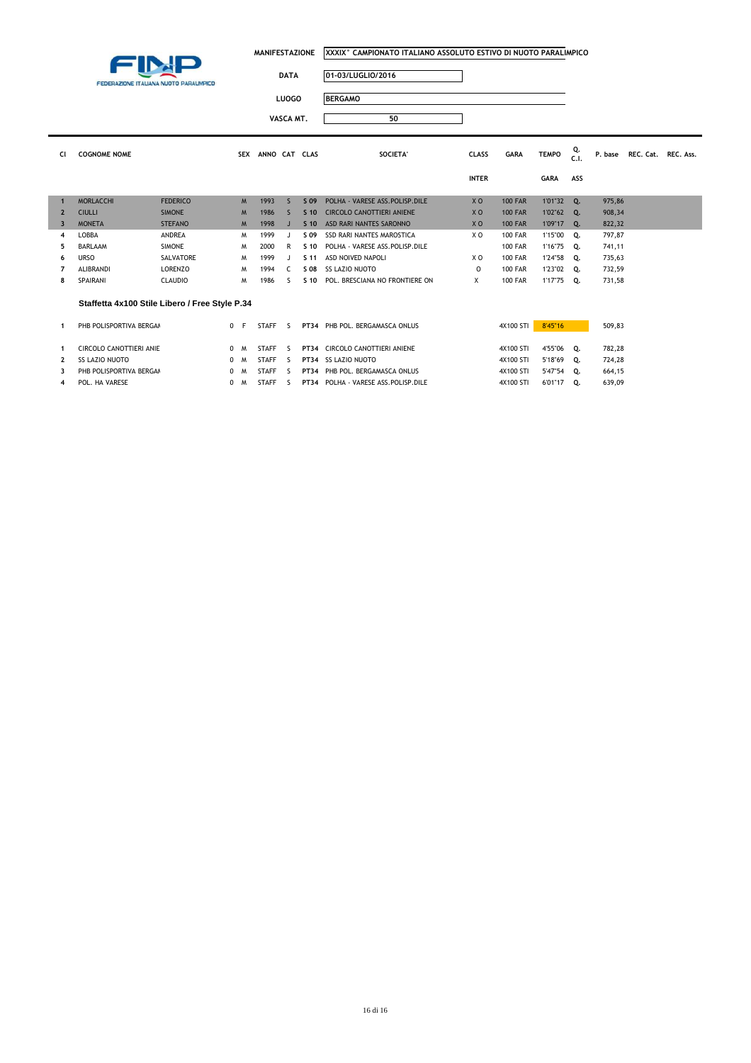

| <b>DATA</b> | 01-03/LUGLIO/2016 |
|-------------|-------------------|
| LUOGO       | <b>BERGAMO</b>    |
| VASCA MT.   | 50                |

| CI.                     | <b>COGNOME NOME</b>                            |                 | <b>SEX</b>     | ANNO CAT CLAS |              |                 | <b>SOCIETA'</b>                       | <b>CLASS</b>   | <b>GARA</b>    | <b>TEMPO</b> | Q.<br>C.1.   | P. base | REC. Cat. REC. Ass. |  |
|-------------------------|------------------------------------------------|-----------------|----------------|---------------|--------------|-----------------|---------------------------------------|----------------|----------------|--------------|--------------|---------|---------------------|--|
|                         |                                                |                 |                |               |              |                 |                                       | <b>INTER</b>   |                | <b>GARA</b>  | ASS          |         |                     |  |
| $\mathbf{1}$            | <b>MORLACCHI</b>                               | <b>FEDERICO</b> | M              | 1993          | $\mathsf{S}$ | S 09            | POLHA - VARESE ASS. POLISP. DILE      | X <sub>O</sub> | <b>100 FAR</b> | 1'01"32      | Q.           | 975,86  |                     |  |
| $\overline{2}$          | <b>CIULLI</b>                                  | <b>SIMONE</b>   | M <sub>1</sub> | 1986          | s            | S <sub>10</sub> | <b>CIRCOLO CANOTTIERI ANIENE</b>      | X <sub>O</sub> | <b>100 FAR</b> | 1'02"62      | $\mathbf{O}$ | 908,34  |                     |  |
| $\overline{\mathbf{3}}$ | <b>MONETA</b>                                  | <b>STEFANO</b>  | M              | 1998          |              | S <sub>10</sub> | ASD RARI NANTES SARONNO               | X <sub>O</sub> | <b>100 FAR</b> | 1'09"17      | 0.           | 822,32  |                     |  |
| 4                       | LOBBA                                          | <b>ANDREA</b>   | M              | 1999          |              | S 09            | <b>SSD RARI NANTES MAROSTICA</b>      | X <sub>0</sub> | <b>100 FAR</b> | 1'15"00      | Q.           | 797,87  |                     |  |
| 5.                      | <b>BARLAAM</b>                                 | <b>SIMONE</b>   | M              | 2000          | R            | S <sub>10</sub> | POLHA - VARESE ASS.POLISP.DILE        |                | <b>100 FAR</b> | 1'16"75      | Q.           | 741,11  |                     |  |
| 6                       | <b>URSO</b>                                    | SALVATORE       | M              | 1999          |              | S 11            | ASD NOIVED NAPOLI                     | X O            | <b>100 FAR</b> | 1'24"58      | Q.           | 735,63  |                     |  |
|                         | <b>ALIBRANDI</b>                               | <b>LORENZO</b>  | M              | 1994          | C.           | S 08            | <b>SS LAZIO NUOTO</b>                 | $\circ$        | <b>100 FAR</b> | 1'23"02      | 0.           | 732,59  |                     |  |
| 8                       | SPAIRANI                                       | <b>CLAUDIO</b>  | M              | 1986          |              | 5.10            | POL. BRESCIANA NO FRONTIERE ON        | X              | <b>100 FAR</b> | 1'17"75      | Q.           | 731,58  |                     |  |
|                         | Staffetta 4x100 Stile Libero / Free Style P.34 |                 |                |               |              |                 |                                       |                |                |              |              |         |                     |  |
| 1                       | PHB POLISPORTIVA BERGAM                        |                 | 0 F            | <b>STAFF</b>  | $\varsigma$  |                 | PT34 PHB POL. BERGAMASCA ONLUS        |                | 4X100 STI      | 8'45"16      |              | 509,83  |                     |  |
|                         | CIRCOLO CANOTTIERI ANIE                        |                 | 0 M            | <b>STAFF</b>  | s            | <b>PT34</b>     | CIRCOLO CANOTTIERI ANIENE             |                | 4X100 STI      | 4'55"06 Q.   |              | 782,28  |                     |  |
| $\mathbf{2}$            | <b>SS LAZIO NUOTO</b>                          |                 | 0 M            | <b>STAFF</b>  | s            | <b>PT34</b>     | <b>SS LAZIO NUOTO</b>                 |                | 4X100 STI      | 5'18"69      | Q.           | 724,28  |                     |  |
| 3                       | PHB POLISPORTIVA BERGAM                        |                 | 0 <sub>M</sub> | <b>STAFF</b>  | s            | <b>PT34</b>     | PHB POL. BERGAMASCA ONLUS             |                | 4X100 STI      | 5'47"54      | Q.           | 664,15  |                     |  |
| 4                       | POL. HA VARESE                                 |                 | 0 M            | <b>STAFF</b>  | s            |                 | PT34 POLHA - VARESE ASS. POLISP. DILE |                | 4X100 STI      | 6'01"17      | Q.           | 639,09  |                     |  |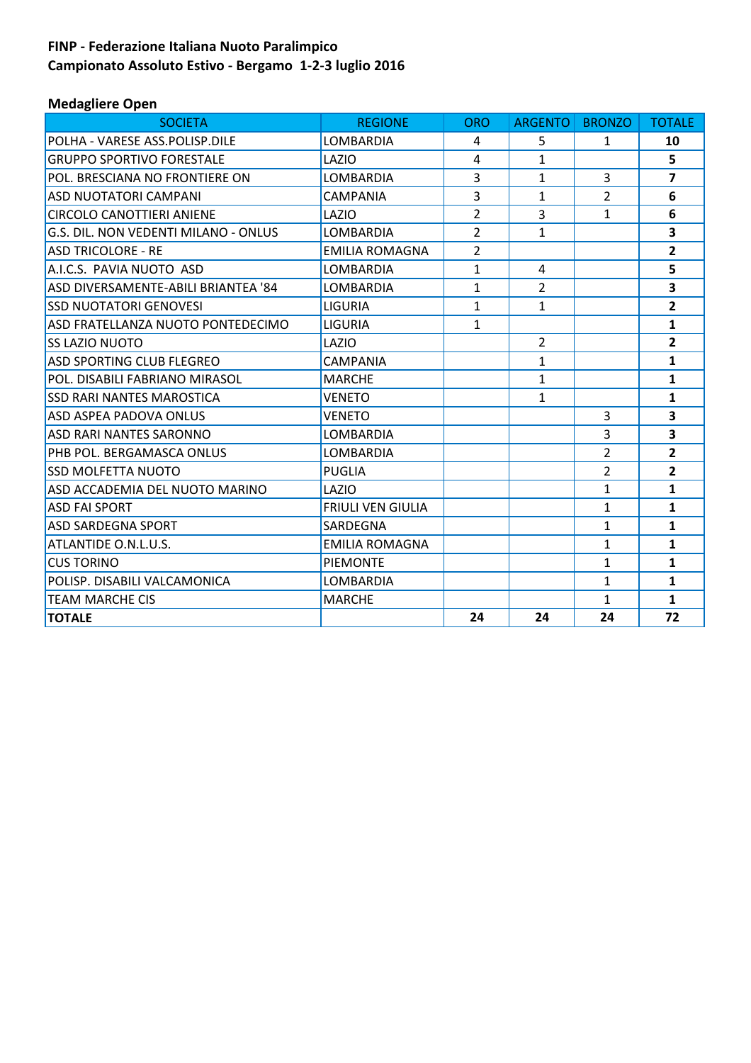# **FINP - Federazione Italiana Nuoto Paralimpico Campionato Assoluto Estivo - Bergamo 1-2-3 luglio 2016**

# **Medagliere Open**

| <b>SOCIETA</b>                        | <b>REGIONE</b>           | <b>ORO</b>     | <b>ARGENTO</b> | <b>BRONZO</b>  | <b>TOTALE</b>           |
|---------------------------------------|--------------------------|----------------|----------------|----------------|-------------------------|
| POLHA - VARESE ASS.POLISP.DILE        | LOMBARDIA                | 4              | 5.             | $\mathbf{1}$   | 10                      |
| <b>GRUPPO SPORTIVO FORESTALE</b>      | LAZIO                    | 4              | $\mathbf{1}$   |                | 5                       |
| <b>POL. BRESCIANA NO FRONTIERE ON</b> | LOMBARDIA                | 3              | $\mathbf{1}$   | 3              | $\overline{ }$          |
| <b>ASD NUOTATORI CAMPANI</b>          | CAMPANIA                 | 3              | $\mathbf{1}$   | $\overline{2}$ | 6                       |
| <b>CIRCOLO CANOTTIERI ANIENE</b>      | LAZIO                    | $\overline{2}$ | 3              | $\mathbf{1}$   | 6                       |
| G.S. DIL. NON VEDENTI MILANO - ONLUS  | LOMBARDIA                | $\overline{2}$ | $\mathbf{1}$   |                | 3                       |
| <b>ASD TRICOLORE - RE</b>             | <b>EMILIA ROMAGNA</b>    | $\overline{2}$ |                |                | $\overline{2}$          |
| A.I.C.S. PAVIA NUOTO ASD              | LOMBARDIA                | $\mathbf{1}$   | 4              |                | 5                       |
| ASD DIVERSAMENTE-ABILI BRIANTEA '84   | LOMBARDIA                | $\mathbf{1}$   | $\overline{2}$ |                | 3                       |
| <b>SSD NUOTATORI GENOVESI</b>         | <b>LIGURIA</b>           | $\mathbf{1}$   | $\mathbf{1}$   |                | $\overline{2}$          |
| ASD FRATELLANZA NUOTO PONTEDECIMO     | <b>LIGURIA</b>           | $\mathbf{1}$   |                |                | $\mathbf{1}$            |
| <b>SS LAZIO NUOTO</b>                 | LAZIO                    |                | $\overline{2}$ |                | $\overline{2}$          |
| <b>ASD SPORTING CLUB FLEGREO</b>      | <b>CAMPANIA</b>          |                | $\mathbf{1}$   |                | $\mathbf{1}$            |
| <b>POL. DISABILI FABRIANO MIRASOL</b> | <b>MARCHE</b>            |                | $\mathbf{1}$   |                | $\mathbf{1}$            |
| <b>SSD RARI NANTES MAROSTICA</b>      | VENETO                   |                | $\mathbf{1}$   |                | $\mathbf{1}$            |
| <b>ASD ASPEA PADOVA ONLUS</b>         | <b>VENETO</b>            |                |                | $\overline{3}$ | 3                       |
| <b>ASD RARI NANTES SARONNO</b>        | <b>LOMBARDIA</b>         |                |                | 3              | $\overline{\mathbf{3}}$ |
| <b>PHB POL. BERGAMASCA ONLUS</b>      | LOMBARDIA                |                |                | $\overline{2}$ | $\overline{2}$          |
| <b>SSD MOLFETTA NUOTO</b>             | <b>PUGLIA</b>            |                |                | $\overline{2}$ | $\overline{2}$          |
| ASD ACCADEMIA DEL NUOTO MARINO        | LAZIO                    |                |                | $\mathbf{1}$   | $\mathbf{1}$            |
| <b>ASD FAI SPORT</b>                  | <b>FRIULI VEN GIULIA</b> |                |                | $\mathbf{1}$   | 1                       |
| <b>ASD SARDEGNA SPORT</b>             | <b>SARDEGNA</b>          |                |                | $\mathbf{1}$   | $\mathbf{1}$            |
| ATLANTIDE O.N.L.U.S.                  | <b>EMILIA ROMAGNA</b>    |                |                | $\mathbf{1}$   | $\mathbf{1}$            |
| <b>CUS TORINO</b>                     | <b>PIEMONTE</b>          |                |                | $\mathbf{1}$   | $\mathbf{1}$            |
| POLISP. DISABILI VALCAMONICA          | LOMBARDIA                |                |                | $\mathbf{1}$   | $\mathbf{1}$            |
| <b>TEAM MARCHE CIS</b>                | <b>MARCHE</b>            |                |                | $\mathbf{1}$   | $\mathbf{1}$            |
| <b>TOTALE</b>                         |                          | 24             | 24             | 24             | 72                      |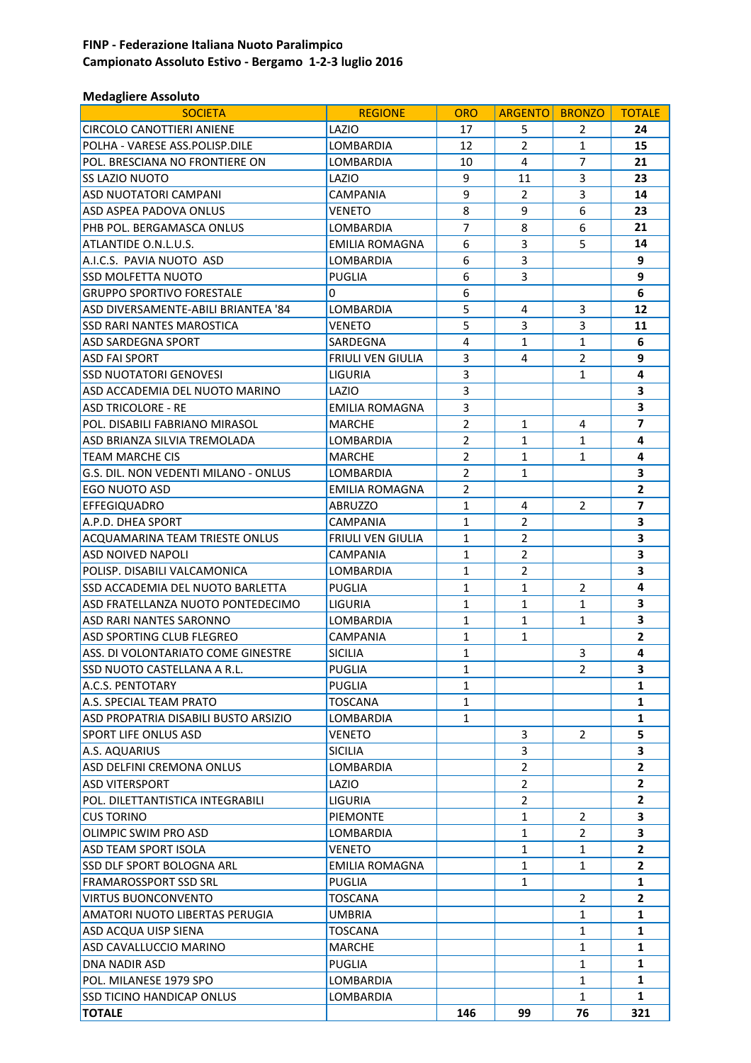# **FINP - Federazione Italiana Nuoto Paralimpico Campionato Assoluto Estivo - Bergamo 1-2-3 luglio 2016**

# **Medagliere Assoluto**

| <b>SOCIETA</b>                                                      | <b>REGIONE</b>           | <b>ORO</b>                   | <b>ARGENTO</b> | <b>BRONZO</b>         | <b>TOTALE</b>  |
|---------------------------------------------------------------------|--------------------------|------------------------------|----------------|-----------------------|----------------|
| CIRCOLO CANOTTIERI ANIENE                                           | LAZIO                    | 17                           | 5              | 2                     | 24             |
| POLHA - VARESE ASS.POLISP.DILE                                      | <b>LOMBARDIA</b>         | 12                           | $\overline{2}$ | $\mathbf{1}$          | 15             |
| POL. BRESCIANA NO FRONTIERE ON                                      | LOMBARDIA                | 10                           | 4              | 7                     | 21             |
| SS LAZIO NUOTO                                                      | LAZIO                    | 9                            | 11             | 3                     | 23             |
| ASD NUOTATORI CAMPANI                                               | CAMPANIA                 | 9                            | 2              | 3                     | 14             |
| ASD ASPEA PADOVA ONLUS                                              | VENETO                   | 8                            | 9              | 6                     | 23             |
| PHB POL. BERGAMASCA ONLUS                                           | LOMBARDIA                | $\overline{7}$               | 8              | 6                     | 21             |
| ATLANTIDE O.N.L.U.S.                                                | EMILIA ROMAGNA           | 6                            | 3              | 5                     | 14             |
| A.I.C.S. PAVIA NUOTO ASD                                            | <b>LOMBARDIA</b>         | 6                            | 3              |                       | 9              |
| <b>SSD MOLFETTA NUOTO</b>                                           | <b>PUGLIA</b>            | 6                            | 3              |                       | 9              |
| <b>GRUPPO SPORTIVO FORESTALE</b>                                    | 0                        | 6                            |                |                       | 6              |
| ASD DIVERSAMENTE-ABILI BRIANTEA '84                                 | LOMBARDIA                | 5                            | 4              | 3                     | 12             |
| SSD RARI NANTES MAROSTICA                                           | VENETO                   | 5                            | 3              | 3                     | 11             |
| <b>ASD SARDEGNA SPORT</b>                                           | SARDEGNA                 | 4                            | 1              | $\mathbf{1}$          | 6              |
| <b>ASD FAI SPORT</b>                                                | <b>FRIULI VEN GIULIA</b> | 3                            | 4              | $\overline{2}$        | 9              |
| <b>SSD NUOTATORI GENOVESI</b>                                       | LIGURIA                  | 3                            |                | 1                     | 4              |
| ASD ACCADEMIA DEL NUOTO MARINO                                      | LAZIO                    | 3                            |                |                       | 3              |
| <b>ASD TRICOLORE - RE</b>                                           | EMILIA ROMAGNA           | 3                            |                |                       | 3              |
| POL. DISABILI FABRIANO MIRASOL                                      | <b>MARCHE</b>            | $\overline{2}$               | $\mathbf{1}$   | 4                     | $\overline{7}$ |
| ASD BRIANZA SILVIA TREMOLADA                                        | LOMBARDIA                | $\overline{2}$               | 1              | $\mathbf{1}$          | 4              |
| <b>TEAM MARCHE CIS</b>                                              | <b>MARCHE</b>            | $\overline{2}$               | $\mathbf{1}$   | $\mathbf{1}$          | 4              |
| G.S. DIL. NON VEDENTI MILANO - ONLUS                                | LOMBARDIA                | $\overline{2}$               | $\mathbf{1}$   |                       | 3              |
| <b>EGO NUOTO ASD</b>                                                | <b>EMILIA ROMAGNA</b>    | $\overline{2}$               |                |                       | $\mathbf{2}$   |
| <b>EFFEGIQUADRO</b>                                                 | <b>ABRUZZO</b>           | $\mathbf{1}$                 | 4              | $\overline{2}$        | $\overline{7}$ |
| A.P.D. DHEA SPORT                                                   | <b>CAMPANIA</b>          | $\mathbf{1}$                 | 2              |                       | 3              |
| <b>ACQUAMARINA TEAM TRIESTE ONLUS</b>                               | <b>FRIULI VEN GIULIA</b> | $\mathbf{1}$                 | 2              |                       | 3              |
| ASD NOIVED NAPOLI                                                   | CAMPANIA                 | $\mathbf{1}$                 | 2              |                       | 3              |
| POLISP. DISABILI VALCAMONICA                                        | LOMBARDIA                | $\mathbf{1}$<br>$\mathbf{1}$ | $\overline{2}$ | $\overline{2}$        | 3<br>4         |
| <b>SSD ACCADEMIA DEL NUOTO BARLETTA</b>                             | <b>PUGLIA</b>            | $\mathbf{1}$                 | 1              | $\mathbf{1}$          | 3              |
| ASD FRATELLANZA NUOTO PONTEDECIMO<br><b>ASD RARI NANTES SARONNO</b> | LIGURIA                  | $\mathbf{1}$                 | 1              |                       | 3              |
| ASD SPORTING CLUB FLEGREO                                           | LOMBARDIA<br>CAMPANIA    | $\mathbf{1}$                 | 1<br>1         | 1                     | $\overline{2}$ |
| ASS. DI VOLONTARIATO COME GINESTRE                                  | <b>SICILIA</b>           | 1                            |                | 3                     | 4              |
| SSD NUOTO CASTELLANA A R.L.                                         | PUGLIA                   | $\mathbf{1}$                 |                | $\overline{2}$        | 3              |
| A.C.S. PENTOTARY                                                    | PUGLIA                   | $\mathbf{1}$                 |                |                       | 1              |
| A.S. SPECIAL TEAM PRATO                                             | <b>TOSCANA</b>           | $\mathbf{1}$                 |                |                       | 1              |
| ASD PROPATRIA DISABILI BUSTO ARSIZIO                                | LOMBARDIA                | $\mathbf{1}$                 |                |                       | 1              |
| <b>SPORT LIFE ONLUS ASD</b>                                         | VENETO                   |                              | 3              | $\mathbf{2}^{\prime}$ | 5              |
| A.S. AQUARIUS                                                       | <b>SICILIA</b>           |                              | 3              |                       | 3              |
| ASD DELFINI CREMONA ONLUS                                           | LOMBARDIA                |                              | $\overline{2}$ |                       | $\mathbf{2}$   |
| <b>ASD VITERSPORT</b>                                               | LAZIO                    |                              | $\overline{2}$ |                       | $\overline{2}$ |
| POL. DILETTANTISTICA INTEGRABILI                                    | <b>LIGURIA</b>           |                              | $\overline{2}$ |                       | $\mathbf{2}$   |
| <b>CUS TORINO</b>                                                   | <b>PIEMONTE</b>          |                              | $\mathbf{1}$   | 2                     | 3              |
| OLIMPIC SWIM PRO ASD                                                | LOMBARDIA                |                              | $\mathbf{1}$   | $\overline{2}$        | 3              |
| <b>ASD TEAM SPORT ISOLA</b>                                         | VENETO                   |                              | 1              | 1                     | $\mathbf{2}$   |
| SSD DLF SPORT BOLOGNA ARL                                           | EMILIA ROMAGNA           |                              | 1              | 1                     | $\overline{2}$ |
| <b>FRAMAROSSPORT SSD SRL</b>                                        | <b>PUGLIA</b>            |                              | $\mathbf{1}$   |                       | $\mathbf{1}$   |
| <b>VIRTUS BUONCONVENTO</b>                                          | <b>TOSCANA</b>           |                              |                | 2                     | $\overline{2}$ |
| AMATORI NUOTO LIBERTAS PERUGIA                                      | <b>UMBRIA</b>            |                              |                | $\mathbf{1}$          | $\mathbf{1}$   |
| ASD ACQUA UISP SIENA                                                | TOSCANA                  |                              |                | $\mathbf{1}$          | 1              |
| ASD CAVALLUCCIO MARINO                                              | <b>MARCHE</b>            |                              |                | 1                     | 1              |
| <b>DNA NADIR ASD</b>                                                | <b>PUGLIA</b>            |                              |                | 1                     | 1              |
| POL. MILANESE 1979 SPO                                              | LOMBARDIA                |                              |                | $\mathbf{1}$          | $\mathbf{1}$   |
| <b>SSD TICINO HANDICAP ONLUS</b>                                    | LOMBARDIA                |                              |                | $\mathbf{1}$          | $\mathbf{1}$   |
| <b>TOTALE</b>                                                       |                          | 146                          | 99             | 76                    | 321            |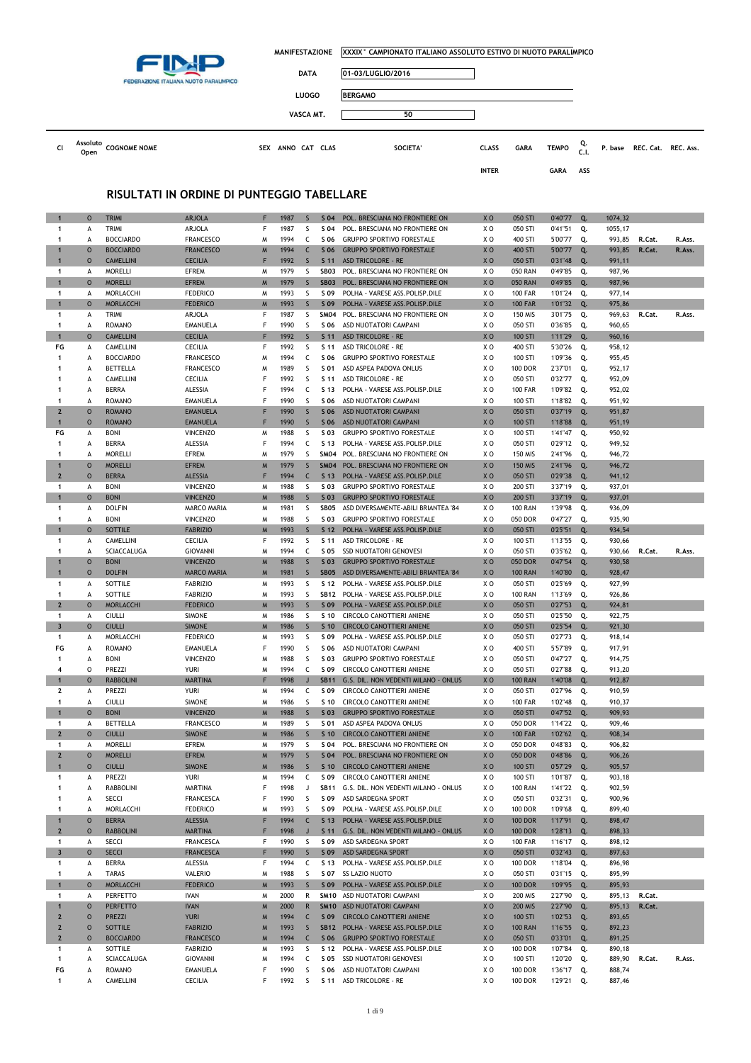

|    | FEDERAZIONE ITALIANA NUOTO PARALIMPICO  | <b>DATA</b>                 | 01-03/LUGLIO/2016 |              |             |              |            |                             |  |
|----|-----------------------------------------|-----------------------------|-------------------|--------------|-------------|--------------|------------|-----------------------------|--|
|    |                                         | <b>LUOGO</b>                | <b>BERGAMO</b>    |              |             |              |            |                             |  |
|    |                                         | VASCA MT.                   | 50                |              |             |              |            |                             |  |
| CΙ | Assoluto<br><b>COGNOME NOME</b><br>Open | ANNO CAT CLAS<br><b>SEX</b> | SOCIETA'          | <b>CLASS</b> | <b>GARA</b> | <b>TEMPO</b> | Q.<br>C.I. | P. base REC. Cat. REC. Ass. |  |

**INTER GARA ASS**

### **RISULTATI IN ORDINE DI PUNTEGGIO TABELLARE**

| 1                       | $\circ$     | <b>TRIMI</b>               | <b>ARJOLA</b>       | F      | 1987         | S            | S 04            | POL. BRESCIANA NO FRONTIERE ON                   | XO             | 050 STI                          | 0'40"77            | Q.       | 1074,32          |        |        |
|-------------------------|-------------|----------------------------|---------------------|--------|--------------|--------------|-----------------|--------------------------------------------------|----------------|----------------------------------|--------------------|----------|------------------|--------|--------|
| 1                       | А           | TRIMI                      | ARJOLA              | F      | 1987         | S            | S 04            | POL. BRESCIANA NO FRONTIERE ON                   | ΧO             | 050 STI                          | 0'41"51            | Q.       | 1055,17          |        |        |
| 1                       | А           | <b>BOCCIARDO</b>           | <b>FRANCESCO</b>    | M      | 1994         | c            | S 06            | <b>GRUPPO SPORTIVO FORESTALE</b>                 | ΧO             | 400 STI                          | 5'00"77            | Q.       | 993,85           | R.Cat. | R.Ass. |
| $\mathbf{1}$            | $\circ$     | <b>BOCCIARDO</b>           | <b>FRANCESCO</b>    | M      | 1994         | $\mathsf{C}$ | S 06            | <b>GRUPPO SPORTIVO FORESTALE</b>                 | XO             | 400 STI                          | 5'00"77            | Q.       | 993,85           | R.Cat. | R.Ass. |
| $\overline{1}$          | $\circ$     | <b>CAMELLINI</b>           | <b>CECILIA</b>      | F      | 1992         | $\mathsf{S}$ | S <sub>11</sub> | <b>ASD TRICOLORE - RE</b>                        | XO             | 050 STI                          | 0'31"48            | Q.       | 991,11           |        |        |
| 1                       | А           | <b>MORELLI</b>             | EFREM               | M      | 1979         | S            | SB03            | POL. BRESCIANA NO FRONTIERE ON                   | ΧO             | <b>050 RAN</b>                   | 0'49"85            | Q.       | 987,96           |        |        |
| $\mathbf{1}$            | $\circ$     | <b>MORELLI</b>             | <b>EFREM</b>        | M      | 1979         | $\mathsf S$  | <b>SB03</b>     | POL. BRESCIANA NO FRONTIERE ON                   | XO             | <b>050 RAN</b>                   | 0'49"85            | Q.       | 987,96           |        |        |
| 1                       | А           | MORLACCHI                  | <b>FEDERICO</b>     | M      | 1993         | S            | S 09            | POLHA - VARESE ASS. POLISP. DILE                 | ΧO             | <b>100 FAR</b>                   | 1'01"24            | Q.       | 977,14           |        |        |
| $\mathbf{1}$            | $\circ$     | <b>MORLACCHI</b>           | <b>FEDERICO</b>     | M      | 1993         | $\mathsf{S}$ | S 09            | POLHA - VARESE ASS. POLISP. DILE                 | XO             | <b>100 FAR</b>                   | 1'01"32            | Q.       | 975,86           |        |        |
| $\mathbf{1}$            |             | TRIMI                      | ARJOLA              | F      | 1987         | S            | SM04            | POL. BRESCIANA NO FRONTIERE ON                   | ΧO             | <b>150 MIS</b>                   | 3'01"75            | Q.       | 969,63           | R.Cat. | R.Ass. |
| 1                       | А           | <b>ROMANO</b>              |                     | F      | 1990         |              |                 |                                                  |                |                                  |                    |          |                  |        |        |
|                         | А           |                            | EMANUELA            |        |              | S            | S 06            | ASD NUOTATORI CAMPANI                            | XO             | 050 STI                          | 0'36"85            | Q.       | 960,65           |        |        |
| $\overline{1}$          | $\circ$     | <b>CAMELLINI</b>           | <b>CECILIA</b>      | F      | 1992         | $\mathsf{S}$ | S <sub>11</sub> | <b>ASD TRICOLORE - RE</b>                        | X <sub>0</sub> | 100 STI                          | 1'11"29            | Q.       | 960,16           |        |        |
| FG                      | А           | CAMELLINI                  | CECILIA             | F      | 1992         | S            | S 11            | ASD TRICOLORE - RE                               | XO             | 400 STI                          | 5'30"26            | Q.       | 958,12           |        |        |
| 1                       | А           | <b>BOCCIARDO</b>           | <b>FRANCESCO</b>    | W      | 1994         | c            | S 06            | <b>GRUPPO SPORTIVO FORESTALE</b>                 | ΧO             | 100 STI                          | 1'09"36            | Q.       | 955,45           |        |        |
| 1                       | A           | BETTELLA                   | <b>FRANCESCO</b>    | M      | 1989         | S            | S 01            | ASD ASPEA PADOVA ONLUS                           | ΧO             | <b>100 DOR</b>                   | 2'37"01            | Q.       | 952,17           |        |        |
| 1                       | А           | CAMELLINI                  | CECILIA             | F      | 1992         | S            | S 11            | ASD TRICOLORE - RE                               | ΧO             | 050 STI                          | 0'32"77            | Q.       | 952,09           |        |        |
| 1                       | А           | <b>BERRA</b>               | ALESSIA             | F      | 1994         | C            | S 13            | POLHA - VARESE ASS.POLISP.DILE                   | ΧO             | <b>100 FAR</b>                   | 1'09"82            | Q.       | 952,02           |        |        |
| 1                       | A           | <b>ROMANO</b>              | EMANUELA            | F      | 1990         | S            | S 06            | ASD NUOTATORI CAMPANI                            | ΧO             | 100 STI                          | 1'18"82            | Q.       | 951,92           |        |        |
| $\overline{2}$          | $\circ$     | <b>ROMANO</b>              | <b>EMANUELA</b>     | F      | 1990         | $\mathsf{S}$ | S 06            | ASD NUOTATORI CAMPANI                            | X <sub>0</sub> | 050 STI                          | 0'37"19            | Q.       | 951,87           |        |        |
| $\mathbf{1}$            | $\circ$     | <b>ROMANO</b>              | <b>EMANUELA</b>     | F      | 1990         | $\mathsf S$  | S 06            | ASD NUOTATORI CAMPANI                            | XO             | 100 STI                          | 1'18"88            | Q.       | 951,19           |        |        |
| FG                      | А           | <b>BONI</b>                | <b>VINCENZO</b>     | M      | 1988         | S            | S 03            | <b>GRUPPO SPORTIVO FORESTALE</b>                 | ΧO             | 100 STI                          | 1'41"47            | Q.       | 950,92           |        |        |
| 1                       |             | <b>BERRA</b>               | ALESSIA             | F      | 1994         | c            | S 13            |                                                  | ΧO             | 050 STI                          | 0'29"12            |          |                  |        |        |
|                         | А           |                            |                     |        |              |              |                 | POLHA - VARESE ASS.POLISP.DILE                   |                |                                  |                    | Q.       | 949,52           |        |        |
| 1                       | A           | <b>MORELLI</b>             | EFREM               | M      | 1979         | S            | <b>SM04</b>     | POL. BRESCIANA NO FRONTIERE ON                   | XO             | 150 MIS                          | 2'41"96            | Q.       | 946,72           |        |        |
| $\mathbf{1}$            | $\circ$     | <b>MORELLI</b>             | <b>EFREM</b>        | M      | 1979         | S            | <b>SM04</b>     | POL. BRESCIANA NO FRONTIERE ON                   | X <sub>0</sub> | <b>150 MIS</b>                   | 2'41"96            | Q.       | 946,72           |        |        |
| $\overline{2}$          | $\circ$     | <b>BERRA</b>               | <b>ALESSIA</b>      | F      | 1994         | $\mathsf{C}$ | S <sub>13</sub> | POLHA - VARESE ASS.POLISP.DILE                   | XO             | 050 STI                          | 0'29"38            | Q.       | 941,12           |        |        |
| 1                       | А           | <b>BONI</b>                | <b>VINCENZO</b>     | M      | 1988         | S            | S 03            | <b>GRUPPO SPORTIVO FORESTALE</b>                 | XO             | 200 STI                          | 3'37"19            | Q.       | 937,01           |        |        |
| 1                       | $\circ$     | <b>BONI</b>                | <b>VINCENZO</b>     | M      | 1988         | $\sf S$      | S 03            | <b>GRUPPO SPORTIVO FORESTALE</b>                 | XO             | 200 STI                          | 3'37"19            | Q.       | 937,01           |        |        |
| 1                       | А           | <b>DOLFIN</b>              | MARCO MARIA         | M      | 1981         | S            | SB05            | ASD DIVERSAMENTE-ABILI BRIANTEA '84              | ΧO             | <b>100 RAN</b>                   | 1'39"98            | Q.       | 936,09           |        |        |
| 1                       | А           | <b>BONI</b>                | <b>VINCENZO</b>     | M      | 1988         | S            | S 03            | <b>GRUPPO SPORTIVO FORESTALE</b>                 | XO             | 050 DOR                          | 0'47"27            | Q.       | 935,90           |        |        |
| $\mathbf{1}$            | $\circ$     | SOTTILE                    | <b>FABRIZIO</b>     | M      | 1993         | $\mathsf{S}$ | S <sub>12</sub> | POLHA - VARESE ASS.POLISP.DILE                   | XO             | 050 STI                          | 0'25"51            | Q.       | 934,54           |        |        |
| 1                       | А           | CAMELLINI                  | <b>CECILIA</b>      | F      | 1992         | S            | S 11            | <b>ASD TRICOLORE - RE</b>                        | ΧO             | 100 STI                          | 1'13"55            | Q.       | 930,66           |        |        |
| 1                       | A           | SCIACCALUGA                | <b>GIOVANNI</b>     | W      | 1994         | C            | S 05            | <b>SSD NUOTATORI GENOVESI</b>                    | XO             | 050 STI                          | 0'35"62            | Q.       | 930,66           | R.Cat. | R.Ass. |
| 1                       | $\circ$     | <b>BONI</b>                | <b>VINCENZO</b>     | M      | 1988         | $\mathsf{S}$ | $S$ 03          | <b>GRUPPO SPORTIVO FORESTALE</b>                 | X <sub>0</sub> | 050 DOR                          | 0'47"54            | Q.       | 930,58           |        |        |
|                         |             |                            | <b>MARCO MARIA</b>  |        |              |              |                 |                                                  |                |                                  |                    |          |                  |        |        |
| $\mathbf 1$             | $\circ$     | <b>DOLFIN</b>              |                     | M      | 1981         | S            | <b>SB05</b>     | ASD DIVERSAMENTE-ABILI BRIANTEA '84              | XO             | <b>100 RAN</b>                   | 1'40"80            | Q.       | 928,47           |        |        |
| 1                       | А           | SOTTILE                    | <b>FABRIZIO</b>     | M      | 1993         | S            | S 12            | POLHA - VARESE ASS.POLISP.DILE                   | ΧO             | 050 STI                          | 0'25"69            | Q.       | 927,99           |        |        |
| $\mathbf{1}$            | А           | SOTTILE                    | <b>FABRIZIO</b>     | M      | 1993         | S            | <b>SB12</b>     | POLHA - VARESE ASS.POLISP.DILE                   | ΧO             | <b>100 RAN</b>                   | 1'13"69            | Q.       | 926,86           |        |        |
|                         |             |                            |                     |        |              |              |                 |                                                  |                |                                  |                    |          |                  |        |        |
| $\overline{2}$          | $\circ$     | <b>MORLACCHI</b>           | <b>FEDERICO</b>     | M      | 1993         | $\mathsf{S}$ | S 09            | POLHA - VARESE ASS.POLISP.DILE                   | X <sub>0</sub> | 050 STI                          | 0'27"53            | Q.       | 924,81           |        |        |
| 1                       | А           | <b>CIULLI</b>              | <b>SIMONE</b>       | M      | 1986         | S            | S 10            | CIRCOLO CANOTTIERI ANIENE                        | ΧO             | 050 STI                          | 0'25"50            | Q.       | 922,75           |        |        |
| 3                       | $\circ$     | <b>CIULLI</b>              | <b>SIMONE</b>       | M      | 1986         | S            | S <sub>10</sub> | <b>CIRCOLO CANOTTIERI ANIENE</b>                 | XO             | 050 STI                          | 0'25"54            | Q.       | 921,30           |        |        |
| 1                       | А           | MORLACCHI                  | <b>FEDERICO</b>     | M      | 1993         | S            | S 09            | POLHA - VARESE ASS.POLISP.DILE                   | ΧO             | 050 STI                          | 0'27"73            | Q.       | 918,14           |        |        |
| FG                      | А           | <b>ROMANO</b>              | EMANUELA            | F      | 1990         | S            | S 06            | ASD NUOTATORI CAMPANI                            | xо             | 400 STI                          | 5'57"89            | Q.       | 917,91           |        |        |
| 1                       | А           | <b>BONI</b>                | <b>VINCENZO</b>     | M      | 1988         | S            | S 03            | <b>GRUPPO SPORTIVO FORESTALE</b>                 | XO             | 050 STI                          | 0'47"27            | Q.       | 914,75           |        |        |
| 4                       | $\circ$     | PREZZI                     | YURI                | M      | 1994         | c            | S 09            | CIRCOLO CANOTTIERI ANIENE                        | ΧO             | 050 STI                          | 0'27"88            | Q.       | 913,20           |        |        |
| $\mathbf{1}$            |             |                            |                     | F      |              |              |                 |                                                  |                |                                  |                    |          |                  |        |        |
|                         | $\circ$     | <b>RABBOLINI</b>           | <b>MARTINA</b>      |        | 1998         | $\mathsf{J}$ | <b>SB11</b>     | G.S. DIL. NON VEDENTI MILANO - ONLUS             | X O            | <b>100 RAN</b>                   | 1'40"08            | Q.       | 912,87           |        |        |
| $\mathbf{2}$            | А           | PREZZI                     | YURI                | M      | 1994         | C            | S 09            | CIRCOLO CANOTTIERI ANIENE                        | XO             | 050 STI                          | 0'27"96            | Q.       | 910,59           |        |        |
| 1                       | А           | <b>CIULLI</b>              | <b>SIMONE</b>       | M      | 1986         | S            | S 10            | CIRCOLO CANOTTIERI ANIENE                        | ΧO             | <b>100 FAR</b>                   | 1'02"48            | Q.       | 910,37           |        |        |
| $\mathbf{1}$            | $\circ$     | <b>BONI</b>                | <b>VINCENZO</b>     | M      | 1988         | $\mathsf{S}$ | S 03            | <b>GRUPPO SPORTIVO FORESTALE</b>                 | X O            | 050 STI                          | 0'47''52           | Q.       | 909,93           |        |        |
| 1                       | А           | BETTELLA                   | <b>FRANCESCO</b>    | M      | 1989         | S            | S 01            | ASD ASPEA PADOVA ONLUS                           | XO             | 050 DOR                          | 1'14"22            | Q.       | 909,46           |        |        |
| $\overline{2}$          | $\circ$     | <b>CIULLI</b>              | <b>SIMONE</b>       | W      | 1986         | $\mathsf S$  | S <sub>10</sub> | <b>CIRCOLO CANOTTIERI ANIENE</b>                 | XO             | <b>100 FAR</b>                   | 1'02"62            | Q.       | 908,34           |        |        |
| 1                       | А           | <b>MORELLI</b>             | EFREM               | M      | 1979         | S            | S 04            | POL. BRESCIANA NO FRONTIERE ON                   | ΧO             | 050 DOR                          | 0'48"83            | Q.       | 906,82           |        |        |
| $\mathbf{2}$            | $\circ$     | <b>MORELLI</b>             | <b>EFREM</b>        | M      | 1979         | S            | S <sub>04</sub> | POL. BRESCIANA NO FRONTIERE ON                   | XO             | 050 DOR                          | 0'48"86            | Q.       | 906,26           |        |        |
| $\mathbf{1}$            | $\circ$     | <b>CIULLI</b>              | <b>SIMONE</b>       | M      | 1986         | S            | S <sub>10</sub> | <b>CIRCOLO CANOTTIERI ANIENE</b>                 | XO             | 100 STI                          | 0'57"29            | Q.       | 905,57           |        |        |
| 1                       | А           | PREZZI                     | <b>YURI</b>         | W      | 1994         | C            | S 09            | CIRCOLO CANOTTIERI ANIENE                        | XO             | 100 STI                          | 1'01"87            | Q.       | 903,18           |        |        |
|                         | А           | <b>RABBOLINI</b>           | MARTINA             | F      | 1998         | J            |                 | SB11 G.S. DIL. NON VEDENTI MILANO - ONLUS        | XO             | <b>100 RAN</b>                   | 1'41"22            | Q.       | 902,59           |        |        |
| 1                       | A           | SECCI                      | <b>FRANCESCA</b>    | F      | 1990         | S            | S 09            | ASD SARDEGNA SPORT                               | XO             | 050 STI                          | 0'32"31            | Q.       | 900,96           |        |        |
| 1                       | A           | MORLACCHI                  | <b>FEDERICO</b>     | M      | 1993         | S            | S 09            | POLHA - VARESE ASS.POLISP.DILE                   | XO             |                                  |                    | Q.       |                  |        |        |
| $\mathbf{1}$            |             |                            |                     | F      |              |              |                 |                                                  |                | <b>100 DOR</b>                   | 1'09"68            |          | 899,40           |        |        |
|                         | $\mathsf O$ | <b>BERRA</b>               | <b>ALESSIA</b>      |        | 1994         | $\mathsf{C}$ | S <sub>13</sub> | POLHA - VARESE ASS.POLISP.DILE                   | XO             | <b>100 DOR</b>                   | 1'17"91            | Q.       | 898,47           |        |        |
| $\mathbf{2}$            | $\circ$     | <b>RABBOLINI</b>           | <b>MARTINA</b>      | F      | 1998         | $\sf J$      | S <sub>11</sub> | G.S. DIL. NON VEDENTI MILANO - ONLUS             | XO             | <b>100 DOR</b>                   | 1'28"13            | Q.       | 898,33           |        |        |
| 1                       | А           | <b>SECCI</b>               | <b>FRANCESCA</b>    | F      | 1990         | S            | S 09            | ASD SARDEGNA SPORT                               | ΧO             | <b>100 FAR</b>                   | 1'16"17            | Q.       | 898,12           |        |        |
| $\overline{\mathbf{3}}$ | $\circ$     | <b>SECCI</b>               | <b>FRANCESCA</b>    | F      | 1990         | $\mathsf{S}$ | S 09            | ASD SARDEGNA SPORT                               | XO             | 050 STI                          | 0'32"43            | Q.       | 897,63           |        |        |
| $\mathbf{1}$            | А           | <b>BERRA</b>               | ALESSIA             | F      | 1994         | C            | S 13            | POLHA - VARESE ASS.POLISP.DILE                   | ΧO             | <b>100 DOR</b>                   | 1'18"04            | Q.       | 896,98           |        |        |
| 1                       | А           | <b>TARAS</b>               | <b>VALERIO</b>      | M      | 1988         | S            | S 07            | SS LAZIO NUOTO                                   | ΧO             | 050 STI                          | 0'31"15            | Q.       | 895,99           |        |        |
| $\mathbf{1}$            | $\circ$     | MORLACCHI                  | <b>FEDERICO</b>     | M      | 1993         | $\mathsf{S}$ | S 09            | POLHA - VARESE ASS.POLISP.DILE                   | XO             | <b>100 DOR</b>                   | 1'09"95            | Q.       | 895,93           |        |        |
| 1                       | А           | PERFETTO                   | <b>IVAN</b>         | M      | 2000         | R            | <b>SM10</b>     | ASD NUOTATORI CAMPANI                            | XO             | 200 MIS                          | 2'27"90            | Q.       | 895,13           | R.Cat. |        |
| $\mathbf{1}$            | $\circ$     | <b>PERFETTO</b>            | <b>IVAN</b>         | M      | 2000         | $\mathsf{R}$ | <b>SM10</b>     | ASD NUOTATORI CAMPANI                            | XO             | <b>200 MIS</b>                   | 2'27"90            | Q.       | 895,13           | R.Cat. |        |
| $\mathbf 2$             | $\mathbf 0$ | <b>PREZZI</b>              | <b>YURI</b>         | M      | 1994         | $\mathsf{C}$ | S 09            | <b>CIRCOLO CANOTTIERI ANIENE</b>                 | XO             | 100 STI                          | 1'02"53            | Q.       | 893,65           |        |        |
| $\mathbf 2$             | $\mathbf 0$ | SOTTILE                    | <b>FABRIZIO</b>     | M      | 1993         | $\sf S$      |                 | SB12 POLHA - VARESE ASS.POLISP.DILE              | XO             | <b>100 RAN</b>                   | 1'16"55            | Q.       | 892,23           |        |        |
| $\mathbf 2$             | $\circ$     | <b>BOCCIARDO</b>           | <b>FRANCESCO</b>    | M      | 1994         | $\mathsf{C}$ | S 06            | <b>GRUPPO SPORTIVO FORESTALE</b>                 | X <sub>0</sub> | 050 STI                          | 0'33"01            | Q.       | 891,25           |        |        |
|                         |             |                            |                     |        |              |              |                 |                                                  |                |                                  |                    |          |                  |        |        |
| 1                       | А           | SOTTILE                    | <b>FABRIZIO</b>     | M      | 1993         | S            | S 12            | POLHA - VARESE ASS.POLISP.DILE                   | XO             | <b>100 DOR</b>                   | 1'07"84            | Q.       | 890,18           |        |        |
| 1                       | А           | SCIACCALUGA                | <b>GIOVANNI</b>     | W      | 1994         | c            | S 05            | <b>SSD NUOTATORI GENOVESI</b>                    | ΧO             | 100 STI                          | 1'20"20            | Q.       | 889,90           | R.Cat. | R.Ass. |
| FG<br>1                 | А<br>А      | <b>ROMANO</b><br>CAMELLINI | EMANUELA<br>CECILIA | F<br>F | 1990<br>1992 | S<br>S       | S 06            | ASD NUOTATORI CAMPANI<br>S 11 ASD TRICOLORE - RE | XO<br>XO       | <b>100 DOR</b><br><b>100 DOR</b> | 1'36"17<br>1'29"21 | Q.<br>Q. | 888,74<br>887,46 |        |        |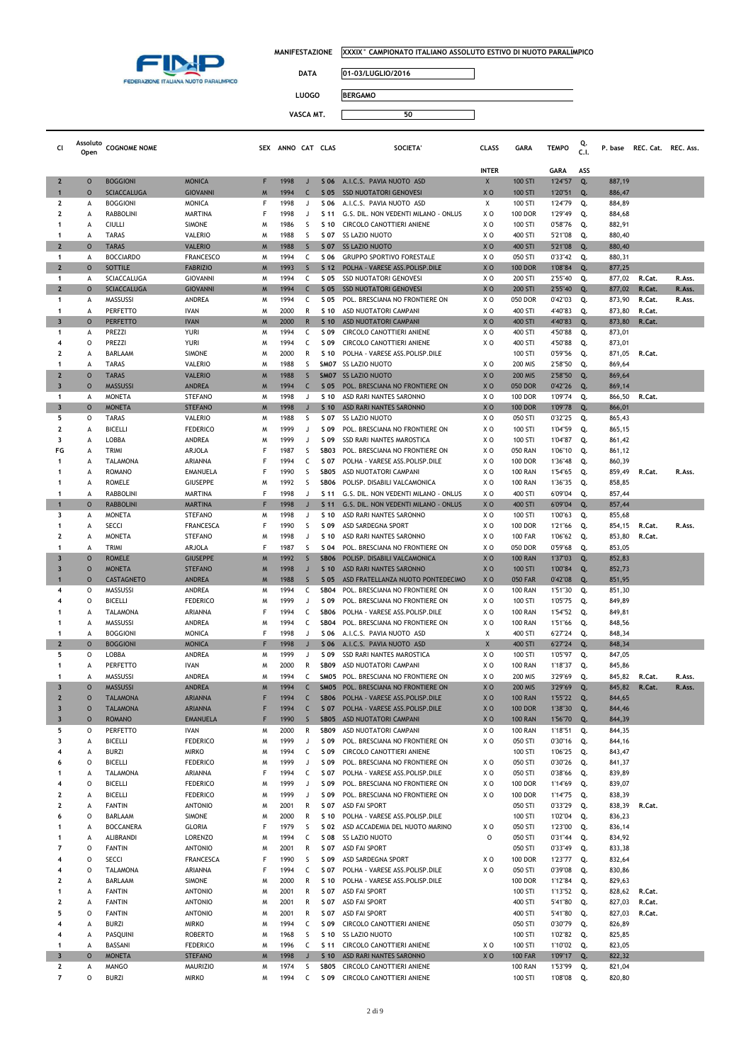

 $\Box$ 

**DATA 01-03/LUGLIO/2016**

| <b>LUOGO</b> | <b>BERGAMO</b> |
|--------------|----------------|
| VASCA MT.    |                |

| Cl                                        | Assoluto<br>Open   | <b>COGNOME NOME</b>                  |                                    |        | SEX ANNO CAT CLAS |                   |                         | <b>SOCIETA</b>                                                      | <b>CLASS</b>          | <b>GARA</b>                      | <b>TEMPO</b>           | C.I.      | P. base          | REC. Cat. REC. Ass. |        |
|-------------------------------------------|--------------------|--------------------------------------|------------------------------------|--------|-------------------|-------------------|-------------------------|---------------------------------------------------------------------|-----------------------|----------------------------------|------------------------|-----------|------------------|---------------------|--------|
|                                           |                    |                                      |                                    |        |                   |                   |                         |                                                                     |                       |                                  |                        |           |                  |                     |        |
| $\mathbf{2}$                              | $\circ$            | <b>BOGGIONI</b>                      | <b>MONICA</b>                      | F      | 1998              | J                 | S 06                    | A.I.C.S. PAVIA NUOTO ASD                                            | <b>INTER</b><br>X     | 100 STI                          | <b>GARA</b><br>1'24"57 | ASS<br>Q. | 887,19           |                     |        |
| $\mathbf{1}$                              | $\circ$            | <b>SCIACCALUGA</b>                   | <b>GIOVANNI</b>                    | M      | 1994              | C                 | S 05                    | <b>SSD NUOTATORI GENOVESI</b>                                       | XO                    | 100 STI                          | 1'20"51                | Q.        | 886,47           |                     |        |
| $\mathbf{2}$                              | А                  | <b>BOGGIONI</b>                      | <b>MONICA</b>                      | F      | 1998              | $\mathbf{J}$      | S 06                    | A.I.C.S. PAVIA NUOTO ASD                                            | Χ                     | 100 STI                          | 1'24"79                | Q.        | 884,89           |                     |        |
| $\mathbf{2}$                              | A                  | <b>RABBOLINI</b>                     | <b>MARTINA</b>                     | F      | 1998              | J                 | S 11                    | G.S. DIL. NON VEDENTI MILANO - ONLUS                                | X O                   | <b>100 DOR</b>                   | 1'29"49                | Q.        | 884,68           |                     |        |
| 1                                         | A                  | <b>CIULLI</b>                        | <b>SIMONE</b>                      | M      | 1986              | S                 | S 10                    | CIRCOLO CANOTTIERI ANIENE                                           | xо                    | 100 STI                          | 0'58"76                | Q.        | 882,91           |                     |        |
| 1                                         | A                  | <b>TARAS</b>                         | <b>VALERIO</b>                     | M      | 1988              | S                 | S 07                    | <b>SS LAZIO NUOTO</b>                                               | ΧO                    | 400 STI                          | 5'21"08                | Q.        | 880,40           |                     |        |
| $\overline{2}$<br>$\mathbf{1}$            | $\circ$<br>А       | <b>TARAS</b><br><b>BOCCIARDO</b>     | <b>VALERIO</b><br><b>FRANCESCO</b> | M<br>M | 1988<br>1994      | $\mathsf{S}$<br>C | S 07<br>S 06            | <b>SS LAZIO NUOTO</b><br><b>GRUPPO SPORTIVO FORESTALE</b>           | X <sub>0</sub><br>X O | 400 STI<br>050 STI               | 5'21"08<br>0'33"42     | Q.<br>Q.  | 880,40<br>880,31 |                     |        |
| $\overline{2}$                            | $\circ$            | <b>SOTTILE</b>                       | <b>FABRIZIO</b>                    | M      | 1993              | $\mathsf{S}$      | S <sub>12</sub>         | POLHA - VARESE ASS. POLISP. DILE                                    | X <sub>0</sub>        | <b>100 DOR</b>                   | 1'08"84                | Q.        | 877,25           |                     |        |
| 1                                         | А                  | SCIACCALUGA                          | <b>GIOVANNI</b>                    | M      | 1994              | c                 | S 05                    | <b>SSD NUOTATORI GENOVESI</b>                                       | X O                   | 200 STI                          | 2'55"40                | Q.        | 877,02           | R.Cat.              | R.Ass. |
| $\overline{2}$                            | $\circ$            | <b>SCIACCALUGA</b>                   | <b>GIOVANNI</b>                    | M      | 1994              | $\mathsf{C}$      | S 05                    | <b>SSD NUOTATORI GENOVESI</b>                                       | X <sub>0</sub>        | 200 STI                          | 2'55"40                | Q.        | 877,02           | R.Cat.              | R.Ass. |
| $\mathbf{1}$                              | А                  | MASSUSSI                             | ANDREA                             | M      | 1994              | c                 | S 05                    | POL. BRESCIANA NO FRONTIERE ON                                      | ΧO                    | 050 DOR                          | 0'42"03                | Q.        | 873,90           | R.Cat.              | R.Ass. |
| 1<br>3                                    | А<br>$\circ$       | PERFETTO<br><b>PERFETTO</b>          | <b>IVAN</b><br><b>IVAN</b>         | M<br>M | 2000<br>2000      | R<br>$\mathsf{R}$ | S 10<br>S <sub>10</sub> | ASD NUOTATORI CAMPANI<br>ASD NUOTATORI CAMPANI                      | ΧO<br>X <sub>0</sub>  | 400 STI<br>400 STI               | 4'40"83<br>4'40"83     | Q.<br>Q.  | 873,80<br>873,80 | R.Cat.<br>R.Cat.    |        |
| 1                                         | А                  | PREZZI                               | YURI                               | M      | 1994              | c                 | S 09                    | CIRCOLO CANOTTIERI ANIENE                                           | ΧO                    | 400 STI                          | 4'50"88                | Q.        | 873,01           |                     |        |
| 4                                         | 0                  | PREZZI                               | <b>YURI</b>                        | M      | 1994              | c                 | S 09                    | CIRCOLO CANOTTIERI ANIENE                                           | X O                   | 400 STI                          | 4'50"88                | Q.        | 873,01           |                     |        |
| 2                                         | A                  | BARLAAM                              | <b>SIMONE</b>                      | M      | 2000              | R                 | S 10                    | POLHA - VARESE ASS. POLISP. DILE                                    |                       | 100 STI                          | 0'59"56                | Q.        | 871,05           | R.Cat.              |        |
| 1                                         | A                  | <b>TARAS</b>                         | VALERIO                            | M      | 1988              | S                 |                         | SM07 SS LAZIO NUOTO                                                 | X <sub>0</sub>        | 200 MIS                          | 2'58"50                | Q.        | 869,64           |                     |        |
| $\overline{2}$<br>$\overline{\mathbf{3}}$ | $\circ$<br>$\circ$ | <b>TARAS</b><br><b>MASSUSSI</b>      | <b>VALERIO</b><br><b>ANDREA</b>    | M<br>M | 1988<br>1994      | S<br>C            | <b>SM07</b><br>S 05     | <b>SS LAZIO NUOTO</b><br>POL. BRESCIANA NO FRONTIERE ON             | X <sub>0</sub><br>XO  | <b>200 MIS</b><br>050 DOR        | 2'58"50<br>0'42"26     | Q.<br>Q.  | 869,64<br>869,14 |                     |        |
| $\mathbf{1}$                              | А                  | <b>MONETA</b>                        | <b>STEFANO</b>                     | M      | 1998              | J                 | S 10                    | ASD RARI NANTES SARONNO                                             | X O                   | <b>100 DOR</b>                   | 1'09"74                | Q.        | 866,50           | R.Cat.              |        |
| $\overline{\mathbf{3}}$                   | $\circ$            | <b>MONETA</b>                        | <b>STEFANO</b>                     | M      | 1998              | $\mathsf{J}$      | S <sub>10</sub>         | ASD RARI NANTES SARONNO                                             | X <sub>0</sub>        | <b>100 DOR</b>                   | 1'09"78                | Q.        | 866,01           |                     |        |
| 5                                         | 0                  | <b>TARAS</b>                         | VALERIO                            | M      | 1988              | S                 | S 07                    | <b>SS LAZIO NUOTO</b>                                               | X O                   | 050 STI                          | 0'32"25                | Q.        | 865,43           |                     |        |
| 2                                         | А                  | <b>BICELLI</b>                       | <b>FEDERICO</b>                    | M      | 1999              | $\mathbf{J}$      | S 09                    | POL. BRESCIANA NO FRONTIERE ON                                      | XO                    | 100 STI                          | 1'04"59                | Q.        | 865,15           |                     |        |
| 3<br>FG                                   | A                  | LOBBA                                | ANDREA                             | M<br>F | 1999              | $\mathbf{J}$      | S 09                    | SSD RARI NANTES MAROSTICA                                           | ΧO                    | 100 STI                          | 1'04"87                | Q.        | 861,42           |                     |        |
| 1                                         | А<br>А             | <b>TRIMI</b><br>TALAMONA             | ARJOLA<br>ARIANNA                  | F      | 1987<br>1994      | S<br>c            | <b>SB03</b><br>S 07     | POL. BRESCIANA NO FRONTIERE ON<br>POLHA - VARESE ASS.POLISP.DILE    | X O<br>X O            | <b>050 RAN</b><br><b>100 DOR</b> | 1'06"10<br>1'36"48     | Q.<br>Q.  | 861,12<br>860,39 |                     |        |
| 1                                         | A                  | <b>ROMANO</b>                        | <b>EMANUELA</b>                    | F      | 1990              | S                 | SB05                    | ASD NUOTATORI CAMPANI                                               | X O                   | <b>100 RAN</b>                   | 1'54"65                | Q.        | 859,49           | R.Cat.              | R.Ass. |
| 1                                         | А                  | <b>ROMELE</b>                        | <b>GIUSEPPE</b>                    | M      | 1992              | S                 | <b>SB06</b>             | POLISP. DISABILI VALCAMONICA                                        | X O                   | <b>100 RAN</b>                   | 1'36"35                | Q.        | 858,85           |                     |        |
| 1                                         | A                  | RABBOLINI                            | MARTINA                            | F      | 1998              | $\mathbf{J}$      | S 11                    | G.S. DIL. NON VEDENTI MILANO - ONLUS                                | X O                   | 400 STI                          | 6'09"04                | Q.        | 857,44           |                     |        |
| $\mathbf{1}$                              | $\circ$            | <b>RABBOLINI</b>                     | <b>MARTINA</b>                     | F      | 1998              | $\mathsf{J}$      | S <sub>11</sub>         | G.S. DIL. NON VEDENTI MILANO - ONLUS                                | X <sub>0</sub>        | 400 STI                          | 6'09"04                | Q.        | 857,44           |                     |        |
| 3<br>1                                    | А<br>А             | <b>MONETA</b><br>SECCI               | <b>STEFANO</b><br><b>FRANCESCA</b> | M<br>F | 1998<br>1990      | J<br>S            | S 10<br>S 09            | ASD RARI NANTES SARONNO<br>ASD SARDEGNA SPORT                       | ΧO<br>ΧO              | 100 STI<br><b>100 DOR</b>        | 1'00"63<br>1'21"66     | Q.<br>Q.  | 855,68<br>854,15 | R.Cat.              | R.Ass. |
| $\overline{2}$                            | A                  | <b>MONETA</b>                        | <b>STEFANO</b>                     | M      | 1998              | $\lrcorner$       | S 10                    | ASD RARI NANTES SARONNO                                             | X O                   | <b>100 FAR</b>                   | 1'06"62                | Q.        | 853,80           | R.Cat.              |        |
| 1                                         | A                  | <b>TRIMI</b>                         | <b>ARJOLA</b>                      | F      | 1987              | S                 | S 04                    | POL. BRESCIANA NO FRONTIERE ON                                      | X O                   | 050 DOR                          | 0'59"68                | Q.        | 853,05           |                     |        |
| $\overline{\mathbf{3}}$                   | $\circ$            | <b>ROMELE</b>                        | <b>GIUSEPPE</b>                    | M      | 1992              | S                 | <b>SB06</b>             | POLISP. DISABILI VALCAMONICA                                        | X <sub>0</sub>        | <b>100 RAN</b>                   | 1'37"03                | Q.        | 852,83           |                     |        |
| $\overline{\mathbf{3}}$                   | $\circ$            | <b>MONETA</b>                        | <b>STEFANO</b>                     | M      | 1998              | $\mathbf{J}$      | S <sub>10</sub>         | ASD RARI NANTES SARONNO                                             | XO                    | 100 STI                          | 1'00"84                | Q.        | 852,73           |                     |        |
| 1<br>4                                    | $\circ$<br>0       | CASTAGNETO<br>MASSUSSI               | ANDREA<br>ANDREA                   | M<br>M | 1988<br>1994      | $\mathsf{S}$<br>c | S 05<br><b>SB04</b>     | ASD FRATELLANZA NUOTO PONTEDECIMO<br>POL. BRESCIANA NO FRONTIERE ON | X <sub>O</sub><br>X O | <b>050 FAR</b><br><b>100 RAN</b> | 0'42"08<br>1'51"30     | Q.<br>Q.  | 851,95<br>851,30 |                     |        |
| 4                                         | O                  | <b>BICELLI</b>                       | <b>FEDERICO</b>                    | M      | 1999              | J                 | S 09                    | POL. BRESCIANA NO FRONTIERE ON                                      | ΧO                    | 100 STI                          | 1'05"75                | Q.        | 849,89           |                     |        |
| 1                                         | A                  | <b>TALAMONA</b>                      | ARIANNA                            | F      | 1994              | c                 | <b>SB06</b>             | POLHA - VARESE ASS.POLISP.DILE                                      | X O                   | <b>100 RAN</b>                   | 1'54"52                | Q.        | 849,81           |                     |        |
| 1                                         | A                  | MASSUSSI                             | ANDREA                             | M      | 1994              | c                 | <b>SB04</b>             | POL. BRESCIANA NO FRONTIERE ON                                      | X O                   | <b>100 RAN</b>                   | 1'51"66                | Q.        | 848,56           |                     |        |
| 1                                         | А<br>$\circ$       | <b>BOGGIONI</b><br><b>BOGGIONI</b>   | <b>MONICA</b>                      | F<br>F | 1998<br>1998      | J<br>$\mathsf{J}$ | S 06<br>S 06            | A.I.C.S. PAVIA NUOTO ASD                                            | Χ                     | 400 STI<br>400 STI               | 6'27"24                | Q.        | 848,34           |                     |        |
| $\mathbf{2}$<br>5                         | 0                  | LOBBA                                | <b>MONICA</b><br>ANDREA            | M      | 1999              | J                 | S 09                    | A.I.C.S. PAVIA NUOTO ASD<br>SSD RARI NANTES MAROSTICA               | X<br>ΧO               | 100 STI                          | 6'27"24<br>1'05"97     | Q.<br>Q.  | 848,34<br>847,05 |                     |        |
| 1                                         | А                  | PERFETTO                             | <b>IVAN</b>                        | M      | 2000              | R                 | <b>SB09</b>             | ASD NUOTATORI CAMPANI                                               | ΧO                    | <b>100 RAN</b>                   | 1'18"37                | Q.        | 845,86           |                     |        |
| 1                                         | A                  | MASSUSSI                             | ANDREA                             | M      | 1994              | c                 | SM05                    | POL. BRESCIANA NO FRONTIERE ON                                      | X O                   | 200 MIS                          | 3'29"69                | Q.        | 845,82           | R.Cat.              | R.Ass. |
| $\overline{\mathbf{3}}$                   | $\circ$            | <b>MASSUSSI</b>                      | <b>ANDREA</b>                      | M      | 1994              | C                 | SM <sub>05</sub>        | POL. BRESCIANA NO FRONTIERE ON                                      | X <sub>0</sub>        | <b>200 MIS</b>                   | 3'29"69                | Q.        | 845,82           | R.Cat.              | R.Ass. |
| $\overline{2}$                            | $\circ$            | <b>TALAMONA</b>                      | <b>ARIANNA</b><br>ARIANNA          | F      | 1994              | C                 | <b>SB06</b>             | POLHA - VARESE ASS.POLISP.DILE                                      | X <sub>O</sub>        | <b>100 RAN</b>                   | 1'55"22                | Q.        | 844,65           |                     |        |
| 3<br>3                                    | U<br>$\circ$       | <b>I ALAMONA</b><br><b>ROMANO</b>    | <b>EMANUELA</b>                    | F      | 1994<br>1990      | $\mathsf{S}$      | 50/<br><b>SB05</b>      | POLHA - VARESE ASS.POLISP.DILE<br>ASD NUOTATORI CAMPANI             | xυ<br>XO              | <b>100 DOK</b><br><b>100 RAN</b> | 1 38 30<br>1'56"70     | Q.<br>Q.  | 844,46<br>844,39 |                     |        |
| 5                                         | 0                  | PERFETTO                             | <b>IVAN</b>                        | M      | 2000              | R                 | <b>SB09</b>             | ASD NUOTATORI CAMPANI                                               | X O                   | <b>100 RAN</b>                   | 1'18"51                | Q.        | 844,35           |                     |        |
| 3                                         | А                  | <b>BICELLI</b>                       | <b>FEDERICO</b>                    | M      | 1999              | J                 | S 09                    | POL. BRESCIANA NO FRONTIERE ON                                      | XO                    | 050 STI                          | 0'30"16                | Q.        | 844,16           |                     |        |
| 4                                         | A                  | <b>BURZI</b>                         | <b>MIRKO</b>                       | M      | 1994              | C                 | S 09                    | CIRCOLO CANOTTIERI ANIENE                                           |                       | 100 STI                          | 1'06"25                | Q.        | 843,47           |                     |        |
| 6<br>1                                    | 0<br>А             | <b>BICELLI</b><br>TALAMONA           | <b>FEDERICO</b><br>ARIANNA         | M<br>F | 1999<br>1994      | J<br>c            | S 09<br>S 07            | POL. BRESCIANA NO FRONTIERE ON<br>POLHA - VARESE ASS.POLISP.DILE    | X <sub>0</sub><br>XO  | 050 STI<br>050 STI               | 0'30"26<br>0'38"66     | Q.<br>Q.  | 841,37<br>839,89 |                     |        |
| 4                                         | 0                  | <b>BICELLI</b>                       | <b>FEDERICO</b>                    | M      | 1999              | J                 | S 09                    | POL. BRESCIANA NO FRONTIERE ON                                      | ΧO                    | <b>100 DOR</b>                   | 1'14"69                | Q.        | 839,07           |                     |        |
| 2                                         | А                  | <b>BICELLI</b>                       | <b>FEDERICO</b>                    | M      | 1999              | J                 | S 09                    | POL. BRESCIANA NO FRONTIERE ON                                      | ΧO                    | <b>100 DOR</b>                   | 1'14"75                | Q.        | 838,39           |                     |        |
| 2                                         | А                  | <b>FANTIN</b>                        | <b>ANTONIO</b>                     | M      | 2001              | R                 | S 07                    | ASD FAI SPORT                                                       |                       | 050 STI                          | 0'33"29                | Q.        | 838,39           | R.Cat.              |        |
| 6                                         | 0                  | BARLAAM                              | <b>SIMONE</b>                      | M      | 2000              | R                 | S 10                    | POLHA - VARESE ASS.POLISP.DILE                                      |                       | 100 STI                          | 1'02"04                | Q.        | 836,23           |                     |        |
| 1<br>1                                    | А<br>А             | <b>BOCCANERA</b><br><b>ALIBRANDI</b> | <b>GLORIA</b><br><b>LORENZO</b>    | F<br>M | 1979<br>1994      | S<br>C            | S 02<br>S 08            | ASD ACCADEMIA DEL NUOTO MARINO<br><b>SS LAZIO NUOTO</b>             | ΧO<br>$\circ$         | 050 STI<br>050 STI               | 1'23"00<br>0'31"44     | Q.<br>Q.  | 836,14<br>834,92 |                     |        |
| 7                                         | O                  | <b>FANTIN</b>                        | <b>ANTONIO</b>                     | M      | 2001              | R                 | S 07                    | <b>ASD FAI SPORT</b>                                                |                       | 050 STI                          | 0'33"49                | Q.        | 833,38           |                     |        |
| 4                                         | O                  | <b>SECCI</b>                         | <b>FRANCESCA</b>                   | F      | 1990              | S                 | S 09                    | ASD SARDEGNA SPORT                                                  | ΧO                    | <b>100 DOR</b>                   | 1'23"77                | Q.        | 832,64           |                     |        |
| 4                                         | 0                  | <b>TALAMONA</b>                      | ARIANNA                            | F      | 1994              | c                 | S 07                    | POLHA - VARESE ASS.POLISP.DILE                                      | XO                    | 050 STI                          | 0'39"08                | Q.        | 830,86           |                     |        |
| 2                                         | A                  | BARLAAM                              | <b>SIMONE</b>                      | M      | 2000              | R                 | S 10                    | POLHA - VARESE ASS.POLISP.DILE                                      |                       | <b>100 DOR</b>                   | 1'12"84                | Q.        | 829,63           |                     |        |
| 1                                         | А                  | <b>FANTIN</b>                        | <b>ANTONIO</b>                     | M      | 2001              | R                 | S 07                    | <b>ASD FAI SPORT</b>                                                |                       | 100 STI                          | 1'13"52                | Q.        | 828,62           | R.Cat.              |        |
| 2<br>5                                    | А<br>0             | <b>FANTIN</b><br><b>FANTIN</b>       | <b>ANTONIO</b><br><b>ANTONIO</b>   | M<br>M | 2001<br>2001      | R<br>R            | S 07<br>S 07            | ASD FAI SPORT<br><b>ASD FAI SPORT</b>                               |                       | 400 STI<br>400 STI               | 5'41"80<br>5'41"80     | Q.<br>Q.  | 827,03<br>827,03 | R.Cat.<br>R.Cat.    |        |
| 4                                         | А                  | <b>BURZI</b>                         | <b>MIRKO</b>                       | M      | 1994              | c                 | S 09                    | CIRCOLO CANOTTIERI ANIENE                                           |                       | 050 STI                          | 0'30"79                | Q.        | 826,89           |                     |        |
| 4                                         | А                  | PASQUINI                             | <b>ROBERTO</b>                     | M      | 1968              | S                 | S 10                    | SS LAZIO NUOTO                                                      |                       | 100 STI                          | 1'02"82                | Q.        | 825,85           |                     |        |
| 1                                         | А                  | BASSANI                              | <b>FEDERICO</b>                    | M      | 1996              | C                 | S 11                    | CIRCOLO CANOTTIERI ANIENE                                           | X <sub>0</sub>        | 100 STI                          | 1'10"02                | Q.        | 823,05           |                     |        |
| $\overline{\mathbf{3}}$                   | $\circ$            | <b>MONETA</b>                        | <b>STEFANO</b>                     | M      | 1998              | $\sf J$           | S <sub>10</sub>         | ASD RARI NANTES SARONNO                                             | XO                    | <b>100 FAR</b>                   | 1'09"17                | Q.        | 822,32           |                     |        |
| $\mathbf{2}$<br>$\overline{7}$            | А<br>O             | <b>MANGO</b><br><b>BURZI</b>         | <b>MAURIZIO</b><br><b>MIRKO</b>    | M<br>M | 1974<br>1994      | S<br>C            | SB05                    | CIRCOLO CANOTTIERI ANIENE<br>S 09 CIRCOLO CANOTTIERI ANIENE         |                       | <b>100 RAN</b><br>100 STI        | 1'53"99<br>1'08"08     | Q.<br>Q.  | 821,04<br>820,80 |                     |        |
|                                           |                    |                                      |                                    |        |                   |                   |                         |                                                                     |                       |                                  |                        |           |                  |                     |        |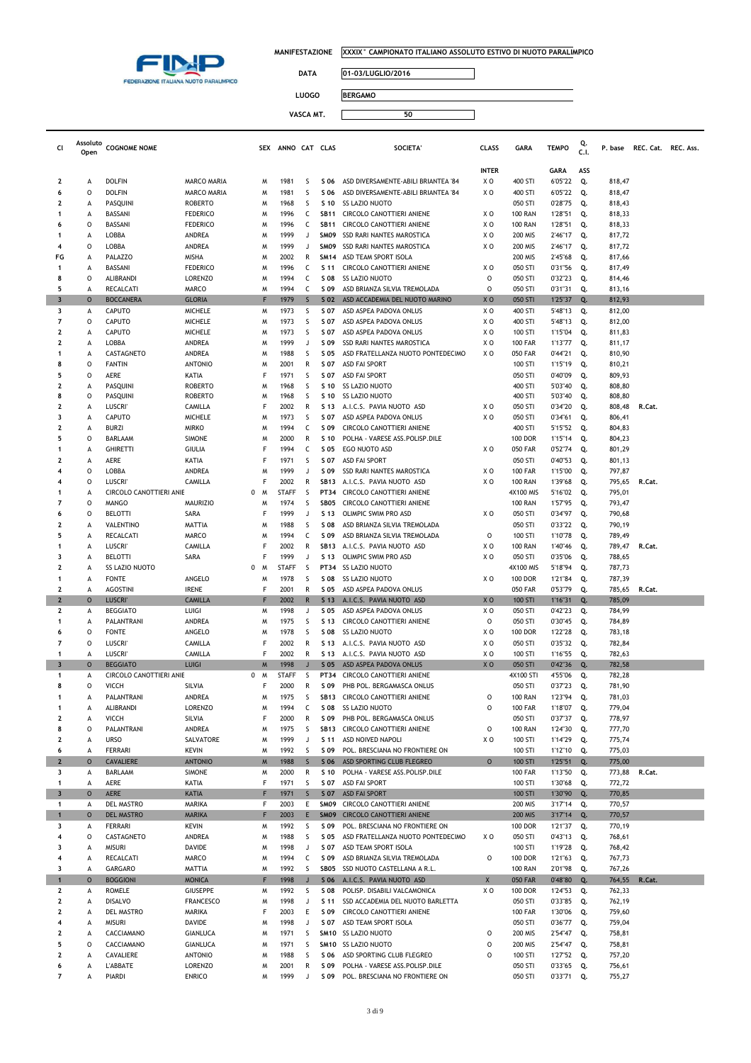

 $\Box$ 

┑

**DATA 01-03/LUGLIO/2016**

**LUOGO BERGAMO**

| Luuu      | <b>IDLINGAMO</b> |  |
|-----------|------------------|--|
|           |                  |  |
| VASCA MT. |                  |  |
|           |                  |  |

| Cl                                      | Assoluto<br>Open | <b>COGNOME NOME</b>             |                                   | SEX    | ANNO CAT CLAS |                   |                 | <b>SOCIETA</b>                                                             | <b>CLASS</b>   | <b>GARA</b>               | <b>TEMPO</b>        | Q.<br>C.1. | P. base          | REC. Cat. REC. Ass. |  |
|-----------------------------------------|------------------|---------------------------------|-----------------------------------|--------|---------------|-------------------|-----------------|----------------------------------------------------------------------------|----------------|---------------------------|---------------------|------------|------------------|---------------------|--|
|                                         |                  |                                 |                                   |        |               |                   |                 |                                                                            |                |                           |                     |            |                  |                     |  |
|                                         |                  |                                 |                                   |        |               |                   |                 |                                                                            | <b>INTER</b>   | 400 STI                   | <b>GARA</b>         | ASS        |                  |                     |  |
| 2<br>6                                  | А<br>O           | <b>DOLFIN</b><br><b>DOLFIN</b>  | MARCO MARIA<br><b>MARCO MARIA</b> | M<br>M | 1981<br>1981  | S<br>S            | S 06<br>S 06    | ASD DIVERSAMENTE-ABILI BRIANTEA '84<br>ASD DIVERSAMENTE-ABILI BRIANTEA '84 | ΧO<br>X O      | 400 STI                   | 6'05"22             | Q.         | 818,47           |                     |  |
| $\overline{\mathbf{2}}$                 | А                | <b>PASOUINI</b>                 | <b>ROBERTO</b>                    | M      | 1968          | S                 | S 10            | SS LAZIO NUOTO                                                             |                | 050 STI                   | 6'05"22<br>0'28"75  | Q.<br>Q.   | 818,47<br>818,43 |                     |  |
| $\mathbf 1$                             | А                | BASSANI                         | <b>FEDERICO</b>                   | м      | 1996          | c                 | <b>SB11</b>     | CIRCOLO CANOTTIERI ANIENE                                                  | XO             | <b>100 RAN</b>            | 1'28"51             | Q.         | 818,33           |                     |  |
| 6                                       | O                | BASSANI                         | <b>FEDERICO</b>                   | м      | 1996          | C                 | <b>SB11</b>     | CIRCOLO CANOTTIERI ANIENE                                                  | ΧO             | <b>100 RAN</b>            | 1'28"51             | Q.         | 818,33           |                     |  |
| $\mathbf 1$                             | А                | LOBBA                           | ANDREA                            | M      | 1999          | J                 | SMO9            | SSD RARI NANTES MAROSTICA                                                  | ΧO             | 200 MIS                   | 2'46"17             | Q.         | 817,72           |                     |  |
| $\overline{\bf{4}}$                     | 0                | LOBBA                           | ANDREA                            | M      | 1999          | J                 | SMO9            | SSD RARI NANTES MAROSTICA                                                  | ΧO             | 200 MIS                   | 2'46"17             | Q.         | 817,72           |                     |  |
| FG                                      | A                | <b>PALAZZO</b>                  | MISHA                             | м      | 2002          | R                 | <b>SM14</b>     | ASD TEAM SPORT ISOLA                                                       |                | 200 MIS                   | 2'45"68             | Q.         | 817,66           |                     |  |
| $\mathbf{1}$                            | А                | BASSANI                         | <b>FEDERICO</b>                   | M      | 1996          | C                 | S 11            | CIRCOLO CANOTTIERI ANIENE                                                  | ΧO             | 050 STI                   | 0'31"56             | Q.         | 817,49           |                     |  |
| 8                                       | 0                | ALIBRANDI                       | <b>LORENZO</b>                    | M      | 1994          | C                 | S 08            | <b>SS LAZIO NUOTO</b>                                                      | $\circ$        | 050 STI                   | 0'32"23             | Q.         | 814,46           |                     |  |
| 5                                       | А                | RECALCATI                       | MARCO                             | M      | 1994          | c                 | S 09            | ASD BRIANZA SILVIA TREMOLADA                                               | $\mathsf{o}\,$ | 050 STI                   | 0'31"31             | Q.         | 813,16           |                     |  |
| $\overline{\mathbf{3}}$                 | $\circ$          | <b>BOCCANERA</b>                | <b>GLORIA</b>                     | F      | 1979          | $\mathsf{S}$      | S 02            | ASD ACCADEMIA DEL NUOTO MARINO                                             | X <sub>0</sub> | 050 STI                   | 1'25"37             | Q.         | 812,93           |                     |  |
| 3<br>7                                  | А<br>0           | <b>CAPUTO</b><br>CAPUTO         | MICHELE<br><b>MICHELE</b>         | M<br>W | 1973<br>1973  | S<br>S            | S 07<br>S 07    | ASD ASPEA PADOVA ONLUS<br>ASD ASPEA PADOVA ONLUS                           | X O<br>XO      | 400 STI<br>400 STI        | 5'48"13             | Q.<br>Q.   | 812,00           |                     |  |
| $\overline{\mathbf{2}}$                 | A                | CAPUTO                          | <b>MICHELE</b>                    | M      | 1973          | S                 | S 07            | ASD ASPEA PADOVA ONLUS                                                     | X O            | 100 STI                   | 5'48"13<br>1'15"04  | Q.         | 812,00<br>811,83 |                     |  |
| $\overline{\mathbf{2}}$                 | А                | LOBBA                           | ANDREA                            | M      | 1999          | J                 | S 09            | SSD RARI NANTES MAROSTICA                                                  | X O            | <b>100 FAR</b>            | 1'13"77             | Q.         | 811,17           |                     |  |
| $\mathbf{1}$                            | А                | CASTAGNETO                      | ANDREA                            | м      | 1988          | S                 | S 05            | ASD FRATELLANZA NUOTO PONTEDECIMO                                          | X <sub>0</sub> | <b>050 FAR</b>            | 0'44"21             | Q.         | 810,90           |                     |  |
| 8                                       | O                | <b>FANTIN</b>                   | <b>ANTONIO</b>                    | M      | 2001          | R                 | S 07            | <b>ASD FAI SPORT</b>                                                       |                | 100 STI                   | 1'15"19             | Q.         | 810,21           |                     |  |
| 5                                       | 0                | AERE                            | KATIA                             | F      | 1971          | S                 | S 07            | <b>ASD FAI SPORT</b>                                                       |                | 050 STI                   | 0'40"09             | Q.         | 809,93           |                     |  |
| $\overline{\mathbf{2}}$                 | А                | PASQUINI                        | <b>ROBERTO</b>                    | м      | 1968          | S                 | S 10            | <b>SS LAZIO NUOTO</b>                                                      |                | 400 STI                   | 5'03"40             | Q.         | 808,80           |                     |  |
| 8                                       | 0                | PASQUINI                        | <b>ROBERTO</b>                    | M      | 1968          | S                 | S 10            | SS LAZIO NUOTO                                                             |                | 400 STI                   | 5'03"40             | Q.         | 808,80           |                     |  |
| $\overline{\mathbf{2}}$                 | А                | <b>LUSCRI</b>                   | CAMILLA                           | F      | 2002          | R                 | S 13            | A.I.C.S. PAVIA NUOTO ASD                                                   | X O            | 050 STI                   | 0'34"20             | Q.         | 808,48           | R.Cat.              |  |
| 3<br>$\overline{\mathbf{2}}$            | А<br>А           | CAPUTO<br><b>BURZI</b>          | <b>MICHELE</b><br><b>MIRKO</b>    | M<br>M | 1973<br>1994  | S<br>C            | S 07<br>S 09    | ASD ASPEA PADOVA ONLUS<br><b>CIRCOLO CANOTTIERI ANIENE</b>                 | X O            | 050 STI<br>400 STI        | 0'34"61<br>5'15"52  | Q.<br>Q.   | 806,41<br>804,83 |                     |  |
| 5                                       | O                | BARLAAM                         | <b>SIMONE</b>                     | M      | 2000          | R                 | S 10            | POLHA - VARESE ASS.POLISP.DILE                                             |                | <b>100 DOR</b>            | 1'15"14             | Q.         | 804,23           |                     |  |
| -1                                      | А                | <b>GHIRETTI</b>                 | <b>GIULIA</b>                     | F      | 1994          | C                 | S 05            | EGO NUOTO ASD                                                              | X O            | <b>050 FAR</b>            | 0'52"74             | Q.         | 801,29           |                     |  |
| $\overline{\mathbf{2}}$                 | А                | AERE                            | KATIA                             | F      | 1971          | S                 | S 07            | ASD FAI SPORT                                                              |                | 050 STI                   | 0'40"53             | Q.         | 801,13           |                     |  |
| $\overline{\mathbf{4}}$                 | 0                | LOBBA                           | ANDREA                            | M      | 1999          | J                 | S 09            | SSD RARI NANTES MAROSTICA                                                  | X <sub>0</sub> | <b>100 FAR</b>            | 1'15"00             | Q.         | 797,87           |                     |  |
| $\overline{\mathbf{4}}$                 | 0                | <b>LUSCRI</b>                   | CAMILLA                           | F      | 2002          | R                 | <b>SB13</b>     | A.I.C.S. PAVIA NUOTO ASD                                                   | X O            | <b>100 RAN</b>            | 1'39"68             | Q.         | 795,65           | R.Cat.              |  |
| -1                                      | А                | CIRCOLO CANOTTIERI ANIE         | 0                                 | M      | <b>STAFF</b>  | S                 | PT34            | CIRCOLO CANOTTIERI ANIENE                                                  |                | 4X100 MIS                 | 5'16"02             | Q.         | 795,01           |                     |  |
| 7                                       | $\circ$          | <b>MANGO</b>                    | <b>MAURIZIO</b>                   | м      | 1974          | S                 | SB05            | CIRCOLO CANOTTIERI ANIENE                                                  |                | <b>100 RAN</b>            | 1'57"95             | Q.         | 793,47           |                     |  |
| 6                                       | O                | <b>BELOTTI</b>                  | SARA                              | F      | 1999          | J                 | S 13            | OLIMPIC SWIM PRO ASD                                                       | XO             | 050 STI                   | 0'34"97             | Q.         | 790,68           |                     |  |
| $\overline{\mathbf{2}}$<br>5            | A<br>А           | VALENTINO<br>RECALCATI          | <b>MATTIA</b><br>MARCO            | M      | 1988<br>1994  | S<br>c            | S 08<br>S 09    | ASD BRIANZA SILVIA TREMOLADA<br>ASD BRIANZA SILVIA TREMOLADA               | $\mathsf{o}\,$ | 050 STI<br>100 STI        | 0'33"22<br>1'10"78  | Q.<br>Q.   | 790,19<br>789,49 |                     |  |
| $\mathbf 1$                             | А                | <b>LUSCRI</b>                   | CAMILLA                           | м<br>F | 2002          | R                 | <b>SB13</b>     | A.I.C.S. PAVIA NUOTO ASD                                                   | ΧO             | <b>100 RAN</b>            | 1'40"46             | Q.         | 789,47           | R.Cat.              |  |
| 3                                       | A                | <b>BELOTTI</b>                  | SARA                              | F      | 1999          | J                 | S 13            | OLIMPIC SWIM PRO ASD                                                       | ΧO             | 050 STI                   | 0'35"06             | Q.         | 788,65           |                     |  |
| $\overline{\mathbf{2}}$                 | A                | <b>SS LAZIO NUOTO</b>           |                                   | 0 M    | <b>STAFF</b>  | S                 | <b>PT34</b>     | <b>SS LAZIO NUOTO</b>                                                      |                | 4X100 MIS                 | 5'18"94             | Q.         | 787,73           |                     |  |
| $\mathbf 1$                             | A                | <b>FONTE</b>                    | ANGELO                            | W      | 1978          | S                 | S 08            | <b>SS LAZIO NUOTO</b>                                                      | ΧO             | <b>100 DOR</b>            | 1'21"84             | Q.         | 787,39           |                     |  |
| $\overline{\mathbf{2}}$                 | А                | <b>AGOSTINI</b>                 | <b>IRENE</b>                      | F      | 2001          | R                 | S 05            | ASD ASPEA PADOVA ONLUS                                                     |                | <b>050 FAR</b>            | 0'53"79             | Q.         | 785,65           | R.Cat.              |  |
| $\overline{2}$                          | $\circ$          | <b>LUSCRI</b>                   | <b>CAMILLA</b>                    | F      | 2002          | $\mathsf{R}$      | S <sub>13</sub> | A.I.C.S. PAVIA NUOTO ASD                                                   | X <sub>0</sub> | 100 STI                   | 1'16"31             | Q.         | 785,09           |                     |  |
| $\overline{2}$<br>$\mathbf{1}$          | А                | <b>BEGGIATO</b><br>PALANTRANI   | LUIGI<br>ANDREA                   | W      | 1998<br>1975  | J<br>S            | S 05<br>S 13    | ASD ASPEA PADOVA ONLUS<br>CIRCOLO CANOTTIERI ANIENE                        | X O<br>O       | 050 STI<br>050 STI        | 0'42"23<br>0'30"45  | Q.         | 784,99           |                     |  |
| 6                                       | А<br>0           | <b>FONTE</b>                    | ANGELO                            | M<br>M | 1978          | S                 | S 08            | <b>SS LAZIO NUOTO</b>                                                      | X O            | <b>100 DOR</b>            | 1'22"28             | Q.<br>Q.   | 784,89<br>783,18 |                     |  |
| $\overline{7}$                          | $\circ$          | <b>LUSCRI</b>                   | CAMILLA                           | F      | 2002          | R                 | S 13            | A.I.C.S. PAVIA NUOTO ASD                                                   | X O            | 050 STI                   | 0'35"32             | Q.         | 782,84           |                     |  |
| $\mathbf{1}$                            | А                | <b>LUSCRI</b>                   | CAMILLA                           |        | 2002          | R                 | S 13            | A.I.C.S. PAVIA NUOTO ASD                                                   | X O            | 100 STI                   | 1'16"55             | Q.         | 782,63           |                     |  |
| 3                                       | $\circ$          | <b>BEGGIATO</b>                 | LUIGI                             | M      | 1998          | J                 | S 05            | ASD ASPEA PADOVA ONLUS                                                     | X <sub>0</sub> | 050 STI                   | 0'42"36             | Q.         | 782,58           |                     |  |
| $\mathbf{1}$                            | А                | CIRCOLO CANOTTIERI ANIE         | 0                                 | M      | <b>STAFF</b>  | S                 | <b>PT34</b>     | CIRCOLO CANOTTIERI ANIENE                                                  |                | 4X100 STI                 | 4'55"06             | Q.         | 782,28           |                     |  |
| 8                                       | 0                | <b>VICCH</b>                    | SILVIA                            | F      | 2000          | R                 | S 09            | PHB POL. BERGAMASCA ONLUS                                                  |                | 050 STI                   | 0'37"23             | Q.         | 781,90           |                     |  |
| $\mathbf{1}$                            | A                | <b>PALANTRANI</b>               | ANDREA                            | W      | 1975          | S                 | <b>SB13</b>     | CIRCOLO CANOTTIERI ANIENE                                                  | 0              | <b>100 RAN</b>            | 1'23"94             | Q.         | 781,03           |                     |  |
| $\mathbf{1}$<br>$\mathbf{2}$            | А<br>А           | ALIBRANDI<br><b>VICCH</b>       | <b>LORENZO</b><br>SILVIA          | м<br>F | 1994<br>2000  | c<br>R            | S 09            | S 08 SS LAZIO NUOTO<br>PHB POL. BERGAMASCA ONLUS                           | 0              | <b>100 FAR</b><br>050 STI | 1'18"07<br>0'37"37  | Q.<br>Q.   | 779,04<br>778,97 |                     |  |
| 8                                       | 0                | PALANTRANI                      | ANDREA                            | W      | 1975          | S                 | <b>SB13</b>     | CIRCOLO CANOTTIERI ANIENE                                                  | $\mathsf{o}\,$ | <b>100 RAN</b>            | 1'24"30             | Q.         | 777,70           |                     |  |
| $\mathbf{2}$                            | A                | <b>URSO</b>                     | SALVATORE                         | м      | 1999          | J                 | S 11            | ASD NOIVED NAPOLI                                                          | XO             | 100 STI                   | 1'14"29             | Q.         | 775,74           |                     |  |
| 6                                       | А                | <b>FERRARI</b>                  | <b>KEVIN</b>                      | M      | 1992          | S                 | S 09            | POL. BRESCIANA NO FRONTIERE ON                                             |                | 100 STI                   | 1'12"10             | Q.         | 775,03           |                     |  |
| $\overline{2}$                          | $\circ$          | <b>CAVALIERE</b>                | <b>ANTONIO</b>                    | M      | 1988          | $\mathsf S$       | S 06            | ASD SPORTING CLUB FLEGREO                                                  | $\circ$        | 100 STI                   | 1'25"51             | Q.         | 775,00           |                     |  |
| 3                                       | А                | BARLAAM                         | <b>SIMONE</b>                     | м      | 2000          | R                 | S 10            | POLHA - VARESE ASS.POLISP.DILE                                             |                | <b>100 FAR</b>            | 1'13"50             | Q.         | 773,88           | R.Cat.              |  |
| $\mathbf{1}$                            | А                | AERE                            | KATIA                             | F      | 1971          | S                 |                 | S 07 ASD FAI SPORT                                                         |                | 100 STI                   | 1'30"68             | Q.         | 772,72           |                     |  |
| $\overline{\mathbf{3}}$<br>$\mathbf{1}$ | $\circ$          | AERE                            | <b>KATIA</b>                      | F<br>F | 1971<br>2003  | $\mathsf{S}$<br>E | S 07<br>SMO9    | <b>ASD FAI SPORT</b>                                                       |                | 100 STI                   | 1'30"90             | Q.         | 770,85           |                     |  |
| $\overline{1}$                          | А<br>$\circ$     | DEL MASTRO<br><b>DEL MASTRO</b> | MARIKA<br><b>MARIKA</b>           | F      | 2003          | E                 | <b>SM09</b>     | CIRCOLO CANOTTIERI ANIENE<br><b>CIRCOLO CANOTTIERI ANIENE</b>              |                | 200 MIS<br><b>200 MIS</b> | 3'17"14<br>3'17''14 | Q.<br>Q.   | 770,57<br>770,57 |                     |  |
| 3                                       | А                | <b>FERRARI</b>                  | <b>KEVIN</b>                      | W      | 1992          | S                 | S 09            | POL. BRESCIANA NO FRONTIERE ON                                             |                | <b>100 DOR</b>            | 1'21"37             | Q.         | 770,19           |                     |  |
| $\overline{4}$                          | O                | CASTAGNETO                      | ANDREA                            | Μ      | 1988          | S                 | S 05            | ASD FRATELLANZA NUOTO PONTEDECIMO                                          | XO             | 050 STI                   | 0'43"13             | Q.         | 768,61           |                     |  |
| 3                                       | A                | <b>MISURI</b>                   | DAVIDE                            | W      | 1998          | J                 | S 07            | ASD TEAM SPORT ISOLA                                                       |                | 100 STI                   | 1'19"28             | Q.         | 768,42           |                     |  |
| $\overline{4}$                          | А                | RECALCATI                       | MARCO                             | W      | 1994          | C                 | S 09            | ASD BRIANZA SILVIA TREMOLADA                                               | o              | <b>100 DOR</b>            | 1'21"63             | Q.         | 767,73           |                     |  |
| 3                                       | A                | <b>GARGARO</b>                  | <b>MATTIA</b>                     | W      | 1992          | S                 | SB05            | SSD NUOTO CASTELLANA A R.L.                                                |                | <b>100 RAN</b>            | 2'01"98             | Q.         | 767,26           |                     |  |
| $\overline{1}$                          | $\circ$          | <b>BOGGIONI</b>                 | <b>MONICA</b>                     |        | 1998          | $\mathsf J$       | S 06            | A.I.C.S. PAVIA NUOTO ASD                                                   | X              | <b>050 FAR</b>            | 0'48"80             | Q.         | 764,55           | R.Cat.              |  |
| $\mathbf{2}$                            | А                | <b>ROMELE</b>                   | <b>GIUSEPPE</b>                   | W      | 1992          | S                 | S 08            | POLISP. DISABILI VALCAMONICA                                               | ΧO             | <b>100 DOR</b>            | 1'24"53             | Q.         | 762,33           |                     |  |
| $\mathbf{2}$<br>$\mathbf{2}$            | А<br>A           | <b>DISALVO</b><br>DEL MASTRO    | <b>FRANCESCO</b><br>MARIKA        | м<br>F | 1998<br>2003  | J<br>Ε            | S 11<br>S 09    | SSD ACCADEMIA DEL NUOTO BARLETTA<br>CIRCOLO CANOTTIERI ANIENE              |                | 050 STI<br><b>100 FAR</b> | 0'33"85<br>1'30"06  | Q.         | 762,19<br>759,60 |                     |  |
| $\overline{4}$                          | A                | <b>MISURI</b>                   | DAVIDE                            | W      | 1998          | J                 | S 07            | ASD TEAM SPORT ISOLA                                                       |                | 050 STI                   | 0'36"77             | Q.<br>Q.   | 759,04           |                     |  |
| $\mathbf{2}$                            | A                | CACCIAMANO                      | <b>GIANLUCA</b>                   | M      | 1971          | S                 | <b>SM10</b>     | SS LAZIO NUOTO                                                             | 0              | 200 MIS                   | 2'54"47             | Q.         | 758,81           |                     |  |
| 5                                       | 0                | CACCIAMANO                      | <b>GIANLUCA</b>                   | м      | 1971          | S                 | <b>SM10</b>     | SS LAZIO NUOTO                                                             | 0              | 200 MIS                   | 2'54"47             | Q.         | 758,81           |                     |  |
| $\mathbf{2}$                            | A                | CAVALIERE                       | <b>ANTONIO</b>                    | M      | 1988          | S                 | S 06            | ASD SPORTING CLUB FLEGREO                                                  | 0              | 100 STI                   | 1'27"52             | Q.         | 757,20           |                     |  |
| 6                                       | А                | <b>L'ABBATE</b>                 | <b>LORENZO</b>                    | м      | 2001          | R                 | S 09            | POLHA - VARESE ASS.POLISP.DILE                                             |                | 050 STI                   | 0'33"65             | Q.         | 756,61           |                     |  |
| $\overline{7}$                          | A                | PIARDI                          | <b>ENRICO</b>                     | м      | 1999          | J                 | S 09            | POL. BRESCIANA NO FRONTIERE ON                                             |                | 050 STI                   | 0'33"71             | Q.         | 755,27           |                     |  |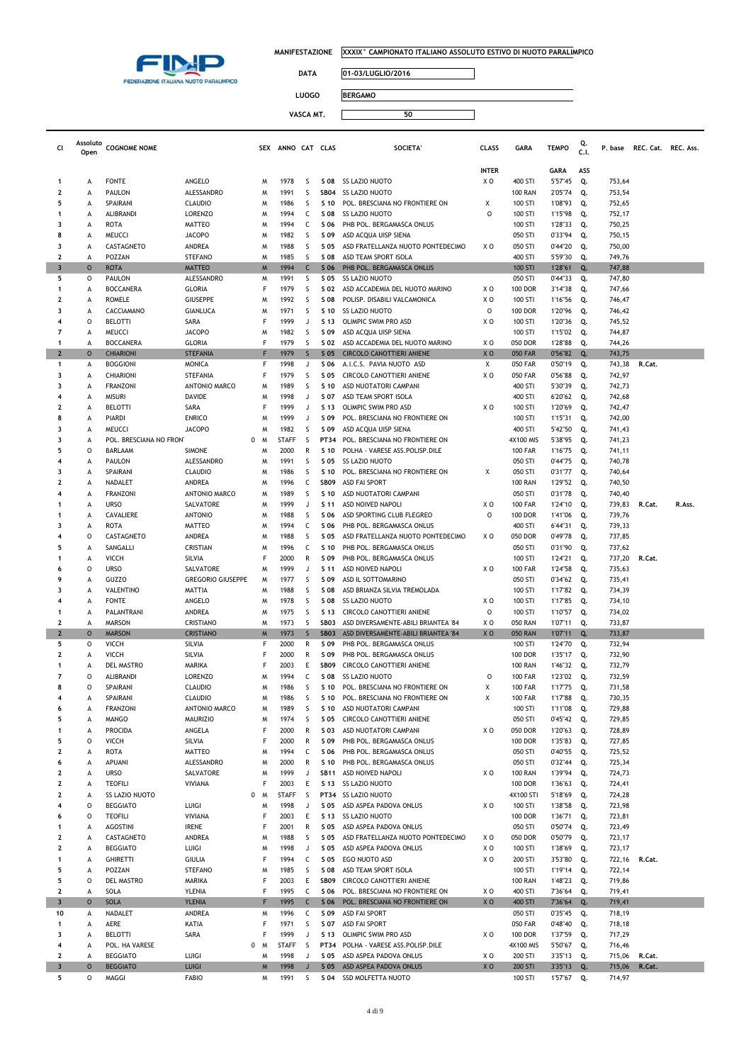

 $\Box$ 

**DATA 01-03/LUGLIO/2016**

| <b>LUOGO</b> | <b>BERGAMO</b> |  |
|--------------|----------------|--|
|              |                |  |

| CI                      | Assoluto<br>Open | <b>COGNOME NOME</b>                 |                                       |        | SEX ANNO CAT CLAS    |                   |                     | <b>SOCIETA'</b>                                                  | <b>CLASS</b>         | <b>GARA</b>                      | <b>TEMPO</b>       | Q.<br>C.1 | P. base          | REC. Cat. REC. Ass. |        |
|-------------------------|------------------|-------------------------------------|---------------------------------------|--------|----------------------|-------------------|---------------------|------------------------------------------------------------------|----------------------|----------------------------------|--------------------|-----------|------------------|---------------------|--------|
|                         |                  |                                     |                                       |        |                      |                   |                     |                                                                  | <b>INTER</b>         |                                  | GARA               | ASS       |                  |                     |        |
| $\mathbf{1}$            | А                | <b>FONTE</b>                        | ANGELO                                | M      | 1978                 | S                 | S 08                | SS LAZIO NUOTO                                                   | ΧO                   | 400 STI                          | 5'57"45            | Q.        | 753,64           |                     |        |
| 2                       | А                | <b>PAULON</b>                       | ALESSANDRO                            | M      | 1991                 | S                 | <b>SB04</b>         | <b>SS LAZIO NUOTO</b>                                            |                      | <b>100 RAN</b>                   | 2'05"74            | Q.        | 753,54           |                     |        |
| 5                       | А                | SPAIRANI                            | <b>CLAUDIO</b>                        | M      | 1986                 | S                 | S 10                | POL. BRESCIANA NO FRONTIERE ON                                   | х                    | 100 STI                          | 1'08"93            | Q.        | 752,65           |                     |        |
| $\mathbf{1}$<br>3       | А<br>А           | ALIBRANDI<br>ROTA                   | <b>LORENZO</b><br>MATTEO              | M<br>M | 1994<br>1994         | C<br>C            | S 08<br>S 06        | SS LAZIO NUOTO<br>PHB POL. BERGAMASCA ONLUS                      | O                    | 100 STI<br>100 STI               | 1'15"98<br>1'28"33 | Q.<br>Q.  | 752,17<br>750,25 |                     |        |
| 8                       | А                | <b>MEUCCI</b>                       | <b>JACOPO</b>                         | M      | 1982                 | S                 | S 09                | ASD ACQUA UISP SIENA                                             |                      | 050 STI                          | 0'33"94            | Q.        | 750,15           |                     |        |
| 3                       | А                | CASTAGNETO                          | ANDREA                                | м      | 1988                 | S                 | S 05                | ASD FRATELLANZA NUOTO PONTEDECIMO                                | XO                   | 050 STI                          | 0'44"20            | Q.        | 750,00           |                     |        |
| $\mathbf{2}$            | A                | POZZAN                              | <b>STEFANO</b>                        | M      | 1985                 | S                 | S 08                | ASD TEAM SPORT ISOLA                                             |                      | 400 STI                          | 5'59"30            | Q.        | 749,76           |                     |        |
| $\overline{\mathbf{3}}$ | $\circ$          | <b>ROTA</b>                         | <b>MATTEO</b>                         | M      | 1994                 | $\mathsf{C}$      | S 06                | PHB POL. BERGAMASCA ONLUS                                        |                      | 100 STI                          | 1'28"61            | Q.        | 747,88           |                     |        |
| 5                       | 0                | <b>PAULON</b>                       | ALESSANDRO                            | M      | 1991                 | S                 | S 05                | SS LAZIO NUOTO                                                   |                      | 050 STI                          | 0'44"33            | Q.        | 747,80           |                     |        |
| 1<br>2                  | А<br>А           | <b>BOCCANERA</b><br><b>ROMELE</b>   | <b>GLORIA</b><br><b>GIUSEPPE</b>      | F<br>м | 1979<br>1992         | S<br>S            | S 02<br>S 08        | ASD ACCADEMIA DEL NUOTO MARINO<br>POLISP. DISABILI VALCAMONICA   | ΧO<br>ΧO             | <b>100 DOR</b><br>100 STI        | 3'14"38<br>1'16"56 | Q.<br>Q.  | 747,66<br>746,47 |                     |        |
| 3                       | А                | CACCIAMANO                          | <b>GIANLUCA</b>                       | м      | 1971                 | S                 | S 10                | SS LAZIO NUOTO                                                   | $\circ$              | <b>100 DOR</b>                   | 1'20"96            | Q.        | 746,42           |                     |        |
| $\overline{4}$          | 0                | <b>BELOTTI</b>                      | SARA                                  | F      | 1999                 | J                 | S 13                | OLIMPIC SWIM PRO ASD                                             | X <sub>0</sub>       | 100 STI                          | 1'20"36            | Q.        | 745,52           |                     |        |
| 7                       | А                | <b>MEUCCI</b>                       | <b>JACOPO</b>                         | M      | 1982                 | S                 | S 09                | ASD ACQUA UISP SIENA                                             |                      | 100 STI                          | 1'15"02            | Q.        | 744,87           |                     |        |
| -1                      | А                | <b>BOCCANERA</b>                    | <b>GLORIA</b>                         | F      | 1979                 | S                 | S 02                | ASD ACCADEMIA DEL NUOTO MARINO                                   | ΧO                   | 050 DOR                          | 1'28"88            | Q.        | 744,26           |                     |        |
| $\overline{2}$<br>1     | $\circ$<br>А     | <b>CHIARIONI</b><br><b>BOGGIONI</b> | <b>STEFANIA</b><br><b>MONICA</b>      | F      | 1979<br>1998         | S<br>J            | S 05<br>S 06        | <b>CIRCOLO CANOTTIERI ANIENE</b><br>A.I.C.S. PAVIA NUOTO ASD     | X <sub>O</sub><br>Χ  | <b>050 FAR</b><br><b>050 FAR</b> | 0'56"82<br>0'50"19 | Q.<br>Q.  | 743,75<br>743,38 | R.Cat.              |        |
| 3                       | А                | CHIARIONI                           | STEFANIA                              | F      | 1979                 | S                 | S 05                | CIRCOLO CANOTTIERI ANIENE                                        | X <sub>O</sub>       | <b>050 FAR</b>                   | 0'56"88            | Q.        | 742,97           |                     |        |
| 3                       | А                | <b>FRANZONI</b>                     | ANTONIO MARCO                         | M      | 1989                 | S                 | S 10                | ASD NUOTATORI CAMPANI                                            |                      | 400 STI                          | 5'30"39            | Q.        | 742,73           |                     |        |
| $\overline{4}$          | А                | <b>MISURI</b>                       | DAVIDE                                | M      | 1998                 | J                 | S 07                | ASD TEAM SPORT ISOLA                                             |                      | 400 STI                          | 6'20"62            | Q.        | 742,68           |                     |        |
| 2                       | А                | <b>BELOTTI</b>                      | SARA                                  | F      | 1999                 | J                 | S 13                | OLIMPIC SWIM PRO ASD                                             | X <sub>O</sub>       | 100 STI                          | 1'20"69            | Q.        | 742,47           |                     |        |
| 8<br>3                  | А                | <b>PIARDI</b>                       | <b>ENRICO</b>                         | M      | 1999                 | J<br>S            | S 09                | POL. BRESCIANA NO FRONTIERE ON                                   |                      | 100 STI                          | 1'15"31            | Q.        | 742,00           |                     |        |
| 3                       | А<br>А           | MEUCCI<br>POL. BRESCIANA NO FRON    | <b>JACOPO</b><br>0                    | M<br>M | 1982<br><b>STAFF</b> | S                 | S 09<br>PT34        | ASD ACQUA UISP SIENA<br>POL. BRESCIANA NO FRONTIERE ON           |                      | 400 STI<br>4X100 MIS             | 5'42"50<br>5'38"95 | Q.<br>Q.  | 741,43<br>741,23 |                     |        |
| 5                       | 0                | BARLAAM                             | <b>SIMONE</b>                         | M      | 2000                 | R                 | S 10                | POLHA - VARESE ASS.POLISP.DILE                                   |                      | <b>100 FAR</b>                   | 1'16"75            | Q.        | 741,11           |                     |        |
| $\overline{\bf{4}}$     | А                | <b>PAULON</b>                       | ALESSANDRO                            | M      | 1991                 | S                 | S 05                | <b>SS LAZIO NUOTO</b>                                            |                      | 050 STI                          | 0'44"75            | Q.        | 740,78           |                     |        |
| 3                       | А                | SPAIRANI                            | <b>CLAUDIO</b>                        | M      | 1986                 | S                 | S 10                | POL. BRESCIANA NO FRONTIERE ON                                   | Χ                    | 050 STI                          | 0'31"77            | Q.        | 740,64           |                     |        |
| 2                       | А                | NADALET                             | ANDREA                                | M      | 1996                 | C                 | <b>SB09</b>         | <b>ASD FAI SPORT</b>                                             |                      | <b>100 RAN</b>                   | 1'29"52            | Q.        | 740,50           |                     |        |
| $\overline{\bf{4}}$     | А<br>А           | <b>FRANZONI</b><br><b>URSO</b>      | ANTONIO MARCO                         | M<br>M | 1989<br>1999         | S<br>J            | S 10<br>S 11        | ASD NUOTATORI CAMPANI<br>ASD NOIVED NAPOLI                       | ΧO                   | 050 STI<br><b>100 FAR</b>        | 0'31"78            | Q.<br>Q.  | 740,40           | R.Cat.              | R.Ass. |
| $\mathbf{1}$            | А                | CAVALIERE                           | SALVATORE<br><b>ANTONIO</b>           | м      | 1988                 | S                 | S 06                | ASD SPORTING CLUB FLEGREO                                        | O                    | <b>100 DOR</b>                   | 1'24"10<br>1'41"06 | Q.        | 739,83<br>739,76 |                     |        |
| 3                       | А                | <b>ROTA</b>                         | <b>MATTEO</b>                         | M      | 1994                 | c                 | S 06                | PHB POL. BERGAMASCA ONLUS                                        |                      | 400 STI                          | 6'44"31            | Q.        | 739,33           |                     |        |
| $\overline{\bf{4}}$     | 0                | CASTAGNETO                          | ANDREA                                | M      | 1988                 | S                 | S 05                | ASD FRATELLANZA NUOTO PONTEDECIMO                                | xо                   | 050 DOR                          | 0'49"78            | Q.        | 737,85           |                     |        |
| 5                       | А                | SANGALLI                            | CRISTIAN                              | M      | 1996                 | C                 | S 10                | PHB POL. BERGAMASCA ONLUS                                        |                      | 050 STI                          | 0'31"90            | Q.        | 737,62           |                     |        |
| -1                      | А                | <b>VICCH</b>                        | SILVIA                                | F      | 2000                 | R                 | S 09                | PHB POL. BERGAMASCA ONLUS                                        |                      | 100 STI                          | 1'24"21            | Q.        | 737,20           | R.Cat.              |        |
| 6<br>9                  | 0<br>А           | <b>URSO</b><br><b>GUZZO</b>         | SALVATORE<br><b>GREGORIO GIUSEPPE</b> | м<br>м | 1999<br>1977         | J<br>S            | S 11<br>S 09        | ASD NOIVED NAPOLI<br>ASD IL SOTTOMARINO                          | X <sub>O</sub>       | <b>100 FAR</b><br>050 STI        | 1'24"58<br>0'34"62 | Q.<br>Q.  | 735,63<br>735,41 |                     |        |
| 3                       | А                | VALENTINO                           | <b>MATTIA</b>                         | M      | 1988                 | S                 | S 08                | ASD BRIANZA SILVIA TREMOLADA                                     |                      | 100 STI                          | 1'17"82            | Q.        | 734,39           |                     |        |
| $\overline{\bf{4}}$     | А                | <b>FONTE</b>                        | ANGELO                                | M      | 1978                 | S                 | S 08                | SS LAZIO NUOTO                                                   | ΧO                   | 100 STI                          | 1'17"85            | Q.        | 734,10           |                     |        |
| -1                      | А                | PALANTRANI                          | ANDREA                                | W      | 1975                 | S                 | S 13                | CIRCOLO CANOTTIERI ANIENE                                        | O                    | 100 STI                          | 1'10"57            | Q.        | 734,02           |                     |        |
| 2                       | А                | <b>MARSON</b>                       | CRISTIANO                             | M      | 1973                 | S                 | SB03                | ASD DIVERSAMENTE-ABILI BRIANTEA '84                              | X O                  | <b>050 RAN</b>                   | 1'07"11            | Q.        | 733,87           |                     |        |
| $\overline{2}$<br>5     | $\circ$<br>0     | <b>MARSON</b><br><b>VICCH</b>       | <b>CRISTIANO</b><br>SILVIA            | M<br>F | 1973<br>2000         | $\mathsf{S}$<br>R | <b>SB03</b><br>S 09 | ASD DIVERSAMENTE-ABILI BRIANTEA '84<br>PHB POL. BERGAMASCA ONLUS | X <sub>O</sub>       | <b>050 RAN</b><br>100 STI        | 1'07"11<br>1'24"70 | Q.<br>Q.  | 733,87<br>732,94 |                     |        |
| $\overline{\mathbf{2}}$ | А                | VICCH                               | SILVIA                                | F      | 2000                 | R                 | S 09                | PHB POL. BERGAMASCA ONLUS                                        |                      | <b>100 DOR</b>                   | 1'35"17            | Q.        | 732,90           |                     |        |
| $\mathbf{1}$            | А                | DEL MASTRO                          | MARIKA                                | F      | 2003                 | Ε                 | <b>SB09</b>         | <b>CIRCOLO CANOTTIERI ANIENE</b>                                 |                      | <b>100 RAN</b>                   | 1'46"32            | Q.        | 732,79           |                     |        |
| 7                       | 0                | ALIBRANDI                           | LORENZO                               | M      | 1994                 | c                 | S 08                | <b>SS LAZIO NUOTO</b>                                            | 0                    | <b>100 FAR</b>                   | 1'23"02            | Q.        | 732,59           |                     |        |
| 8                       | 0                | SPAIRANI                            | <b>CLAUDIO</b>                        | M      | 1986                 | S                 |                     | \$10 POL. BRESCIANA NO FRONTIERE ON                              | Χ                    | <b>100 FAR</b>                   | 1'17"75            | Q.        | 731,58           |                     |        |
|                         | А                | SPAIRANI                            | <b>CLAUDIO</b>                        | м      | 1986                 | S                 | s                   | POL. BRESCIANA NO FRONTIERE ON                                   |                      | 100 FAR                          | 1'17"88            | Q.        | 730,35           |                     |        |
| 6<br>5                  | А<br>A           | <b>FRANZONI</b><br><b>MANGO</b>     | ANTONIO MARCO<br><b>MAURIZIO</b>      | м<br>Μ | 1989<br>1974         | S<br>S            | S 10<br>S 05        | ASD NUOTATORI CAMPANI<br>CIRCOLO CANOTTIERI ANIENE               |                      | 100 STI<br>050 STI               | 1'11"08<br>0'45"42 | Q.<br>Q.  | 729,88<br>729,85 |                     |        |
| 1                       | А                | <b>PROCIDA</b>                      | ANGELA                                | F      | 2000                 | R                 | S 03                | ASD NUOTATORI CAMPANI                                            | xо                   | 050 DOR                          | 1'20"63            | Q.        | 728,89           |                     |        |
| 5                       | O                | <b>VICCH</b>                        | SILVIA                                | F      | 2000                 | R                 | S 09                | PHB POL. BERGAMASCA ONLUS                                        |                      | <b>100 DOR</b>                   | 1'35"83            | Q.        | 727,85           |                     |        |
| $\mathbf 2$             | A                | <b>ROTA</b>                         | <b>MATTEO</b>                         | W      | 1994                 | C                 | S 06                | PHB POL. BERGAMASCA ONLUS                                        |                      | 050 STI                          | 0'40"55            | Q.        | 725,52           |                     |        |
| 6                       | А                | <b>APUANI</b>                       | ALESSANDRO                            | M      | 2000                 | R                 | S 10                | PHB POL. BERGAMASCA ONLUS                                        |                      | 050 STI                          | 0'32"44            | Q.        | 725,34           |                     |        |
| $\mathbf 2$             | A                | <b>URSO</b>                         | SALVATORE                             | м<br>F | 1999                 | J                 | <b>SB11</b>         | ASD NOIVED NAPOLI                                                | XO                   | <b>100 RAN</b>                   | 1'39"94            | Q.        | 724,73           |                     |        |
| 2<br>$\mathbf{2}$       | A<br>А           | <b>TEOFILI</b><br>SS LAZIO NUOTO    | VIVIANA                               | 0 M    | 2003<br><b>STAFF</b> | E<br>S            | S 13                | SS LAZIO NUOTO<br>PT34 SS LAZIO NUOTO                            |                      | <b>100 DOR</b><br>4X100 STI      | 1'36"63<br>5'18"69 | Q.<br>Q.  | 724,41<br>724,28 |                     |        |
| $\overline{4}$          | $\mathsf{o}$     | <b>BEGGIATO</b>                     | LUIGI                                 | M      | 1998                 | J                 | S 05                | ASD ASPEA PADOVA ONLUS                                           | XO                   | 100 STI                          | 1'38"58            | Q.        | 723,98           |                     |        |
| 6                       | $\mathsf{o}$     | <b>TEOFILI</b>                      | VIVIANA                               | F      | 2003                 | E                 |                     | S 13 SS LAZIO NUOTO                                              |                      | <b>100 DOR</b>                   | 1'36"71            | Q.        | 723,81           |                     |        |
| 1                       | A                | <b>AGOSTINI</b>                     | <b>IRENE</b>                          |        | 2001                 | $\mathsf{R}$      | S 05                | ASD ASPEA PADOVA ONLUS                                           |                      | 050 STI                          | 0'50"74            | Q.        | 723,49           |                     |        |
| 2                       | А                | CASTAGNETO                          | ANDREA                                | W      | 1988                 | S                 | S 05                | ASD FRATELLANZA NUOTO PONTEDECIMO                                | XO                   | 050 DOR                          | 0'50"79            | Q.        | 723,17           |                     |        |
| 2<br>$\mathbf{1}$       | A<br>A           | <b>BEGGIATO</b><br><b>GHIRETTI</b>  | LUIGI<br><b>GIULIA</b>                | м<br>F | 1998<br>1994         | J<br>C            | S 05<br>S 05        | ASD ASPEA PADOVA ONLUS<br>EGO NUOTO ASD                          | XO<br>X <sub>0</sub> | 100 STI<br>200 STI               | 1'38"69<br>3'53"80 | Q.<br>Q.  | 723,17<br>722,16 | R.Cat.              |        |
| 5                       | А                | POZZAN                              | <b>STEFANO</b>                        | м      | 1985                 | S                 | S 08                | ASD TEAM SPORT ISOLA                                             |                      | 100 STI                          | 1'19"14            | Q.        | 722,14           |                     |        |
| 5                       | $\mathsf{o}$     | DEL MASTRO                          | MARIKA                                | F      | 2003                 | E                 | <b>SB09</b>         | CIRCOLO CANOTTIERI ANIENE                                        |                      | <b>100 RAN</b>                   | 1'48"23            | Q.        | 719,86           |                     |        |
| 2                       | А                | SOLA                                | YLENIA                                | F      | 1995                 | C                 | S 06                | POL. BRESCIANA NO FRONTIERE ON                                   | XO                   | 400 STI                          | 7'36"64            | Q.        | 719,41           |                     |        |
| $\overline{\mathbf{3}}$ | $\circ$          | <b>SOLA</b>                         | <b>YLENIA</b>                         | F      | 1995                 | $\mathsf{C}$      | S 06                | POL. BRESCIANA NO FRONTIERE ON                                   | XO                   | 400 STI                          | 7'36"64            | Q.        | 719,41           |                     |        |
| 10<br>1                 | А                | NADALET<br>AERE                     | ANDREA<br>KATIA                       | Μ<br>F | 1996<br>1971         | C<br>S            | S 09<br>S 07        | <b>ASD FAI SPORT</b><br><b>ASD FAI SPORT</b>                     |                      | 050 STI<br><b>050 FAR</b>        | 0'35"45            | Q.        | 718,19<br>718,18 |                     |        |
| 3                       | A<br>A           | <b>BELOTTI</b>                      | SARA                                  | F      | 1999                 | J                 | S 13                | OLIMPIC SWIM PRO ASD                                             | ΧO                   | <b>100 DOR</b>                   | 0'48"40<br>1'37"59 | Q.<br>Q.  | 717,29           |                     |        |
| 4                       | А                | POL. HA VARESE                      | 0                                     | M      | <b>STAFF</b>         | S                 | PT34                | POLHA - VARESE ASS.POLISP.DILE                                   |                      | 4X100 MIS                        | 5'50"67            | Q.        | 716,46           |                     |        |
| $\mathbf 2$             | А                | <b>BEGGIATO</b>                     | LUIGI                                 | м      | 1998                 | J                 | S 05                | ASD ASPEA PADOVA ONLUS                                           | XO                   | 200 STI                          | 3'35"13            | Q.        | 715,06           | R.Cat.              |        |
| $\overline{\mathbf{3}}$ | $\circ$          | <b>BEGGIATO</b>                     | <b>LUIGI</b>                          | M      | 1998                 | $\sf J$           | S 05                | ASD ASPEA PADOVA ONLUS                                           | XO                   | 200 STI                          | 3'35"13            | Q.        | 715,06           | R.Cat.              |        |
| 5                       | $\mathsf{o}$     | MAGGI                               | <b>FABIO</b>                          | W      | 1991                 | S                 |                     | S 04 SSD MOLFETTA NUOTO                                          |                      | 100 STI                          | 1'57"67            | Q.        | 714,97           |                     |        |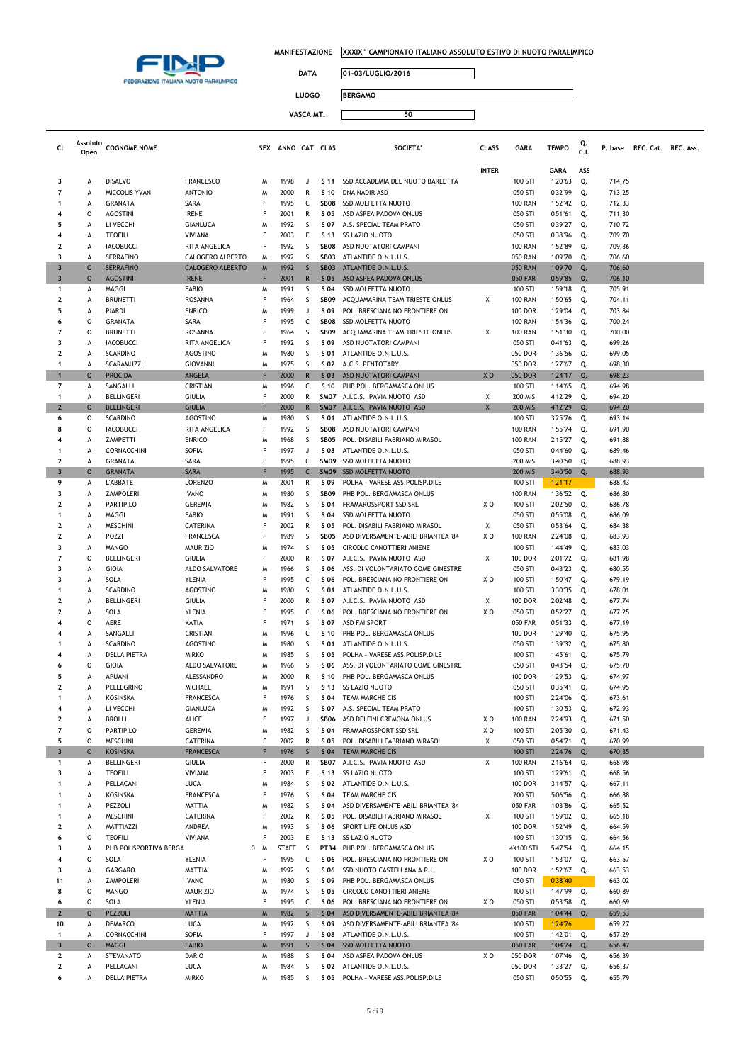

**Cl Assoluto** 

**MANIFESTAZIONE XXXIX° CAMPIONATO ITALIANO ASSOLUTO ESTIVO DI NUOTO PARALIMPICO**

 $\overline{\phantom{0}}$ 

**DATA 01-03/LUGLIO/2016**

**LUOGO BERGAMO**

|                         |                         |                                     |                          |        |                   | VASCA MI     |                     | วบ                                                      |              |                                  |                    |           |                  |                     |  |
|-------------------------|-------------------------|-------------------------------------|--------------------------|--------|-------------------|--------------|---------------------|---------------------------------------------------------|--------------|----------------------------------|--------------------|-----------|------------------|---------------------|--|
|                         |                         |                                     |                          |        |                   |              |                     |                                                         |              |                                  |                    |           |                  |                     |  |
| cι                      | Assoluto<br>Open        | <b>COGNOME NOME</b>                 |                          |        | SEX ANNO CAT CLAS |              |                     | <b>SOCIETA</b>                                          | <b>CLASS</b> | <b>GARA</b>                      | <b>TEMPO</b>       | Q.<br>C.1 | P. base          | REC. Cat. REC. Ass. |  |
|                         |                         |                                     |                          |        |                   |              |                     |                                                         | <b>INTER</b> |                                  | GARA               | ASS       |                  |                     |  |
| 3                       | A                       | <b>DISALVO</b>                      | <b>FRANCESCO</b>         | M      | 1998              | $\lrcorner$  | S 11                | SSD ACCADEMIA DEL NUOTO BARLETTA                        |              | 100 STI                          | 1'20"63            | Q.        | 714,75           |                     |  |
|                         | А                       | MICCOLIS YVAN                       | <b>ANTONIO</b>           | M      | 2000              | R            | S 10                | DNA NADIR ASD                                           |              | 050 STI                          | 0'32"99            | Q.        | 713,25           |                     |  |
|                         | А                       | <b>GRANATA</b>                      | SARA                     | F      | 1995              | C            | SB08                | <b>SSD MOLFETTA NUOTO</b>                               |              | <b>100 RAN</b>                   | 1'52"42            | Q.        | 712,33           |                     |  |
|                         | $\circ$                 | <b>AGOSTINI</b>                     | <b>IRENE</b>             | F      | 2001              | R            | S 05                | ASD ASPEA PADOVA ONLUS                                  |              | 050 STI                          | 0'51"61            | Q.        | 711,30           |                     |  |
|                         | А                       | LI VECCHI                           | <b>GIANLUCA</b>          | M      | 1992              | S            | S 07                | A.S. SPECIAL TEAM PRATO                                 |              | 050 STI                          | 0'39"27            | Q.        | 710,72           |                     |  |
| 4                       | A                       | <b>TEOFILI</b>                      | VIVIANA                  | F      | 2003              | Ε            | S 13                | <b>SS LAZIO NUOTO</b>                                   |              | 050 STI                          | 0'38"96            | Q.        | 709,70           |                     |  |
| 2                       | А                       | <b>IACOBUCCI</b>                    | RITA ANGELICA            | F      | 1992              | S            | <b>SB08</b>         | ASD NUOTATORI CAMPANI                                   |              | <b>100 RAN</b>                   | 1'52"89            | Q.        | 709,36           |                     |  |
|                         | A                       | <b>SERRAFINO</b>                    | CALOGERO ALBERTO         | M      | 1992              | S            | SB03                | ATLANTIDE O.N.L.U.S.                                    |              | <b>050 RAN</b>                   | 1'09"70            | Q.        | 706,60           |                     |  |
| 3                       | $\circ$                 | <b>SERRAFINO</b>                    | <b>CALOGERO ALBERTO</b>  | M      | 1992              | S            | SB <sub>03</sub>    | ATLANTIDE O.N.L.U.S.                                    |              | <b>050 RAN</b>                   | 1'09"70            | Q.        | 706,60           |                     |  |
| 3                       | $\circ$                 | <b>AGOSTINI</b>                     | <b>IRENE</b>             | F      | 2001              | $\mathsf{R}$ | S 05                | ASD ASPEA PADOVA ONLUS                                  |              | <b>050 FAR</b>                   | 0'59"85            | Q.        | 706,10           |                     |  |
| 1                       | А                       | MAGGI                               | <b>FABIO</b>             | M      | 1991              | S            | S 04                | <b>SSD MOLFETTA NUOTO</b>                               |              | 100 STI                          | 1'59"18            | Q.        | 705,91           |                     |  |
| 2                       | А                       | <b>BRUNETTI</b>                     | ROSANNA<br><b>ENRICO</b> | F      | 1964<br>1999      | S<br>J       | <b>SB09</b>         | ACQUAMARINA TEAM TRIESTE ONLUS                          | Χ            | <b>100 RAN</b><br><b>100 DOR</b> | 1'50"65<br>1'29"04 | Q.        | 704,11           |                     |  |
|                         | А<br>O                  | PIARDI                              |                          | M<br>F | 1995              |              | S 09<br><b>SB08</b> | POL. BRESCIANA NO FRONTIERE ON                          |              |                                  |                    | Q.        | 703,84           |                     |  |
|                         | O                       | GRANATA<br><b>BRUNETTI</b>          | SARA<br>ROSANNA          | F      | 1964              | C<br>S       | SB <sub>09</sub>    | <b>SSD MOLFETTA NUOTO</b>                               | Х            | <b>100 RAN</b><br><b>100 RAN</b> | 1'54"36<br>1'51"30 | Q.<br>Q.  | 700,24<br>700,00 |                     |  |
|                         | А                       |                                     | RITA ANGELICA            | F      | 1992              | S            | S 09                | ACQUAMARINA TEAM TRIESTE ONLUS<br>ASD NUOTATORI CAMPANI |              | 050 STI                          | 0'41"63            | Q.        | 699,26           |                     |  |
| 2                       | A                       | <b>IACOBUCCI</b><br><b>SCARDINO</b> | <b>AGOSTINO</b>          | M      | 1980              | S            | S 01                | ATLANTIDE O.N.L.U.S.                                    |              | 050 DOR                          |                    |           |                  |                     |  |
|                         | A                       | SCARAMUZZI                          | <b>GIOVANNI</b>          | M      | 1975              | S            | S 02                | A.C.S. PENTOTARY                                        |              | 050 DOR                          | 1'36"56<br>1'27"67 | Q.        | 699,05           |                     |  |
|                         | $\Omega$                | <b>PROCIDA</b>                      | ANGELA                   | F      | 2000              | $\mathsf{R}$ | $S$ 03              | ASD NUOTATORI CAMPANI                                   | XO           | 050 DOR                          | 1'24"17            | Q.<br>Q.  | 698,30<br>698,23 |                     |  |
|                         | $\overline{\mathsf{A}}$ | SANGALLI                            | CRISTIAN                 | M      | 1996              | C            | S 10                | PHB POL. BERGAMASCA ONLUS                               |              | 100 STI                          | 1'14"65            | Q.        | 694,98           |                     |  |
|                         | А                       | <b>BELLINGERI</b>                   | <b>GIULIA</b>            | F      | 2000              | R            | SM07                | A.I.C.S. PAVIA NUOTO ASD                                | Х            | <b>200 MIS</b>                   | 4'12"29            | Q.        | 694,20           |                     |  |
| 2                       | $\circ$                 | <b>BELLINGERI</b>                   | <b>GIULIA</b>            | F      | 2000              | $\mathsf{R}$ | SM07                | A.I.C.S. PAVIA NUOTO ASD                                | X            | <b>200 MIS</b>                   | 4'12"29            | Q.        | 694,20           |                     |  |
| 6                       | 0                       | <b>SCARDINO</b>                     | <b>AGOSTINO</b>          | M      | 1980              | S            | S 01                | ATLANTIDE O.N.L.U.S.                                    |              | 100 STI                          | 3'25"76            | Q.        | 693,14           |                     |  |
|                         | 0                       | <b>IACOBUCCI</b>                    | RITA ANGELICA            | F      | 1992              | S            | <b>SB08</b>         | ASD NUOTATORI CAMPANI                                   |              | <b>100 RAN</b>                   | 1'55"74            | Q.        | 691,90           |                     |  |
| 4                       | А                       | ZAMPETTI                            | <b>ENRICO</b>            | M      | 1968              | S            | SB05                | POL. DISABILI FABRIANO MIRASOL                          |              | <b>100 RAN</b>                   | 2'15"27            | Q.        | 691,88           |                     |  |
|                         | А                       | CORNACCHINI                         | SOFIA                    | F      | 1997              | J            | S 08                | ATLANTIDE O.N.L.U.S.                                    |              | 050 STI                          | 0'44"60            | Q.        | 689,46           |                     |  |
| 2                       | A                       | <b>GRANATA</b>                      | SARA                     | F      | 1995              | C            | SMO9                | <b>SSD MOLFETTA NUOTO</b>                               |              | <b>200 MIS</b>                   | 3'40"50            | Q.        | 688,93           |                     |  |
| 3                       | $\circ$                 | <b>GRANATA</b>                      | <b>SARA</b>              | F      | 1995              | $\mathsf{C}$ | <b>SM09</b>         | <b>SSD MOLFETTA NUOTO</b>                               |              | <b>200 MIS</b>                   | 3'40"50            | Q.        | 688,93           |                     |  |
| 9                       | А                       | L'ABBATE                            | <b>LORENZO</b>           | M      | 2001              | R            | S 09                | POLHA - VARESE ASS.POLISP.DILE                          |              | 100 STI                          | 1'21"17            |           | 688,43           |                     |  |
| 3                       | А                       | <b>ZAMPOLERI</b>                    | <b>IVANO</b>             | M      | 1980              | S            | <b>SB09</b>         | PHB POL. BERGAMASCA ONLUS                               |              | <b>100 RAN</b>                   | 1'36"52            | Q.        | 686,80           |                     |  |
| 2                       | А                       | <b>PARTIPILO</b>                    | <b>GEREMIA</b>           | M      | 1982              | S            | S 04                | FRAMAROSSPORT SSD SRL                                   | X O          | 100 STI                          | 2'02"50            | Q.        | 686,78           |                     |  |
|                         | А                       | MAGGI                               | <b>FABIO</b>             | M      | 1991              | S            | S 04                | <b>SSD MOLFETTA NUOTO</b>                               |              | 050 STI                          | 0'55"08            | Q.        | 686,09           |                     |  |
|                         | А                       | <b>MESCHINI</b>                     | CATERINA                 | F      | 2002              | R            | S 05                | POL. DISABILI FABRIANO MIRASOL                          | Х            | 050 STI                          | 0'53"64            | Q.        | 684,38           |                     |  |
| 2                       | А                       | POZZI                               | <b>FRANCESCA</b>         | F      | 1989              | S            | SB05                | ASD DIVERSAMENTE-ABILI BRIANTEA '84                     | x o          | <b>100 RAN</b>                   | 2'24"08            | Q.        | 683,93           |                     |  |
|                         | А                       | <b>MANGO</b>                        | <b>MAURIZIO</b>          | M      | 1974              | S            | S 05                | CIRCOLO CANOTTIERI ANIENE                               |              | 100 STI                          | 1'44"49            | Q.        | 683,03           |                     |  |
|                         | O                       | <b>BELLINGERI</b>                   | <b>GIULIA</b>            | F      | 2000              | R            | S 07                | A.I.C.S. PAVIA NUOTO ASD                                | Х            | <b>100 DOR</b>                   | 2'01"72            | Q.        | 681,98           |                     |  |
|                         | А                       | GIOIA                               | ALDO SALVATORE           | M      | 1966              | S            | S 06                | ASS. DI VOLONTARIATO COME GINESTRE                      |              | 050 STI                          | 0'43"23            | Q.        | 680,55           |                     |  |
|                         | А                       | SOLA                                | YLENIA                   | F      | 1995              | C            | S 06                | POL. BRESCIANA NO FRONTIERE ON                          | X O          | 100 STI                          | 1'50"47            | Q.        | 679,19           |                     |  |
|                         | A                       | <b>SCARDINO</b>                     | <b>AGOSTINO</b>          | M      | 1980              | S            | S 01                | ATLANTIDE O.N.L.U.S.                                    |              | 100 STI                          | 3'30"35            | Q.        | 678,01           |                     |  |
|                         | А                       | <b>BELLINGERI</b>                   | GIULIA                   | F      | 2000              | R            | S 07                | A.I.C.S. PAVIA NUOTO ASD                                | Х            | <b>100 DOR</b>                   | 2'02"48            | Q.        | 677,74           |                     |  |
| 2                       | А                       | SOLA                                | YLENIA                   | F      | 1995              | $\mathsf{C}$ | S 06                | POL. BRESCIANA NO FRONTIERE ON                          | X O          | 050 STI                          | 0'52"27            | Q.        | 677,25           |                     |  |
|                         | $\circ$                 | AERE                                | KATIA                    | F      | 1971              | S            | S 07                | <b>ASD FAI SPORT</b>                                    |              | <b>050 FAR</b>                   | 0'51"33            | Q.        | 677,19           |                     |  |
|                         | А                       | SANGALLI                            | CRISTIAN                 | M      | 1996              | c            | S 10                | PHB POL. BERGAMASCA ONLUS                               |              | <b>100 DOR</b>                   | 1'29"40            | Q.        | 675,95           |                     |  |
|                         | А                       | <b>SCARDINO</b>                     | <b>AGOSTINO</b>          | M      | 1980              | S            | S 01                | ATLANTIDE O.N.L.U.S.                                    |              | 050 STI                          | 1'39"32            | Q.        | 675,80           |                     |  |
|                         | А                       | <b>DELLA PIETRA</b>                 | <b>MIRKO</b>             | M      | 1985              | <sub>S</sub> | S 05                | POLHA - VARESE ASS.POLISP.DILE                          |              | 100 STI                          | 1'45"61            | Q.        | 675,79           |                     |  |
|                         | 0                       | GIOIA                               | ALDO SALVATORE           | M      | 1966              | S            | S 06                | ASS. DI VOLONTARIATO COME GINESTRE                      |              | 050 STI                          | 0'43"54            | Q.        | 675,70           |                     |  |
|                         | А                       | APUANI                              | ALESSANDRO               | M      | 2000              | R            | S 10                | PHB POL. BERGAMASCA ONLUS                               |              | <b>100 DOR</b>                   | 1'29"53            | Q.        | 674,97           |                     |  |
| 2                       | А                       | PELLEGRINO                          | MICHAEL                  | M      | 1991              | S            | S 13                | SS LAZIO NUOTO                                          |              | 050 STI                          | $0'35''41$ Q.      |           | 674,95           |                     |  |
|                         | А                       | <b>KOSINSKA</b>                     | <b>FRANCESCA</b>         | F      | 1976              | S            | S 04                | TEAM MARCHE CIS                                         |              | 100 STI                          | 2'24"06            | Q.        | 673,61           |                     |  |
| 4                       | А                       | LI VECCHI                           | <b>GIANLUCA</b>          | M      | 1992              | S            | S 07                | A.S. SPECIAL TEAM PRATO                                 |              | 100 STI                          | 1'30"53            | Q.        | 672,93           |                     |  |
| 2                       | А                       | <b>BROLLI</b>                       | ALICE                    | F      | 1997              | J            | <b>SB06</b>         | ASD DELFINI CREMONA ONLUS                               | X O          | <b>100 RAN</b>                   | 2'24"93            | Q.        | 671,50           |                     |  |
|                         | 0                       | PARTIPILO                           | GEREMIA                  | M      | 1982              | S            | S 04                | FRAMAROSSPORT SSD SRL                                   | X O          | 100 STI                          | 2'05"30            | Q.        | 671,43           |                     |  |
| 5                       | $\mathsf{o}\,$          | <b>MESCHINI</b>                     | CATERINA                 | F      | 2002              | R            | S 05                | POL. DISABILI FABRIANO MIRASOL                          | Χ            | 050 STI                          | 0'54"71            | Q.        | 670,99           |                     |  |
| $\overline{\mathbf{3}}$ | $\circ$                 | <b>KOSINSKA</b>                     | <b>FRANCESCA</b>         | F      | 1976              | S            | S <sub>04</sub>     | TEAM MARCHE CIS                                         |              | 100 STI                          | 2'24"76            | Q.        | 670,35           |                     |  |
| 1                       | А                       | <b>BELLINGERI</b>                   | <b>GIULIA</b>            | F      | 2000              | R            | SB07                | A.I.C.S. PAVIA NUOTO ASD                                | Х            | <b>100 RAN</b>                   | 2'16"64            | Q.        | 668,98           |                     |  |
| 3                       | А                       | <b>TEOFILI</b>                      | VIVIANA                  | F      | 2003              | Ε            | S 13                | SS LAZIO NUOTO                                          |              | 100 STI                          | 1'29"61            | Q.        | 668,56           |                     |  |
|                         | A                       | PELLACANI                           | LUCA                     | M      | 1984              | S            |                     | S 02 ATLANTIDE O.N.L.U.S.                               |              | <b>100 DOR</b>                   | 3'14"57            | Q.        | 667,11           |                     |  |
|                         | A                       | KOSINSKA                            | <b>FRANCESCA</b>         | F      | 1976              | S            | S 04                | TEAM MARCHE CIS                                         |              | 200 STI                          | 5'06"56            | Q.        | 666,88           |                     |  |
|                         | A                       | PEZZOLI                             | <b>MATTIA</b>            | M      | 1982              | S            | S 04                | ASD DIVERSAMENTE-ABILI BRIANTEA '84                     |              | <b>050 FAR</b>                   | 1'03"86            | Q.        | 665,52           |                     |  |
|                         | A                       | <b>MESCHINI</b>                     | CATERINA                 | F      | 2002              | R            | S 05                | POL. DISABILI FABRIANO MIRASOL                          | Х            | 100 STI                          | 1'59"02            | Q.        | 665,18           |                     |  |
|                         | A                       | MATTIAZZI                           | ANDREA                   | M      | 1993              | S            | S 06                | SPORT LIFE ONLUS ASD                                    |              | <b>100 DOR</b>                   | 1'52"49 Q.         |           | 664,59           |                     |  |
|                         | 0                       | <b>TEOFILI</b>                      | <b>VIVIANA</b>           | F      | 2003              | E            | S 13                | SS LAZIO NUOTO                                          |              | 100 STI                          | 1'30"15 Q.         |           | 664,56           |                     |  |
|                         | A                       | PHB POLISPORTIVA BERGA              |                          | 0 M    | <b>STAFF</b>      | S            |                     | PT34 PHB POL. BERGAMASCA ONLUS                          |              | 4X100 STI                        | 5'47"54 Q.         |           | 664,15           |                     |  |

| $\mathbf{2}$            |          | <b>MATTIAZZI</b>       | <b>ANDREA</b>   | M   | 1993         |              |                 | S 06 SPORT LIFE ONLUS ASD           |     | <b>100 DOR</b> | 1'52"49 0.    | 664,59 |
|-------------------------|----------|------------------------|-----------------|-----|--------------|--------------|-----------------|-------------------------------------|-----|----------------|---------------|--------|
| 6                       | $\Omega$ | <b>TEOFILI</b>         | <b>VIVIANA</b>  |     | 2003         | F            |                 | S 13 SS LAZIO NUOTO                 |     | 100 STI        | 1'30"15 Q.    | 664,56 |
| 3                       | А        | PHB POLISPORTIVA BERGA |                 | 0 M | <b>STAFF</b> |              |                 | PT34 PHB POL. BERGAMASCA ONLUS      |     | 4X100 STI      | 5'47"54 0.    | 664,15 |
| 4                       | $\Omega$ | SOLA                   | <b>YLENIA</b>   | E.  | 1995         |              | S 06            | POL. BRESCIANA NO FRONTIERE ON      | X O | 100 STI        | 1'53"07 0.    | 663,57 |
| 3                       | А        | GARGARO                | <b>MATTIA</b>   | M   | 1992         |              | S 06            | SSD NUOTO CASTELLANA A R.L.         |     | <b>100 DOR</b> | 1'52"67 0.    | 663,53 |
| 11                      |          | <b>ZAMPOLERI</b>       | <b>IVANO</b>    | M   | 1980         |              | S 09            | PHB POL. BERGAMASCA ONLUS           |     | 050 STI        | 0'38"40       | 663,02 |
| 8                       | $\Omega$ | <b>MANGO</b>           | <b>MAURIZIO</b> | M   | 1974         |              | S 05            | CIRCOLO CANOTTIERI ANIENE           |     | 100 STI        | 1'47"99 Q.    | 660,89 |
| 6                       | $\Omega$ | SOLA                   | <b>YLENIA</b>   |     | 1995         | - C          | S 06            | POL. BRESCIANA NO FRONTIERE ON      | X O | 050 STI        | $0'53''58$ 0. | 660,69 |
| $\overline{2}$          | $\Omega$ | <b>PEZZOLI</b>         | <b>MATTIA</b>   | M   | 1982         |              | S <sub>04</sub> | ASD DIVERSAMENTE-ABILI BRIANTEA '84 |     | <b>050 FAR</b> | 1'04"44 0.    | 659.53 |
|                         |          |                        |                 |     |              |              |                 |                                     |     |                |               |        |
| 10                      | A        | <b>DEMARCO</b>         | LUCA            | M   | 1992         | - 5          | S 09            | ASD DIVERSAMENTE-ABILI BRIANTEA '84 |     | 100 STI        | 1'24"76       | 659,27 |
|                         | A        | CORNACCHINI            | SOFIA           |     | 1997         |              | S 08            | ATLANTIDE O.N.L.U.S.                |     | 100 STI        | 1'42"01 Q.    | 657,29 |
| $\overline{\mathbf{3}}$ | $\Omega$ | <b>MAGGI</b>           | <b>FABIO</b>    | M   | 1991         | <sub>S</sub> | S <sub>04</sub> | <b>SSD MOLFETTA NUOTO</b>           |     | <b>050 FAR</b> | 1'04"74 0.    | 656,47 |
| $\overline{2}$          | A        | <b>STEVANATO</b>       | <b>DARIO</b>    | M   | 1988         |              | S 04            | ASD ASPEA PADOVA ONLUS              | X O | 050 DOR        | 1'07"46 0.    | 656,39 |
| $\mathbf{2}$            | А        | PELLACANI              | LUCA            | M   | 1984         |              | S 02            | ATLANTIDE O.N.L.U.S.                |     | 050 DOR        | 1'33"27 Q.    | 656,37 |
| 6                       |          | <b>DELLA PIETRA</b>    | <b>MIRKO</b>    | M   | 1985         |              | S 05            | POLHA - VARESE ASS. POLISP. DILE    |     | 050 STI        | $0'50''55$ Q. | 655,79 |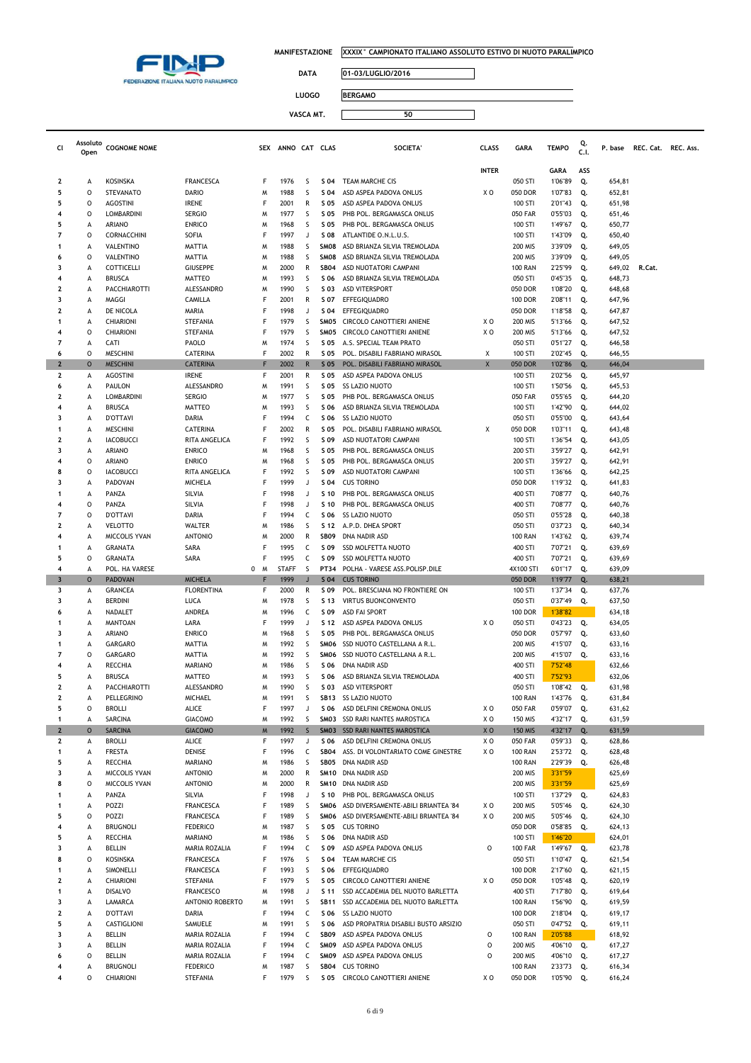

 $\Box$ 

┑

**DATA 01-03/LUGLIO/2016**

**LUOGO BERGAMO**

| Cl                      | Assoluto     | <b>COGNOME NOME</b>               |                                  |             | SEX ANNO CAT CLAS |                   |                     | <b>SOCIETA</b>                                               | <b>CLASS</b>   | <b>GARA</b>                      | <b>TEMPO</b>       | Q.       | P. base          | REC. Cat. REC. Ass. |  |
|-------------------------|--------------|-----------------------------------|----------------------------------|-------------|-------------------|-------------------|---------------------|--------------------------------------------------------------|----------------|----------------------------------|--------------------|----------|------------------|---------------------|--|
|                         | Open         |                                   |                                  |             |                   |                   |                     |                                                              |                |                                  |                    | C.I.     |                  |                     |  |
|                         |              |                                   |                                  |             |                   |                   |                     |                                                              | <b>INTER</b>   |                                  | <b>GARA</b>        | ASS      |                  |                     |  |
| 2                       | А            | <b>KOSINSKA</b>                   | <b>FRANCESCA</b>                 | F           | 1976              | S                 | S 04                | TEAM MARCHE CIS                                              |                | 050 STI                          | 1'06"89            | Q.       | 654,81           |                     |  |
| 5                       | O            | <b>STEVANATO</b>                  | <b>DARIO</b>                     | M           | 1988              | S                 | S 04                | ASD ASPEA PADOVA ONLUS                                       | X O            | 050 DOR                          | 1'07"83            | Q.       | 652,81           |                     |  |
| 5                       | 0            | <b>AGOSTINI</b>                   | <b>IRENE</b>                     | $\mathsf F$ | 2001              | R                 | S 05                | ASD ASPEA PADOVA ONLUS                                       |                | 100 STI                          | 2'01"43            | Q.       | 651,98           |                     |  |
| 4                       | 0            | <b>LOMBARDINI</b>                 | <b>SERGIO</b>                    | M           | 1977              | S                 | S 05                | PHB POL. BERGAMASCA ONLUS                                    |                | <b>050 FAR</b>                   | 0'55"03            | Q.       | 651,46           |                     |  |
| 5                       | А            | ARIANO                            | <b>ENRICO</b>                    | M           | 1968              | S                 | S 05                | PHB POL. BERGAMASCA ONLUS                                    |                | 100 STI                          | 1'49"67            | Q.       | 650,77           |                     |  |
| $\overline{7}$          | 0            | CORNACCHINI                       | SOFIA                            | F           | 1997<br>1988      | J                 | S 08                | ATLANTIDE O.N.L.U.S.                                         |                | 100 STI                          | 1'43"09            | Q.       | 650,40           |                     |  |
| 1<br>6                  | А<br>0       | VALENTINO<br>VALENTINO            | <b>MATTIA</b><br>MATTIA          | M<br>M      | 1988              | S<br>S            | SM08<br>SM08        | ASD BRIANZA SILVIA TREMOLADA<br>ASD BRIANZA SILVIA TREMOLADA |                | <b>200 MIS</b><br><b>200 MIS</b> | 3'39"09<br>3'39"09 | Q.<br>Q. | 649,05<br>649,05 |                     |  |
| 3                       | А            | COTTICELLI                        | <b>GIUSEPPE</b>                  | M           | 2000              | R                 | <b>SB04</b>         | ASD NUOTATORI CAMPANI                                        |                | <b>100 RAN</b>                   | 2'25"99            | Q.       | 649,02           | R.Cat.              |  |
|                         | А            | <b>BRUSCA</b>                     | <b>MATTEO</b>                    | M           | 1993              | S                 | S 06                | ASD BRIANZA SILVIA TREMOLADA                                 |                | 050 STI                          | 0'45"35            | Q.       | 648,73           |                     |  |
| 2                       | A            | PACCHIAROTTI                      | ALESSANDRO                       | M           | 1990              | S                 | S 03                | <b>ASD VITERSPORT</b>                                        |                | 050 DOR                          | 1'08"20            | Q.       | 648,68           |                     |  |
| 3                       | А            | MAGGI                             | CAMILLA                          | F           | 2001              | R                 | S 07                | EFFEGIQUADRO                                                 |                | <b>100 DOR</b>                   | 2'08"11            | Q.       | 647,96           |                     |  |
| $\mathbf{2}$            | А            | DE NICOLA                         | MARIA                            | F           | 1998              | J                 | S 04                | EFFEGIQUADRO                                                 |                | 050 DOR                          | 1'18"58            | Q.       | 647,87           |                     |  |
| 1                       | A            | CHIARIONI                         | STEFANIA                         | F           | 1979              | S                 | SM05                | CIRCOLO CANOTTIERI ANIENE                                    | X O            | <b>200 MIS</b>                   | 5'13"66            | Q.       | 647,52           |                     |  |
|                         | $\circ$      | CHIARIONI                         | STEFANIA                         | F           | 1979              | S                 | SM05                | CIRCOLO CANOTTIERI ANIENE                                    | X O            | 200 MIS                          | 5'13"66            | Q.       | 647,52           |                     |  |
| 7                       | А            | CATI                              | PAOLO                            | M           | 1974              | S                 | S 05                | A.S. SPECIAL TEAM PRATO                                      |                | 050 STI                          | 0'51"27            | Q.       | 646,58           |                     |  |
| 6                       | $\circ$      | <b>MESCHINI</b>                   | CATERINA                         | F           | 2002              | R                 | S 05                | POL. DISABILI FABRIANO MIRASOL                               | Χ              | 100 STI                          | 2'02"45            | Q.       | 646,55           |                     |  |
| $\overline{2}$          | $\circ$      | <b>MESCHINI</b>                   | <b>CATERINA</b>                  | F           | 2002              | $\mathsf{R}$      | S 05                | POL. DISABILI FABRIANO MIRASOL                               | X              | 050 DOR                          | 1'02"86            | Q.       | 646,04           |                     |  |
| $\mathbf{2}$<br>6       | А<br>А       | <b>AGOSTINI</b><br>PAULON         | <b>IRENE</b><br>ALESSANDRO       | F<br>M      | 2001<br>1991      | R<br>S            | S 05<br>S 05        | ASD ASPEA PADOVA ONLUS<br><b>SS LAZIO NUOTO</b>              |                | 100 STI<br>100 STI               | 2'02"56<br>1'50"56 | Q.       | 645,97<br>645,53 |                     |  |
| 2                       | А            | LOMBARDINI                        | <b>SERGIO</b>                    | M           | 1977              | S                 | S 05                | PHB POL. BERGAMASCA ONLUS                                    |                | <b>050 FAR</b>                   | 0'55"65            | Q.<br>Q. | 644,20           |                     |  |
| 4                       | А            | <b>BRUSCA</b>                     | <b>MATTEO</b>                    | M           | 1993              | S                 | S 06                | ASD BRIANZA SILVIA TREMOLADA                                 |                | 100 STI                          | 1'42"90            | Q.       | 644,02           |                     |  |
| 3                       | А            | <b>D'OTTAVI</b>                   | DARIA                            | F           | 1994              | c                 | S 06                | <b>SS LAZIO NUOTO</b>                                        |                | 050 STI                          | 0'55"00            | Q.       | 643,64           |                     |  |
| 1                       | A            | <b>MESCHINI</b>                   | CATERINA                         | F           | 2002              | R                 | S 05                | POL. DISABILI FABRIANO MIRASOL                               | Χ              | 050 DOR                          | 1'03"11            | Q.       | 643,48           |                     |  |
| $\mathbf{2}$            | А            | <b>IACOBUCCI</b>                  | RITA ANGELICA                    | F           | 1992              | S                 | S 09                | ASD NUOTATORI CAMPANI                                        |                | 100 STI                          | 1'36"54            | Q.       | 643,05           |                     |  |
| $\overline{\mathbf{3}}$ | A            | <b>ARIANO</b>                     | <b>ENRICO</b>                    | M           | 1968              | S                 | S 05                | PHB POL. BERGAMASCA ONLUS                                    |                | 200 STI                          | 3'59"27            | Q.       | 642,91           |                     |  |
|                         | 0            | ARIANO                            | <b>ENRICO</b>                    | M           | 1968              | S                 | S 05                | PHB POL. BERGAMASCA ONLUS                                    |                | 200 STI                          | 3'59"27            | Q.       | 642,91           |                     |  |
| 8                       | 0            | <b>IACOBUCCI</b>                  | RITA ANGELICA                    | F           | 1992              | S                 | S 09                | ASD NUOTATORI CAMPANI                                        |                | 100 STI                          | 1'36"66            | Q.       | 642,25           |                     |  |
| 3                       | A            | PADOVAN                           | <b>MICHELA</b>                   | F           | 1999              | J                 | S 04                | <b>CUS TORINO</b>                                            |                | 050 DOR                          | 1'19"32            | Q.       | 641,83           |                     |  |
| 1                       | A            | PANZA                             | SILVIA                           | $\mathsf F$ | 1998              | J                 | S 10                | PHB POL. BERGAMASCA ONLUS                                    |                | 400 STI                          | 7'08"77            | Q.       | 640,76           |                     |  |
|                         | 0            | PANZA                             | SILVIA                           | F           | 1998              | J                 | S 10                | PHB POL. BERGAMASCA ONLUS                                    |                | 400 STI                          | 7'08"77            | Q.       | 640,76           |                     |  |
| 7<br>2                  | 0<br>А       | <b>D'OTTAVI</b><br><b>VELOTTO</b> | DARIA<br>WALTER                  | F<br>M      | 1994<br>1986      | c<br>S            | S 06<br>S 12        | <b>SS LAZIO NUOTO</b><br>A.P.D. DHEA SPORT                   |                | 050 STI<br>050 STI               | 0'55"28<br>0'37"23 | Q.<br>Q. | 640,38<br>640,34 |                     |  |
|                         | А            | MICCOLIS YVAN                     | <b>ANTONIO</b>                   | M           | 2000              | R                 | <b>SB09</b>         | DNA NADIR ASD                                                |                | <b>100 RAN</b>                   | 1'43"62            | Q.       | 639,74           |                     |  |
| 1                       | А            | <b>GRANATA</b>                    | SARA                             | F           | 1995              | c                 | S 09                | <b>SSD MOLFETTA NUOTO</b>                                    |                | 400 STI                          | 7'07"21            | Q.       | 639,69           |                     |  |
| 5                       | 0            | <b>GRANATA</b>                    | SARA                             | F           | 1995              | C                 | S 09                | <b>SSD MOLFETTA NUOTO</b>                                    |                | 400 STI                          | 7'07"21            | Q.       | 639,69           |                     |  |
| 4                       | А            | POL. HA VARESE                    |                                  | 0<br>M      | <b>STAFF</b>      | S                 | PT34                | POLHA - VARESE ASS.POLISP.DILE                               |                | 4X100 STI                        | 6'01"17            | Q.       | 639,09           |                     |  |
| $\overline{\mathbf{3}}$ | $\circ$      | <b>PADOVAN</b>                    | <b>MICHELA</b>                   | ₽           | 1999              | $\mathbf{J}$      | S <sub>04</sub>     | <b>CUS TORINO</b>                                            |                | 050 DOR                          | 1'19"77            | Q.       | 638,21           |                     |  |
| 3                       | А            | GRANCEA                           | <b>FLORENTINA</b>                | F           | 2000              | R                 | S 09                | POL. BRESCIANA NO FRONTIERE ON                               |                | 100 STI                          | 1'37"34            | Q.       | 637,76           |                     |  |
| 3                       | А            | <b>BERDINI</b>                    | LUCA                             | M           | 1978              | S                 | S 13                | <b>VIRTUS BUONCONVENTO</b>                                   |                | 050 STI                          | 0'37"49            | Q.       | 637,50           |                     |  |
| 6                       | А            | NADALET                           | ANDREA                           | M           | 1996              | c                 | S 09                | <b>ASD FAI SPORT</b>                                         |                | <b>100 DOR</b>                   | 1'38"82            |          | 634,18           |                     |  |
| 1                       | А            | <b>MANTOAN</b>                    | LARA                             | F           | 1999              | J                 | S 12                | ASD ASPEA PADOVA ONLUS                                       | X O            | 050 STI                          | 0'43"23            | Q.       | 634,05           |                     |  |
| 3                       | А            | ARIANO                            | <b>ENRICO</b>                    | M           | 1968              | S                 | S 05                | PHB POL. BERGAMASCA ONLUS                                    |                | 050 DOR                          | 0'57"97            | Q.       | 633,60           |                     |  |
| 1                       | А            | GARGARO                           | <b>MATTIA</b>                    | M           | 1992              | S                 | SMO6                | SSD NUOTO CASTELLANA A R.L.<br>SSD NUOTO CASTELLANA A R.L.   |                | <b>200 MIS</b>                   | 4'15"07            | Q.       | 633,16           |                     |  |
| 7<br>4                  | 0<br>А       | <b>GARGARO</b><br>RECCHIA         | <b>MATTIA</b>                    | M           | 1992<br>1986      | S<br>S            | SMO6<br>S 06        | DNA NADIR ASD                                                |                | <b>200 MIS</b><br>400 STI        | 4'15"07<br>7'52"48 | Q.       | 633,16<br>632,66 |                     |  |
| 5                       | А            | <b>BRUSCA</b>                     | <b>MARIANO</b><br>MATTEO         | M<br>M      | 1993              | S                 | S 06                | ASD BRIANZA SILVIA TREMOLADA                                 |                | 400 STI                          | 7'52"93            |          | 632,06           |                     |  |
| 2                       | А            | PACCHIAROTTI                      | ALESSANDRO                       | M           | 1990              | S                 | S 03                | <b>ASD VITERSPORT</b>                                        |                | 050 STI                          | 1'08"42            | Q.       | 631,98           |                     |  |
| 2                       | A            | PELLEGRINO                        | MICHAEL                          | M           | 1991              | S                 |                     | SB13 SS LAZIO NUOTO                                          |                | <b>100 RAN</b>                   | 1'43"76            | Q.       | 631,84           |                     |  |
| 5                       | 0            | <b>BROLLI</b>                     | <b>ALICE</b>                     | F           | 1997              | J                 | S 06                | ASD DELFINI CREMONA ONLUS                                    | X O            | <b>050 FAR</b>                   | 0'59"07            | Q.       | 631,62           |                     |  |
| 1                       | А            | SARCINA                           | <b>GIACOMO</b>                   | M           | 1992              | S                 |                     | SM03 SSD RARI NANTES MAROSTICA                               | X O            | <b>150 MIS</b>                   | 4'32"17            | Q.       | 631,59           |                     |  |
| $\overline{2}$          | $\circ$      | <b>SARCINA</b>                    | <b>GIACOMO</b>                   | ${\sf M}$   | 1992              | $\mathsf{S}$      |                     | SM03 SSD RARI NANTES MAROSTICA                               | X <sub>0</sub> | <b>150 MIS</b>                   | 4'32"17            | Q.       | 631,59           |                     |  |
| $\mathbf{2}$            | A            | <b>BROLLI</b>                     | <b>ALICE</b>                     | F           | 1997              | J                 | S 06                | ASD DELFINI CREMONA ONLUS                                    | X O            | <b>050 FAR</b>                   | 0'59"33            | Q.       | 628,86           |                     |  |
| 1                       | А            | <b>FRESTA</b>                     | DENISE                           | F           | 1996              | C                 | <b>SB04</b>         | ASS. DI VOLONTARIATO COME GINESTRE                           | XO             | <b>100 RAN</b>                   | 2'53"72            | Q.       | 628,48           |                     |  |
| 5                       | А            | RECCHIA                           | <b>MARIANO</b>                   | M           | 1986              | S                 | SB05                | DNA NADIR ASD                                                |                | <b>100 RAN</b>                   | 2'29"39            | Q.       | 626,48           |                     |  |
| 3                       | А            | MICCOLIS YVAN                     | <b>ANTONIO</b>                   | M           | 2000              | R                 |                     | SM10 DNA NADIR ASD                                           |                | 200 MIS                          | 3'31"59            |          | 625,69           |                     |  |
| 8                       | O            | MICCOLIS YVAN                     | <b>ANTONIO</b>                   | M<br>F      | 2000              | $\mathsf{R}$<br>J |                     | SM10 DNA NADIR ASD<br>PHB POL. BERGAMASCA ONLUS              |                | 200 MIS                          | 3'31"59            |          | 625,69           |                     |  |
|                         | A<br>А       | PANZA<br>POZZI                    | SILVIA<br><b>FRANCESCA</b>       | F           | 1998<br>1989      | S                 | S 10<br>SMO6        | ASD DIVERSAMENTE-ABILI BRIANTEA '84                          | X O            | 100 STI<br>200 MIS               | 1'37"29<br>5'05"46 | Q.<br>Q. | 624,83<br>624,30 |                     |  |
| 5                       | O            | POZZI                             | <b>FRANCESCA</b>                 | F           | 1989              | S                 | SMO6                | ASD DIVERSAMENTE-ABILI BRIANTEA '84                          | XO             | 200 MIS                          | 5'05"46            | Q.       | 624,30           |                     |  |
| 4                       | А            | <b>BRUGNOLI</b>                   | <b>FEDERICO</b>                  | M           | 1987              | S                 | S 05                | <b>CUS TORINO</b>                                            |                | 050 DOR                          | 0'58"85            | Q.       | 624,13           |                     |  |
| 5                       | А            | RECCHIA                           | <b>MARIANO</b>                   | M           | 1986              | S                 | S 06                | DNA NADIR ASD                                                |                | 100 STI                          | 1'46"20            |          | 624,01           |                     |  |
| 3                       | A            | <b>BELLIN</b>                     | MARIA ROZALIA                    | F           | 1994              | C                 | S 09                | ASD ASPEA PADOVA ONLUS                                       | $\circ$        | <b>100 FAR</b>                   | 1'49"67            | Q.       | 623,78           |                     |  |
| 8                       | O            | <b>KOSINSKA</b>                   | <b>FRANCESCA</b>                 | F           | 1976              | S                 | S 04                | TEAM MARCHE CIS                                              |                | 050 STI                          | 1'10"47            | Q.       | 621,54           |                     |  |
|                         | А            | SIMONELLI                         | <b>FRANCESCA</b>                 | F           | 1993              | S                 | S 06                | EFFEGIQUADRO                                                 |                | <b>100 DOR</b>                   | 2'17"60            | Q.       | 621,15           |                     |  |
| 2                       | A            | CHIARIONI                         | STEFANIA                         | F           | 1979              | S                 | S 05                | CIRCOLO CANOTTIERI ANIENE                                    | XO             | 050 DOR                          | 1'05"48            | Q.       | 620,19           |                     |  |
|                         | A            | <b>DISALVO</b>                    | <b>FRANCESCO</b>                 | M           | 1998              | J                 | S 11                | SSD ACCADEMIA DEL NUOTO BARLETTA                             |                | 400 STI                          | 7'17"80            | Q.       | 619,64           |                     |  |
| 3                       | А            | LAMARCA                           | ANTONIO ROBERTO                  | M           | 1991              | S                 | <b>SB11</b>         | SSD ACCADEMIA DEL NUOTO BARLETTA                             |                | <b>100 RAN</b>                   | 1'56"90            | Q.       | 619,59           |                     |  |
| 2                       | A            | <b>D'OTTAVI</b>                   | DARIA                            | F           | 1994              | C                 | S 06                | <b>SS LAZIO NUOTO</b>                                        |                | <b>100 DOR</b>                   | 2'18"04            | Q.       | 619,17           |                     |  |
| 5                       | А            | CASTIGLIONI                       | SAMUELE                          | M           | 1991              | S                 | S 06                | ASD PROPATRIA DISABILI BUSTO ARSIZIO                         |                | 050 STI                          | 0'47"52            | Q.       | 619,11           |                     |  |
| 3                       | А            | BELLIN                            | MARIA ROZALIA                    | F           | 1994              | C                 | SB09                | ASD ASPEA PADOVA ONLUS                                       | $\circ$        | <b>100 RAN</b>                   | 2'05"88            |          | 618,92           |                     |  |
| 3                       | А            | <b>BELLIN</b>                     | MARIA ROZALIA                    | F           | 1994              | C                 | SMO9                | ASD ASPEA PADOVA ONLUS                                       | $\circ$        | <b>200 MIS</b>                   | 4'06"10            | Q.       | 617,27           |                     |  |
| 6                       | $\circ$<br>А | BELLIN<br><b>BRUGNOLI</b>         | MARIA ROZALIA<br><b>FEDERICO</b> | F<br>M      | 1994<br>1987      | $\mathsf{C}$<br>S | SMO9<br><b>SB04</b> | ASD ASPEA PADOVA ONLUS<br><b>CUS TORINO</b>                  | o              | <b>200 MIS</b><br><b>100 RAN</b> | 4'06"10<br>2'33"73 | Q.<br>Q. | 617,27<br>616,34 |                     |  |
| 4                       | O            | CHIARIONI                         | STEFANIA                         | F           | 1979              | S                 | S 05                | CIRCOLO CANOTTIERI ANIENE                                    | X O            | 050 DOR                          | 1'05"90            | Q.       | 616,24           |                     |  |
|                         |              |                                   |                                  |             |                   |                   |                     |                                                              |                |                                  |                    |          |                  |                     |  |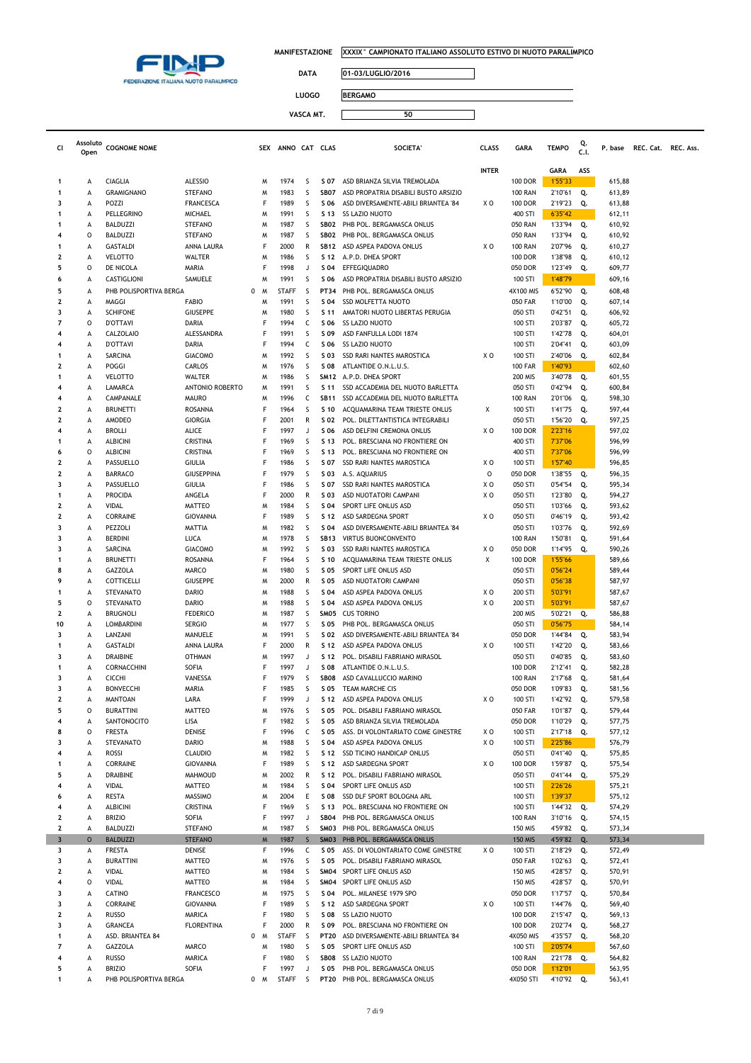

 $\Box$ 

┑

**DATA 01-03/LUGLIO/2016**

**LUOGO BERGAMO**

| Cl                       | Assoluto<br>Open | <b>COGNOME NOME</b>                 |                                  | SEX    | ANNO CAT CLAS |              |                     | <b>SOCIETA</b>                                                       | <b>CLASS</b>   | <b>GARA</b>                      | <b>TEMPO</b>       | Q.<br>C.I. | P. base          | REC. Cat. REC. Ass. |  |
|--------------------------|------------------|-------------------------------------|----------------------------------|--------|---------------|--------------|---------------------|----------------------------------------------------------------------|----------------|----------------------------------|--------------------|------------|------------------|---------------------|--|
|                          |                  |                                     |                                  |        |               |              |                     |                                                                      |                |                                  |                    |            |                  |                     |  |
|                          |                  |                                     |                                  |        |               |              |                     |                                                                      | <b>INTER</b>   |                                  | GARA               | ASS        |                  |                     |  |
| -1<br>$\mathbf{1}$       | А<br>А           | <b>CIAGLIA</b><br><b>GRAMIGNANO</b> | <b>ALESSIO</b><br><b>STEFANO</b> | м<br>M | 1974<br>1983  | s<br>S       | S 07<br><b>SB07</b> | ASD BRIANZA SILVIA TREMOLADA<br>ASD PROPATRIA DISABILI BUSTO ARSIZIO |                | <b>100 DOR</b><br><b>100 RAN</b> | 1'55"33            |            | 615,88           |                     |  |
| 3                        | А                | POZZI                               | <b>FRANCESCA</b>                 | F      | 1989          | S            | S 06                | ASD DIVERSAMENTE-ABILI BRIANTEA '84                                  | ΧO             | <b>100 DOR</b>                   | 2'10"61<br>2'19"23 | Q.<br>Q.   | 613,89<br>613,88 |                     |  |
| -1                       | A                | PELLEGRINO                          | MICHAEL                          | M      | 1991          | S            | S 13                | SS LAZIO NUOTO                                                       |                | 400 STI                          | 6'35"42            |            | 612,11           |                     |  |
| -1                       | А                | <b>BALDUZZI</b>                     | <b>STEFANO</b>                   | M      | 1987          | S            | SB02                | PHB POL. BERGAMASCA ONLUS                                            |                | <b>050 RAN</b>                   | 1'33"94            | Q.         | 610,92           |                     |  |
| 4                        | 0                | <b>BALDUZZI</b>                     | <b>STEFANO</b>                   | M      | 1987          | S            | SB02                | PHB POL. BERGAMASCA ONLUS                                            |                | <b>050 RAN</b>                   | 1'33"94            | Q.         | 610,92           |                     |  |
|                          | А                | <b>GASTALDI</b>                     | ANNA LAURA                       | F      | 2000          | R            | <b>SB12</b>         | ASD ASPEA PADOVA ONLUS                                               | ΧO             | <b>100 RAN</b>                   | 2'07"96            | Q.         | 610,27           |                     |  |
| $\overline{\mathbf{2}}$  | А                | <b>VELOTTO</b>                      | WALTER                           | M      | 1986          | S            | S 12                | A.P.D. DHEA SPORT                                                    |                | <b>100 DOR</b>                   | 1'38"98            | Q.         | 610,12           |                     |  |
| 5                        | 0                | DE NICOLA                           | MARIA                            | F      | 1998          | J            | S 04                | EFFEGIQUADRO                                                         |                | 050 DOR                          | 1'23"49            | Q.         | 609,77           |                     |  |
| 6                        | А                | CASTIGLIONI                         | SAMUELE                          | M      | 1991          | S            | S 06                | ASD PROPATRIA DISABILI BUSTO ARSIZIO                                 |                | 100 STI                          | 1'48"79            |            | 609,16           |                     |  |
| 5                        | А                | PHB POLISPORTIVA BERGA              |                                  | 0<br>M | <b>STAFF</b>  | S            | <b>PT34</b>         | PHB POL. BERGAMASCA ONLUS                                            |                | 4X100 MIS                        | 6'52"90            | Q.         | 608,48           |                     |  |
| 2                        | А                | MAGGI                               | <b>FABIO</b>                     | M      | 1991          | S            | S 04                | <b>SSD MOLFETTA NUOTO</b>                                            |                | <b>050 FAR</b>                   | 1'10"00            | Q.         | 607,14           |                     |  |
| 3                        | А                | <b>SCHIFONE</b>                     | <b>GIUSEPPE</b>                  | M      | 1980          | S            | S 11                | AMATORI NUOTO LIBERTAS PERUGIA                                       |                | 050 STI                          | 0'42"51            | Q.         | 606,92           |                     |  |
| $\overline{7}$           | 0                | <b>D'OTTAVI</b>                     | DARIA                            | F      | 1994          | C            | S 06                | SS LAZIO NUOTO                                                       |                | 100 STI                          | 2'03"87            | Q.         | 605,72           |                     |  |
| 4                        | А                | <b>CALZOLAIO</b>                    | ALESSANDRA                       | F      | 1991          | S            | S 09                | ASD FANFULLA LODI 1874                                               |                | 100 STI                          | 1'42"78            | Q.         | 604,01           |                     |  |
| 4                        | А                | <b>D'OTTAVI</b>                     | DARIA                            | F      | 1994          | c            | S 06                | SS LAZIO NUOTO                                                       |                | 100 STI                          | 2'04"41            | Q.         | 603,09           |                     |  |
| $\mathbf{1}$             | А                | SARCINA                             | <b>GIACOMO</b>                   | M      | 1992          | S            | S 03                | SSD RARI NANTES MAROSTICA                                            | ΧO             | 100 STI                          | 2'40"06            | Q.         | 602,84           |                     |  |
| 2                        | А                | POGGI                               | CARLOS                           | M      | 1976          | S            | S 08                | ATLANTIDE O.N.L.U.S.                                                 |                | <b>100 FAR</b>                   | 1'40"93            |            | 602,60           |                     |  |
| $\mathbf{1}$             | A                | <b>VELOTTO</b>                      | WALTER                           | M      | 1986          | S            |                     | SM12 A.P.D. DHEA SPORT                                               |                | <b>200 MIS</b>                   | 3'40"78            | Q.         | 601,55           |                     |  |
| 4                        | A                | LAMARCA                             | ANTONIO ROBERTO                  | M      | 1991          | s            | S 11                | SSD ACCADEMIA DEL NUOTO BARLETTA                                     |                | 050 STI                          | 0'42"94            | Q.         | 600,84           |                     |  |
| $\overline{\bf{4}}$      | А                | CAMPANALE                           | <b>MAURO</b>                     | м      | 1996          | c            | <b>SB11</b>         | SSD ACCADEMIA DEL NUOTO BARLETTA                                     |                | <b>100 RAN</b>                   | 2'01"06            | Q.         | 598,30           |                     |  |
| 2                        | А                | <b>BRUNETTI</b>                     | ROSANNA                          | F      | 1964          | S            | S 10                | ACQUAMARINA TEAM TRIESTE ONLUS                                       | х              | 100 STI                          | 1'41"75            | Q.         | 597,44           |                     |  |
| 2<br>4                   | А                | AMODEO                              | <b>GIORGIA</b>                   | F<br>F | 2001          | R            | S 02                | POL. DILETTANTISTICA INTEGRABILI                                     |                | 050 STI<br><b>100 DOR</b>        | 1'56"20            | Q.         | 597,25           |                     |  |
| -1                       | А                | <b>BROLLI</b>                       | ALICE<br>CRISTINA                | F      | 1997<br>1969  | J<br>S       | S 06<br>S 13        | ASD DELFINI CREMONA ONLUS                                            | ΧO             | 400 STI                          | 2'23"16<br>7'37"06 |            | 597,02<br>596,99 |                     |  |
| 6                        | А<br>0           | <b>ALBICINI</b><br><b>ALBICINI</b>  | CRISTINA                         | F      | 1969          | S            | S 13                | POL. BRESCIANA NO FRONTIERE ON<br>POL. BRESCIANA NO FRONTIERE ON     |                | 400 STI                          | 7'37"06            |            | 596,99           |                     |  |
| $\mathbf{2}$             | А                | PASSUELLO                           | <b>GIULIA</b>                    | F      | 1986          | S            | S 07                | SSD RARI NANTES MAROSTICA                                            | ΧO             | 100 STI                          | 1'57"40            |            | 596,85           |                     |  |
| 2                        | А                | BARRACO                             | <b>GIUSEPPINA</b>                | F      | 1979          | S            | S 03                | A.S. AQUARIUS                                                        | $\circ$        | 050 DOR                          | 1'38"55            | Q.         | 596,35           |                     |  |
| 3                        | А                | PASSUELLO                           | <b>GIULIA</b>                    | F      | 1986          | S            | S 07                | SSD RARI NANTES MAROSTICA                                            | XO             | 050 STI                          | 0'54"54            | Q.         | 595,34           |                     |  |
| $\mathbf{1}$             | А                | <b>PROCIDA</b>                      | ANGELA                           | F      | 2000          | R            | S 03                | ASD NUOTATORI CAMPANI                                                | ΧO             | 050 STI                          | 1'23"80            | Q.         | 594,27           |                     |  |
| 2                        | А                | VIDAL                               | <b>MATTEO</b>                    | M      | 1984          | S            | S 04                | SPORT LIFE ONLUS ASD                                                 |                | 050 STI                          | 1'03"66            | Q.         | 593,62           |                     |  |
| 2                        | А                | CORRAINE                            | <b>GIOVANNA</b>                  | F      | 1989          | S            | S 12                | ASD SARDEGNA SPORT                                                   | ΧO             | 050 STI                          | 0'46"19            | Q.         | 593,42           |                     |  |
| 3                        | А                | PEZZOLI                             | <b>MATTIA</b>                    | M      | 1982          | S            | S 04                | ASD DIVERSAMENTE-ABILI BRIANTEA '84                                  |                | 050 STI                          | 1'03"76            | Q.         | 592,69           |                     |  |
| 3                        | А                | <b>BERDINI</b>                      | <b>LUCA</b>                      | M      | 1978          | S            | <b>SB13</b>         | VIRTUS BUONCONVENTO                                                  |                | <b>100 RAN</b>                   | 1'50"81            | Q.         | 591,64           |                     |  |
| 3                        | А                | SARCINA                             | <b>GIACOMO</b>                   | M      | 1992          | s            | S 03                | SSD RARI NANTES MAROSTICA                                            | XO             | 050 DOR                          | 1'14"95            | Q.         | 590,26           |                     |  |
| $\mathbf{1}$             | А                | <b>BRUNETTI</b>                     | <b>ROSANNA</b>                   | F      | 1964          | S            | S 10                | ACQUAMARINA TEAM TRIESTE ONLUS                                       | Х              | <b>100 DOR</b>                   | 1'55"66            |            | 589,66           |                     |  |
| 8                        | А                | GAZZOLA                             | MARCO                            | M      | 1980          | S            | S 05                | SPORT LIFE ONLUS ASD                                                 |                | 050 STI                          | 0'56"24            |            | 589,44           |                     |  |
| 9                        | A                | COTTICELLI                          | <b>GIUSEPPE</b>                  | M      | 2000          | R            | S 05                | ASD NUOTATORI CAMPANI                                                |                | 050 STI                          | 0'56"38            |            | 587,97           |                     |  |
| -1                       | A                | <b>STEVANATO</b>                    | <b>DARIO</b>                     | M      | 1988          | S            | S 04                | ASD ASPEA PADOVA ONLUS                                               | ΧO             | 200 STI                          | 5'03"91            |            | 587,67           |                     |  |
| 5                        | 0                | <b>STEVANATO</b>                    | DARIO                            | м      | 1988          | S            | S 04                | ASD ASPEA PADOVA ONLUS                                               | ΧO             | 200 STI                          | 5'03"91            |            | 587,67           |                     |  |
| 2                        | А                | <b>BRUGNOLI</b>                     | <b>FEDERICO</b>                  | м      | 1987          | S            | SM05                | <b>CUS TORINO</b>                                                    |                | 200 MIS                          | 5'02"21            | Q.         | 586,88           |                     |  |
| 10<br>3                  | А                | <b>LOMBARDINI</b>                   | <b>SERGIO</b><br><b>MANUELE</b>  | M      | 1977          | s            | S 05                | PHB POL. BERGAMASCA ONLUS<br>ASD DIVERSAMENTE-ABILI BRIANTEA '84     |                | 050 STI                          | 0'56"75            |            | 584,14           |                     |  |
| 1                        | А<br>А           | LANZANI<br><b>GASTALDI</b>          | ANNA LAURA                       | M<br>F | 1991<br>2000  | S<br>R       | S 02<br>S 12        | ASD ASPEA PADOVA ONLUS                                               | ΧO             | 050 DOR<br>100 STI               | 1'44"84<br>1'42"20 | Q.<br>Q.   | 583,94<br>583,66 |                     |  |
| 3                        | A                | DRAIBINE                            | <b>OTHMAN</b>                    | M      | 1997          | J            | S 12                | POL. DISABILI FABRIANO MIRASOL                                       |                | 050 STI                          | 0'40"85            | Q.         | 583,60           |                     |  |
|                          | А                | CORNACCHINI                         | SOFIA                            | F      | 1997          | J            | S 08                | ATLANTIDE O.N.L.U.S.                                                 |                | <b>100 DOR</b>                   | 2'12"41            | Q.         | 582,28           |                     |  |
| 3                        | А                | <b>CICCHI</b>                       | VANESSA                          | F      | 1979          | S            | SB <sub>08</sub>    | ASD CAVALLUCCIO MARINO                                               |                | <b>100 RAN</b>                   | 2'17"68            | Q.         | 581,64           |                     |  |
| 3                        | А                | <b>BONVECCHI</b>                    | MARIA                            | F      | 1985          | S            | S 05                | TEAM MARCHE CIS                                                      |                | 050 DOR                          | 1'09"83            | Q.         | 581,56           |                     |  |
| $\overline{\phantom{a}}$ | A                | <b>MANTOAN</b>                      | LARA                             | F      | 1999          | J            | S 12                | ASD ASPEA PADOVA ONLUS                                               | X <sub>0</sub> | 100 STI                          | 1'42"92            | Q.         | 579,58           |                     |  |
| 5                        | 0                | <b>BURATTINI</b>                    | MATTEO                           | M      | 1976          | S            | S 05                | POL. DISABILI FABRIANO MIRASOL                                       |                | <b>050 FAR</b>                   | 1'01"87            | Q.         | 579,44           |                     |  |
| $\overline{4}$           | А                | SANTONOCITO                         | LISA                             | F      | 1982          | S            | S 05                | ASD BRIANZA SILVIA TREMOLADA                                         |                | 050 DOR                          | 1'10"29            | Q.         | 577,75           |                     |  |
| 8                        | $\circ$          | FRESTA                              | DENISE                           | F      | 1996          | C            | S 05                | ASS. DI VOLONTARIATO COME GINESTRE                                   | XO             | 100 STI                          | 2'17"18            | Q.         | 577,12           |                     |  |
| 3                        | А                | <b>STEVANATO</b>                    | DARIO                            | M      | 1988          | S            | S 04                | ASD ASPEA PADOVA ONLUS                                               | XO             | 100 STI                          | 2'25"86            |            | 576,79           |                     |  |
| 4                        | А                | <b>ROSSI</b>                        | <b>CLAUDIO</b>                   | M      | 1982          | S            | S 12                | SSD TICINO HANDICAP ONLUS                                            |                | 050 STI                          | 0'41"40            | Q.         | 575,85           |                     |  |
| 1                        | А                | <b>CORRAINE</b>                     | <b>GIOVANNA</b>                  | F      | 1989          | S            | S 12                | ASD SARDEGNA SPORT                                                   | XO             | <b>100 DOR</b>                   | 1'59"87            | Q.         | 575,54           |                     |  |
| 5<br>4                   | А<br>А           | <b>DRAIBINE</b><br>VIDAL            | <b>MAHMOUD</b><br>MATTEO         | M<br>M | 2002<br>1984  | R<br>s       | S 12<br>S 04        | POL. DISABILI FABRIANO MIRASOL<br>SPORT LIFE ONLUS ASD               |                | 050 STI<br>100 STI               | 0'41"44<br>2'26"26 | Q.         | 575,29<br>575,21 |                     |  |
| 6                        | А                | RESTA                               | MASSIMO                          | M      | 2004          | E            | S 08                | SSD DLF SPORT BOLOGNA ARL                                            |                | 100 STI                          | 1'39"37            |            | 575,12           |                     |  |
| $\overline{4}$           | А                | ALBICINI                            | CRISTINA                         | F      | 1969          | S            | S 13                | POL. BRESCIANA NO FRONTIERE ON                                       |                | 100 STI                          | 1'44"32            | Q.         | 574,29           |                     |  |
| $\mathbf{2}$             | А                | <b>BRIZIO</b>                       | SOFIA                            | F      | 1997          | J            | <b>SB04</b>         | PHB POL. BERGAMASCA ONLUS                                            |                | <b>100 RAN</b>                   | 3'10"16            | Q.         | 574,15           |                     |  |
| $\mathbf{2}$             | А                | BALDUZZI                            | <b>STEFANO</b>                   | M      | 1987          | S            | SMO3                | PHB POL. BERGAMASCA ONLUS                                            |                | 150 MIS                          | 4'59"82            | Q.         | 573,34           |                     |  |
| $\overline{\mathbf{3}}$  | $\circ$          | <b>BALDUZZI</b>                     | <b>STEFANO</b>                   | M      | 1987          | $\mathsf{S}$ | SM03                | PHB POL. BERGAMASCA ONLUS                                            |                | <b>150 MIS</b>                   | 4'59"82            | Q.         | 573,34           |                     |  |
| 3                        | А                | <b>FRESTA</b>                       | DENISE                           | F      | 1996          | C            | S 05                | ASS. DI VOLONTARIATO COME GINESTRE                                   | XO             | 100 STI                          | 2'18"29            | Q.         | 572,49           |                     |  |
| 3                        | А                | <b>BURATTINI</b>                    | <b>MATTEO</b>                    | M      | 1976          | S            | S 05                | POL. DISABILI FABRIANO MIRASOL                                       |                | 050 FAR                          | 1'02"63            | Q.         | 572,41           |                     |  |
| $\overline{\mathbf{2}}$  | А                | VIDAL                               | MATTEO                           | M      | 1984          | S            | SM04                | SPORT LIFE ONLUS ASD                                                 |                | 150 MIS                          | 4'28"57            | Q.         | 570,91           |                     |  |
| $\overline{4}$           | $\mathsf{o}$     | <b>VIDAL</b>                        | MATTEO                           | M      | 1984          | S            | SM04                | SPORT LIFE ONLUS ASD                                                 |                | <b>150 MIS</b>                   | 4'28"57            | Q.         | 570,91           |                     |  |
| 3                        | А                | CATINO                              | <b>FRANCESCO</b>                 | M      | 1975          | S            | S 04                | POL. MILANESE 1979 SPO                                               |                | 050 DOR                          | 1'17"57            | Q.         | 570,84           |                     |  |
| 3                        | А                | CORRAINE                            | <b>GIOVANNA</b>                  | F      | 1989          | S            | S 12                | ASD SARDEGNA SPORT                                                   | ΧO             | 100 STI                          | 1'44"76            | Q.         | 569,40           |                     |  |
| $\mathbf{2}$             | А                | <b>RUSSO</b>                        | MARICA                           | F      | 1980          | s            | S 08                | SS LAZIO NUOTO                                                       |                | <b>100 DOR</b>                   | 2'15"47            | Q.         | 569,13           |                     |  |
| 3                        | А                | GRANCEA                             | <b>FLORENTINA</b>                | F      | 2000          | R            | S 09                | POL. BRESCIANA NO FRONTIERE ON                                       |                | <b>100 DOR</b>                   | 2'02"74            | Q.         | 568,27           |                     |  |
| -1                       | А                | ASD. BRIANTEA 84                    |                                  | 0<br>M | <b>STAFF</b>  | S            | <b>PT20</b>         | ASD DIVERSAMENTE-ABILI BRIANTEA '84                                  |                | 4X050 MIS                        | 4'35"57            | Q.         | 568,20           |                     |  |
| $\overline{7}$           | А                | GAZZOLA                             | MARCO                            | M      | 1980          | S            | S 05                | SPORT LIFE ONLUS ASD                                                 |                | 100 STI                          | 2'05"74            |            | 567,60           |                     |  |
| $\overline{4}$           | А                | <b>RUSSO</b>                        | MARICA                           | F      | 1980          | S            | <b>SB08</b>         | SS LAZIO NUOTO                                                       |                | <b>100 RAN</b>                   | 2'21"78            | Q.         | 564,82           |                     |  |
| 5                        | A                | <b>BRIZIO</b>                       | SOFIA                            | F      | 1997          | J            | S 05                | PHB POL. BERGAMASCA ONLUS                                            |                | 050 DOR                          | 1'12"01            |            | 563,95           |                     |  |
| 1                        | А                | PHB POLISPORTIVA BERGA              |                                  | 0<br>M | <b>STAFF</b>  | S            |                     | PT20 PHB POL. BERGAMASCA ONLUS                                       |                | 4X050 STI                        | 4'10"92            | Q.         | 563,41           |                     |  |
|                          |                  |                                     |                                  |        |               |              |                     |                                                                      |                |                                  |                    |            |                  |                     |  |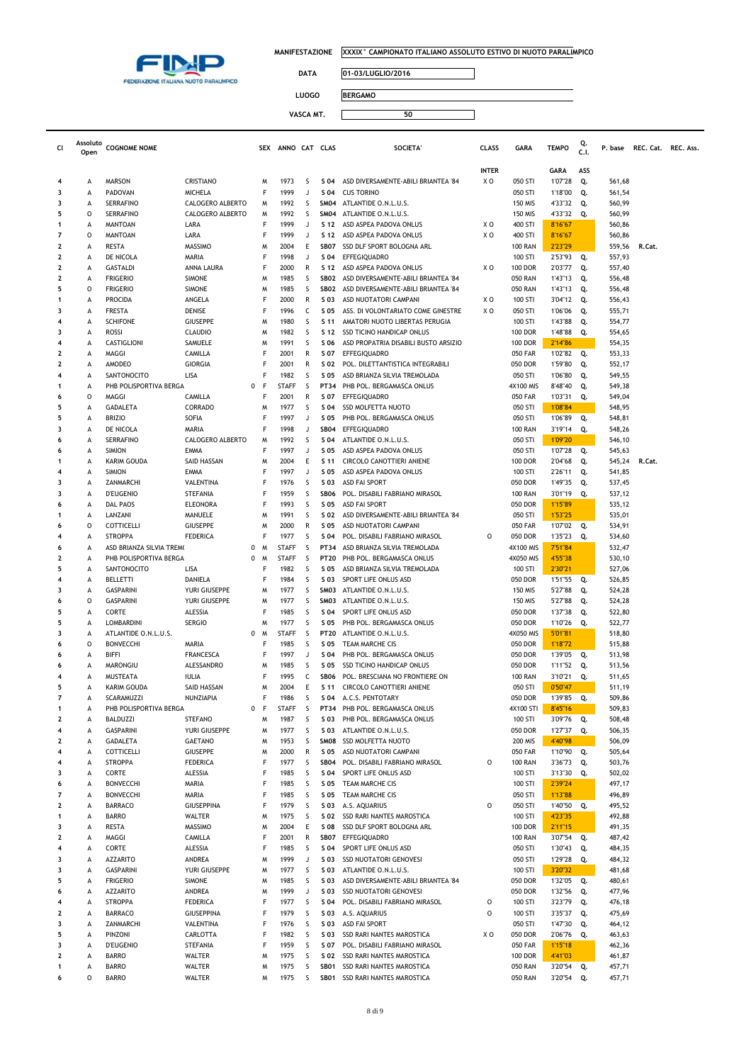

**Cl Assoluto** 

**MANIFESTAZIONE XXXIX° CAMPIONATO ITALIANO ASSOLUTO ESTIVO DI NUOTO PARALIMPICO**

 $\Box$ 

┑

**DATA 01-03/LUGLIO/2016**

**LUOGO BERGAMO**

| cι     | Assoluto<br>Open | <b>COGNOME NOME</b>                                |                          | <b>SEX</b>             | ANNO CAT CLAS                |              |                            | <b>SOCIETA</b>                                              | <b>CLASS</b>   | <b>GARA</b>                 | <b>TEMPO</b>       | Q.<br>C.I. | P. base          | REC. Cat. REC. Ass. |  |
|--------|------------------|----------------------------------------------------|--------------------------|------------------------|------------------------------|--------------|----------------------------|-------------------------------------------------------------|----------------|-----------------------------|--------------------|------------|------------------|---------------------|--|
|        |                  |                                                    |                          |                        |                              |              |                            |                                                             | <b>INTER</b>   |                             | <b>GARA</b>        | ASS        |                  |                     |  |
| 4      | А                | <b>MARSON</b>                                      | CRISTIANO                | M                      | 1973                         | S            | S 04                       | ASD DIVERSAMENTE-ABILI BRIANTEA '84                         | X O            | 050 STI                     | 1'07"28            | Q.         | 561,68           |                     |  |
|        | А                | PADOVAN                                            | MICHELA                  | F                      | 1999                         | J            | S 04                       | <b>CUS TORINO</b>                                           |                | 050 STI                     | 1'18"00            | Q.         | 561,54           |                     |  |
|        | А                | SERRAFINO                                          | CALOGERO ALBERTO         | M                      | 1992                         | S            | SM04                       | ATLANTIDE O.N.L.U.S.                                        |                | <b>150 MIS</b>              | 4'33"32            | Q.         | 560,99           |                     |  |
|        | 0<br>А           | <b>SERRAFINO</b><br>MANTOAN                        | CALOGERO ALBERTO<br>LARA | M<br>F                 | 1992<br>1999                 | S<br>J       | SM04<br>S 12               | ATLANTIDE O.N.L.U.S.<br>ASD ASPEA PADOVA ONLUS              | X O            | <b>150 MIS</b><br>400 STI   | 4'33"32<br>8'16"67 | Q.         | 560,99<br>560,86 |                     |  |
|        | $\circ$          | <b>MANTOAN</b>                                     | LARA                     | F                      | 1999                         | J            | S 12                       | ASD ASPEA PADOVA ONLUS                                      | X <sub>0</sub> | 400 STI                     | 8'16"67            |            | 560,86           |                     |  |
| 2      | A                | RESTA                                              | <b>MASSIMO</b>           | M                      | 2004                         | Ε            | <b>SB07</b>                | SSD DLF SPORT BOLOGNA ARL                                   |                | <b>100 RAN</b>              | 2'23"29            |            | 559,56           | R.Cat.              |  |
| 2      | А                | DE NICOLA                                          | MARIA                    | F                      | 1998                         | J            | S 04                       | EFFEGIQUADRO                                                |                | 100 STI                     | 2'53"93            | Q.         | 557,93           |                     |  |
| 2      | А                | <b>GASTALDI</b>                                    | ANNA LAURA               | F                      | 2000                         | R            | S 12                       | ASD ASPEA PADOVA ONLUS                                      | X <sub>0</sub> | <b>100 DOR</b>              | 2'03"77            | Q.         | 557,40           |                     |  |
| 2      | А                | <b>FRIGERIO</b>                                    | <b>SIMONE</b>            | M                      | 1985                         | S            | SB <sub>02</sub>           | ASD DIVERSAMENTE-ABILI BRIANTEA '84                         |                | <b>050 RAN</b>              | 1'43"13            | Q.         | 556,48           |                     |  |
|        | 0                | <b>FRIGERIO</b>                                    | <b>SIMONE</b>            | M<br>F                 | 1985<br>2000                 | S            | SB <sub>02</sub>           | ASD DIVERSAMENTE-ABILI BRIANTEA '84                         | XO             | <b>050 RAN</b>              | 1'43"13            | Q.         | 556,48           |                     |  |
|        | А<br>А           | PROCIDA<br><b>FRESTA</b>                           | ANGELA<br>DENISE         | F                      | 1996                         | R<br>C       | S 03<br>S 05               | ASD NUOTATORI CAMPANI<br>ASS. DI VOLONTARIATO COME GINESTRE | X <sub>0</sub> | 100 STI<br>050 STI          | 3'04"12<br>1'06"06 | Q.<br>Q.   | 556,43<br>555,71 |                     |  |
| 4      | А                | <b>SCHIFONE</b>                                    | <b>GIUSEPPE</b>          | M                      | 1980                         | S            | S 11                       | AMATORI NUOTO LIBERTAS PERUGIA                              |                | 100 STI                     | 1'43"88            | Q.         | 554,77           |                     |  |
|        | А                | ROSSI                                              | <b>CLAUDIO</b>           | M                      | 1982                         | S            | S 12                       | SSD TICINO HANDICAP ONLUS                                   |                | <b>100 DOR</b>              | 1'48"88            | Q.         | 554,65           |                     |  |
| 4      | А                | CASTIGLIONI                                        | SAMUELE                  | M                      | 1991                         | S            | S 06                       | ASD PROPATRIA DISABILI BUSTO ARSIZIO                        |                | <b>100 DOR</b>              | 2'14"86            |            | 554,35           |                     |  |
| 2      | А                | MAGGI                                              | CAMILLA                  | F                      | 2001                         | R            | S 07                       | EFFEGIQUADRO                                                |                | <b>050 FAR</b>              | 1'02"82            | Q.         | 553,33           |                     |  |
| 2      | А                | AMODEO                                             | <b>GIORGIA</b>           | F                      | 2001                         | R            | S 02                       | POL. DILETTANTISTICA INTEGRABILI                            |                | 050 DOR                     | 1'59"80            | Q.         | 552,17           |                     |  |
| 4      | А                | SANTONOCITO                                        | LISA                     | F<br>F                 | 1982                         | S            | S 05                       | ASD BRIANZA SILVIA TREMOLADA                                |                | 050 STI                     | 1'06"80            | Q.         | 549,55           |                     |  |
|        | А<br>0           | PHB POLISPORTIVA BERGA<br>MAGGI                    | CAMILLA                  | 0<br>F                 | <b>STAFF</b><br>2001         | S<br>R       | PT34<br>S 07               | PHB POL. BERGAMASCA ONLUS<br>EFFEGIQUADRO                   |                | 4X100 MIS<br><b>050 FAR</b> | 8'48"40<br>1'03"31 | Q.<br>Q.   | 549,38<br>549,04 |                     |  |
|        | А                | GADALETA                                           | CORRADO                  | M                      | 1977                         | S            | S 04                       | <b>SSD MOLFETTA NUOTO</b>                                   |                | 050 STI                     | 1'08"84            |            | 548,95           |                     |  |
|        | А                | <b>BRIZIO</b>                                      | SOFIA                    | F                      | 1997                         | J            | S 05                       | PHB POL. BERGAMASCA ONLUS                                   |                | 050 STI                     | 1'06"89            | Q.         | 548,81           |                     |  |
| 3      | А                | DE NICOLA                                          | MARIA                    | F                      | 1998                         | J            | SB04                       | EFFEGIQUADRO                                                |                | <b>100 RAN</b>              | 3'19"14            | Q.         | 548,26           |                     |  |
|        | А                | <b>SERRAFINO</b>                                   | CALOGERO ALBERTO         | M                      | 1992                         | S            | S 04                       | ATLANTIDE O.N.L.U.S.                                        |                | 050 STI                     | 1'09"20            |            | 546,10           |                     |  |
|        | А                | <b>SIMION</b>                                      | EMMA                     | F                      | 1997                         | J            | S 05                       | ASD ASPEA PADOVA ONLUS                                      |                | 050 STI                     | 1'07"28            | Q.         | 545,63           |                     |  |
|        | А                | KARIM GOUDA                                        | SAID HASSAN<br>EMMA      | M<br>F                 | 2004<br>1997                 | Ε<br>J       | S 11<br>S 05               | CIRCOLO CANOTTIERI ANIENE                                   |                | <b>100 DOR</b>              | 2'04"68            | Q.         | 545,24           | R.Cat.              |  |
|        | А<br>А           | <b>SIMION</b><br>ZANMARCHI                         | VALENTINA                | F                      | 1976                         | S            | S 03                       | ASD ASPEA PADOVA ONLUS<br><b>ASD FAI SPORT</b>              |                | 100 STI<br>050 DOR          | 2'26"11<br>1'49"35 | Q.<br>Q.   | 541,85<br>537,45 |                     |  |
|        | А                | <b>D'EUGENIO</b>                                   | STEFANIA                 | F                      | 1959                         | S            | SB06                       | POL. DISABILI FABRIANO MIRASOL                              |                | <b>100 RAN</b>              | 3'01"19            | Q.         | 537,12           |                     |  |
|        | А                | <b>DAL PAOS</b>                                    | <b>ELEONORA</b>          | F                      | 1993                         | S            | S 05                       | <b>ASD FAI SPORT</b>                                        |                | 050 DOR                     | 1'15"89            |            | 535,12           |                     |  |
|        | А                | LANZANI                                            | MANUELE                  | M                      | 1991                         | S            | S 02                       | ASD DIVERSAMENTE-ABILI BRIANTEA '84                         |                | 050 STI                     | 1'53"25            |            | 535,01           |                     |  |
|        | 0                | COTTICELLI                                         | <b>GIUSEPPE</b>          | M                      | 2000                         | R            | S 05                       | ASD NUOTATORI CAMPANI                                       |                | <b>050 FAR</b>              | 1'07"02            | Q.         | 534,91           |                     |  |
|        | А                | <b>STROPPA</b>                                     | <b>FEDERICA</b>          | F                      | 1977                         | S            | S 04                       | POL. DISABILI FABRIANO MIRASOL                              | $\circ$        | 050 DOR                     | 1'35"23            | Q.         | 534,60           |                     |  |
| 2      | A<br>А           | ASD BRIANZA SILVIA TREM(<br>PHB POLISPORTIVA BERGA |                          | 0<br>M<br>0<br>M       | <b>STAFF</b><br><b>STAFF</b> | S<br>S       | <b>PT34</b><br><b>PT20</b> | ASD BRIANZA SILVIA TREMOLADA<br>PHB POL. BERGAMASCA ONLUS   |                | 4X100 MIS<br>4X050 MIS      | 7'51"84<br>4'55"38 |            | 532,47<br>530,10 |                     |  |
|        | А                | SANTONOCITO                                        | LISA                     | F                      | 1982                         | S            | S 05                       | ASD BRIANZA SILVIA TREMOLADA                                |                | 100 STI                     | 2'30"21            |            | 527,06           |                     |  |
| 4      | А                | <b>BELLETTI</b>                                    | DANIELA                  | F                      | 1984                         | S            | S 03                       | SPORT LIFE ONLUS ASD                                        |                | 050 DOR                     | 1'51"55            | Q.         | 526,85           |                     |  |
|        | А                | <b>GASPARINI</b>                                   | YURI GIUSEPPE            | M                      | 1977                         | S            | SM03                       | ATLANTIDE O.N.L.U.S.                                        |                | <b>150 MIS</b>              | 5'27"88            | Q.         | 524,28           |                     |  |
|        | 0                | <b>GASPARINI</b>                                   | YURI GIUSEPPE            | M                      | 1977                         | S            | SM03                       | ATLANTIDE O.N.L.U.S.                                        |                | 150 MIS                     | 5'27"88            | Q.         | 524,28           |                     |  |
|        | А                | CORTE                                              | ALESSIA                  | F                      | 1985                         | S            | S 04                       | SPORT LIFE ONLUS ASD                                        |                | 050 DOR                     | 1'37"38            | Q.         | 522,80           |                     |  |
|        | А                | <b>LOMBARDINI</b>                                  | <b>SERGIO</b>            | M                      | 1977                         | S            | S 05<br><b>PT20</b>        | PHB POL. BERGAMASCA ONLUS                                   |                | 050 DOR                     | 1'10"26            | Q.         | 522,77           |                     |  |
| 3<br>6 | А<br>0           | ATLANTIDE O.N.L.U.S.<br><b>BONVECCHI</b>           | MARIA                    | 0<br>M<br>F            | <b>STAFF</b><br>1985         | S<br>S       | S 05                       | ATLANTIDE O.N.L.U.S.<br>TEAM MARCHE CIS                     |                | 4X050 MIS<br>050 DOR        | 5'01"81<br>1'18"72 |            | 518,80<br>515,88 |                     |  |
|        | А                | <b>BIFFI</b>                                       | <b>FRANCESCA</b>         | F                      | 1997                         | J            | S 04                       | PHB POL. BERGAMASCA ONLUS                                   |                | 050 DOR                     | 1'39"05            | Q.         | 513,98           |                     |  |
|        | А                | MARONGIU                                           | ALESSANDRO               | M                      | 1985                         | S            | S 05                       | SSD TICINO HANDICAP ONLUS                                   |                | 050 DOR                     | 1'11"52            | Q.         | 513,56           |                     |  |
| 4      | А                | MUSTEATA                                           | <b>IULIA</b>             | F                      | 1995                         | c            | <b>SB06</b>                | POL. BRESCIANA NO FRONTIERE ON                              |                | <b>100 RAN</b>              | 3'10"21            | Q.         | 511,65           |                     |  |
|        | А                | <b>KARIM GOUDA</b>                                 | SAID HASSAN              | M                      | 2004                         | Ε            | S 11                       | CIRCOLO CANOTTIERI ANIENE                                   |                | 050 STI                     | 0'50"47            |            | 511,19           |                     |  |
|        | А                | SCARAMUZZI                                         | NUNZIAPIA                | F<br>0<br>$\mathsf{F}$ | 1986<br><b>STAFF</b>         | S<br>S       | S 04<br><b>PT34</b>        | A.C.S. PENTOTARY                                            |                | 050 DOR                     | 1'39"85 Q.         |            | 509,86           |                     |  |
| 2      | А<br>A           | PHB POLISPORTIVA BERGA<br><b>BALDUZZI</b>          | <b>STEFANO</b>           | M                      | 1987                         | S            | S 03                       | PHB POL. BERGAMASCA ONLUS<br>PHB POL. BERGAMASCA ONLUS      |                | 4X100 STI<br>100 STI        | 8'45"16<br>3'09"76 | Q.         | 509,83<br>508,48 |                     |  |
| 4      | А                | <b>GASPARINI</b>                                   | YURI GIUSEPPE            | M                      | 1977                         | S            | S 03                       | ATLANTIDE O.N.L.U.S.                                        |                | 050 DOR                     | 1'27"37            | Q.         | 506,35           |                     |  |
|        | A                | GADALETA                                           | <b>GAETANO</b>           | M                      | 1953                         | S            | SM08                       | <b>SSD MOLFETTA NUOTO</b>                                   |                | 200 MIS                     | 4'40"98            |            | 506,09           |                     |  |
| 4      | A                | COTTICELLI                                         | <b>GIUSEPPE</b>          | M                      | 2000                         | R            | S 05                       | ASD NUOTATORI CAMPANI                                       |                | <b>050 FAR</b>              | 1'10"90            | Q.         | 505,64           |                     |  |
| 4      | А                | <b>STROPPA</b>                                     | <b>FEDERICA</b>          | F                      | 1977                         | S            | <b>SB04</b>                | POL. DISABILI FABRIANO MIRASOL                              | $\circ$        | <b>100 RAN</b>              | 3'36"73            | Q.         | 503,76           |                     |  |
|        | А<br>А           | CORTE<br><b>BONVECCHI</b>                          | ALESSIA<br>MARIA         | F<br>F                 | 1985<br>1985                 | S<br>S       | S 04<br>S 05               | SPORT LIFE ONLUS ASD<br>TEAM MARCHE CIS                     |                | 100 STI<br>100 STI          | 3'13"30<br>2'39"24 | Q.         | 502,02<br>497,17 |                     |  |
|        | А                | <b>BONVECCHI</b>                                   | MARIA                    | F                      | 1985                         | S            | S 05                       | TEAM MARCHE CIS                                             |                | 050 STI                     | 1'13"88            |            | 496,89           |                     |  |
|        | A                | <b>BARRACO</b>                                     | GIUSEPPINA               | F                      | 1979                         | S            | S 03                       | A.S. AQUARIUS                                               | $\circ$        | 050 STI                     | 1'40"50            | Q.         | 495,52           |                     |  |
|        | A                | <b>BARRO</b>                                       | WALTER                   | M                      | 1975                         | S            | S 02                       | SSD RARI NANTES MAROSTICA                                   |                | 100 STI                     | 4'23"35            |            | 492,88           |                     |  |
| 3      | А                | <b>RESTA</b>                                       | <b>MASSIMO</b>           | M                      | 2004                         | $\mathsf E$  | S 08                       | SSD DLF SPORT BOLOGNA ARL                                   |                | <b>100 DOR</b>              | 2'11"15            |            | 491,35           |                     |  |
| 2      | А                | MAGGI                                              | CAMILLA                  | F                      | 2001                         | $\mathsf{R}$ | SB07                       | <b>EFFEGIOUADRO</b>                                         |                | <b>100 RAN</b>              | 3'07"54            | Q.         | 487,42           |                     |  |
| 4      | A                | CORTE                                              | ALESSIA                  | F                      | 1985                         | S            | S 04                       | SPORT LIFE ONLUS ASD                                        |                | 050 STI                     | 1'30"43            | Q.         | 484,35           |                     |  |
|        | А<br>A           | <b>AZZARITO</b><br><b>GASPARINI</b>                | ANDREA<br>YURI GIUSEPPE  | M<br>M                 | 1999<br>1977                 | J<br>S       | S 03<br>S 03               | <b>SSD NUOTATORI GENOVESI</b><br>ATLANTIDE O.N.L.U.S.       |                | 050 STI<br>100 STI          | 1'29"28<br>3'20"32 | Q.         | 484,32<br>481,68 |                     |  |
|        | А                | <b>FRIGERIO</b>                                    | <b>SIMONE</b>            | M                      | 1985                         | S            | S 03                       | ASD DIVERSAMENTE-ABILI BRIANTEA '84                         |                | 050 DOR                     | 1'32"05            | Q.         | 480,61           |                     |  |
|        | А                | <b>AZZARITO</b>                                    | ANDREA                   | M                      | 1999                         | J            | S 03                       | <b>SSD NUOTATORI GENOVESI</b>                               |                | 050 DOR                     | 1'32"56            | Q.         | 477,96           |                     |  |
| 4      | А                | <b>STROPPA</b>                                     | <b>FEDERICA</b>          | F                      | 1977                         | S            | S 04                       | POL. DISABILI FABRIANO MIRASOL                              | $\circ$        | 100 STI                     | 3'23"79            | Q.         | 476,18           |                     |  |
| 2      | А                | <b>BARRACO</b>                                     | <b>GIUSEPPINA</b>        | F                      | 1979                         | S            | S 03                       | A.S. AQUARIUS                                               | $\circ$        | 100 STI                     | 3'35"37            | Q.         | 475,69           |                     |  |
|        | A                | ZANMARCHI                                          | VALENTINA                | F                      | 1976                         | S            | S 03                       | ASD FAI SPORT                                               |                | 050 STI                     | 1'47"30            | Q.         | 464,12           |                     |  |
|        | А<br>A           | PINZONI<br><b>D'EUGENIO</b>                        | CARLOTTA<br>STEFANIA     | F<br>F                 | 1982<br>1959                 | S<br>S       | S 03<br>S 07               | SSD RARI NANTES MAROSTICA<br>POL. DISABILI FABRIANO MIRASOL | X O            | 050 DOR<br><b>050 FAR</b>   | 2'06"76<br>1'15"18 | Q.         | 463,63<br>462,36 |                     |  |
|        | A                | <b>BARRO</b>                                       | WALTER                   | M                      | 1975                         | S            | S 02                       | SSD RARI NANTES MAROSTICA                                   |                | <b>100 DOR</b>              | 4'41"03            |            | 461,87           |                     |  |
|        | А                | <b>BARRO</b>                                       | WALTER                   | M                      | 1975                         | S            | SB <sub>01</sub>           | SSD RARI NANTES MAROSTICA                                   |                | <b>050 RAN</b>              | 3'20"54            | Q.         | 457,71           |                     |  |
|        | $\circ$          | <b>BARRO</b>                                       | WALTER                   | M                      | 1975                         | S            | SB01                       | SSD RARI NANTES MAROSTICA                                   |                | <b>050 RAN</b>              | 3'20"54            | Q.         | 457,71           |                     |  |
|        |                  |                                                    |                          |                        |                              |              |                            |                                                             |                |                             |                    |            |                  |                     |  |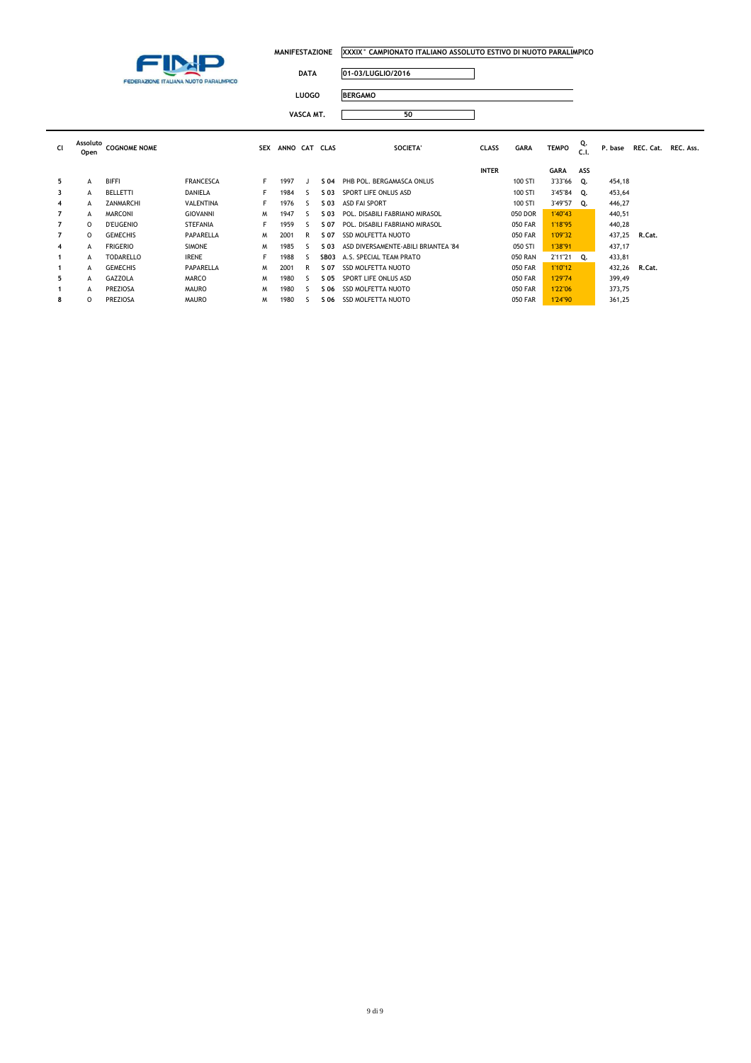

コ

| DATA | 01-03/LUGLIO/2016 |
|------|-------------------|
|      |                   |

**LUOGO BERGAMO VASCA MT. 50**

|                |                  |                     |                  | VASCA MT.  |               |    |      | 50                                  |              |                |              |            |         |        |                     |
|----------------|------------------|---------------------|------------------|------------|---------------|----|------|-------------------------------------|--------------|----------------|--------------|------------|---------|--------|---------------------|
| <b>CI</b>      | Assoluto<br>Open | <b>COGNOME NOME</b> |                  | <b>SEX</b> | ANNO CAT CLAS |    |      | <b>SOCIETA'</b>                     | <b>CLASS</b> | <b>GARA</b>    | <b>TEMPO</b> | Q.<br>C.1. | P. base |        | REC. Cat. REC. Ass. |
|                |                  |                     |                  |            |               |    |      |                                     | <b>INTER</b> |                | GARA         | ASS        |         |        |                     |
| 5              | А                | <b>BIFFI</b>        | <b>FRANCESCA</b> | F.         | 1997          |    | S 04 | PHB POL, BERGAMASCA ONLUS           |              | 100 STI        | 3'33"66      | Q.         | 454,18  |        |                     |
| 3              | А                | BELLETTI            | DANIELA          | F.         | 1984          | -5 | S 03 | SPORT LIFE ONLUS ASD                |              | 100 STI        | 3'45"84      | Q.         | 453,64  |        |                     |
| 4              | А                | ZANMARCHI           | VALENTINA        | F.         | 1976          | ς. | S 03 | <b>ASD FAI SPORT</b>                |              | 100 STI        | 3'49"57      | Q.         | 446,27  |        |                     |
| 7              | A                | <b>MARCONI</b>      | <b>GIOVANNI</b>  | M          | 1947          | S. | S 03 | POL. DISABILI FABRIANO MIRASOL      |              | 050 DOR        | 1'40"43      |            | 440,51  |        |                     |
| 7              | $\Omega$         | <b>D'EUGENIO</b>    | <b>STEFANIA</b>  | F.         | 1959          | -5 | S 07 | POL. DISABILI FABRIANO MIRASOL      |              | <b>050 FAR</b> | 1'18"95      |            | 440,28  |        |                     |
| $\overline{7}$ | $\Omega$         | <b>GEMECHIS</b>     | PAPARELLA        | M          | 2001          | R  | S 07 | <b>SSD MOLFETTA NUOTO</b>           |              | <b>050 FAR</b> | 1'09"32      |            | 437,25  | R.Cat. |                     |
| 4              | A                | <b>FRIGERIO</b>     | <b>SIMONE</b>    | M          | 1985          | S  | S 03 | ASD DIVERSAMENTE-ABILI BRIANTEA '84 |              | 050 STI        | 1'38"91      |            | 437,17  |        |                     |
|                | A                | <b>TODARELLO</b>    | <b>IRENE</b>     | F          | 1988          | S  | SB03 | A.S. SPECIAL TEAM PRATO             |              | <b>050 RAN</b> | 2'11"21 Q.   |            | 433,81  |        |                     |
|                | A                | <b>GEMECHIS</b>     | PAPARELLA        | M          | 2001          | R  | S 07 | <b>SSD MOLFETTA NUOTO</b>           |              | <b>050 FAR</b> | 1'10"12      |            | 432,26  | R.Cat. |                     |
| 5              | A                | GAZZOLA             | <b>MARCO</b>     | M          | 1980          | S  | S 05 | SPORT LIFE ONLUS ASD                |              | <b>050 FAR</b> | 1'29"74      |            | 399,49  |        |                     |
|                | A                | PREZIOSA            | <b>MAURO</b>     | M          | 1980          | S  | S 06 | <b>SSD MOLFETTA NUOTO</b>           |              | <b>050 FAR</b> | 1'22"06      |            | 373,75  |        |                     |
| 8              | $\Omega$         | PREZIOSA            | <b>MAURO</b>     | M          | 1980          |    | S 06 | <b>SSD MOLFETTA NUOTO</b>           |              | <b>050 FAR</b> | 1'24"90      |            | 361,25  |        |                     |